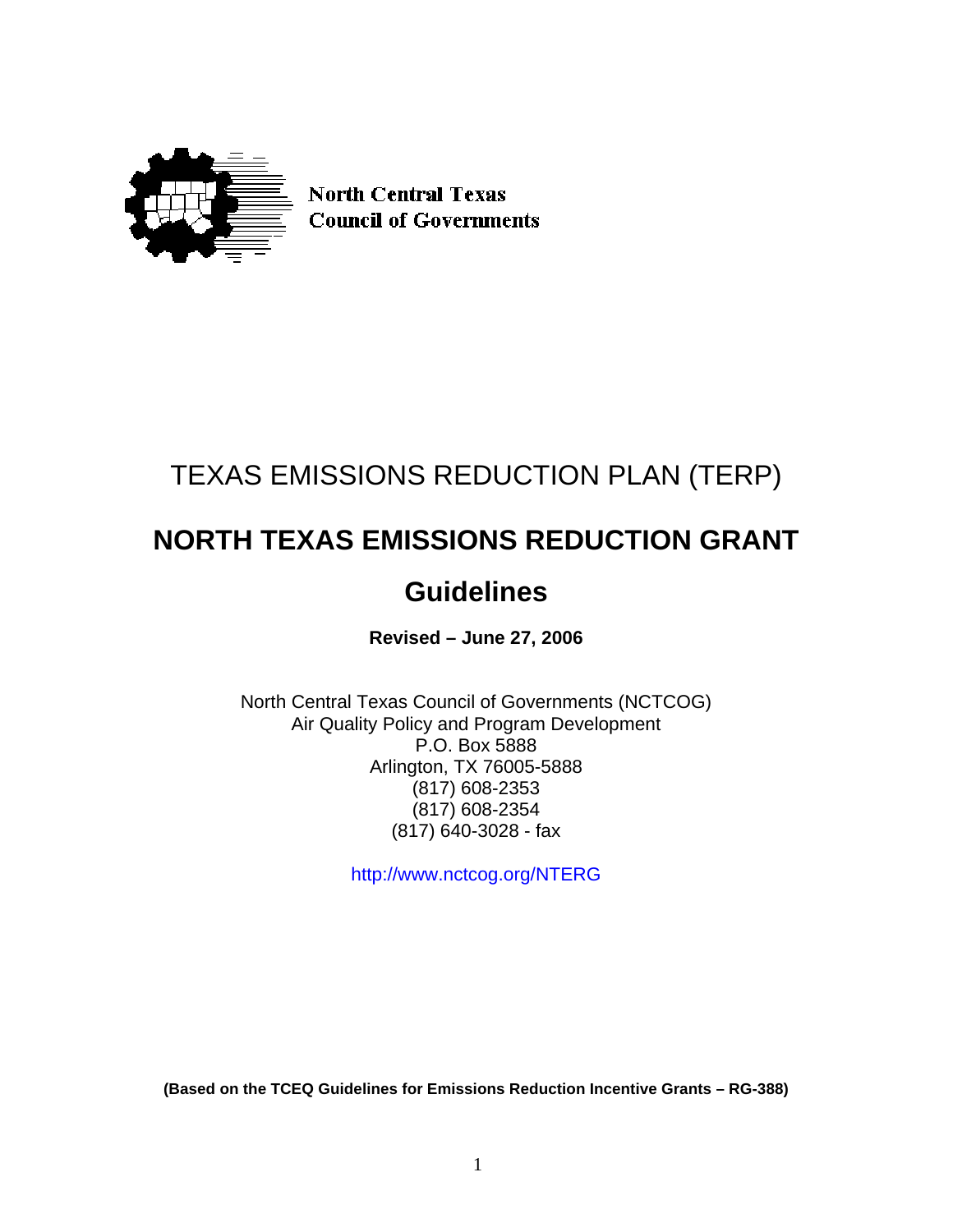

**North Central Texas Council of Governments** 

# TEXAS EMISSIONS REDUCTION PLAN (TERP)

# **NORTH TEXAS EMISSIONS REDUCTION GRANT**

# **Guidelines**

**Revised – June 27, 2006** 

North Central Texas Council of Governments (NCTCOG) Air Quality Policy and Program Development P.O. Box 5888 Arlington, TX 76005-5888 (817) 608-2353 (817) 608-2354 (817) 640-3028 - fax

<http://www.nctcog.org/>NTERG

**(Based on the TCEQ Guidelines for Emissions Reduction Incentive Grants – RG-388)**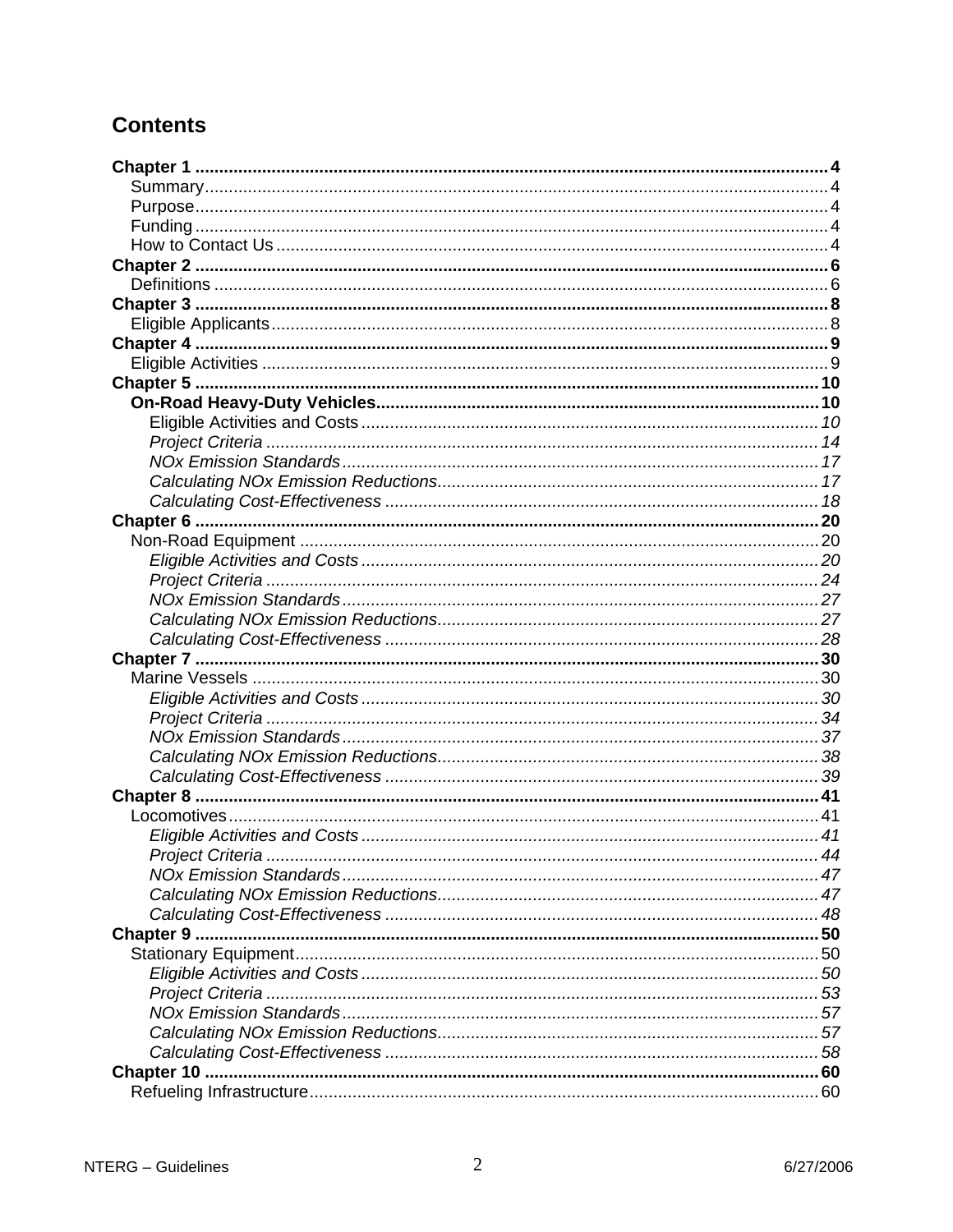# **Contents**

| Project Criteria |  |
|------------------|--|
|                  |  |
|                  |  |
|                  |  |
|                  |  |
|                  |  |
|                  |  |
|                  |  |
|                  |  |
|                  |  |
|                  |  |
|                  |  |
|                  |  |
|                  |  |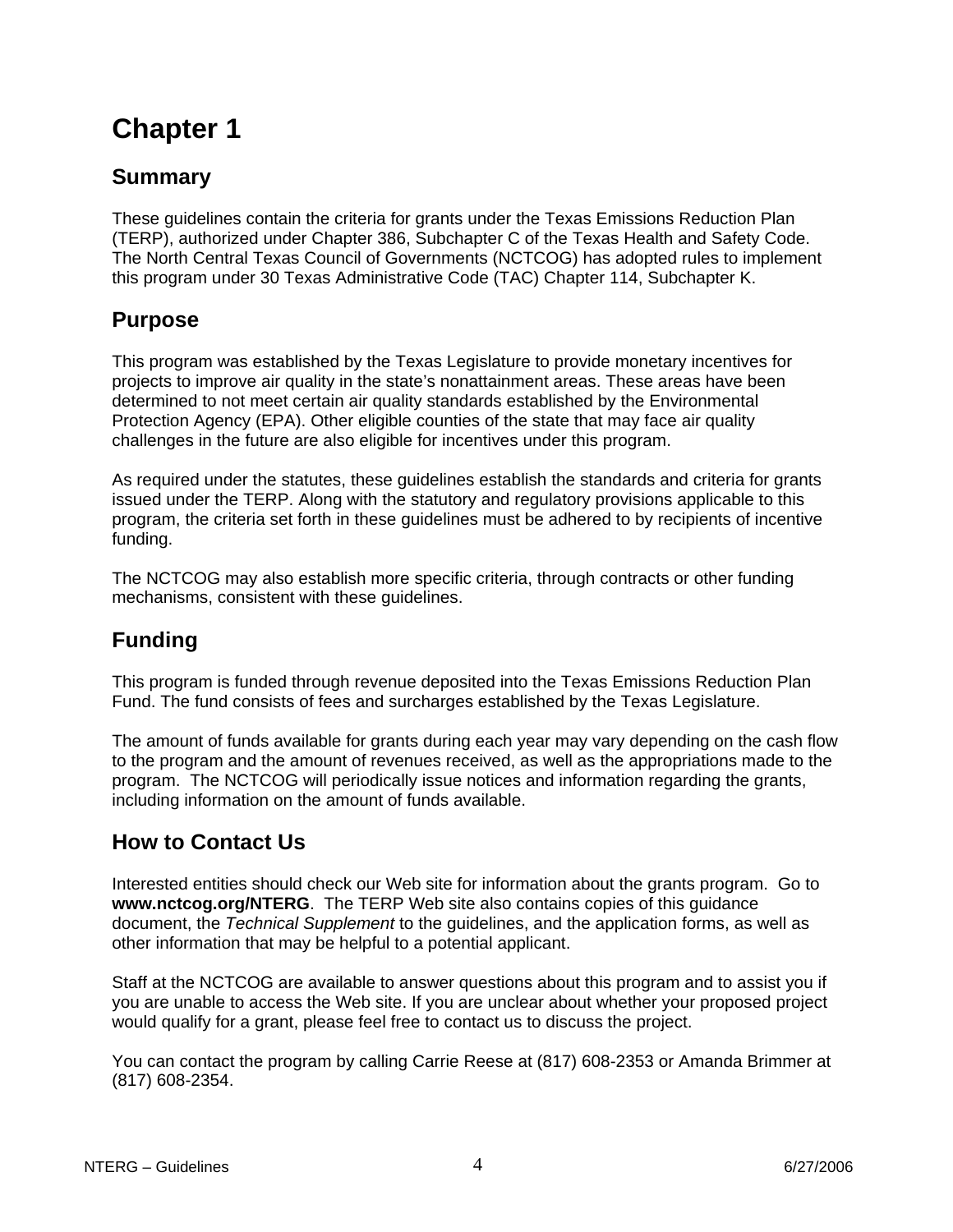# <span id="page-3-0"></span>**Summary**

These guidelines contain the criteria for grants under the Texas Emissions Reduction Plan (TERP), authorized under Chapter 386, Subchapter C of the Texas Health and Safety Code. The North Central Texas Council of Governments (NCTCOG) has adopted rules to implement this program under 30 Texas Administrative Code (TAC) Chapter 114, Subchapter K.

# **Purpose**

This program was established by the Texas Legislature to provide monetary incentives for projects to improve air quality in the state's nonattainment areas. These areas have been determined to not meet certain air quality standards established by the Environmental Protection Agency (EPA). Other eligible counties of the state that may face air quality challenges in the future are also eligible for incentives under this program.

As required under the statutes, these guidelines establish the standards and criteria for grants issued under the TERP. Along with the statutory and regulatory provisions applicable to this program, the criteria set forth in these guidelines must be adhered to by recipients of incentive funding.

The NCTCOG may also establish more specific criteria, through contracts or other funding mechanisms, consistent with these guidelines.

# **Funding**

This program is funded through revenue deposited into the Texas Emissions Reduction Plan Fund. The fund consists of fees and surcharges established by the Texas Legislature.

The amount of funds available for grants during each year may vary depending on the cash flow to the program and the amount of revenues received, as well as the appropriations made to the program. The NCTCOG will periodically issue notices and information regarding the grants, including information on the amount of funds available.

# **How to Contact Us**

Interested entities should check our Web site for information about the grants program. Go to **www.nctcog.org/NTERG**. The TERP Web site also contains copies of this guidance document, the *Technical Supplement* to the guidelines, and the application forms, as well as other information that may be helpful to a potential applicant.

Staff at the NCTCOG are available to answer questions about this program and to assist you if you are unable to access the Web site. If you are unclear about whether your proposed project would qualify for a grant, please feel free to contact us to discuss the project.

You can contact the program by calling Carrie Reese at (817) 608-2353 or Amanda Brimmer at (817) 608-2354.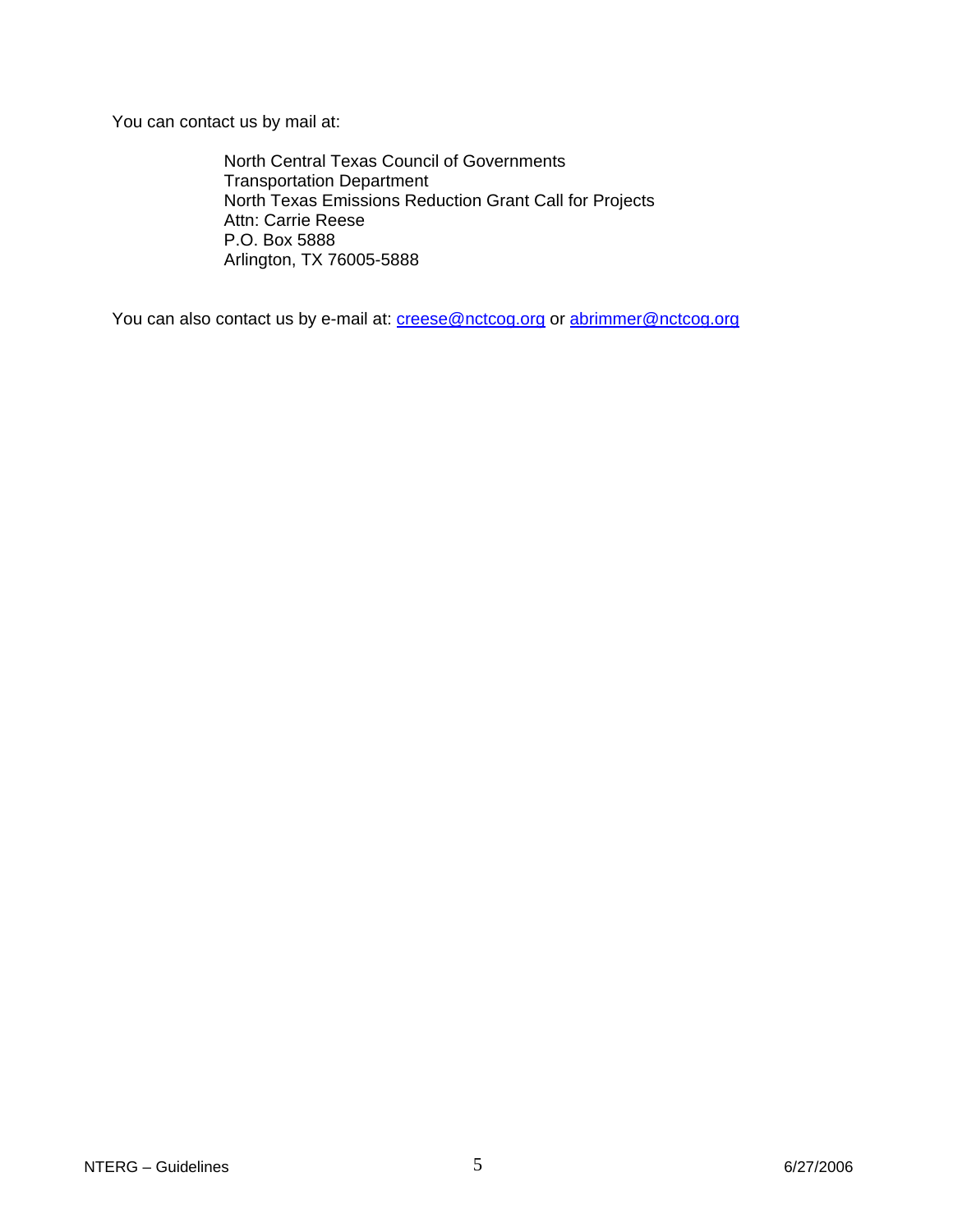You can contact us by mail at:

North Central Texas Council of Governments Transportation Department North Texas Emissions Reduction Grant Call for Projects Attn: Carrie Reese P.O. Box 5888 Arlington, TX 76005-5888

You can also contact us by e-mail at: [creese@nctcog.org](mailto:creese@nctcog.org) or [abrimmer@nctcog.org](mailto:abrimmer@nctcog.org)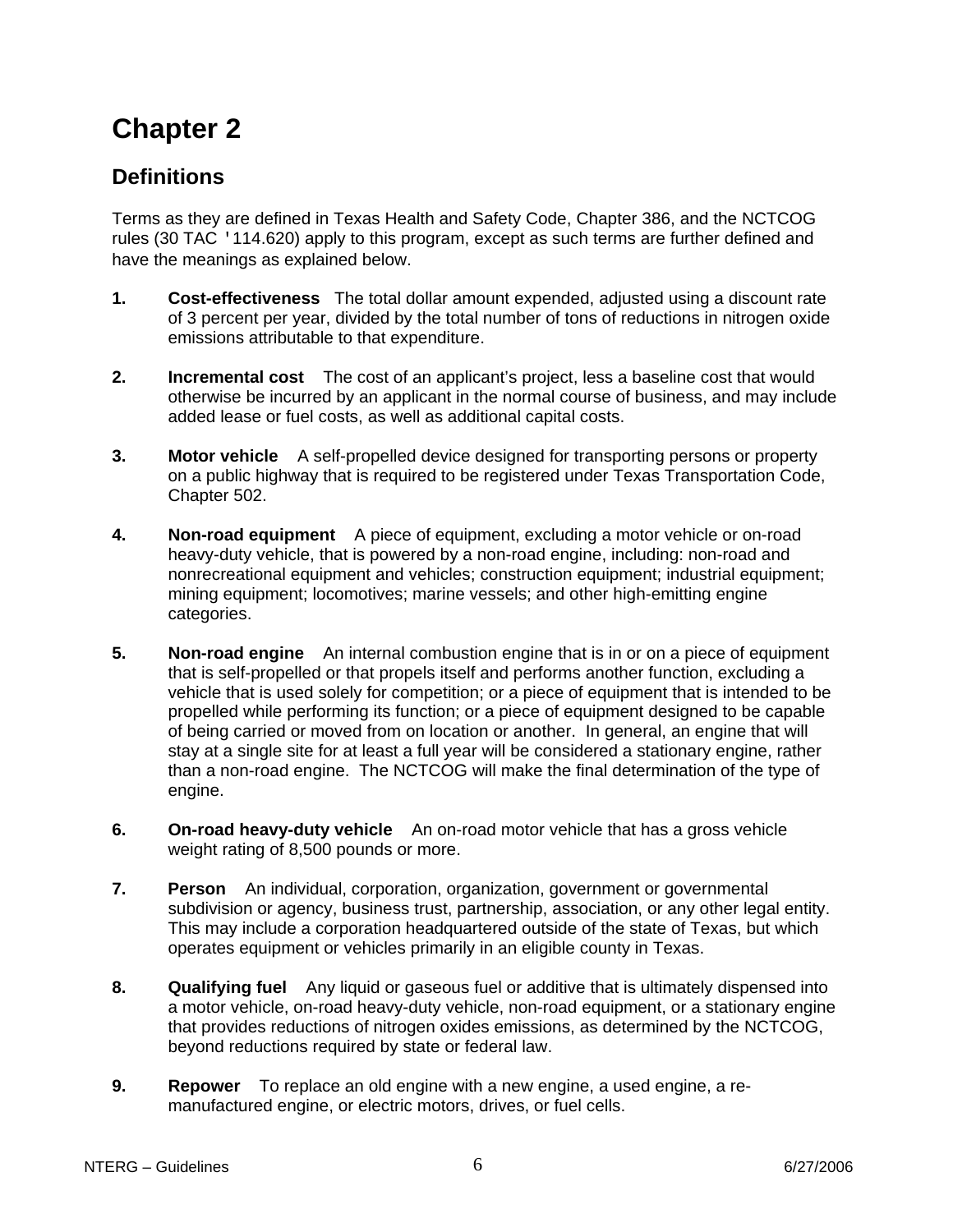# <span id="page-5-0"></span>**Definitions**

Terms as they are defined in Texas Health and Safety Code, Chapter 386, and the NCTCOG rules (30 TAC '114.620) apply to this program, except as such terms are further defined and have the meanings as explained below.

- **1. Cost-effectiveness** The total dollar amount expended, adjusted using a discount rate of 3 percent per year, divided by the total number of tons of reductions in nitrogen oxide emissions attributable to that expenditure.
- **2. Incremental cost** The cost of an applicant's project, less a baseline cost that would otherwise be incurred by an applicant in the normal course of business, and may include added lease or fuel costs, as well as additional capital costs.
- **3. Motor vehicle** A self-propelled device designed for transporting persons or property on a public highway that is required to be registered under Texas Transportation Code, Chapter 502.
- **4. Non-road equipment** A piece of equipment, excluding a motor vehicle or on-road heavy-duty vehicle, that is powered by a non-road engine, including: non-road and nonrecreational equipment and vehicles; construction equipment; industrial equipment; mining equipment; locomotives; marine vessels; and other high-emitting engine categories.
- **5. Non-road engine** An internal combustion engine that is in or on a piece of equipment that is self-propelled or that propels itself and performs another function, excluding a vehicle that is used solely for competition; or a piece of equipment that is intended to be propelled while performing its function; or a piece of equipment designed to be capable of being carried or moved from on location or another. In general, an engine that will stay at a single site for at least a full year will be considered a stationary engine, rather than a non-road engine. The NCTCOG will make the final determination of the type of engine.
- **6. On-road heavy-duty vehicle** An on-road motor vehicle that has a gross vehicle weight rating of 8,500 pounds or more.
- **7. Person** An individual, corporation, organization, government or governmental subdivision or agency, business trust, partnership, association, or any other legal entity. This may include a corporation headquartered outside of the state of Texas, but which operates equipment or vehicles primarily in an eligible county in Texas.
- **8. Qualifying fuel** Any liquid or gaseous fuel or additive that is ultimately dispensed into a motor vehicle, on-road heavy-duty vehicle, non-road equipment, or a stationary engine that provides reductions of nitrogen oxides emissions, as determined by the NCTCOG, beyond reductions required by state or federal law.
- **9. Repower** To replace an old engine with a new engine, a used engine, a remanufactured engine, or electric motors, drives, or fuel cells.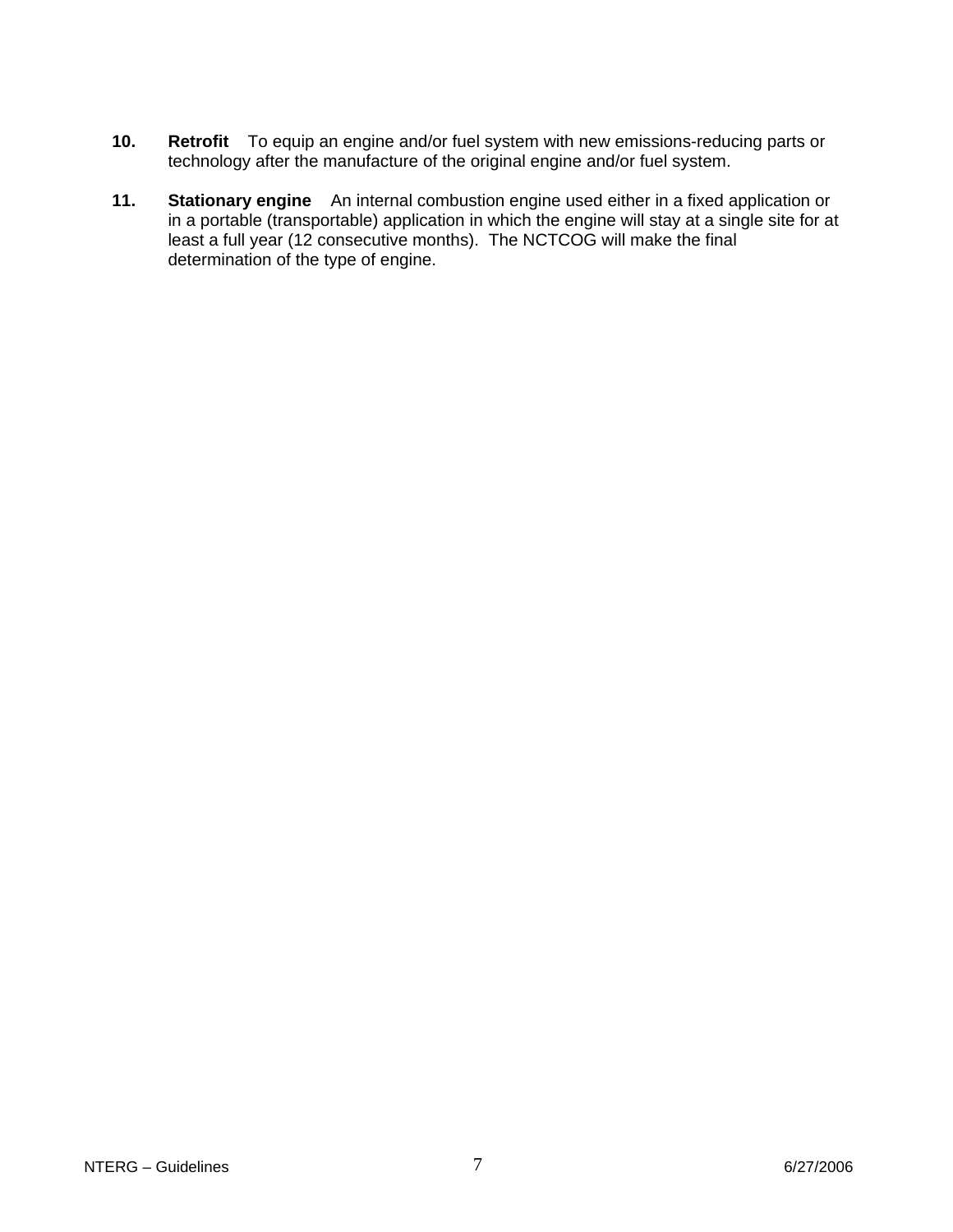- **10. Retrofit** To equip an engine and/or fuel system with new emissions-reducing parts or technology after the manufacture of the original engine and/or fuel system.
- **11. Stationary engine** An internal combustion engine used either in a fixed application or in a portable (transportable) application in which the engine will stay at a single site for at least a full year (12 consecutive months). The NCTCOG will make the final determination of the type of engine.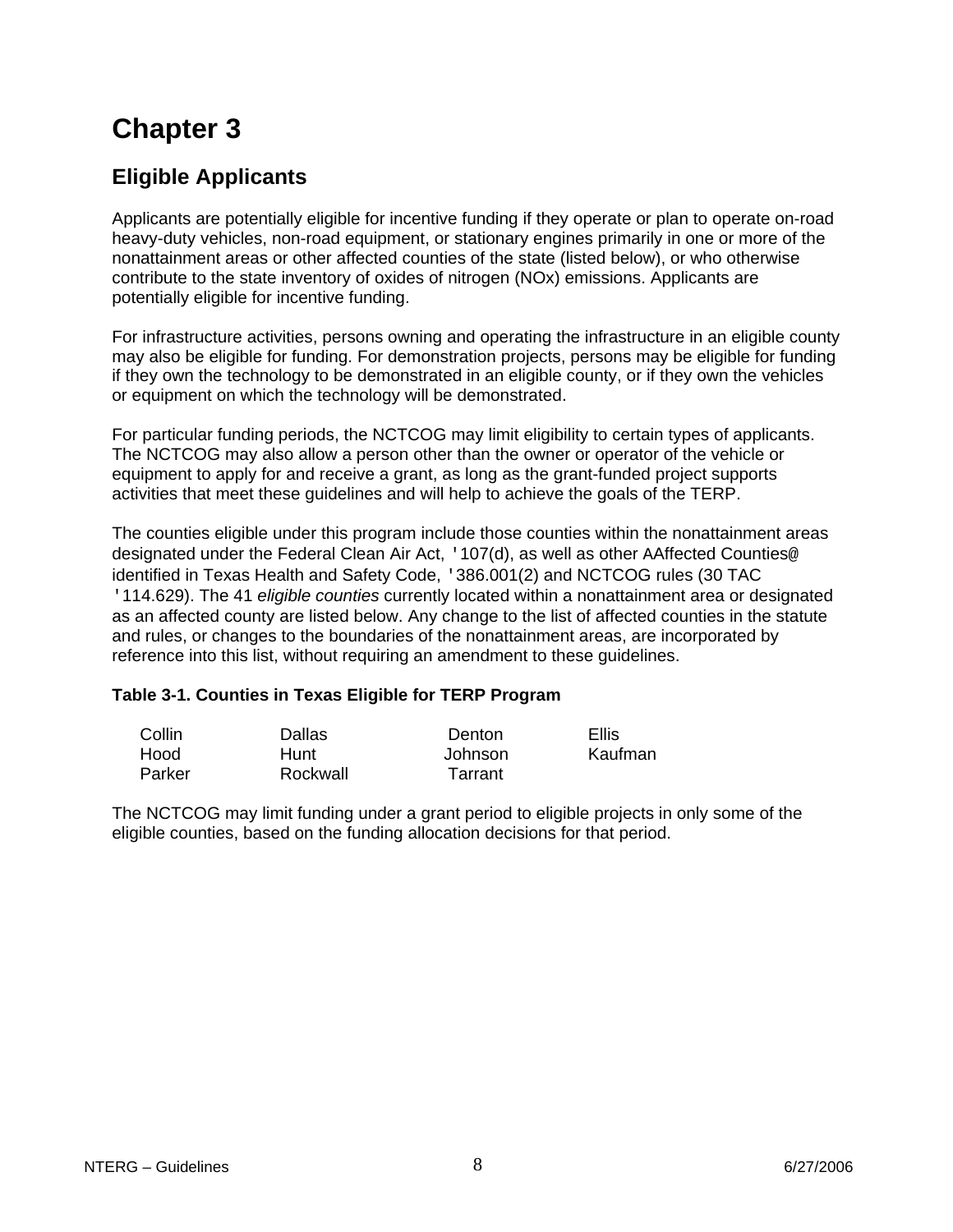# <span id="page-7-0"></span>**Eligible Applicants**

Applicants are potentially eligible for incentive funding if they operate or plan to operate on-road heavy-duty vehicles, non-road equipment, or stationary engines primarily in one or more of the nonattainment areas or other affected counties of the state (listed below), or who otherwise contribute to the state inventory of oxides of nitrogen (NOx) emissions. Applicants are potentially eligible for incentive funding.

For infrastructure activities, persons owning and operating the infrastructure in an eligible county may also be eligible for funding. For demonstration projects, persons may be eligible for funding if they own the technology to be demonstrated in an eligible county, or if they own the vehicles or equipment on which the technology will be demonstrated.

For particular funding periods, the NCTCOG may limit eligibility to certain types of applicants. The NCTCOG may also allow a person other than the owner or operator of the vehicle or equipment to apply for and receive a grant, as long as the grant-funded project supports activities that meet these guidelines and will help to achieve the goals of the TERP.

The counties eligible under this program include those counties within the nonattainment areas designated under the Federal Clean Air Act, '107(d), as well as other AAffected Counties@ identified in Texas Health and Safety Code, '386.001(2) and NCTCOG rules (30 TAC '114.629). The 41 *eligible counties* currently located within a nonattainment area or designated as an affected county are listed below. Any change to the list of affected counties in the statute and rules, or changes to the boundaries of the nonattainment areas, are incorporated by reference into this list, without requiring an amendment to these guidelines.

## **Table 3-1. Counties in Texas Eligible for TERP Program**

| Collin | Dallas   | Denton  | Ellis   |
|--------|----------|---------|---------|
| Hood   | Hunt     | Johnson | Kaufman |
| Parker | Rockwall | Tarrant |         |

The NCTCOG may limit funding under a grant period to eligible projects in only some of the eligible counties, based on the funding allocation decisions for that period.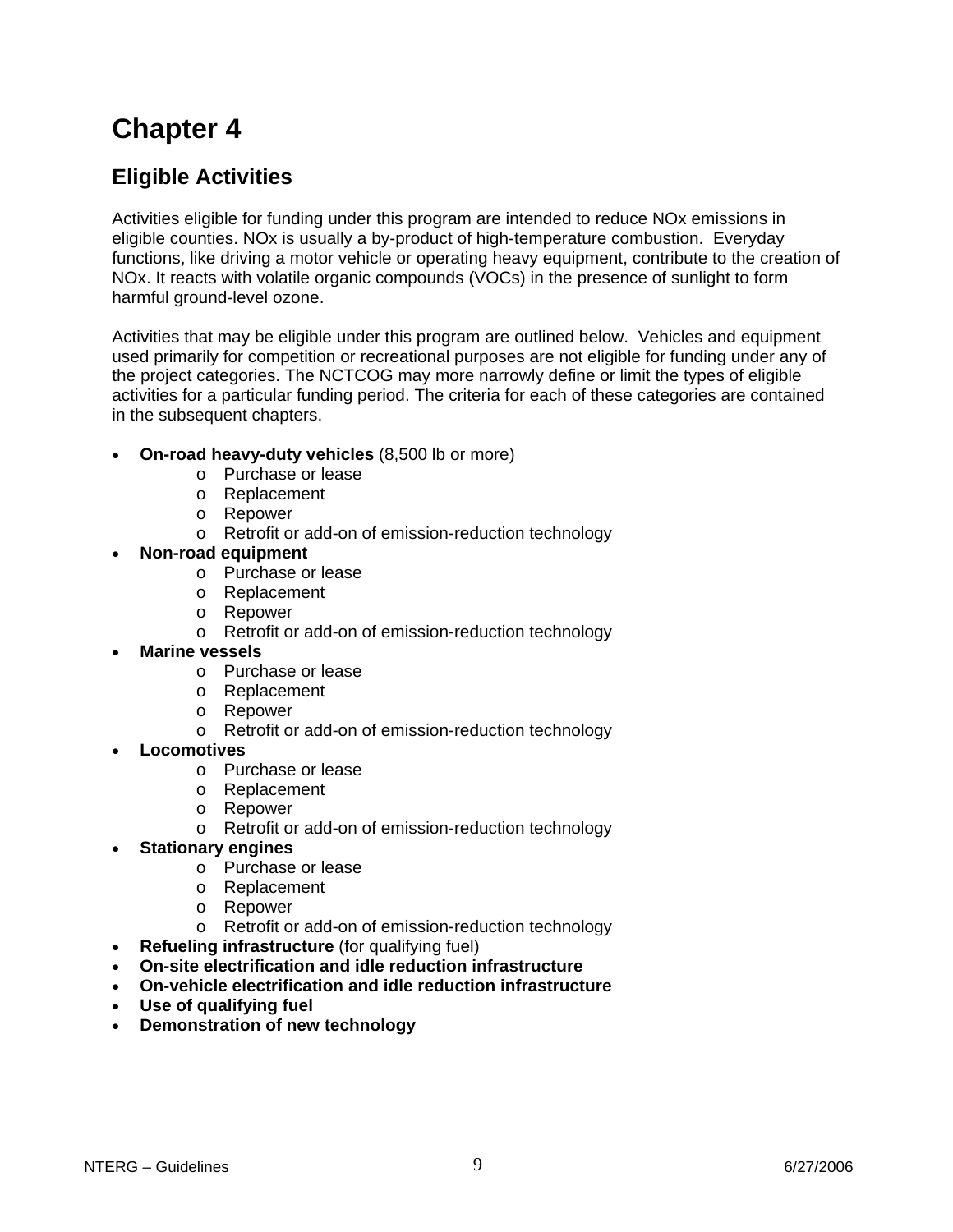# <span id="page-8-0"></span>**Eligible Activities**

Activities eligible for funding under this program are intended to reduce NOx emissions in eligible counties. NOx is usually a by-product of high-temperature combustion. Everyday functions, like driving a motor vehicle or operating heavy equipment, contribute to the creation of NOx. It reacts with volatile organic compounds (VOCs) in the presence of sunlight to form harmful ground-level ozone.

Activities that may be eligible under this program are outlined below. Vehicles and equipment used primarily for competition or recreational purposes are not eligible for funding under any of the project categories. The NCTCOG may more narrowly define or limit the types of eligible activities for a particular funding period. The criteria for each of these categories are contained in the subsequent chapters.

- **On-road heavy-duty vehicles** (8,500 lb or more)
	- o Purchase or lease
	- o Replacement
	- o Repower
	- o Retrofit or add-on of emission-reduction technology
	- **Non-road equipment**
		- o Purchase or lease
		- o Replacement
		- o Repower
		- o Retrofit or add-on of emission-reduction technology
	- **Marine vessels**
		- o Purchase or lease
		- o Replacement
		- o Repower
		- o Retrofit or add-on of emission-reduction technology
- **Locomotives**
	- o Purchase or lease
	- o Replacement
	- o Repower
	- o Retrofit or add-on of emission-reduction technology
- **Stationary engines**
	- o Purchase or lease
	- o Replacement
	- o Repower
	- o Retrofit or add-on of emission-reduction technology
- **Refueling infrastructure** (for qualifying fuel)
- **On-site electrification and idle reduction infrastructure**
- **On-vehicle electrification and idle reduction infrastructure**
- **Use of qualifying fuel**
- **Demonstration of new technology**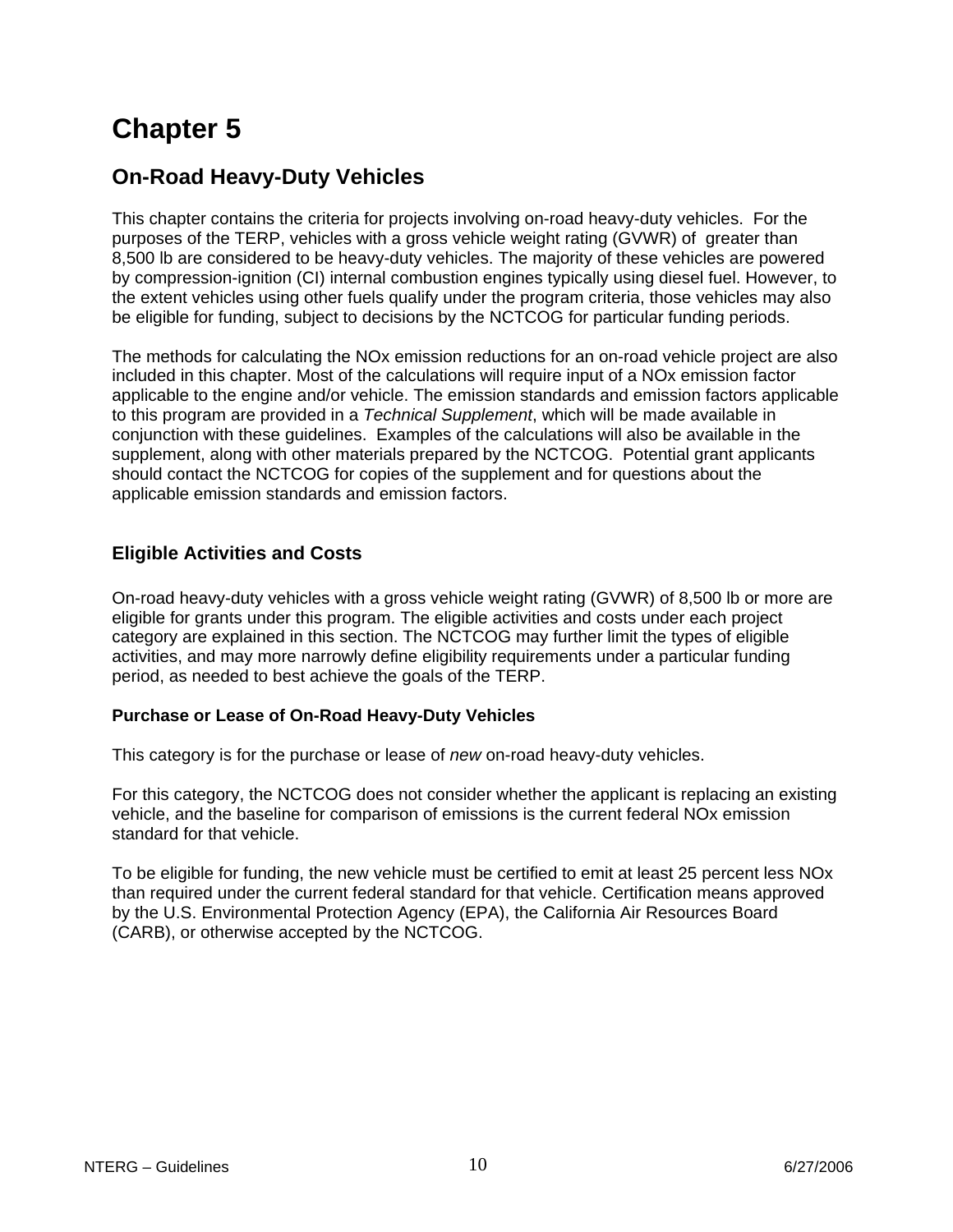# <span id="page-9-0"></span>**On-Road Heavy-Duty Vehicles**

This chapter contains the criteria for projects involving on-road heavy-duty vehicles. For the purposes of the TERP, vehicles with a gross vehicle weight rating (GVWR) of greater than 8,500 lb are considered to be heavy-duty vehicles. The majority of these vehicles are powered by compression-ignition (CI) internal combustion engines typically using diesel fuel. However, to the extent vehicles using other fuels qualify under the program criteria, those vehicles may also be eligible for funding, subject to decisions by the NCTCOG for particular funding periods.

The methods for calculating the NOx emission reductions for an on-road vehicle project are also included in this chapter. Most of the calculations will require input of a NOx emission factor applicable to the engine and/or vehicle. The emission standards and emission factors applicable to this program are provided in a *Technical Supplement*, which will be made available in conjunction with these guidelines. Examples of the calculations will also be available in the supplement, along with other materials prepared by the NCTCOG. Potential grant applicants should contact the NCTCOG for copies of the supplement and for questions about the applicable emission standards and emission factors.

## **Eligible Activities and Costs**

On-road heavy-duty vehicles with a gross vehicle weight rating (GVWR) of 8,500 lb or more are eligible for grants under this program. The eligible activities and costs under each project category are explained in this section. The NCTCOG may further limit the types of eligible activities, and may more narrowly define eligibility requirements under a particular funding period, as needed to best achieve the goals of the TERP.

### **Purchase or Lease of On-Road Heavy-Duty Vehicles**

This category is for the purchase or lease of *new* on-road heavy-duty vehicles.

For this category, the NCTCOG does not consider whether the applicant is replacing an existing vehicle, and the baseline for comparison of emissions is the current federal NOx emission standard for that vehicle.

To be eligible for funding, the new vehicle must be certified to emit at least 25 percent less NOx than required under the current federal standard for that vehicle. Certification means approved by the U.S. Environmental Protection Agency (EPA), the California Air Resources Board (CARB), or otherwise accepted by the NCTCOG.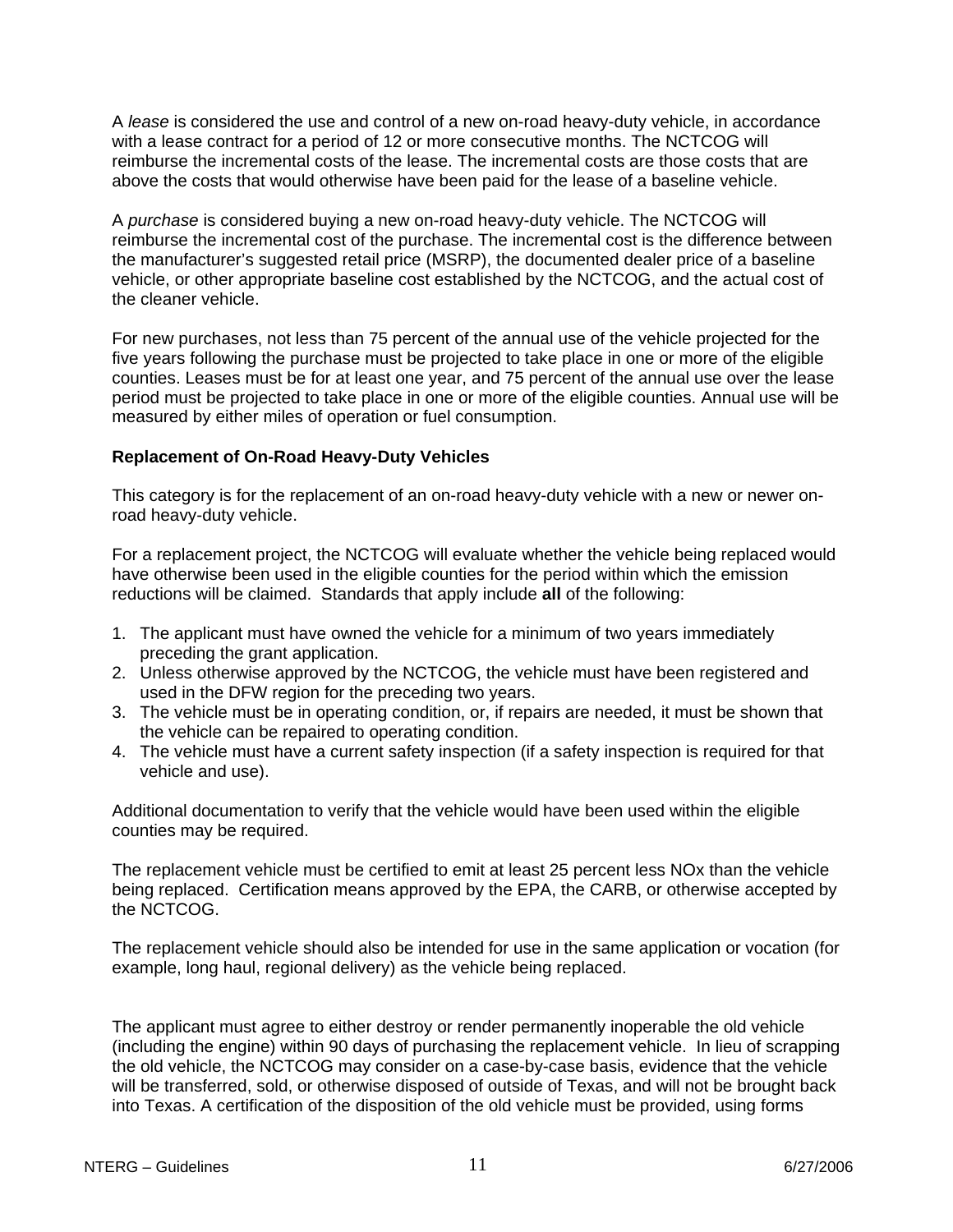A *lease* is considered the use and control of a new on-road heavy-duty vehicle, in accordance with a lease contract for a period of 12 or more consecutive months. The NCTCOG will reimburse the incremental costs of the lease. The incremental costs are those costs that are above the costs that would otherwise have been paid for the lease of a baseline vehicle.

A *purchase* is considered buying a new on-road heavy-duty vehicle. The NCTCOG will reimburse the incremental cost of the purchase. The incremental cost is the difference between the manufacturer's suggested retail price (MSRP), the documented dealer price of a baseline vehicle, or other appropriate baseline cost established by the NCTCOG, and the actual cost of the cleaner vehicle.

For new purchases, not less than 75 percent of the annual use of the vehicle projected for the five years following the purchase must be projected to take place in one or more of the eligible counties. Leases must be for at least one year, and 75 percent of the annual use over the lease period must be projected to take place in one or more of the eligible counties. Annual use will be measured by either miles of operation or fuel consumption.

#### **Replacement of On-Road Heavy-Duty Vehicles**

This category is for the replacement of an on-road heavy-duty vehicle with a new or newer onroad heavy-duty vehicle.

For a replacement project, the NCTCOG will evaluate whether the vehicle being replaced would have otherwise been used in the eligible counties for the period within which the emission reductions will be claimed. Standards that apply include **all** of the following:

- 1. The applicant must have owned the vehicle for a minimum of two years immediately preceding the grant application.
- 2. Unless otherwise approved by the NCTCOG, the vehicle must have been registered and used in the DFW region for the preceding two years.
- 3. The vehicle must be in operating condition, or, if repairs are needed, it must be shown that the vehicle can be repaired to operating condition.
- 4. The vehicle must have a current safety inspection (if a safety inspection is required for that vehicle and use).

Additional documentation to verify that the vehicle would have been used within the eligible counties may be required.

The replacement vehicle must be certified to emit at least 25 percent less NOx than the vehicle being replaced. Certification means approved by the EPA, the CARB, or otherwise accepted by the NCTCOG.

The replacement vehicle should also be intended for use in the same application or vocation (for example, long haul, regional delivery) as the vehicle being replaced.

The applicant must agree to either destroy or render permanently inoperable the old vehicle (including the engine) within 90 days of purchasing the replacement vehicle. In lieu of scrapping the old vehicle, the NCTCOG may consider on a case-by-case basis, evidence that the vehicle will be transferred, sold, or otherwise disposed of outside of Texas, and will not be brought back into Texas. A certification of the disposition of the old vehicle must be provided, using forms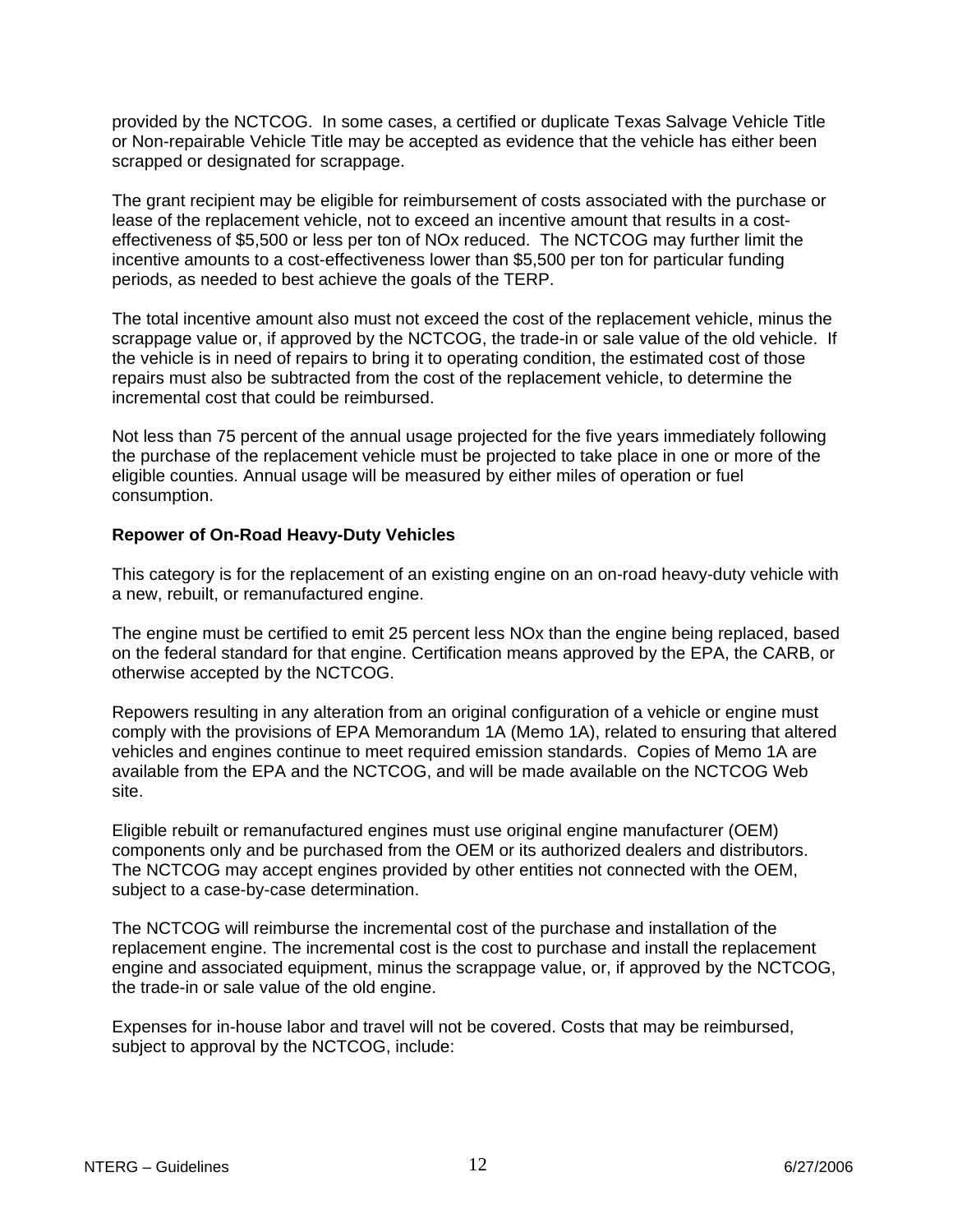provided by the NCTCOG. In some cases, a certified or duplicate Texas Salvage Vehicle Title or Non-repairable Vehicle Title may be accepted as evidence that the vehicle has either been scrapped or designated for scrappage.

The grant recipient may be eligible for reimbursement of costs associated with the purchase or lease of the replacement vehicle, not to exceed an incentive amount that results in a costeffectiveness of \$5,500 or less per ton of NOx reduced. The NCTCOG may further limit the incentive amounts to a cost-effectiveness lower than \$5,500 per ton for particular funding periods, as needed to best achieve the goals of the TERP.

The total incentive amount also must not exceed the cost of the replacement vehicle, minus the scrappage value or, if approved by the NCTCOG, the trade-in or sale value of the old vehicle. If the vehicle is in need of repairs to bring it to operating condition, the estimated cost of those repairs must also be subtracted from the cost of the replacement vehicle, to determine the incremental cost that could be reimbursed.

Not less than 75 percent of the annual usage projected for the five years immediately following the purchase of the replacement vehicle must be projected to take place in one or more of the eligible counties. Annual usage will be measured by either miles of operation or fuel consumption.

### **Repower of On-Road Heavy-Duty Vehicles**

This category is for the replacement of an existing engine on an on-road heavy-duty vehicle with a new, rebuilt, or remanufactured engine.

The engine must be certified to emit 25 percent less NOx than the engine being replaced, based on the federal standard for that engine. Certification means approved by the EPA, the CARB, or otherwise accepted by the NCTCOG.

Repowers resulting in any alteration from an original configuration of a vehicle or engine must comply with the provisions of EPA Memorandum 1A (Memo 1A), related to ensuring that altered vehicles and engines continue to meet required emission standards. Copies of Memo 1A are available from the EPA and the NCTCOG, and will be made available on the NCTCOG Web site.

Eligible rebuilt or remanufactured engines must use original engine manufacturer (OEM) components only and be purchased from the OEM or its authorized dealers and distributors. The NCTCOG may accept engines provided by other entities not connected with the OEM, subject to a case-by-case determination.

The NCTCOG will reimburse the incremental cost of the purchase and installation of the replacement engine. The incremental cost is the cost to purchase and install the replacement engine and associated equipment, minus the scrappage value, or, if approved by the NCTCOG, the trade-in or sale value of the old engine.

Expenses for in-house labor and travel will not be covered. Costs that may be reimbursed, subject to approval by the NCTCOG, include: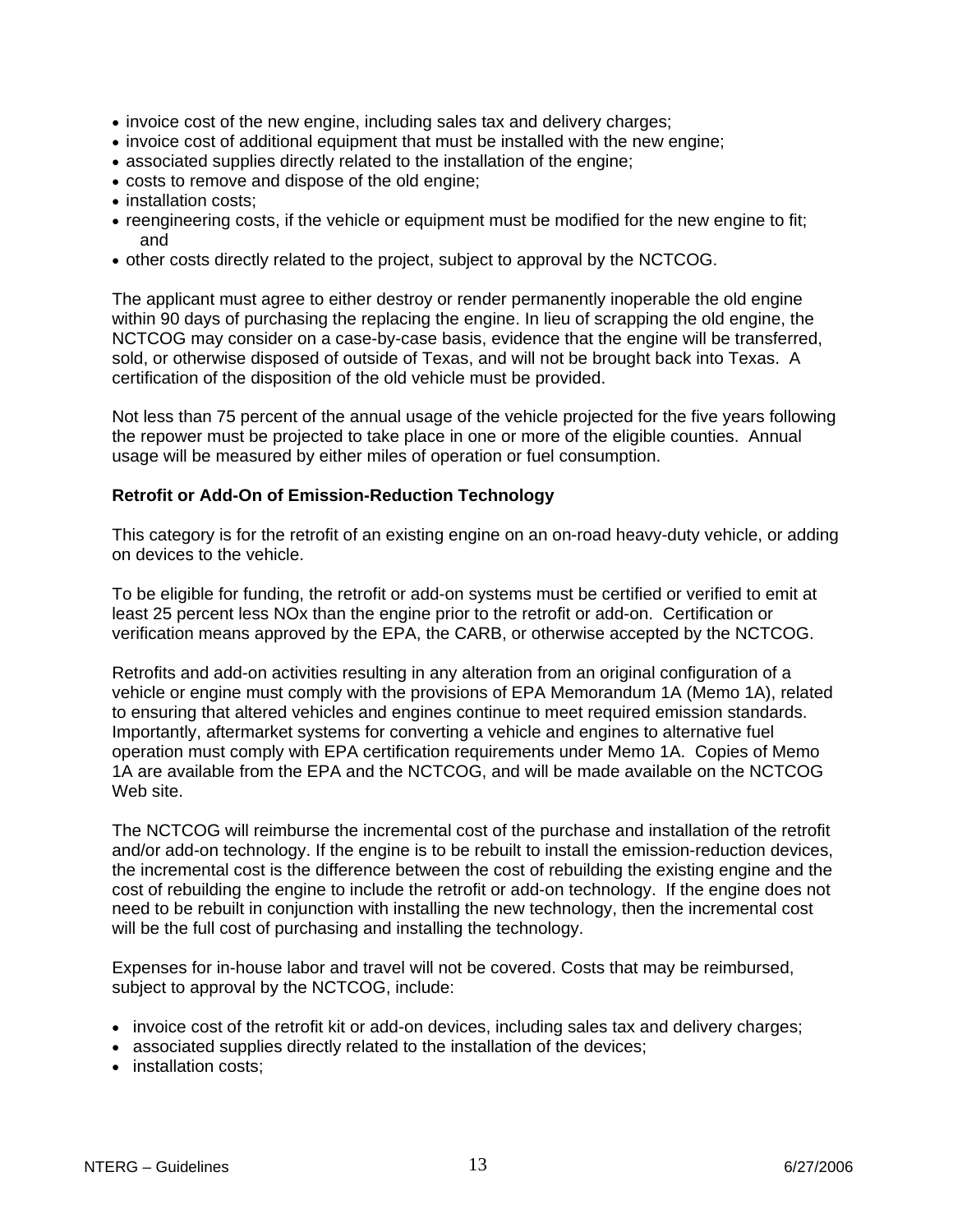- invoice cost of the new engine, including sales tax and delivery charges;
- invoice cost of additional equipment that must be installed with the new engine;
- associated supplies directly related to the installation of the engine;
- costs to remove and dispose of the old engine;
- installation costs;
- reengineering costs, if the vehicle or equipment must be modified for the new engine to fit; and
- other costs directly related to the project, subject to approval by the NCTCOG.

The applicant must agree to either destroy or render permanently inoperable the old engine within 90 days of purchasing the replacing the engine. In lieu of scrapping the old engine, the NCTCOG may consider on a case-by-case basis, evidence that the engine will be transferred, sold, or otherwise disposed of outside of Texas, and will not be brought back into Texas. A certification of the disposition of the old vehicle must be provided.

Not less than 75 percent of the annual usage of the vehicle projected for the five years following the repower must be projected to take place in one or more of the eligible counties. Annual usage will be measured by either miles of operation or fuel consumption.

#### **Retrofit or Add-On of Emission-Reduction Technology**

This category is for the retrofit of an existing engine on an on-road heavy-duty vehicle, or adding on devices to the vehicle.

To be eligible for funding, the retrofit or add-on systems must be certified or verified to emit at least 25 percent less NOx than the engine prior to the retrofit or add-on. Certification or verification means approved by the EPA, the CARB, or otherwise accepted by the NCTCOG.

Retrofits and add-on activities resulting in any alteration from an original configuration of a vehicle or engine must comply with the provisions of EPA Memorandum 1A (Memo 1A), related to ensuring that altered vehicles and engines continue to meet required emission standards. Importantly, aftermarket systems for converting a vehicle and engines to alternative fuel operation must comply with EPA certification requirements under Memo 1A. Copies of Memo 1A are available from the EPA and the NCTCOG, and will be made available on the NCTCOG Web site.

The NCTCOG will reimburse the incremental cost of the purchase and installation of the retrofit and/or add-on technology. If the engine is to be rebuilt to install the emission-reduction devices, the incremental cost is the difference between the cost of rebuilding the existing engine and the cost of rebuilding the engine to include the retrofit or add-on technology. If the engine does not need to be rebuilt in conjunction with installing the new technology, then the incremental cost will be the full cost of purchasing and installing the technology.

Expenses for in-house labor and travel will not be covered. Costs that may be reimbursed, subject to approval by the NCTCOG, include:

- invoice cost of the retrofit kit or add-on devices, including sales tax and delivery charges;
- associated supplies directly related to the installation of the devices:
- installation costs;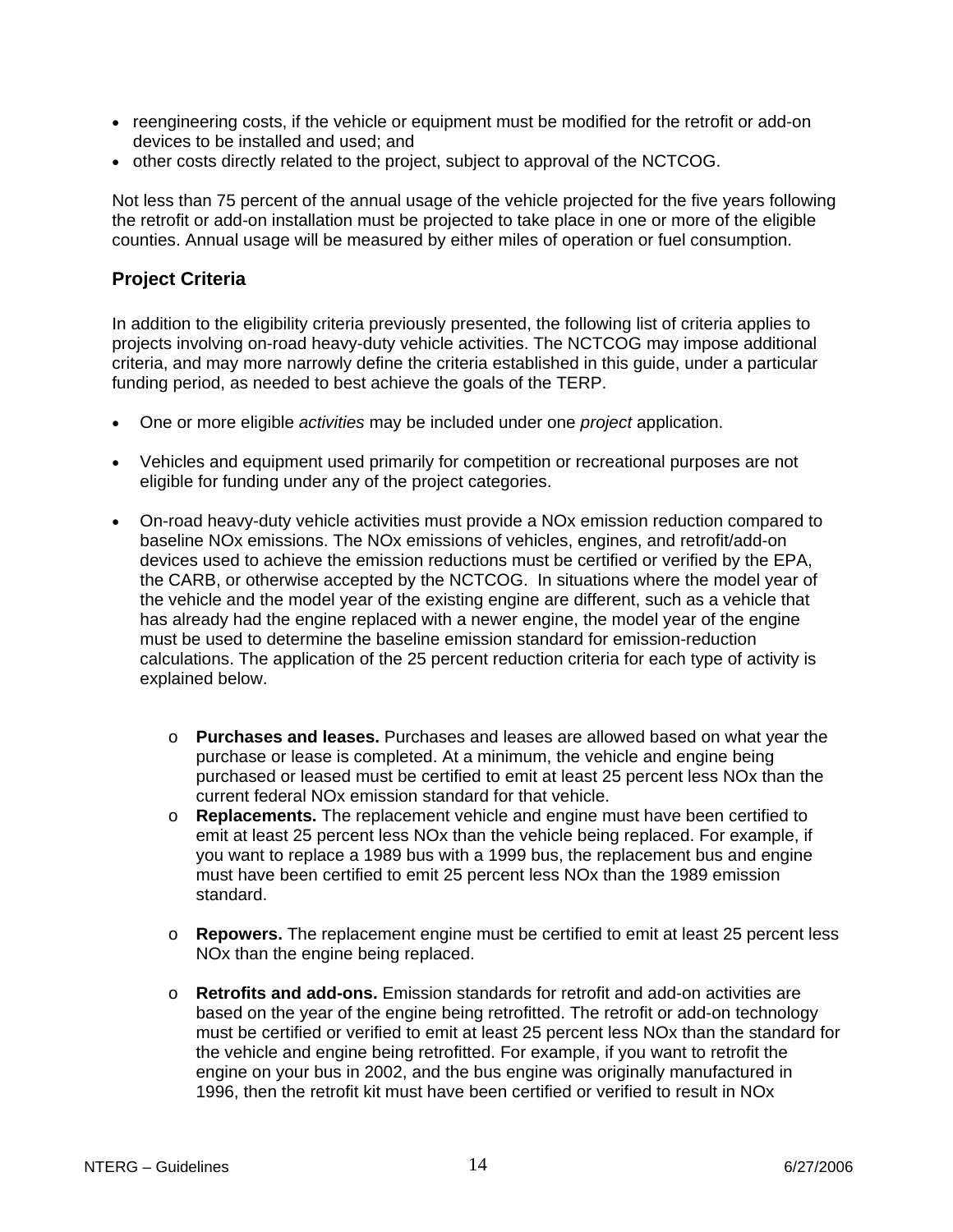- <span id="page-13-0"></span>• reengineering costs, if the vehicle or equipment must be modified for the retrofit or add-on devices to be installed and used; and
- other costs directly related to the project, subject to approval of the NCTCOG.

Not less than 75 percent of the annual usage of the vehicle projected for the five years following the retrofit or add-on installation must be projected to take place in one or more of the eligible counties. Annual usage will be measured by either miles of operation or fuel consumption.

### **Project Criteria**

In addition to the eligibility criteria previously presented, the following list of criteria applies to projects involving on-road heavy-duty vehicle activities. The NCTCOG may impose additional criteria, and may more narrowly define the criteria established in this guide, under a particular funding period, as needed to best achieve the goals of the TERP.

- One or more eligible *activities* may be included under one *project* application.
- Vehicles and equipment used primarily for competition or recreational purposes are not eligible for funding under any of the project categories.
- On-road heavy-duty vehicle activities must provide a NOx emission reduction compared to baseline NOx emissions. The NOx emissions of vehicles, engines, and retrofit/add-on devices used to achieve the emission reductions must be certified or verified by the EPA, the CARB, or otherwise accepted by the NCTCOG. In situations where the model year of the vehicle and the model year of the existing engine are different, such as a vehicle that has already had the engine replaced with a newer engine, the model year of the engine must be used to determine the baseline emission standard for emission-reduction calculations. The application of the 25 percent reduction criteria for each type of activity is explained below.
	- o **Purchases and leases.** Purchases and leases are allowed based on what year the purchase or lease is completed. At a minimum, the vehicle and engine being purchased or leased must be certified to emit at least 25 percent less NOx than the current federal NOx emission standard for that vehicle.
	- o **Replacements.** The replacement vehicle and engine must have been certified to emit at least 25 percent less NOx than the vehicle being replaced. For example, if you want to replace a 1989 bus with a 1999 bus, the replacement bus and engine must have been certified to emit 25 percent less NOx than the 1989 emission standard.
	- o **Repowers.** The replacement engine must be certified to emit at least 25 percent less NOx than the engine being replaced.
	- o **Retrofits and add-ons.** Emission standards for retrofit and add-on activities are based on the year of the engine being retrofitted. The retrofit or add-on technology must be certified or verified to emit at least 25 percent less NOx than the standard for the vehicle and engine being retrofitted. For example, if you want to retrofit the engine on your bus in 2002, and the bus engine was originally manufactured in 1996, then the retrofit kit must have been certified or verified to result in NOx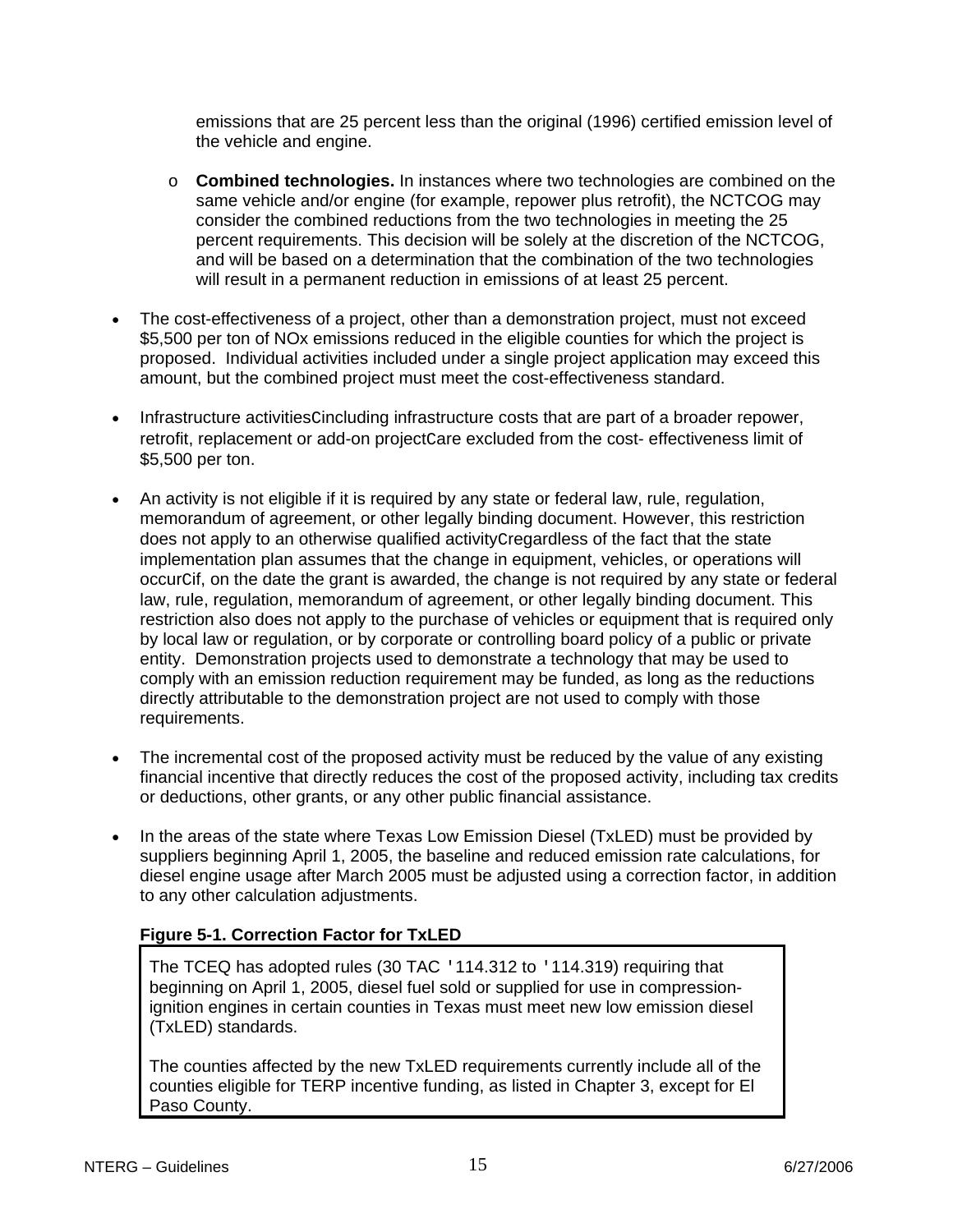emissions that are 25 percent less than the original (1996) certified emission level of the vehicle and engine.

- o **Combined technologies.** In instances where two technologies are combined on the same vehicle and/or engine (for example, repower plus retrofit), the NCTCOG may consider the combined reductions from the two technologies in meeting the 25 percent requirements. This decision will be solely at the discretion of the NCTCOG, and will be based on a determination that the combination of the two technologies will result in a permanent reduction in emissions of at least 25 percent.
- The cost-effectiveness of a project, other than a demonstration project, must not exceed \$5,500 per ton of NOx emissions reduced in the eligible counties for which the project is proposed. Individual activities included under a single project application may exceed this amount, but the combined project must meet the cost-effectiveness standard.
- Infrastructure activitiesCincluding infrastructure costs that are part of a broader repower, retrofit, replacement or add-on projectCare excluded from the cost- effectiveness limit of \$5,500 per ton.
- An activity is not eligible if it is required by any state or federal law, rule, regulation, memorandum of agreement, or other legally binding document. However, this restriction does not apply to an otherwise qualified activityCregardless of the fact that the state implementation plan assumes that the change in equipment, vehicles, or operations will occurCif, on the date the grant is awarded, the change is not required by any state or federal law, rule, regulation, memorandum of agreement, or other legally binding document. This restriction also does not apply to the purchase of vehicles or equipment that is required only by local law or regulation, or by corporate or controlling board policy of a public or private entity. Demonstration projects used to demonstrate a technology that may be used to comply with an emission reduction requirement may be funded, as long as the reductions directly attributable to the demonstration project are not used to comply with those requirements.
- The incremental cost of the proposed activity must be reduced by the value of any existing financial incentive that directly reduces the cost of the proposed activity, including tax credits or deductions, other grants, or any other public financial assistance.
- In the areas of the state where Texas Low Emission Diesel (TxLED) must be provided by suppliers beginning April 1, 2005, the baseline and reduced emission rate calculations, for diesel engine usage after March 2005 must be adjusted using a correction factor, in addition to any other calculation adjustments.

## **Figure 5-1. Correction Factor for TxLED**

The TCEQ has adopted rules (30 TAC '114.312 to '114.319) requiring that beginning on April 1, 2005, diesel fuel sold or supplied for use in compressionignition engines in certain counties in Texas must meet new low emission diesel (TxLED) standards.

The counties affected by the new TxLED requirements currently include all of the counties eligible for TERP incentive funding, as listed in Chapter 3, except for El Paso County.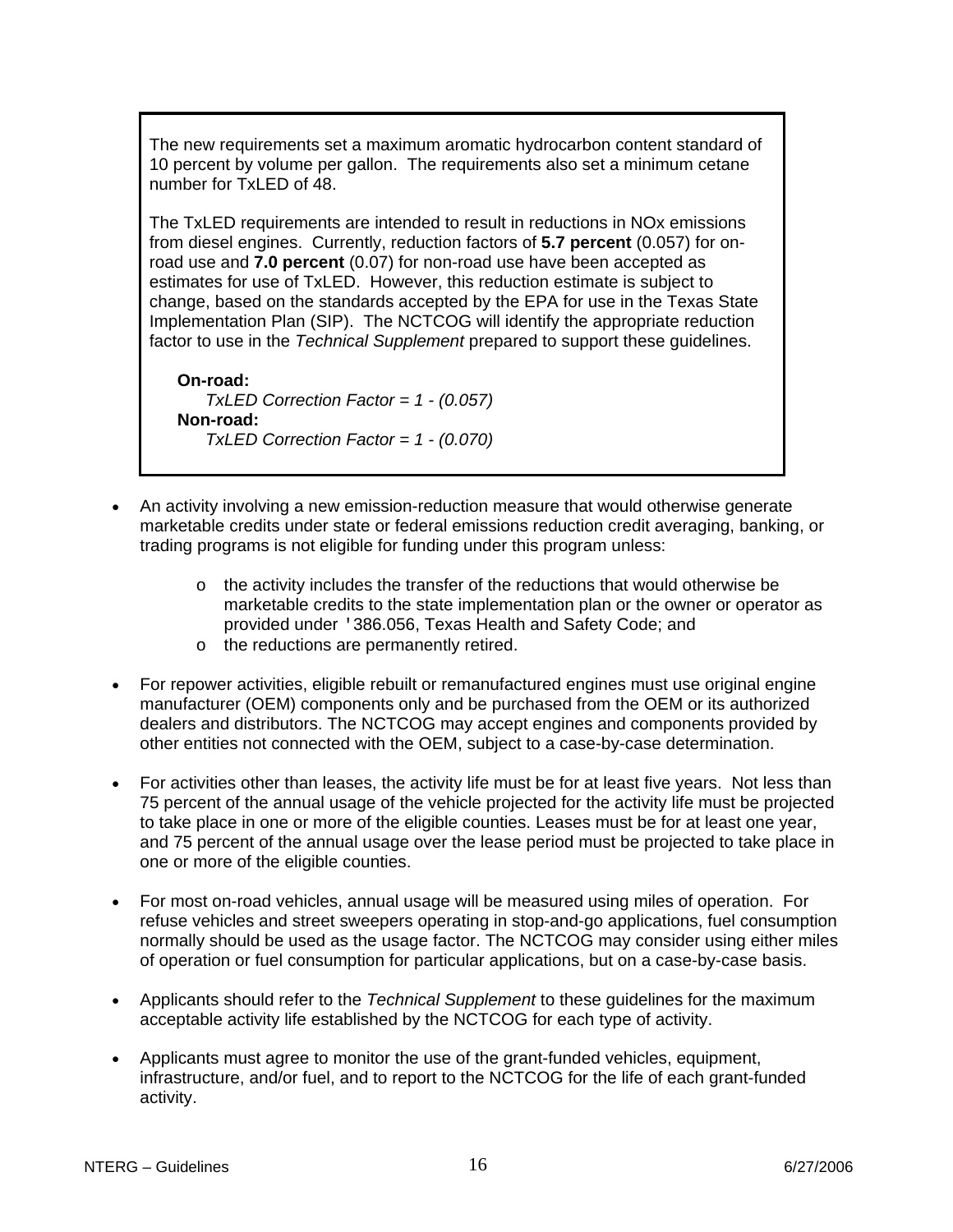The new requirements set a maximum aromatic hydrocarbon content standard of 10 percent by volume per gallon. The requirements also set a minimum cetane number for TxLED of 48.

The TxLED requirements are intended to result in reductions in NOx emissions from diesel engines. Currently, reduction factors of **5.7 percent** (0.057) for onroad use and **7.0 percent** (0.07) for non-road use have been accepted as estimates for use of TxLED. However, this reduction estimate is subject to change, based on the standards accepted by the EPA for use in the Texas State Implementation Plan (SIP). The NCTCOG will identify the appropriate reduction factor to use in the *Technical Supplement* prepared to support these guidelines.

**On-road:** *TxLED Correction Factor = 1 - (0.057)* **Non-road:** *TxLED Correction Factor = 1 - (0.070)*

- An activity involving a new emission-reduction measure that would otherwise generate marketable credits under state or federal emissions reduction credit averaging, banking, or trading programs is not eligible for funding under this program unless:
	- $\circ$  the activity includes the transfer of the reductions that would otherwise be marketable credits to the state implementation plan or the owner or operator as provided under '386.056, Texas Health and Safety Code; and
	- o the reductions are permanently retired.
- For repower activities, eligible rebuilt or remanufactured engines must use original engine manufacturer (OEM) components only and be purchased from the OEM or its authorized dealers and distributors. The NCTCOG may accept engines and components provided by other entities not connected with the OEM, subject to a case-by-case determination.
- For activities other than leases, the activity life must be for at least five years. Not less than 75 percent of the annual usage of the vehicle projected for the activity life must be projected to take place in one or more of the eligible counties. Leases must be for at least one year, and 75 percent of the annual usage over the lease period must be projected to take place in one or more of the eligible counties.
- For most on-road vehicles, annual usage will be measured using miles of operation. For refuse vehicles and street sweepers operating in stop-and-go applications, fuel consumption normally should be used as the usage factor. The NCTCOG may consider using either miles of operation or fuel consumption for particular applications, but on a case-by-case basis.
- Applicants should refer to the *Technical Supplement* to these guidelines for the maximum acceptable activity life established by the NCTCOG for each type of activity.
- Applicants must agree to monitor the use of the grant-funded vehicles, equipment, infrastructure, and/or fuel, and to report to the NCTCOG for the life of each grant-funded activity.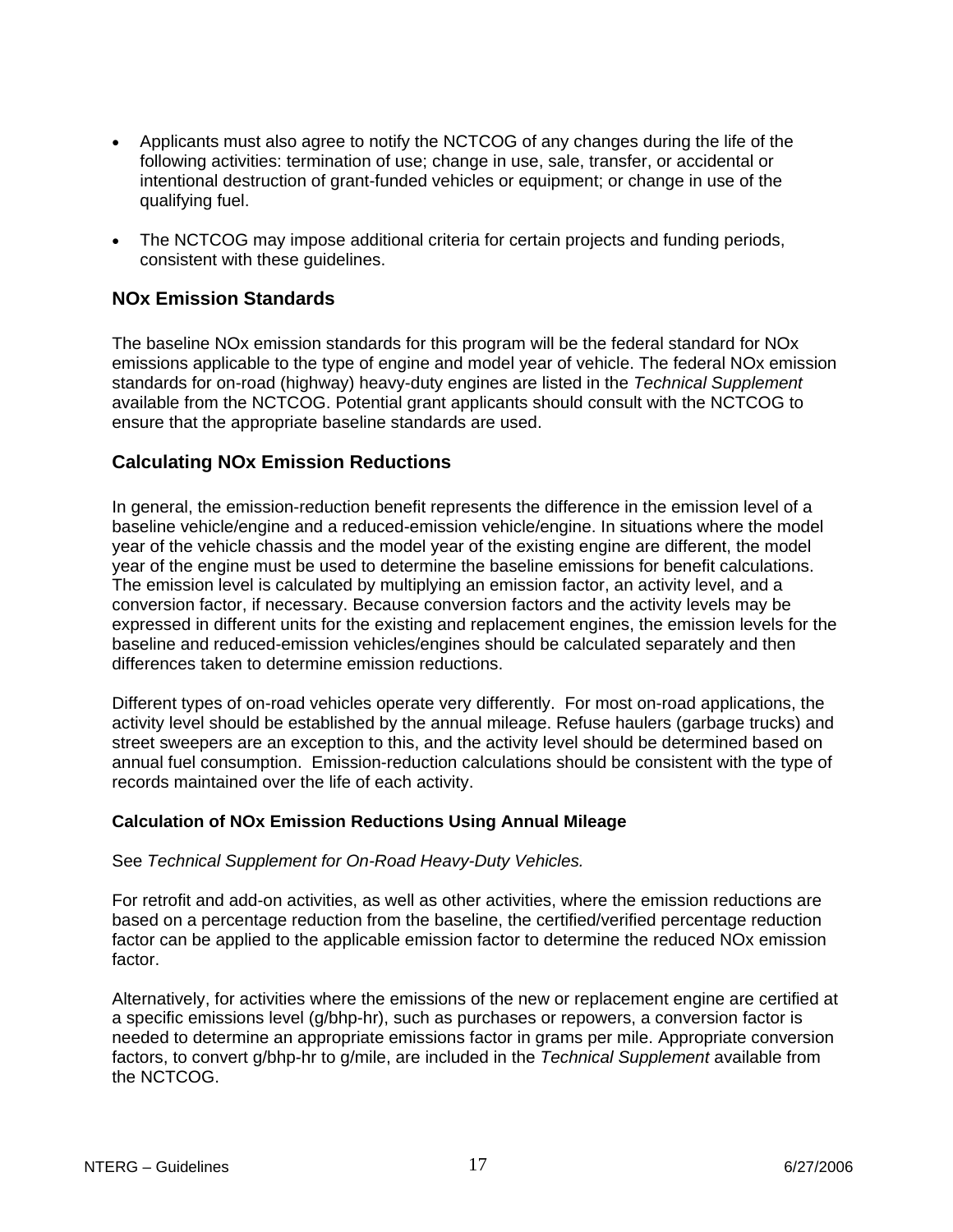- <span id="page-16-0"></span>• Applicants must also agree to notify the NCTCOG of any changes during the life of the following activities: termination of use; change in use, sale, transfer, or accidental or intentional destruction of grant-funded vehicles or equipment; or change in use of the qualifying fuel.
- The NCTCOG may impose additional criteria for certain projects and funding periods, consistent with these guidelines.

## **NOx Emission Standards**

The baseline NOx emission standards for this program will be the federal standard for NOx emissions applicable to the type of engine and model year of vehicle. The federal NOx emission standards for on-road (highway) heavy-duty engines are listed in the *Technical Supplement*  available from the NCTCOG. Potential grant applicants should consult with the NCTCOG to ensure that the appropriate baseline standards are used.

## **Calculating NOx Emission Reductions**

In general, the emission-reduction benefit represents the difference in the emission level of a baseline vehicle/engine and a reduced-emission vehicle/engine. In situations where the model year of the vehicle chassis and the model year of the existing engine are different, the model year of the engine must be used to determine the baseline emissions for benefit calculations. The emission level is calculated by multiplying an emission factor, an activity level, and a conversion factor, if necessary. Because conversion factors and the activity levels may be expressed in different units for the existing and replacement engines, the emission levels for the baseline and reduced-emission vehicles/engines should be calculated separately and then differences taken to determine emission reductions.

Different types of on-road vehicles operate very differently. For most on-road applications, the activity level should be established by the annual mileage. Refuse haulers (garbage trucks) and street sweepers are an exception to this, and the activity level should be determined based on annual fuel consumption. Emission-reduction calculations should be consistent with the type of records maintained over the life of each activity.

### **Calculation of NOx Emission Reductions Using Annual Mileage**

#### See *Technical Supplement for On-Road Heavy-Duty Vehicles.*

For retrofit and add-on activities, as well as other activities, where the emission reductions are based on a percentage reduction from the baseline, the certified/verified percentage reduction factor can be applied to the applicable emission factor to determine the reduced NOx emission factor.

Alternatively, for activities where the emissions of the new or replacement engine are certified at a specific emissions level (g/bhp-hr), such as purchases or repowers, a conversion factor is needed to determine an appropriate emissions factor in grams per mile. Appropriate conversion factors, to convert g/bhp-hr to g/mile, are included in the *Technical Supplement* available from the NCTCOG.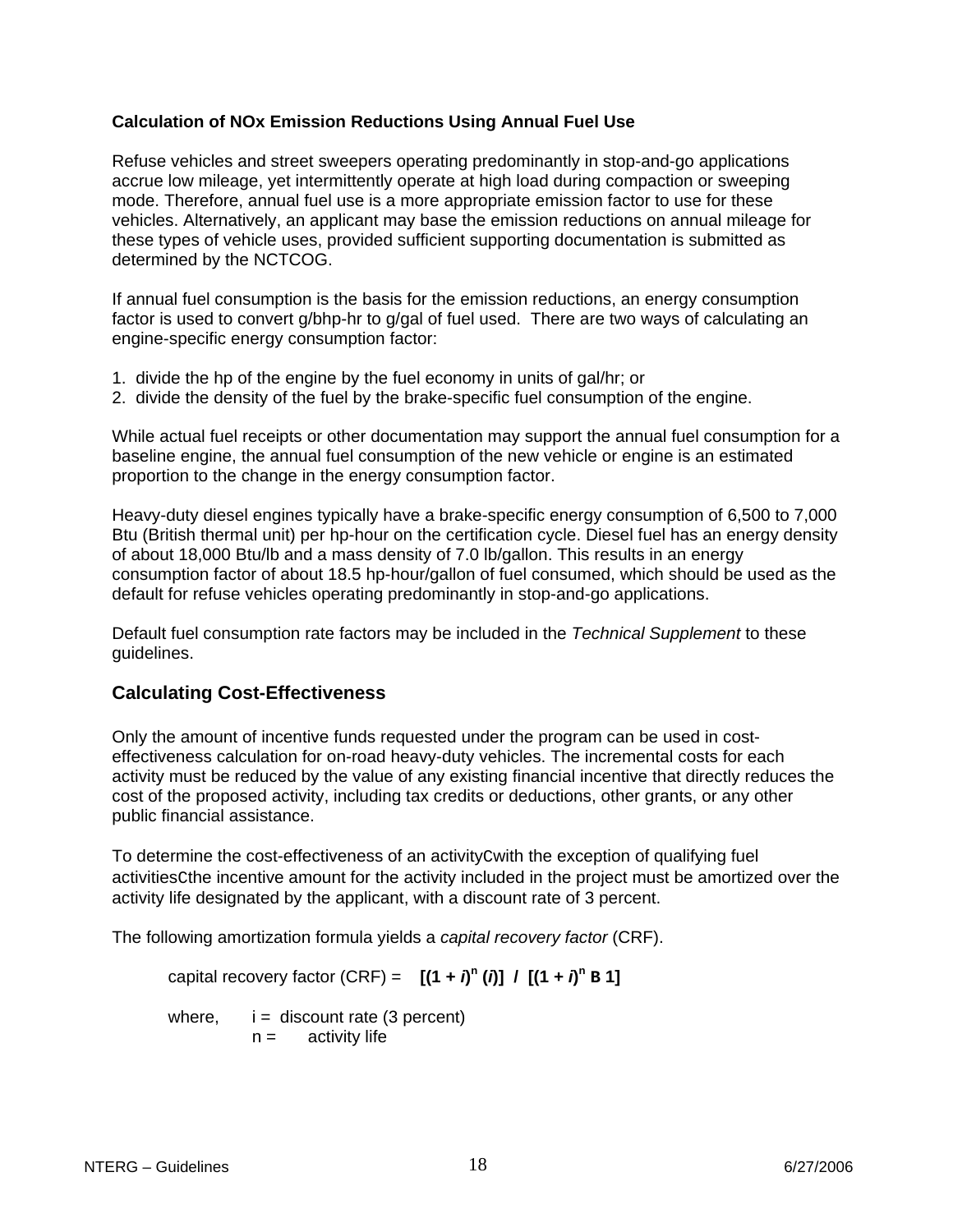### <span id="page-17-0"></span>**Calculation of NOx Emission Reductions Using Annual Fuel Use**

Refuse vehicles and street sweepers operating predominantly in stop-and-go applications accrue low mileage, yet intermittently operate at high load during compaction or sweeping mode. Therefore, annual fuel use is a more appropriate emission factor to use for these vehicles. Alternatively, an applicant may base the emission reductions on annual mileage for these types of vehicle uses, provided sufficient supporting documentation is submitted as determined by the NCTCOG.

If annual fuel consumption is the basis for the emission reductions, an energy consumption factor is used to convert g/bhp-hr to g/gal of fuel used. There are two ways of calculating an engine-specific energy consumption factor:

- 1. divide the hp of the engine by the fuel economy in units of gal/hr; or
- 2. divide the density of the fuel by the brake-specific fuel consumption of the engine.

While actual fuel receipts or other documentation may support the annual fuel consumption for a baseline engine, the annual fuel consumption of the new vehicle or engine is an estimated proportion to the change in the energy consumption factor.

Heavy-duty diesel engines typically have a brake-specific energy consumption of 6,500 to 7,000 Btu (British thermal unit) per hp-hour on the certification cycle. Diesel fuel has an energy density of about 18,000 Btu/lb and a mass density of 7.0 lb/gallon. This results in an energy consumption factor of about 18.5 hp-hour/gallon of fuel consumed, which should be used as the default for refuse vehicles operating predominantly in stop-and-go applications.

Default fuel consumption rate factors may be included in the *Technical Supplement* to these guidelines.

## **Calculating Cost-Effectiveness**

Only the amount of incentive funds requested under the program can be used in costeffectiveness calculation for on-road heavy-duty vehicles. The incremental costs for each activity must be reduced by the value of any existing financial incentive that directly reduces the cost of the proposed activity, including tax credits or deductions, other grants, or any other public financial assistance.

To determine the cost-effectiveness of an activityCwith the exception of qualifying fuel activitiesCthe incentive amount for the activity included in the project must be amortized over the activity life designated by the applicant, with a discount rate of 3 percent.

The following amortization formula yields a *capital recovery factor* (CRF).

capital recovery factor (CRF) =  $[(1 + i)^n (i)] / [(1 + i)^n B]$ 

where,  $i =$  discount rate (3 percent)  $n =$  activity life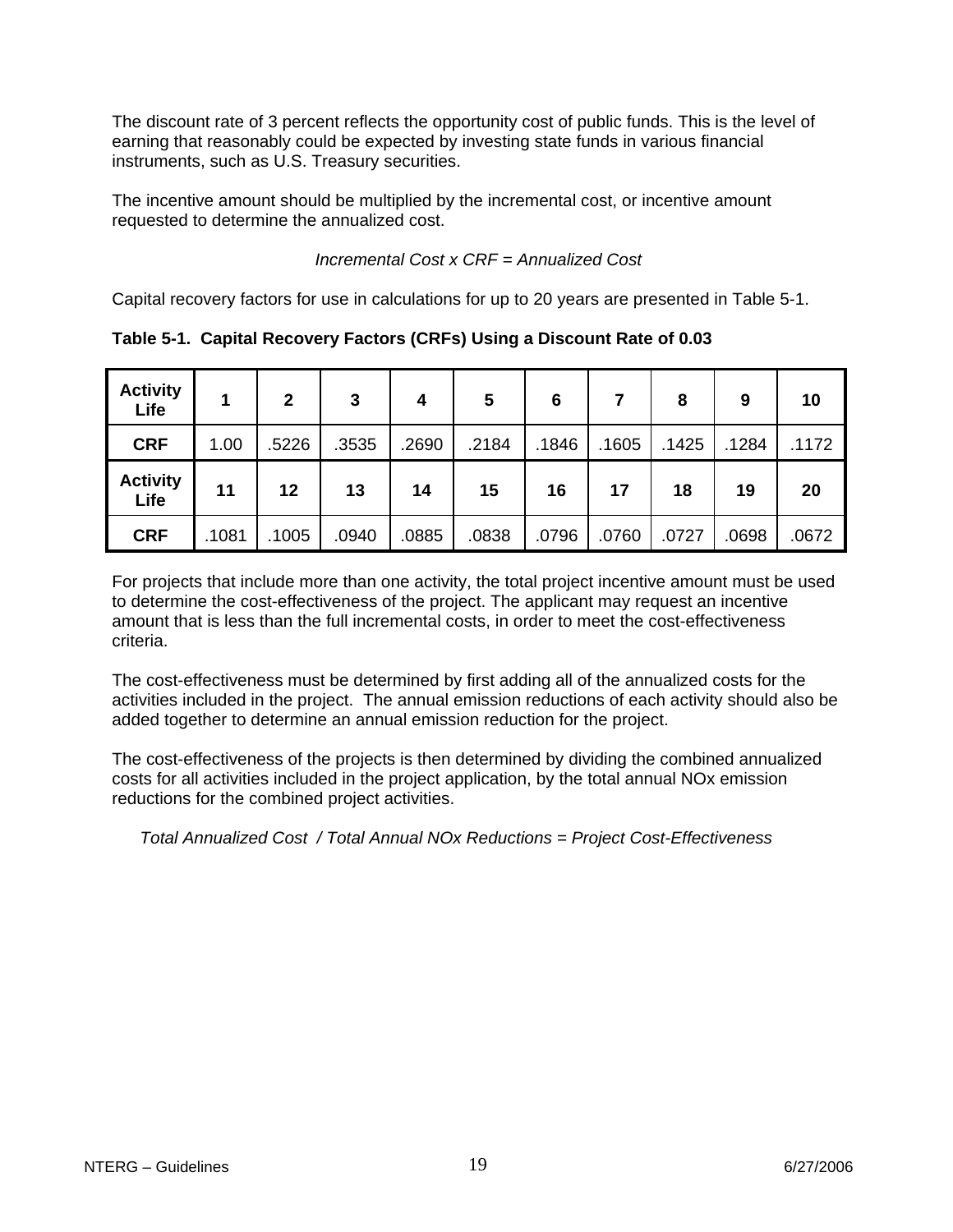The discount rate of 3 percent reflects the opportunity cost of public funds. This is the level of earning that reasonably could be expected by investing state funds in various financial instruments, such as U.S. Treasury securities.

The incentive amount should be multiplied by the incremental cost, or incentive amount requested to determine the annualized cost.

 *Incremental Cost x CRF = Annualized Cost*

Capital recovery factors for use in calculations for up to 20 years are presented in Table 5-1.

| <b>Activity</b><br>Life |       | $\overline{2}$ | 3     | 4     | 5     | 6     |       | 8     | 9     | 10    |
|-------------------------|-------|----------------|-------|-------|-------|-------|-------|-------|-------|-------|
| <b>CRF</b>              | 1.00  | .5226          | .3535 | .2690 | .2184 | .1846 | .1605 | .1425 | .1284 | .1172 |
| <b>Activity</b><br>Life | 11    | 12             | 13    | 14    | 15    | 16    | 17    | 18    | 19    | 20    |
| <b>CRF</b>              | .1081 | .1005          | .0940 | .0885 | .0838 | .0796 | .0760 | .0727 | .0698 | .0672 |

**Table 5-1. Capital Recovery Factors (CRFs) Using a Discount Rate of 0.03** 

For projects that include more than one activity, the total project incentive amount must be used to determine the cost-effectiveness of the project. The applicant may request an incentive amount that is less than the full incremental costs, in order to meet the cost-effectiveness criteria.

The cost-effectiveness must be determined by first adding all of the annualized costs for the activities included in the project. The annual emission reductions of each activity should also be added together to determine an annual emission reduction for the project.

The cost-effectiveness of the projects is then determined by dividing the combined annualized costs for all activities included in the project application, by the total annual NOx emission reductions for the combined project activities.

*Total Annualized Cost / Total Annual NOx Reductions = Project Cost-Effectiveness*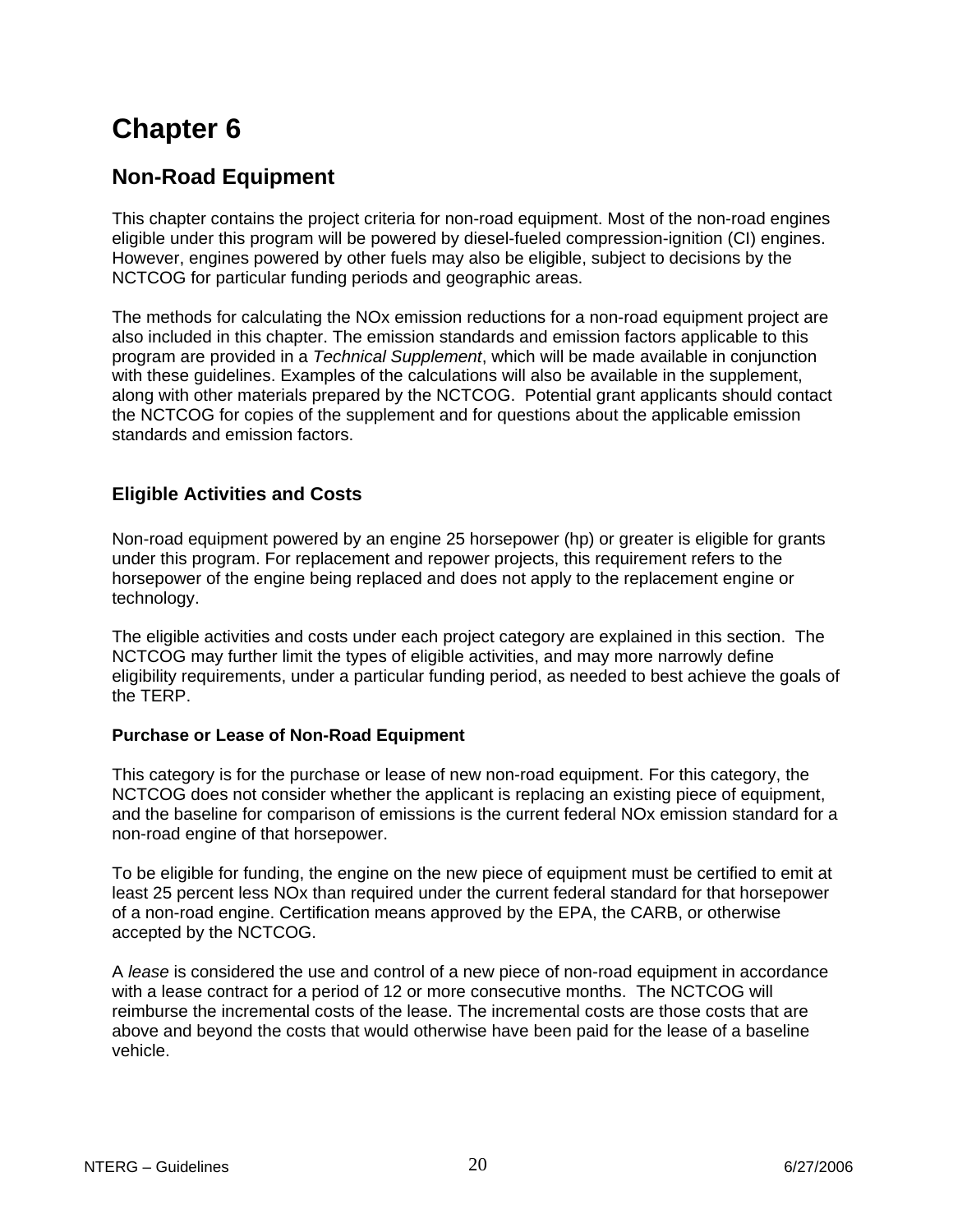# <span id="page-19-0"></span>**Non-Road Equipment**

This chapter contains the project criteria for non-road equipment. Most of the non-road engines eligible under this program will be powered by diesel-fueled compression-ignition (CI) engines. However, engines powered by other fuels may also be eligible, subject to decisions by the NCTCOG for particular funding periods and geographic areas.

The methods for calculating the NOx emission reductions for a non-road equipment project are also included in this chapter. The emission standards and emission factors applicable to this program are provided in a *Technical Supplement*, which will be made available in conjunction with these guidelines. Examples of the calculations will also be available in the supplement, along with other materials prepared by the NCTCOG. Potential grant applicants should contact the NCTCOG for copies of the supplement and for questions about the applicable emission standards and emission factors.

## **Eligible Activities and Costs**

Non-road equipment powered by an engine 25 horsepower (hp) or greater is eligible for grants under this program. For replacement and repower projects, this requirement refers to the horsepower of the engine being replaced and does not apply to the replacement engine or technology.

The eligible activities and costs under each project category are explained in this section. The NCTCOG may further limit the types of eligible activities, and may more narrowly define eligibility requirements, under a particular funding period, as needed to best achieve the goals of the TERP.

### **Purchase or Lease of Non-Road Equipment**

This category is for the purchase or lease of new non-road equipment. For this category, the NCTCOG does not consider whether the applicant is replacing an existing piece of equipment, and the baseline for comparison of emissions is the current federal NOx emission standard for a non-road engine of that horsepower.

To be eligible for funding, the engine on the new piece of equipment must be certified to emit at least 25 percent less NOx than required under the current federal standard for that horsepower of a non-road engine. Certification means approved by the EPA, the CARB, or otherwise accepted by the NCTCOG.

A *lease* is considered the use and control of a new piece of non-road equipment in accordance with a lease contract for a period of 12 or more consecutive months. The NCTCOG will reimburse the incremental costs of the lease. The incremental costs are those costs that are above and beyond the costs that would otherwise have been paid for the lease of a baseline vehicle.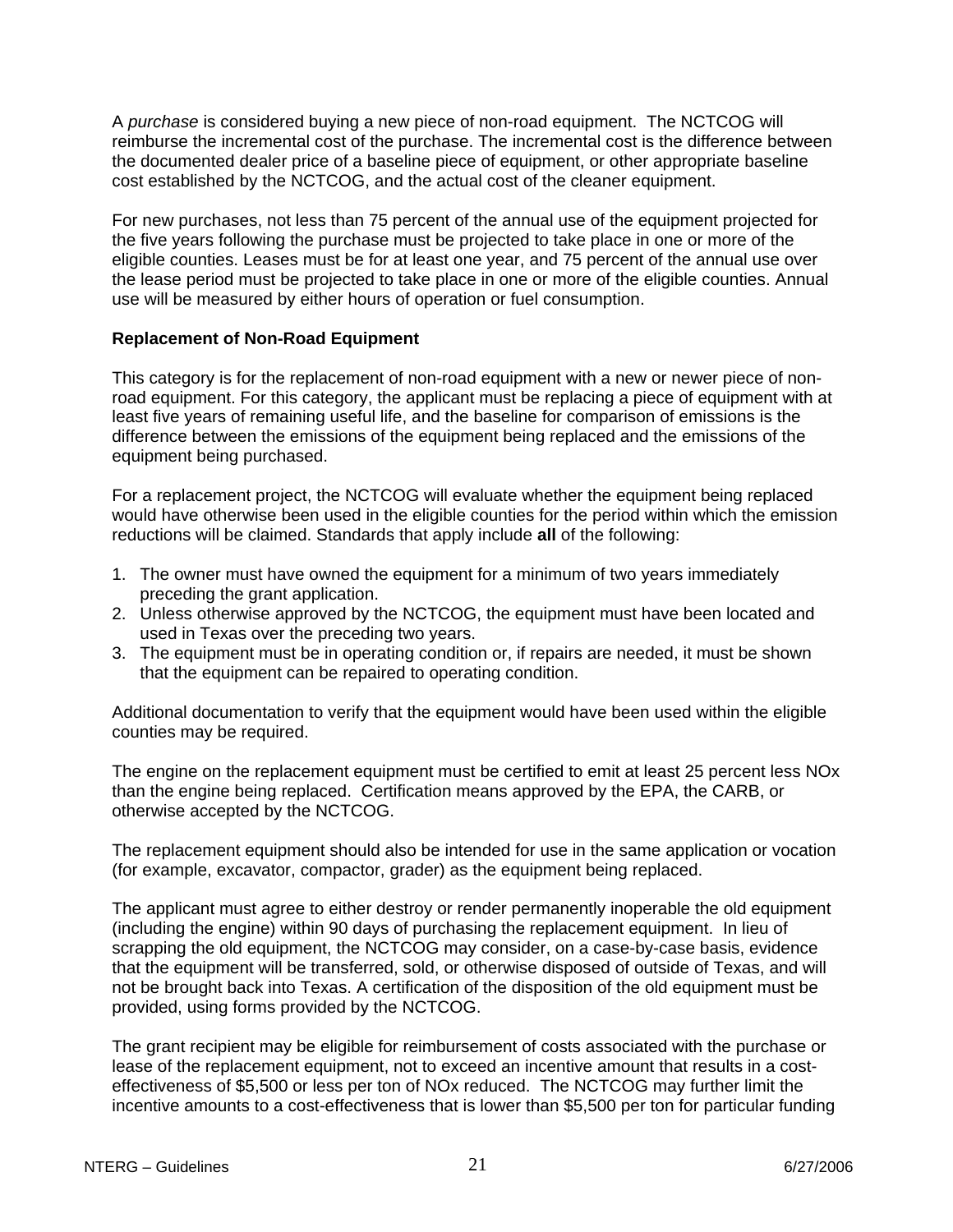A *purchase* is considered buying a new piece of non-road equipment. The NCTCOG will reimburse the incremental cost of the purchase. The incremental cost is the difference between the documented dealer price of a baseline piece of equipment, or other appropriate baseline cost established by the NCTCOG, and the actual cost of the cleaner equipment.

For new purchases, not less than 75 percent of the annual use of the equipment projected for the five years following the purchase must be projected to take place in one or more of the eligible counties. Leases must be for at least one year, and 75 percent of the annual use over the lease period must be projected to take place in one or more of the eligible counties. Annual use will be measured by either hours of operation or fuel consumption.

#### **Replacement of Non-Road Equipment**

This category is for the replacement of non-road equipment with a new or newer piece of nonroad equipment. For this category, the applicant must be replacing a piece of equipment with at least five years of remaining useful life, and the baseline for comparison of emissions is the difference between the emissions of the equipment being replaced and the emissions of the equipment being purchased.

For a replacement project, the NCTCOG will evaluate whether the equipment being replaced would have otherwise been used in the eligible counties for the period within which the emission reductions will be claimed. Standards that apply include **all** of the following:

- 1. The owner must have owned the equipment for a minimum of two years immediately preceding the grant application.
- 2. Unless otherwise approved by the NCTCOG, the equipment must have been located and used in Texas over the preceding two years.
- 3. The equipment must be in operating condition or, if repairs are needed, it must be shown that the equipment can be repaired to operating condition.

Additional documentation to verify that the equipment would have been used within the eligible counties may be required.

The engine on the replacement equipment must be certified to emit at least 25 percent less NOx than the engine being replaced. Certification means approved by the EPA, the CARB, or otherwise accepted by the NCTCOG.

The replacement equipment should also be intended for use in the same application or vocation (for example, excavator, compactor, grader) as the equipment being replaced.

The applicant must agree to either destroy or render permanently inoperable the old equipment (including the engine) within 90 days of purchasing the replacement equipment. In lieu of scrapping the old equipment, the NCTCOG may consider, on a case-by-case basis, evidence that the equipment will be transferred, sold, or otherwise disposed of outside of Texas, and will not be brought back into Texas. A certification of the disposition of the old equipment must be provided, using forms provided by the NCTCOG.

The grant recipient may be eligible for reimbursement of costs associated with the purchase or lease of the replacement equipment, not to exceed an incentive amount that results in a costeffectiveness of \$5,500 or less per ton of NOx reduced. The NCTCOG may further limit the incentive amounts to a cost-effectiveness that is lower than \$5,500 per ton for particular funding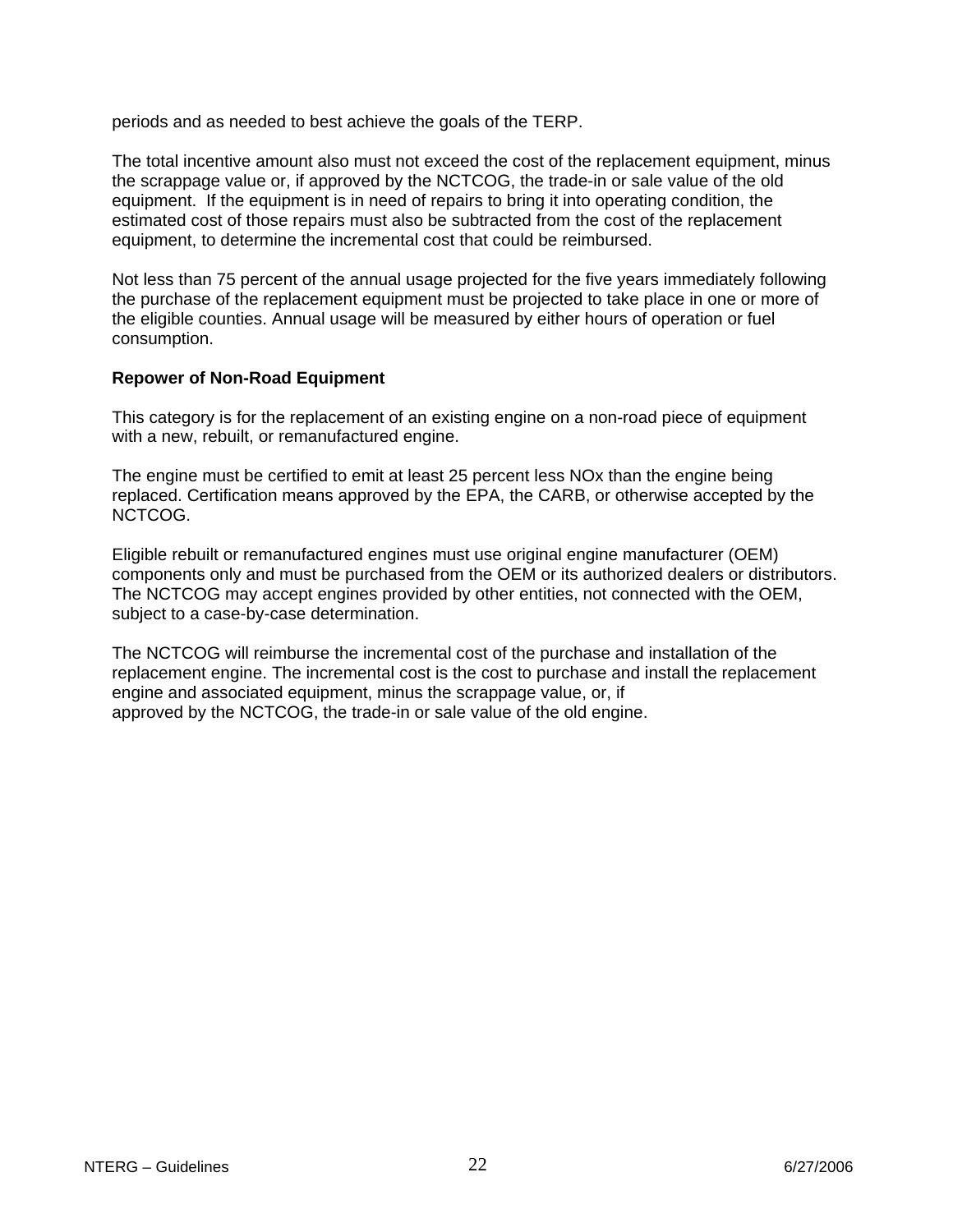periods and as needed to best achieve the goals of the TERP.

The total incentive amount also must not exceed the cost of the replacement equipment, minus the scrappage value or, if approved by the NCTCOG, the trade-in or sale value of the old equipment. If the equipment is in need of repairs to bring it into operating condition, the estimated cost of those repairs must also be subtracted from the cost of the replacement equipment, to determine the incremental cost that could be reimbursed.

Not less than 75 percent of the annual usage projected for the five years immediately following the purchase of the replacement equipment must be projected to take place in one or more of the eligible counties. Annual usage will be measured by either hours of operation or fuel consumption.

### **Repower of Non-Road Equipment**

This category is for the replacement of an existing engine on a non-road piece of equipment with a new, rebuilt, or remanufactured engine.

The engine must be certified to emit at least 25 percent less NOx than the engine being replaced. Certification means approved by the EPA, the CARB, or otherwise accepted by the NCTCOG.

Eligible rebuilt or remanufactured engines must use original engine manufacturer (OEM) components only and must be purchased from the OEM or its authorized dealers or distributors. The NCTCOG may accept engines provided by other entities, not connected with the OEM, subject to a case-by-case determination.

The NCTCOG will reimburse the incremental cost of the purchase and installation of the replacement engine. The incremental cost is the cost to purchase and install the replacement engine and associated equipment, minus the scrappage value, or, if approved by the NCTCOG, the trade-in or sale value of the old engine.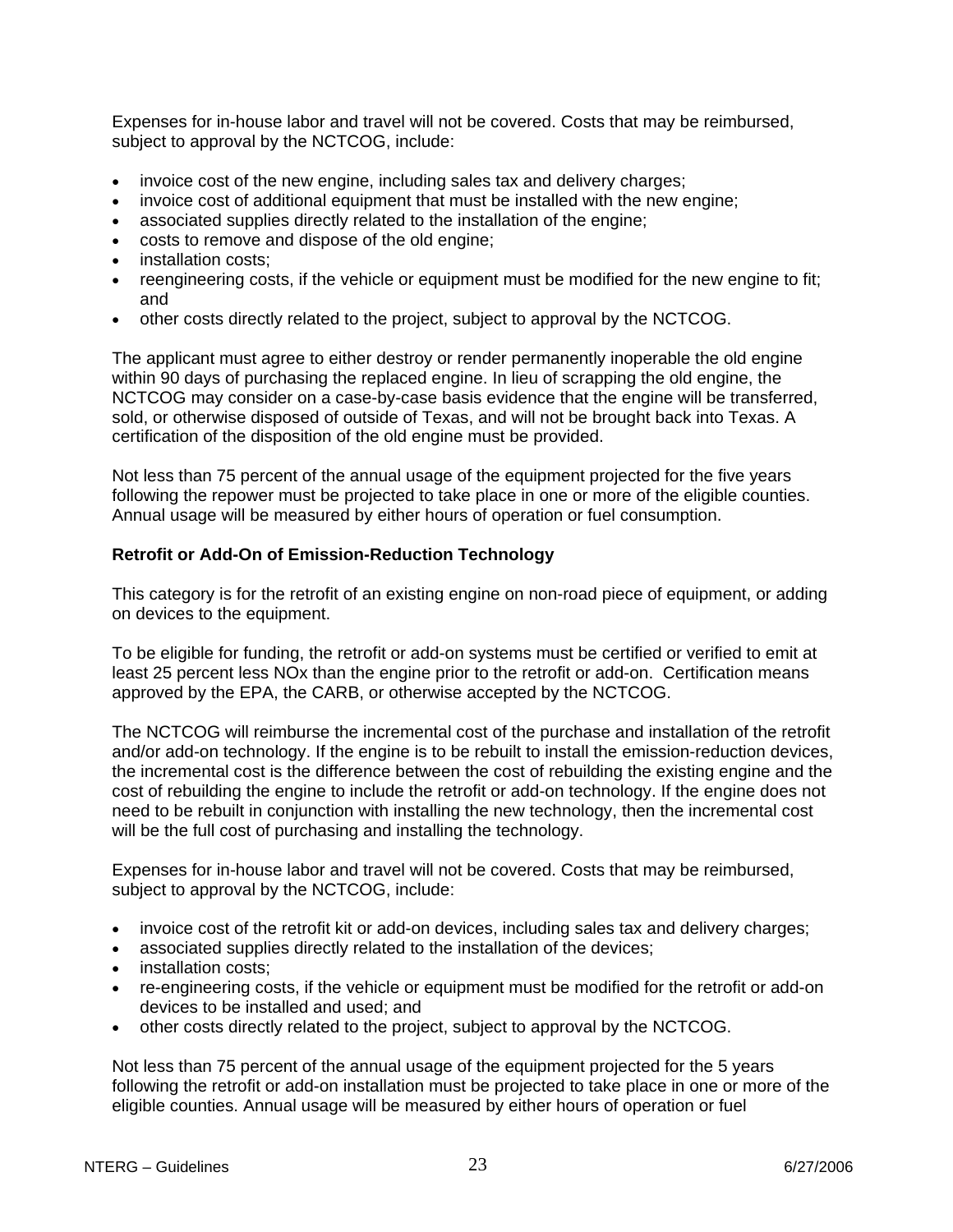Expenses for in-house labor and travel will not be covered. Costs that may be reimbursed, subject to approval by the NCTCOG, include:

- invoice cost of the new engine, including sales tax and delivery charges;
- invoice cost of additional equipment that must be installed with the new engine;
- associated supplies directly related to the installation of the engine;
- costs to remove and dispose of the old engine;
- installation costs;
- reengineering costs, if the vehicle or equipment must be modified for the new engine to fit; and
- other costs directly related to the project, subject to approval by the NCTCOG.

The applicant must agree to either destroy or render permanently inoperable the old engine within 90 days of purchasing the replaced engine. In lieu of scrapping the old engine, the NCTCOG may consider on a case-by-case basis evidence that the engine will be transferred, sold, or otherwise disposed of outside of Texas, and will not be brought back into Texas. A certification of the disposition of the old engine must be provided.

Not less than 75 percent of the annual usage of the equipment projected for the five years following the repower must be projected to take place in one or more of the eligible counties. Annual usage will be measured by either hours of operation or fuel consumption.

### **Retrofit or Add-On of Emission-Reduction Technology**

This category is for the retrofit of an existing engine on non-road piece of equipment, or adding on devices to the equipment.

To be eligible for funding, the retrofit or add-on systems must be certified or verified to emit at least 25 percent less NOx than the engine prior to the retrofit or add-on. Certification means approved by the EPA, the CARB, or otherwise accepted by the NCTCOG.

The NCTCOG will reimburse the incremental cost of the purchase and installation of the retrofit and/or add-on technology. If the engine is to be rebuilt to install the emission-reduction devices, the incremental cost is the difference between the cost of rebuilding the existing engine and the cost of rebuilding the engine to include the retrofit or add-on technology. If the engine does not need to be rebuilt in conjunction with installing the new technology, then the incremental cost will be the full cost of purchasing and installing the technology.

Expenses for in-house labor and travel will not be covered. Costs that may be reimbursed, subject to approval by the NCTCOG, include:

- invoice cost of the retrofit kit or add-on devices, including sales tax and delivery charges;
- associated supplies directly related to the installation of the devices;
- installation costs;
- re-engineering costs, if the vehicle or equipment must be modified for the retrofit or add-on devices to be installed and used; and
- other costs directly related to the project, subject to approval by the NCTCOG.

Not less than 75 percent of the annual usage of the equipment projected for the 5 years following the retrofit or add-on installation must be projected to take place in one or more of the eligible counties. Annual usage will be measured by either hours of operation or fuel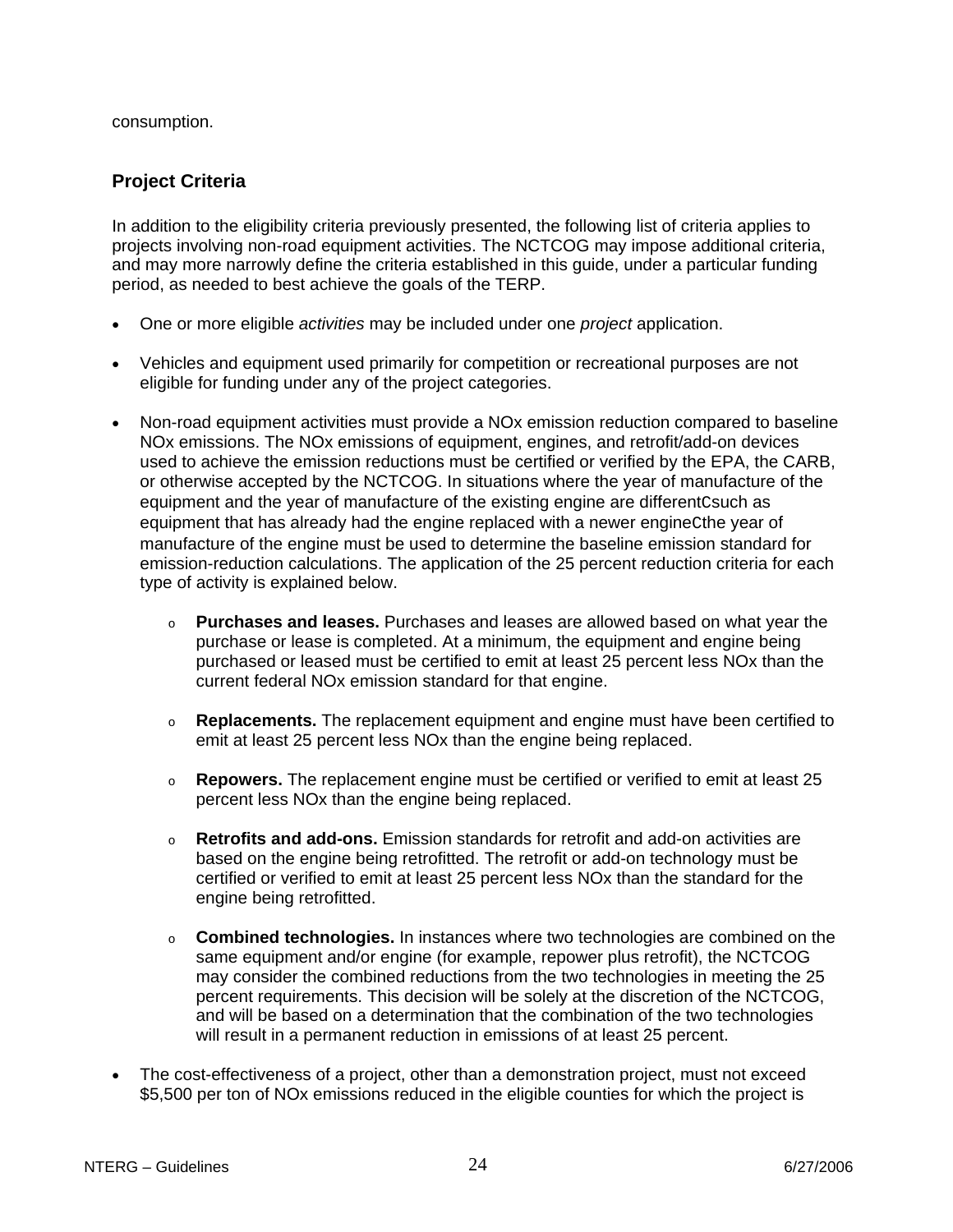<span id="page-23-0"></span>consumption.

## **Project Criteria**

In addition to the eligibility criteria previously presented, the following list of criteria applies to projects involving non-road equipment activities. The NCTCOG may impose additional criteria, and may more narrowly define the criteria established in this guide, under a particular funding period, as needed to best achieve the goals of the TERP.

- One or more eligible *activities* may be included under one *project* application.
- Vehicles and equipment used primarily for competition or recreational purposes are not eligible for funding under any of the project categories.
- Non-road equipment activities must provide a NOx emission reduction compared to baseline NOx emissions. The NOx emissions of equipment, engines, and retrofit/add-on devices used to achieve the emission reductions must be certified or verified by the EPA, the CARB, or otherwise accepted by the NCTCOG. In situations where the year of manufacture of the equipment and the year of manufacture of the existing engine are differentCsuch as equipment that has already had the engine replaced with a newer engineCthe year of manufacture of the engine must be used to determine the baseline emission standard for emission-reduction calculations. The application of the 25 percent reduction criteria for each type of activity is explained below.
	- o **Purchases and leases.** Purchases and leases are allowed based on what year the purchase or lease is completed. At a minimum, the equipment and engine being purchased or leased must be certified to emit at least 25 percent less NOx than the current federal NOx emission standard for that engine.
	- o **Replacements.** The replacement equipment and engine must have been certified to emit at least 25 percent less NOx than the engine being replaced.
	- o **Repowers.** The replacement engine must be certified or verified to emit at least 25 percent less NOx than the engine being replaced.
	- o **Retrofits and add-ons.** Emission standards for retrofit and add-on activities are based on the engine being retrofitted. The retrofit or add-on technology must be certified or verified to emit at least 25 percent less NOx than the standard for the engine being retrofitted.
	- o **Combined technologies.** In instances where two technologies are combined on the same equipment and/or engine (for example, repower plus retrofit), the NCTCOG may consider the combined reductions from the two technologies in meeting the 25 percent requirements. This decision will be solely at the discretion of the NCTCOG, and will be based on a determination that the combination of the two technologies will result in a permanent reduction in emissions of at least 25 percent.
- The cost-effectiveness of a project, other than a demonstration project, must not exceed \$5,500 per ton of NOx emissions reduced in the eligible counties for which the project is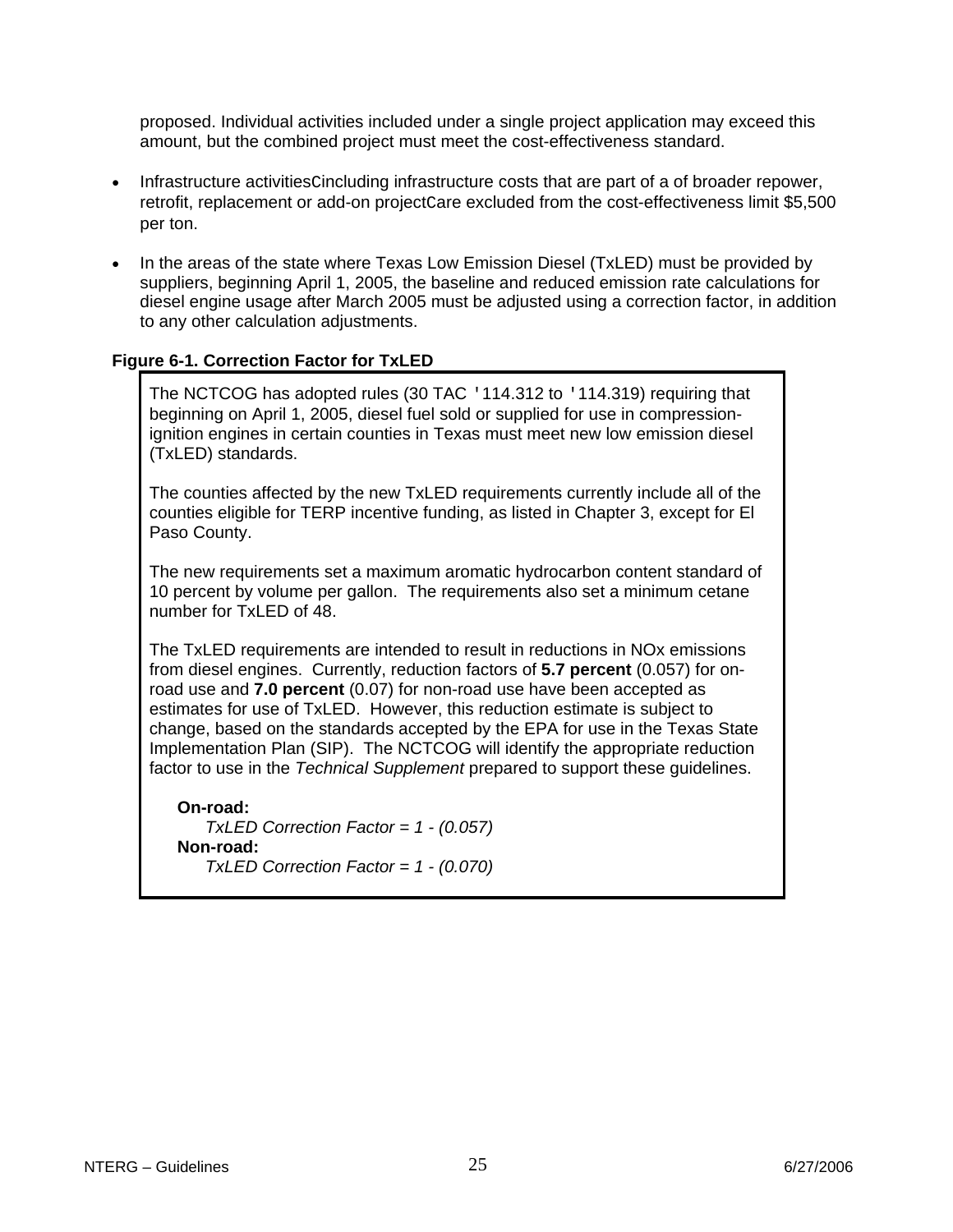proposed. Individual activities included under a single project application may exceed this amount, but the combined project must meet the cost-effectiveness standard.

- Infrastructure activitiesCincluding infrastructure costs that are part of a of broader repower, retrofit, replacement or add-on project Care excluded from the cost-effectiveness limit \$5,500 per ton.
- In the areas of the state where Texas Low Emission Diesel (TxLED) must be provided by suppliers, beginning April 1, 2005, the baseline and reduced emission rate calculations for diesel engine usage after March 2005 must be adjusted using a correction factor, in addition to any other calculation adjustments.

### **Figure 6-1. Correction Factor for TxLED**

The NCTCOG has adopted rules (30 TAC '114.312 to '114.319) requiring that beginning on April 1, 2005, diesel fuel sold or supplied for use in compressionignition engines in certain counties in Texas must meet new low emission diesel (TxLED) standards.

The counties affected by the new TxLED requirements currently include all of the counties eligible for TERP incentive funding, as listed in Chapter 3, except for El Paso County.

The new requirements set a maximum aromatic hydrocarbon content standard of 10 percent by volume per gallon. The requirements also set a minimum cetane number for TxLED of 48.

The TxLED requirements are intended to result in reductions in NOx emissions from diesel engines. Currently, reduction factors of **5.7 percent** (0.057) for onroad use and **7.0 percent** (0.07) for non-road use have been accepted as estimates for use of TxLED. However, this reduction estimate is subject to change, based on the standards accepted by the EPA for use in the Texas State Implementation Plan (SIP). The NCTCOG will identify the appropriate reduction factor to use in the *Technical Supplement* prepared to support these guidelines.

**On-road:** *TxLED Correction Factor = 1 - (0.057)* **Non-road:** *TxLED Correction Factor = 1 - (0.070)*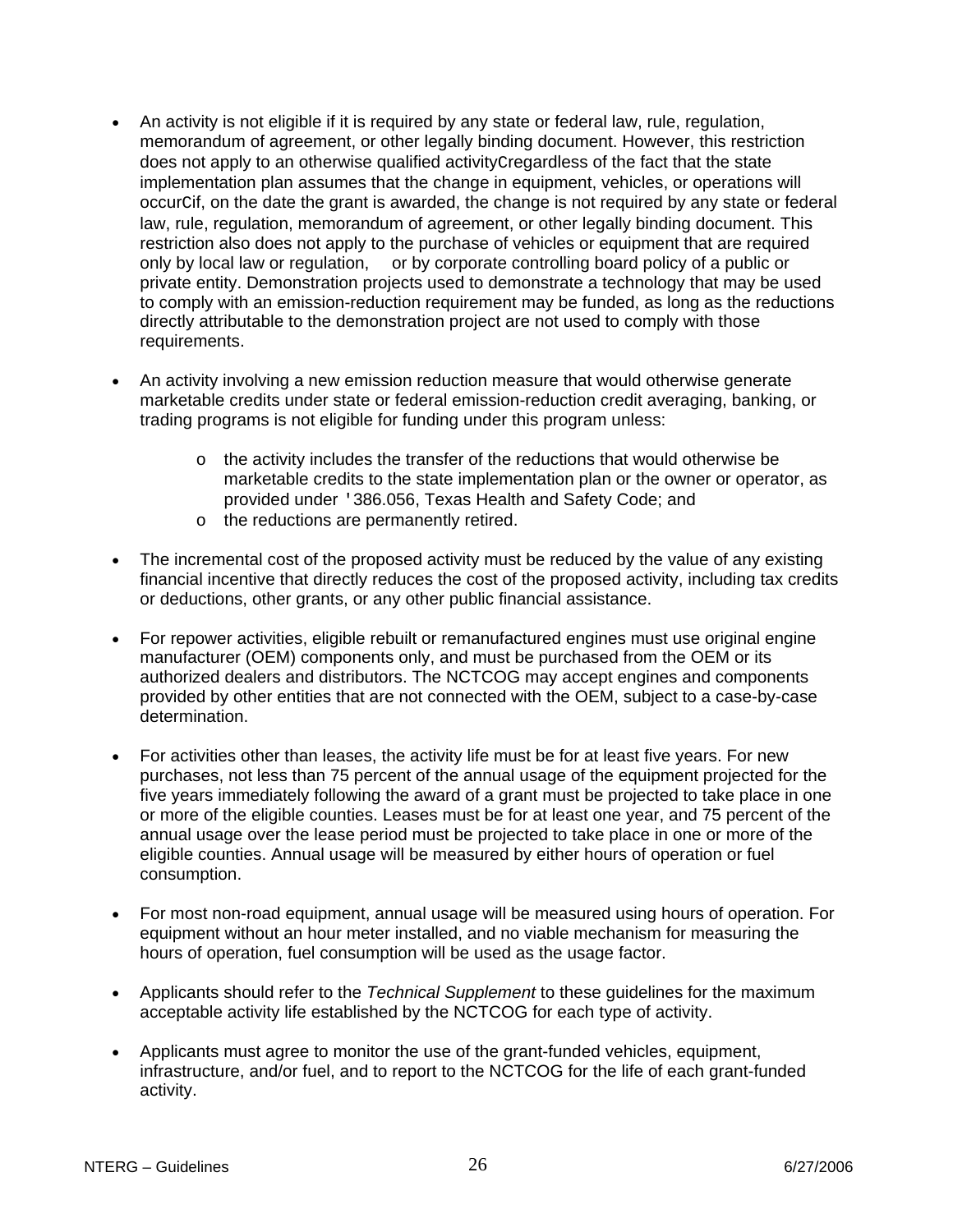- An activity is not eligible if it is required by any state or federal law, rule, regulation, memorandum of agreement, or other legally binding document. However, this restriction does not apply to an otherwise qualified activityCregardless of the fact that the state implementation plan assumes that the change in equipment, vehicles, or operations will occurCif, on the date the grant is awarded, the change is not required by any state or federal law, rule, regulation, memorandum of agreement, or other legally binding document. This restriction also does not apply to the purchase of vehicles or equipment that are required only by local law or regulation, or by corporate controlling board policy of a public or private entity. Demonstration projects used to demonstrate a technology that may be used to comply with an emission-reduction requirement may be funded, as long as the reductions directly attributable to the demonstration project are not used to comply with those requirements.
- An activity involving a new emission reduction measure that would otherwise generate marketable credits under state or federal emission-reduction credit averaging, banking, or trading programs is not eligible for funding under this program unless:
	- o the activity includes the transfer of the reductions that would otherwise be marketable credits to the state implementation plan or the owner or operator, as provided under '386.056, Texas Health and Safety Code; and
	- o the reductions are permanently retired.
- The incremental cost of the proposed activity must be reduced by the value of any existing financial incentive that directly reduces the cost of the proposed activity, including tax credits or deductions, other grants, or any other public financial assistance.
- For repower activities, eligible rebuilt or remanufactured engines must use original engine manufacturer (OEM) components only, and must be purchased from the OEM or its authorized dealers and distributors. The NCTCOG may accept engines and components provided by other entities that are not connected with the OEM, subject to a case-by-case determination.
- For activities other than leases, the activity life must be for at least five years. For new purchases, not less than 75 percent of the annual usage of the equipment projected for the five years immediately following the award of a grant must be projected to take place in one or more of the eligible counties. Leases must be for at least one year, and 75 percent of the annual usage over the lease period must be projected to take place in one or more of the eligible counties. Annual usage will be measured by either hours of operation or fuel consumption.
- For most non-road equipment, annual usage will be measured using hours of operation. For equipment without an hour meter installed, and no viable mechanism for measuring the hours of operation, fuel consumption will be used as the usage factor.
- Applicants should refer to the *Technical Supplement* to these guidelines for the maximum acceptable activity life established by the NCTCOG for each type of activity.
- Applicants must agree to monitor the use of the grant-funded vehicles, equipment, infrastructure, and/or fuel, and to report to the NCTCOG for the life of each grant-funded activity.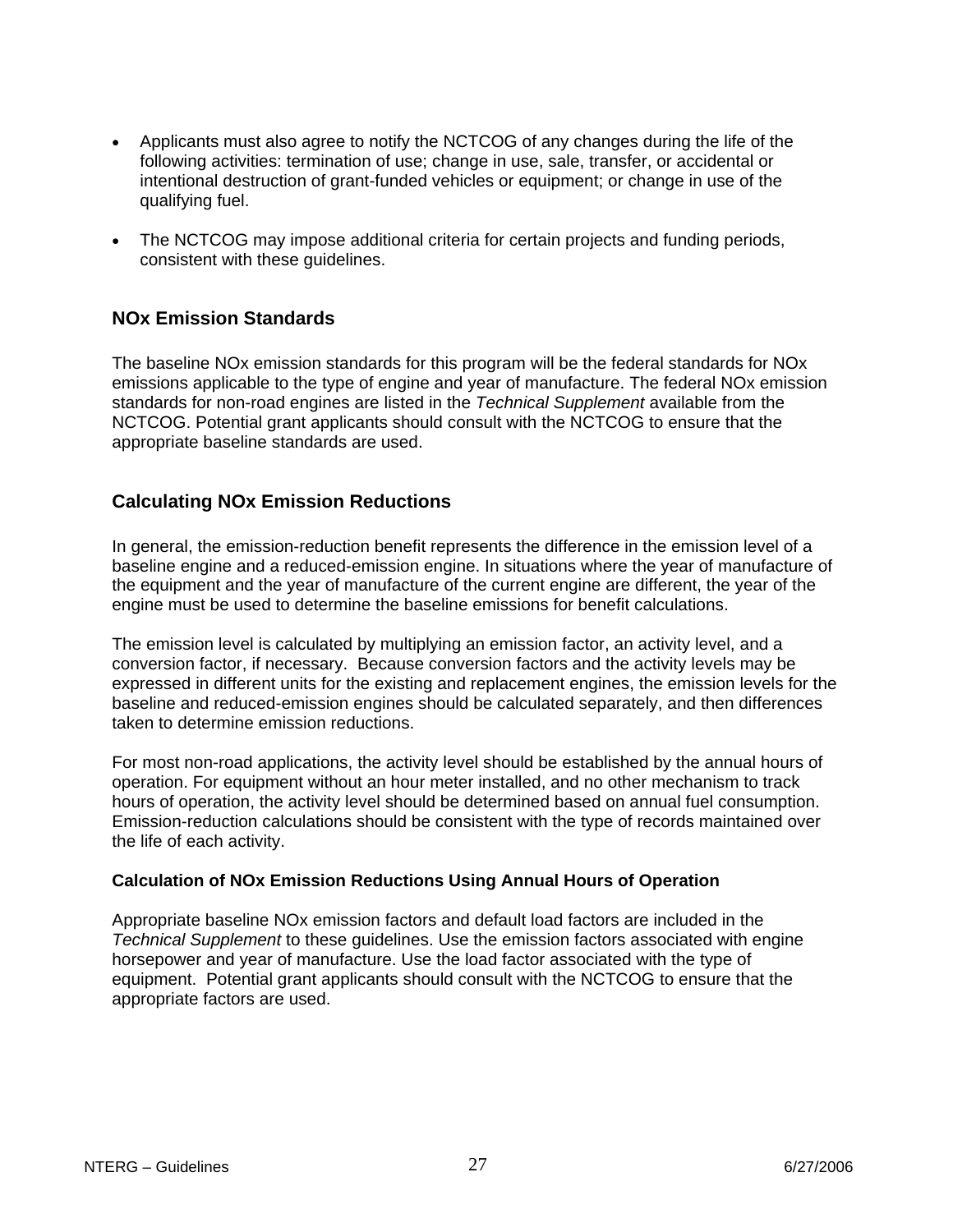- <span id="page-26-0"></span>• Applicants must also agree to notify the NCTCOG of any changes during the life of the following activities: termination of use; change in use, sale, transfer, or accidental or intentional destruction of grant-funded vehicles or equipment; or change in use of the qualifying fuel.
- The NCTCOG may impose additional criteria for certain projects and funding periods, consistent with these guidelines.

## **NOx Emission Standards**

The baseline NOx emission standards for this program will be the federal standards for NOx emissions applicable to the type of engine and year of manufacture. The federal NOx emission standards for non-road engines are listed in the *Technical Supplement* available from the NCTCOG. Potential grant applicants should consult with the NCTCOG to ensure that the appropriate baseline standards are used.

## **Calculating NOx Emission Reductions**

In general, the emission-reduction benefit represents the difference in the emission level of a baseline engine and a reduced-emission engine. In situations where the year of manufacture of the equipment and the year of manufacture of the current engine are different, the year of the engine must be used to determine the baseline emissions for benefit calculations.

The emission level is calculated by multiplying an emission factor, an activity level, and a conversion factor, if necessary. Because conversion factors and the activity levels may be expressed in different units for the existing and replacement engines, the emission levels for the baseline and reduced-emission engines should be calculated separately, and then differences taken to determine emission reductions.

For most non-road applications, the activity level should be established by the annual hours of operation. For equipment without an hour meter installed, and no other mechanism to track hours of operation, the activity level should be determined based on annual fuel consumption. Emission-reduction calculations should be consistent with the type of records maintained over the life of each activity.

### **Calculation of NOx Emission Reductions Using Annual Hours of Operation**

Appropriate baseline NOx emission factors and default load factors are included in the *Technical Supplement* to these guidelines. Use the emission factors associated with engine horsepower and year of manufacture. Use the load factor associated with the type of equipment. Potential grant applicants should consult with the NCTCOG to ensure that the appropriate factors are used.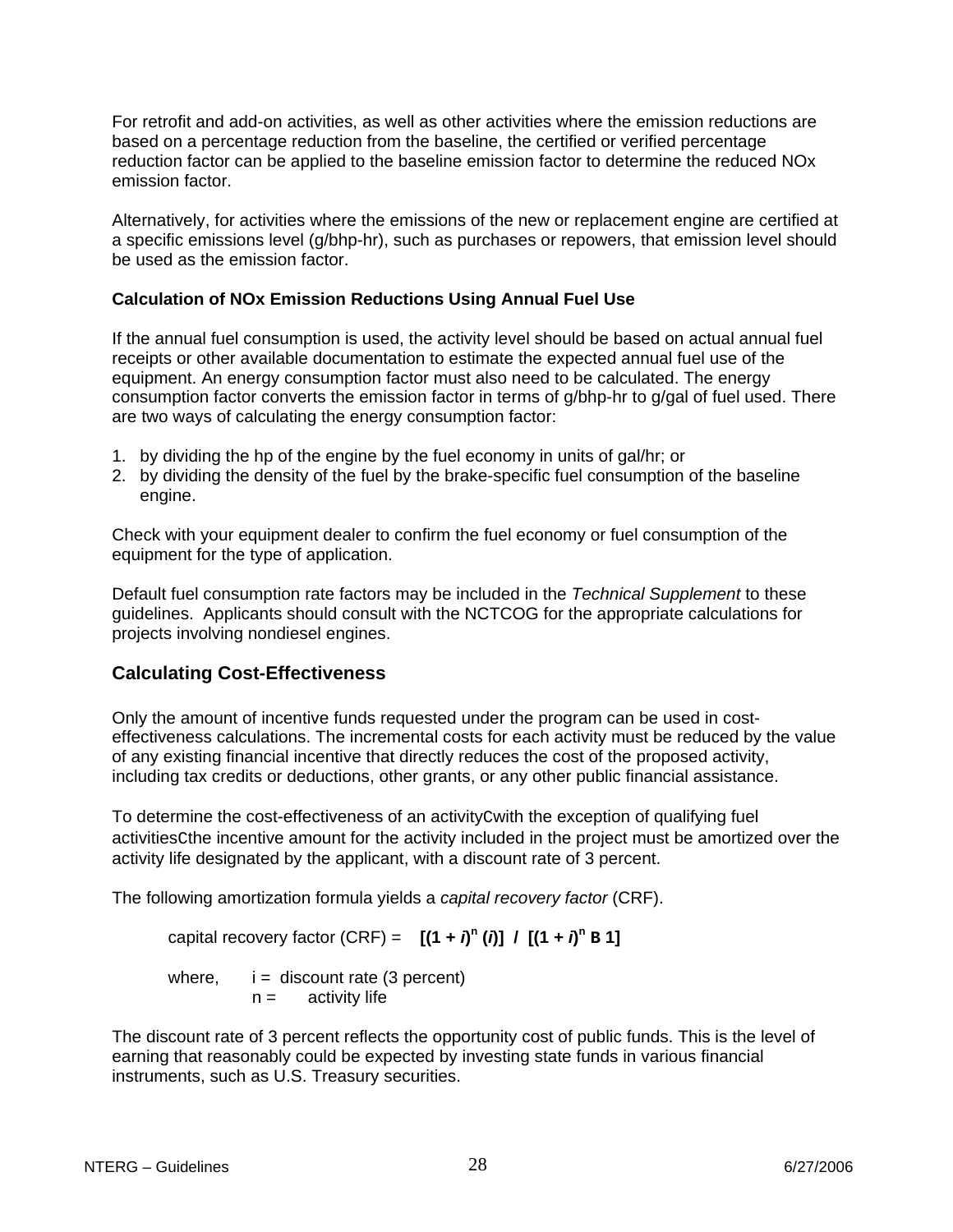<span id="page-27-0"></span>For retrofit and add-on activities, as well as other activities where the emission reductions are based on a percentage reduction from the baseline, the certified or verified percentage reduction factor can be applied to the baseline emission factor to determine the reduced NOx emission factor.

Alternatively, for activities where the emissions of the new or replacement engine are certified at a specific emissions level (g/bhp-hr), such as purchases or repowers, that emission level should be used as the emission factor.

### **Calculation of NOx Emission Reductions Using Annual Fuel Use**

If the annual fuel consumption is used, the activity level should be based on actual annual fuel receipts or other available documentation to estimate the expected annual fuel use of the equipment. An energy consumption factor must also need to be calculated. The energy consumption factor converts the emission factor in terms of g/bhp-hr to g/gal of fuel used. There are two ways of calculating the energy consumption factor:

- 1. by dividing the hp of the engine by the fuel economy in units of gal/hr; or
- 2. by dividing the density of the fuel by the brake-specific fuel consumption of the baseline engine.

Check with your equipment dealer to confirm the fuel economy or fuel consumption of the equipment for the type of application.

Default fuel consumption rate factors may be included in the *Technical Supplement* to these guidelines. Applicants should consult with the NCTCOG for the appropriate calculations for projects involving nondiesel engines.

## **Calculating Cost-Effectiveness**

Only the amount of incentive funds requested under the program can be used in costeffectiveness calculations. The incremental costs for each activity must be reduced by the value of any existing financial incentive that directly reduces the cost of the proposed activity, including tax credits or deductions, other grants, or any other public financial assistance.

To determine the cost-effectiveness of an activityCwith the exception of qualifying fuel activitiesCthe incentive amount for the activity included in the project must be amortized over the activity life designated by the applicant, with a discount rate of 3 percent.

The following amortization formula yields a *capital recovery factor* (CRF).

capital recovery factor (CRF) =  $[(1 + i)^n (i)] / [(1 + i)^n B]$ 

where,  $i =$  discount rate (3 percent)  $n =$  activity life

The discount rate of 3 percent reflects the opportunity cost of public funds. This is the level of earning that reasonably could be expected by investing state funds in various financial instruments, such as U.S. Treasury securities.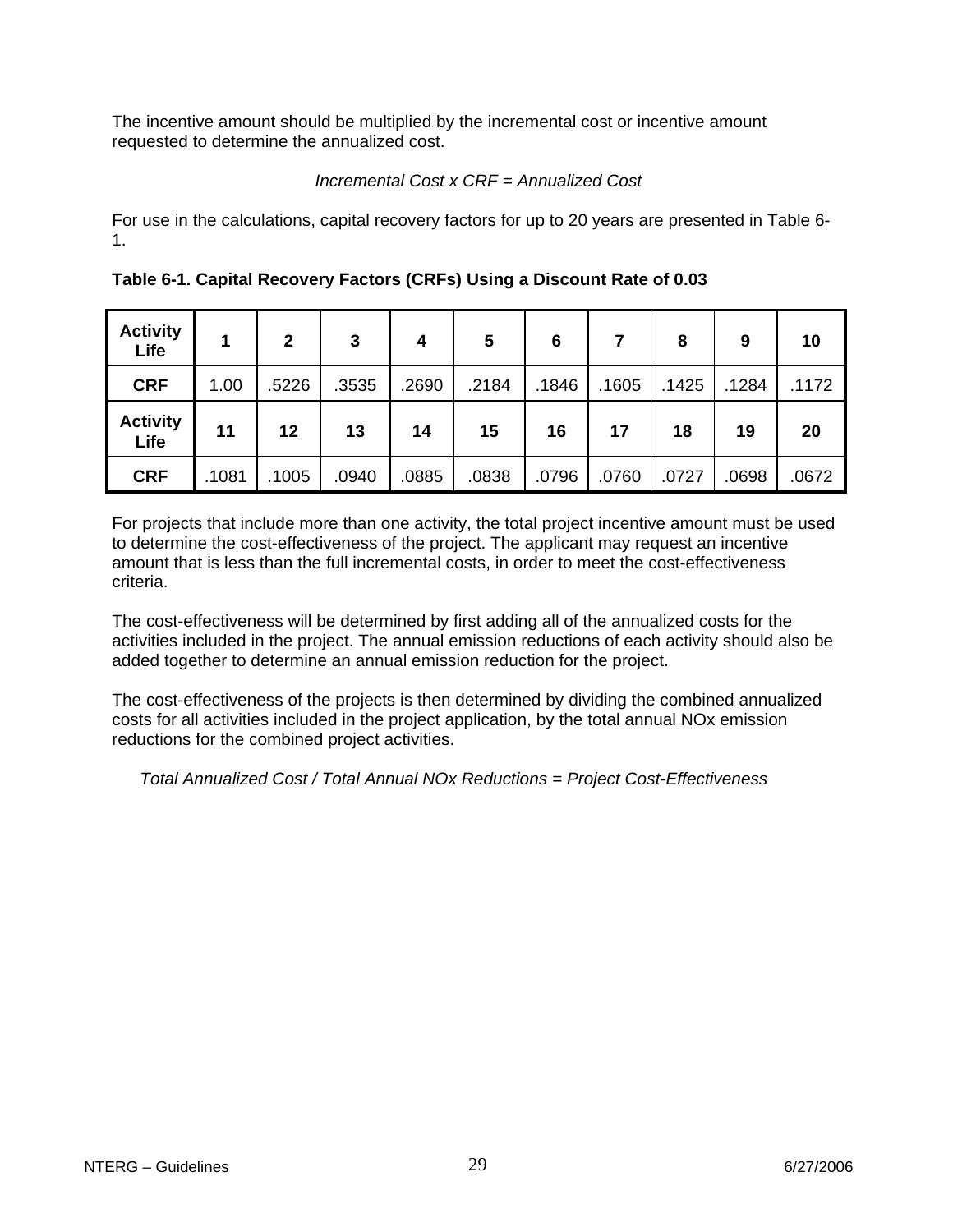The incentive amount should be multiplied by the incremental cost or incentive amount requested to determine the annualized cost.

## *Incremental Cost x CRF = Annualized Cost*

For use in the calculations, capital recovery factors for up to 20 years are presented in Table 6- 1.

| <b>Activity</b><br>Life |       | $\overline{2}$ | 3     | $\boldsymbol{4}$ | 5     | 6     |       | 8     | 9     | 10    |
|-------------------------|-------|----------------|-------|------------------|-------|-------|-------|-------|-------|-------|
| <b>CRF</b>              | 1.00  | .5226          | .3535 | .2690            | .2184 | .1846 | .1605 | .1425 | .1284 | .1172 |
| <b>Activity</b><br>Life | 11    | 12             | 13    | 14               | 15    | 16    | 17    | 18    | 19    | 20    |
| <b>CRF</b>              | .1081 | .1005          | .0940 | .0885            | .0838 | .0796 | .0760 | .0727 | .0698 | .0672 |

**Table 6-1. Capital Recovery Factors (CRFs) Using a Discount Rate of 0.03** 

For projects that include more than one activity, the total project incentive amount must be used to determine the cost-effectiveness of the project. The applicant may request an incentive amount that is less than the full incremental costs, in order to meet the cost-effectiveness criteria.

The cost-effectiveness will be determined by first adding all of the annualized costs for the activities included in the project. The annual emission reductions of each activity should also be added together to determine an annual emission reduction for the project.

The cost-effectiveness of the projects is then determined by dividing the combined annualized costs for all activities included in the project application, by the total annual NOx emission reductions for the combined project activities.

*Total Annualized Cost / Total Annual NOx Reductions = Project Cost-Effectiveness*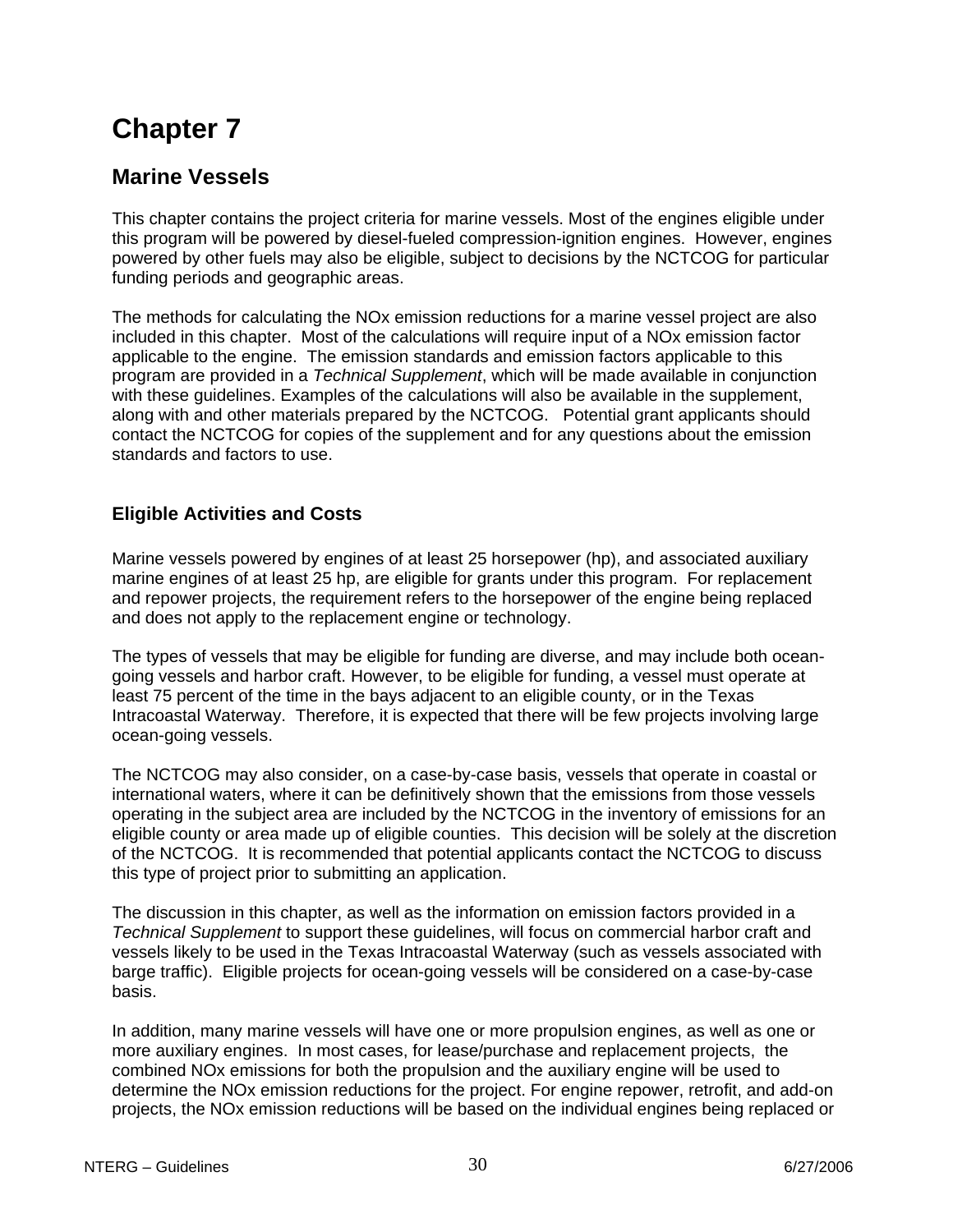## <span id="page-29-0"></span>**Marine Vessels**

This chapter contains the project criteria for marine vessels. Most of the engines eligible under this program will be powered by diesel-fueled compression-ignition engines. However, engines powered by other fuels may also be eligible, subject to decisions by the NCTCOG for particular funding periods and geographic areas.

The methods for calculating the NOx emission reductions for a marine vessel project are also included in this chapter. Most of the calculations will require input of a NOx emission factor applicable to the engine. The emission standards and emission factors applicable to this program are provided in a *Technical Supplement*, which will be made available in conjunction with these guidelines. Examples of the calculations will also be available in the supplement, along with and other materials prepared by the NCTCOG. Potential grant applicants should contact the NCTCOG for copies of the supplement and for any questions about the emission standards and factors to use.

## **Eligible Activities and Costs**

Marine vessels powered by engines of at least 25 horsepower (hp), and associated auxiliary marine engines of at least 25 hp, are eligible for grants under this program. For replacement and repower projects, the requirement refers to the horsepower of the engine being replaced and does not apply to the replacement engine or technology.

The types of vessels that may be eligible for funding are diverse, and may include both oceangoing vessels and harbor craft. However, to be eligible for funding, a vessel must operate at least 75 percent of the time in the bays adjacent to an eligible county, or in the Texas Intracoastal Waterway. Therefore, it is expected that there will be few projects involving large ocean-going vessels.

The NCTCOG may also consider, on a case-by-case basis, vessels that operate in coastal or international waters, where it can be definitively shown that the emissions from those vessels operating in the subject area are included by the NCTCOG in the inventory of emissions for an eligible county or area made up of eligible counties. This decision will be solely at the discretion of the NCTCOG. It is recommended that potential applicants contact the NCTCOG to discuss this type of project prior to submitting an application.

The discussion in this chapter, as well as the information on emission factors provided in a *Technical Supplement* to support these guidelines, will focus on commercial harbor craft and vessels likely to be used in the Texas Intracoastal Waterway (such as vessels associated with barge traffic). Eligible projects for ocean-going vessels will be considered on a case-by-case basis.

In addition, many marine vessels will have one or more propulsion engines, as well as one or more auxiliary engines. In most cases, for lease/purchase and replacement projects, the combined NOx emissions for both the propulsion and the auxiliary engine will be used to determine the NOx emission reductions for the project. For engine repower, retrofit, and add-on projects, the NOx emission reductions will be based on the individual engines being replaced or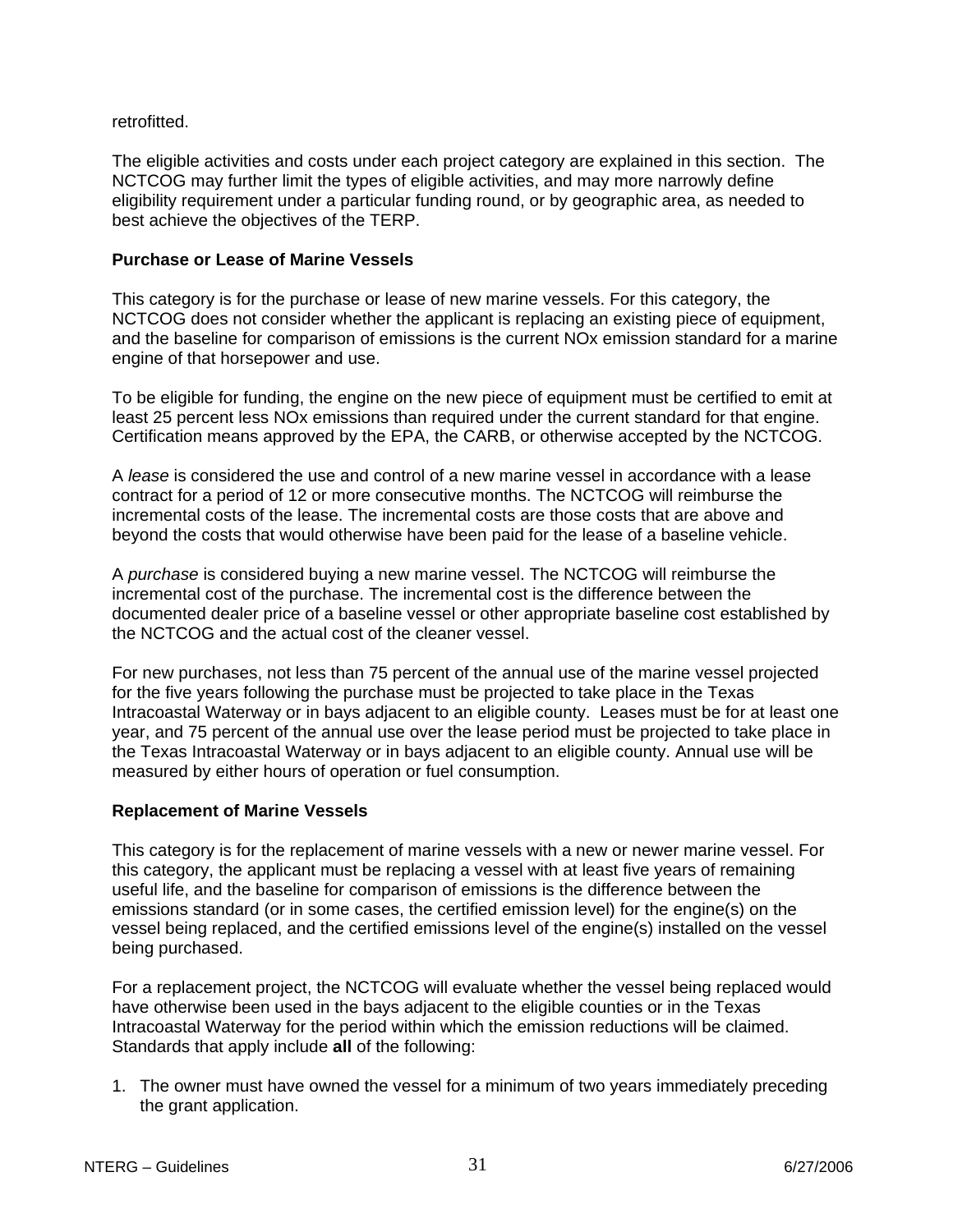### retrofitted.

The eligible activities and costs under each project category are explained in this section. The NCTCOG may further limit the types of eligible activities, and may more narrowly define eligibility requirement under a particular funding round, or by geographic area, as needed to best achieve the objectives of the TERP.

#### **Purchase or Lease of Marine Vessels**

This category is for the purchase or lease of new marine vessels. For this category, the NCTCOG does not consider whether the applicant is replacing an existing piece of equipment, and the baseline for comparison of emissions is the current NOx emission standard for a marine engine of that horsepower and use.

To be eligible for funding, the engine on the new piece of equipment must be certified to emit at least 25 percent less NOx emissions than required under the current standard for that engine. Certification means approved by the EPA, the CARB, or otherwise accepted by the NCTCOG.

A *lease* is considered the use and control of a new marine vessel in accordance with a lease contract for a period of 12 or more consecutive months. The NCTCOG will reimburse the incremental costs of the lease. The incremental costs are those costs that are above and beyond the costs that would otherwise have been paid for the lease of a baseline vehicle.

A *purchase* is considered buying a new marine vessel. The NCTCOG will reimburse the incremental cost of the purchase. The incremental cost is the difference between the documented dealer price of a baseline vessel or other appropriate baseline cost established by the NCTCOG and the actual cost of the cleaner vessel.

For new purchases, not less than 75 percent of the annual use of the marine vessel projected for the five years following the purchase must be projected to take place in the Texas Intracoastal Waterway or in bays adjacent to an eligible county. Leases must be for at least one year, and 75 percent of the annual use over the lease period must be projected to take place in the Texas Intracoastal Waterway or in bays adjacent to an eligible county. Annual use will be measured by either hours of operation or fuel consumption.

#### **Replacement of Marine Vessels**

This category is for the replacement of marine vessels with a new or newer marine vessel. For this category, the applicant must be replacing a vessel with at least five years of remaining useful life, and the baseline for comparison of emissions is the difference between the emissions standard (or in some cases, the certified emission level) for the engine(s) on the vessel being replaced, and the certified emissions level of the engine(s) installed on the vessel being purchased.

For a replacement project, the NCTCOG will evaluate whether the vessel being replaced would have otherwise been used in the bays adjacent to the eligible counties or in the Texas Intracoastal Waterway for the period within which the emission reductions will be claimed. Standards that apply include **all** of the following:

1. The owner must have owned the vessel for a minimum of two years immediately preceding the grant application.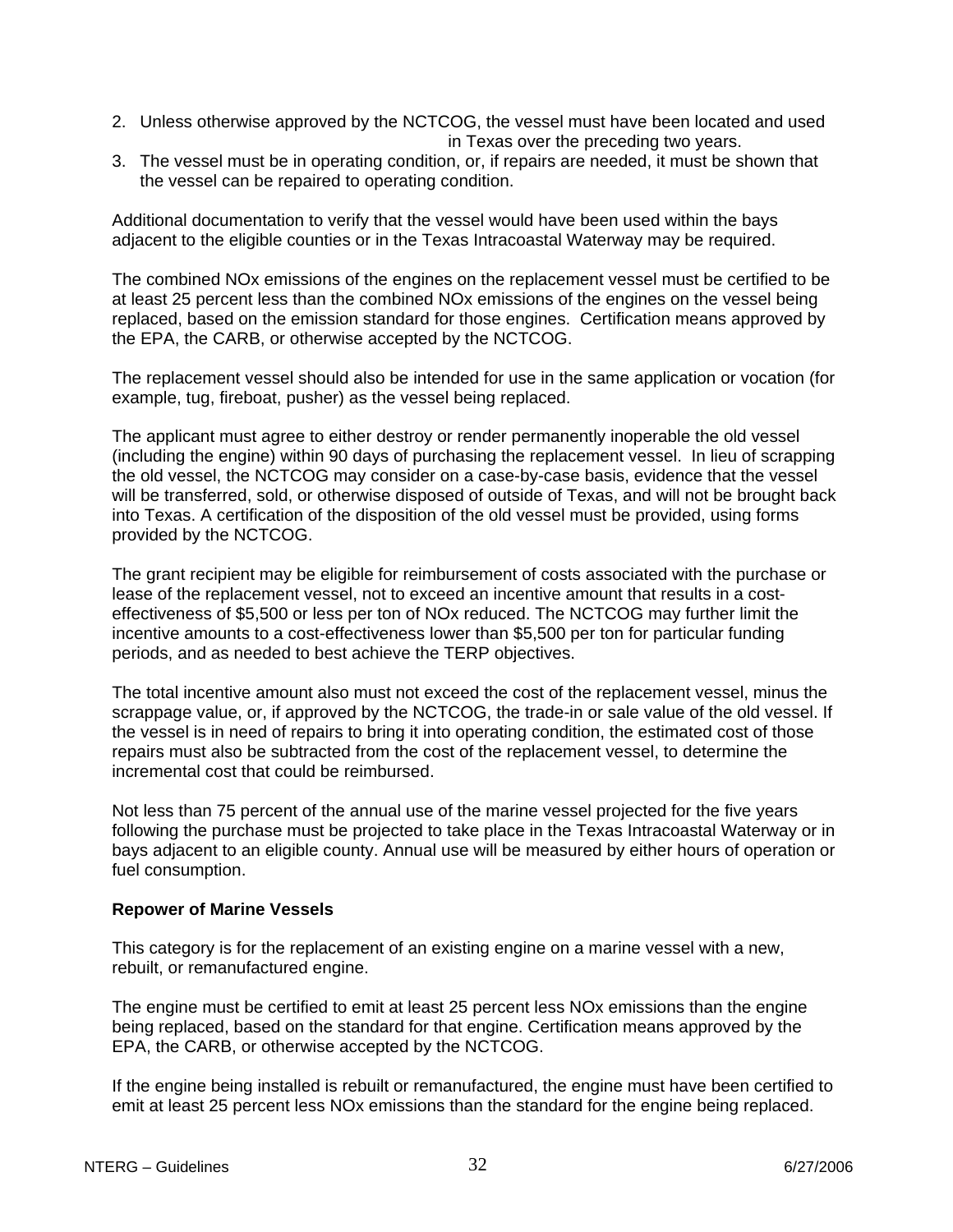- 2. Unless otherwise approved by the NCTCOG, the vessel must have been located and used in Texas over the preceding two years.
- 3. The vessel must be in operating condition, or, if repairs are needed, it must be shown that the vessel can be repaired to operating condition.

Additional documentation to verify that the vessel would have been used within the bays adjacent to the eligible counties or in the Texas Intracoastal Waterway may be required.

The combined NOx emissions of the engines on the replacement vessel must be certified to be at least 25 percent less than the combined NOx emissions of the engines on the vessel being replaced, based on the emission standard for those engines. Certification means approved by the EPA, the CARB, or otherwise accepted by the NCTCOG.

The replacement vessel should also be intended for use in the same application or vocation (for example, tug, fireboat, pusher) as the vessel being replaced.

The applicant must agree to either destroy or render permanently inoperable the old vessel (including the engine) within 90 days of purchasing the replacement vessel. In lieu of scrapping the old vessel, the NCTCOG may consider on a case-by-case basis, evidence that the vessel will be transferred, sold, or otherwise disposed of outside of Texas, and will not be brought back into Texas. A certification of the disposition of the old vessel must be provided, using forms provided by the NCTCOG.

The grant recipient may be eligible for reimbursement of costs associated with the purchase or lease of the replacement vessel, not to exceed an incentive amount that results in a costeffectiveness of \$5,500 or less per ton of NOx reduced. The NCTCOG may further limit the incentive amounts to a cost-effectiveness lower than \$5,500 per ton for particular funding periods, and as needed to best achieve the TERP objectives.

The total incentive amount also must not exceed the cost of the replacement vessel, minus the scrappage value, or, if approved by the NCTCOG, the trade-in or sale value of the old vessel. If the vessel is in need of repairs to bring it into operating condition, the estimated cost of those repairs must also be subtracted from the cost of the replacement vessel, to determine the incremental cost that could be reimbursed.

Not less than 75 percent of the annual use of the marine vessel projected for the five years following the purchase must be projected to take place in the Texas Intracoastal Waterway or in bays adjacent to an eligible county. Annual use will be measured by either hours of operation or fuel consumption.

#### **Repower of Marine Vessels**

This category is for the replacement of an existing engine on a marine vessel with a new, rebuilt, or remanufactured engine.

The engine must be certified to emit at least 25 percent less NOx emissions than the engine being replaced, based on the standard for that engine. Certification means approved by the EPA, the CARB, or otherwise accepted by the NCTCOG.

If the engine being installed is rebuilt or remanufactured, the engine must have been certified to emit at least 25 percent less NOx emissions than the standard for the engine being replaced.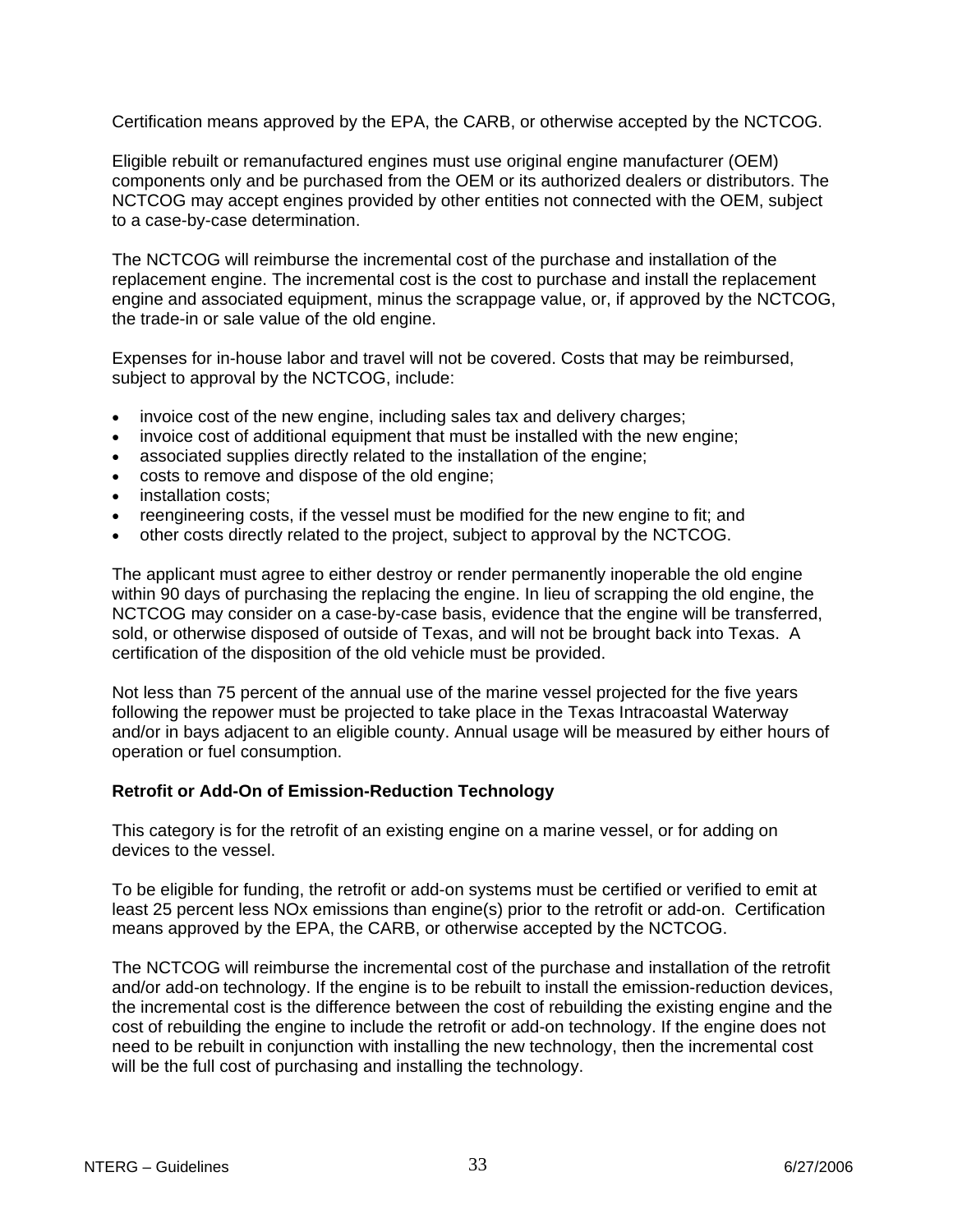Certification means approved by the EPA, the CARB, or otherwise accepted by the NCTCOG.

Eligible rebuilt or remanufactured engines must use original engine manufacturer (OEM) components only and be purchased from the OEM or its authorized dealers or distributors. The NCTCOG may accept engines provided by other entities not connected with the OEM, subject to a case-by-case determination.

The NCTCOG will reimburse the incremental cost of the purchase and installation of the replacement engine. The incremental cost is the cost to purchase and install the replacement engine and associated equipment, minus the scrappage value, or, if approved by the NCTCOG, the trade-in or sale value of the old engine.

Expenses for in-house labor and travel will not be covered. Costs that may be reimbursed, subject to approval by the NCTCOG, include:

- invoice cost of the new engine, including sales tax and delivery charges;
- invoice cost of additional equipment that must be installed with the new engine;
- associated supplies directly related to the installation of the engine;
- costs to remove and dispose of the old engine;
- installation costs;
- reengineering costs, if the vessel must be modified for the new engine to fit; and
- other costs directly related to the project, subject to approval by the NCTCOG.

The applicant must agree to either destroy or render permanently inoperable the old engine within 90 days of purchasing the replacing the engine. In lieu of scrapping the old engine, the NCTCOG may consider on a case-by-case basis, evidence that the engine will be transferred, sold, or otherwise disposed of outside of Texas, and will not be brought back into Texas. A certification of the disposition of the old vehicle must be provided.

Not less than 75 percent of the annual use of the marine vessel projected for the five years following the repower must be projected to take place in the Texas Intracoastal Waterway and/or in bays adjacent to an eligible county. Annual usage will be measured by either hours of operation or fuel consumption.

### **Retrofit or Add-On of Emission-Reduction Technology**

This category is for the retrofit of an existing engine on a marine vessel, or for adding on devices to the vessel.

To be eligible for funding, the retrofit or add-on systems must be certified or verified to emit at least 25 percent less NOx emissions than engine(s) prior to the retrofit or add-on. Certification means approved by the EPA, the CARB, or otherwise accepted by the NCTCOG.

The NCTCOG will reimburse the incremental cost of the purchase and installation of the retrofit and/or add-on technology. If the engine is to be rebuilt to install the emission-reduction devices, the incremental cost is the difference between the cost of rebuilding the existing engine and the cost of rebuilding the engine to include the retrofit or add-on technology. If the engine does not need to be rebuilt in conjunction with installing the new technology, then the incremental cost will be the full cost of purchasing and installing the technology.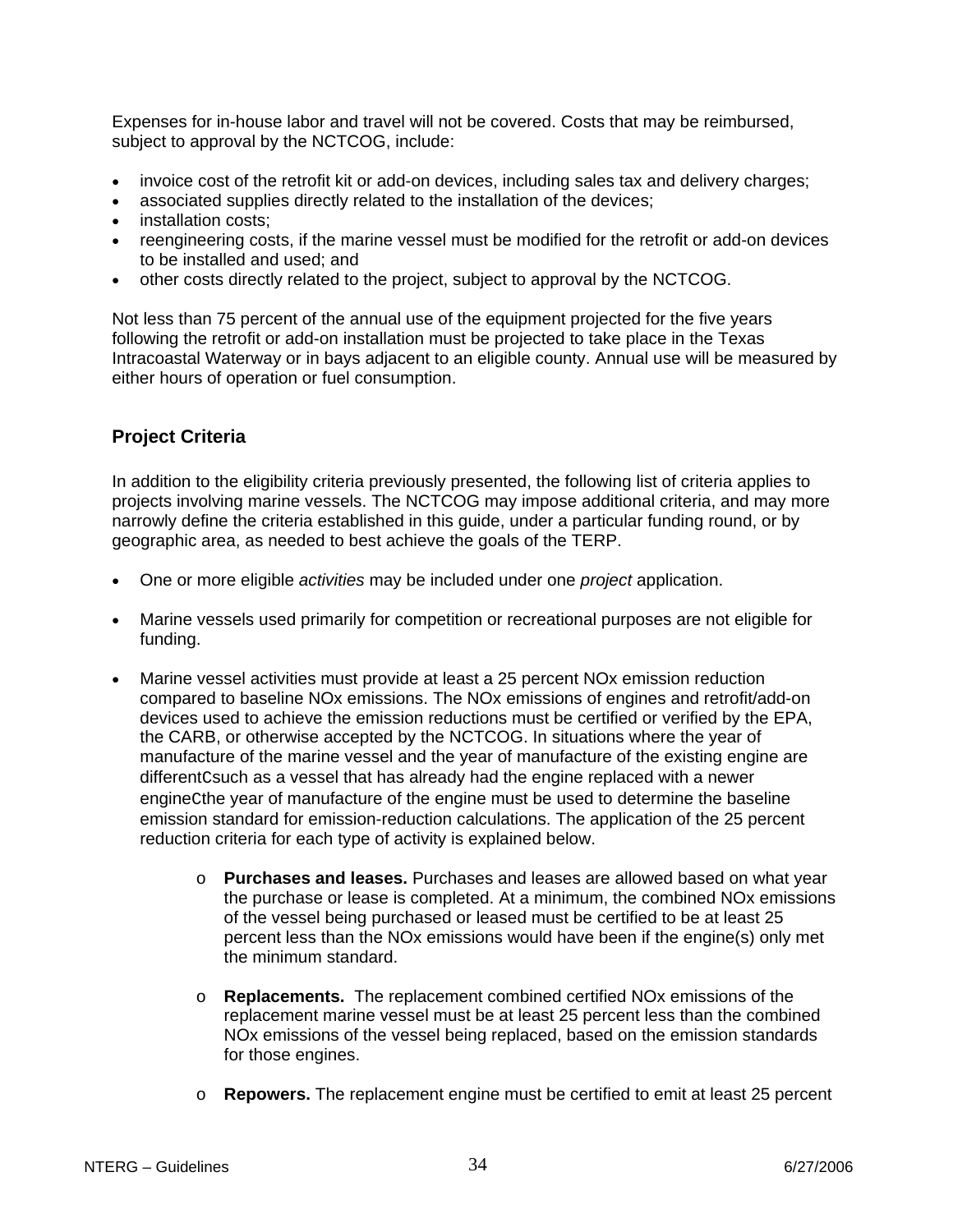<span id="page-33-0"></span>Expenses for in-house labor and travel will not be covered. Costs that may be reimbursed, subject to approval by the NCTCOG, include:

- invoice cost of the retrofit kit or add-on devices, including sales tax and delivery charges;
- associated supplies directly related to the installation of the devices;
- installation costs;
- reengineering costs, if the marine vessel must be modified for the retrofit or add-on devices to be installed and used; and
- other costs directly related to the project, subject to approval by the NCTCOG.

Not less than 75 percent of the annual use of the equipment projected for the five years following the retrofit or add-on installation must be projected to take place in the Texas Intracoastal Waterway or in bays adjacent to an eligible county. Annual use will be measured by either hours of operation or fuel consumption.

## **Project Criteria**

In addition to the eligibility criteria previously presented, the following list of criteria applies to projects involving marine vessels. The NCTCOG may impose additional criteria, and may more narrowly define the criteria established in this guide, under a particular funding round, or by geographic area, as needed to best achieve the goals of the TERP.

- One or more eligible *activities* may be included under one *project* application.
- Marine vessels used primarily for competition or recreational purposes are not eligible for funding.
- Marine vessel activities must provide at least a 25 percent NOx emission reduction compared to baseline NOx emissions. The NOx emissions of engines and retrofit/add-on devices used to achieve the emission reductions must be certified or verified by the EPA, the CARB, or otherwise accepted by the NCTCOG. In situations where the year of manufacture of the marine vessel and the year of manufacture of the existing engine are differentCsuch as a vessel that has already had the engine replaced with a newer engineCthe year of manufacture of the engine must be used to determine the baseline emission standard for emission-reduction calculations. The application of the 25 percent reduction criteria for each type of activity is explained below.
	- o **Purchases and leases.** Purchases and leases are allowed based on what year the purchase or lease is completed. At a minimum, the combined NOx emissions of the vessel being purchased or leased must be certified to be at least 25 percent less than the NOx emissions would have been if the engine(s) only met the minimum standard.
	- o **Replacements.** The replacement combined certified NOx emissions of the replacement marine vessel must be at least 25 percent less than the combined NOx emissions of the vessel being replaced, based on the emission standards for those engines.
	- o **Repowers.** The replacement engine must be certified to emit at least 25 percent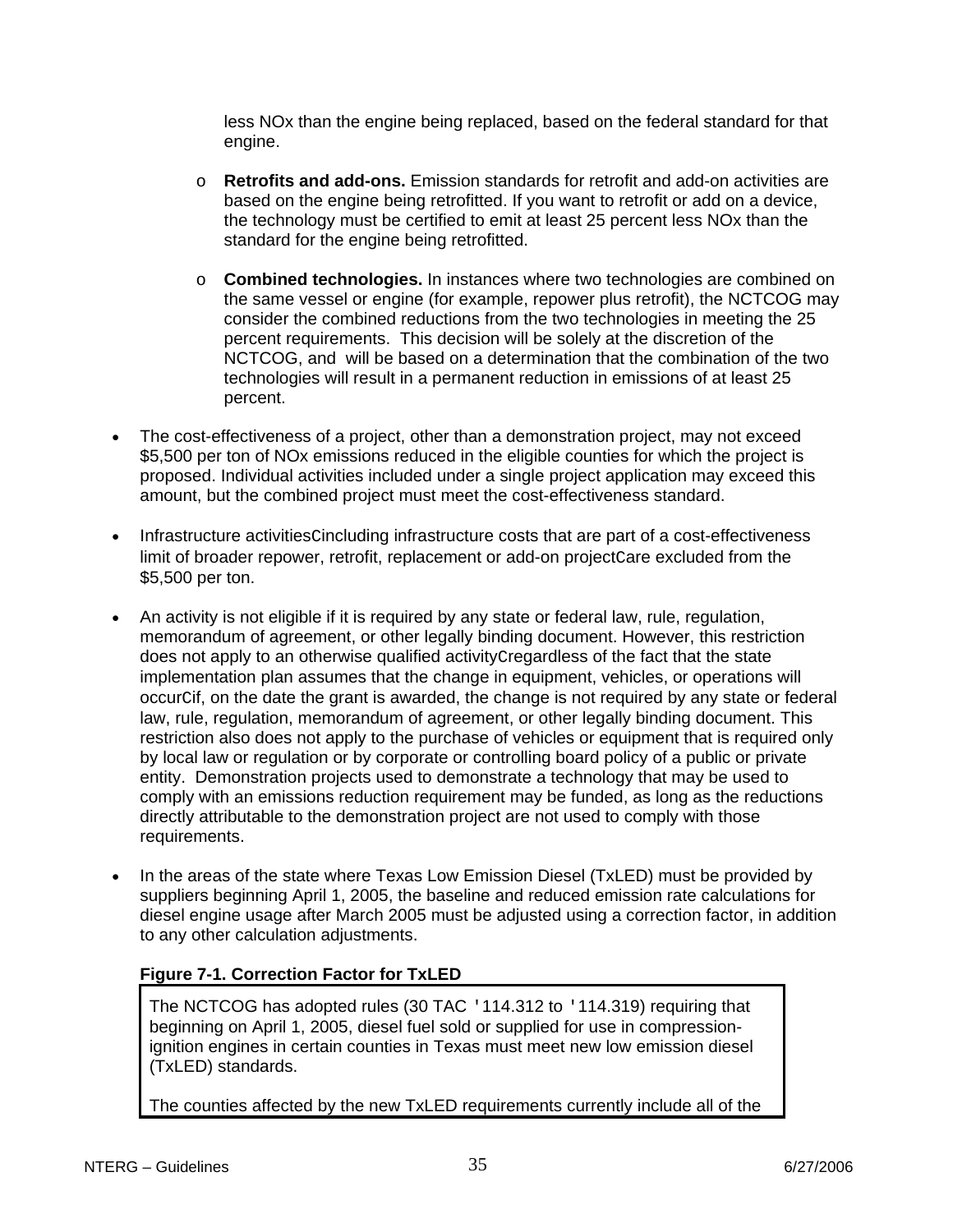less NOx than the engine being replaced, based on the federal standard for that engine.

- o **Retrofits and add-ons.** Emission standards for retrofit and add-on activities are based on the engine being retrofitted. If you want to retrofit or add on a device, the technology must be certified to emit at least 25 percent less NOx than the standard for the engine being retrofitted.
- o **Combined technologies.** In instances where two technologies are combined on the same vessel or engine (for example, repower plus retrofit), the NCTCOG may consider the combined reductions from the two technologies in meeting the 25 percent requirements. This decision will be solely at the discretion of the NCTCOG, and will be based on a determination that the combination of the two technologies will result in a permanent reduction in emissions of at least 25 percent.
- The cost-effectiveness of a project, other than a demonstration project, may not exceed \$5,500 per ton of NOx emissions reduced in the eligible counties for which the project is proposed. Individual activities included under a single project application may exceed this amount, but the combined project must meet the cost-effectiveness standard.
- Infrastructure activitiesCincluding infrastructure costs that are part of a cost-effectiveness limit of broader repower, retrofit, replacement or add-on project Care excluded from the \$5,500 per ton.
- An activity is not eligible if it is required by any state or federal law, rule, regulation, memorandum of agreement, or other legally binding document. However, this restriction does not apply to an otherwise qualified activityCregardless of the fact that the state implementation plan assumes that the change in equipment, vehicles, or operations will occurCif, on the date the grant is awarded, the change is not required by any state or federal law, rule, regulation, memorandum of agreement, or other legally binding document. This restriction also does not apply to the purchase of vehicles or equipment that is required only by local law or regulation or by corporate or controlling board policy of a public or private entity. Demonstration projects used to demonstrate a technology that may be used to comply with an emissions reduction requirement may be funded, as long as the reductions directly attributable to the demonstration project are not used to comply with those requirements.
- In the areas of the state where Texas Low Emission Diesel (TxLED) must be provided by suppliers beginning April 1, 2005, the baseline and reduced emission rate calculations for diesel engine usage after March 2005 must be adjusted using a correction factor, in addition to any other calculation adjustments.

## **Figure 7-1. Correction Factor for TxLED**

The NCTCOG has adopted rules (30 TAC '114.312 to '114.319) requiring that beginning on April 1, 2005, diesel fuel sold or supplied for use in compressionignition engines in certain counties in Texas must meet new low emission diesel (TxLED) standards.

The counties affected by the new TxLED requirements currently include all of the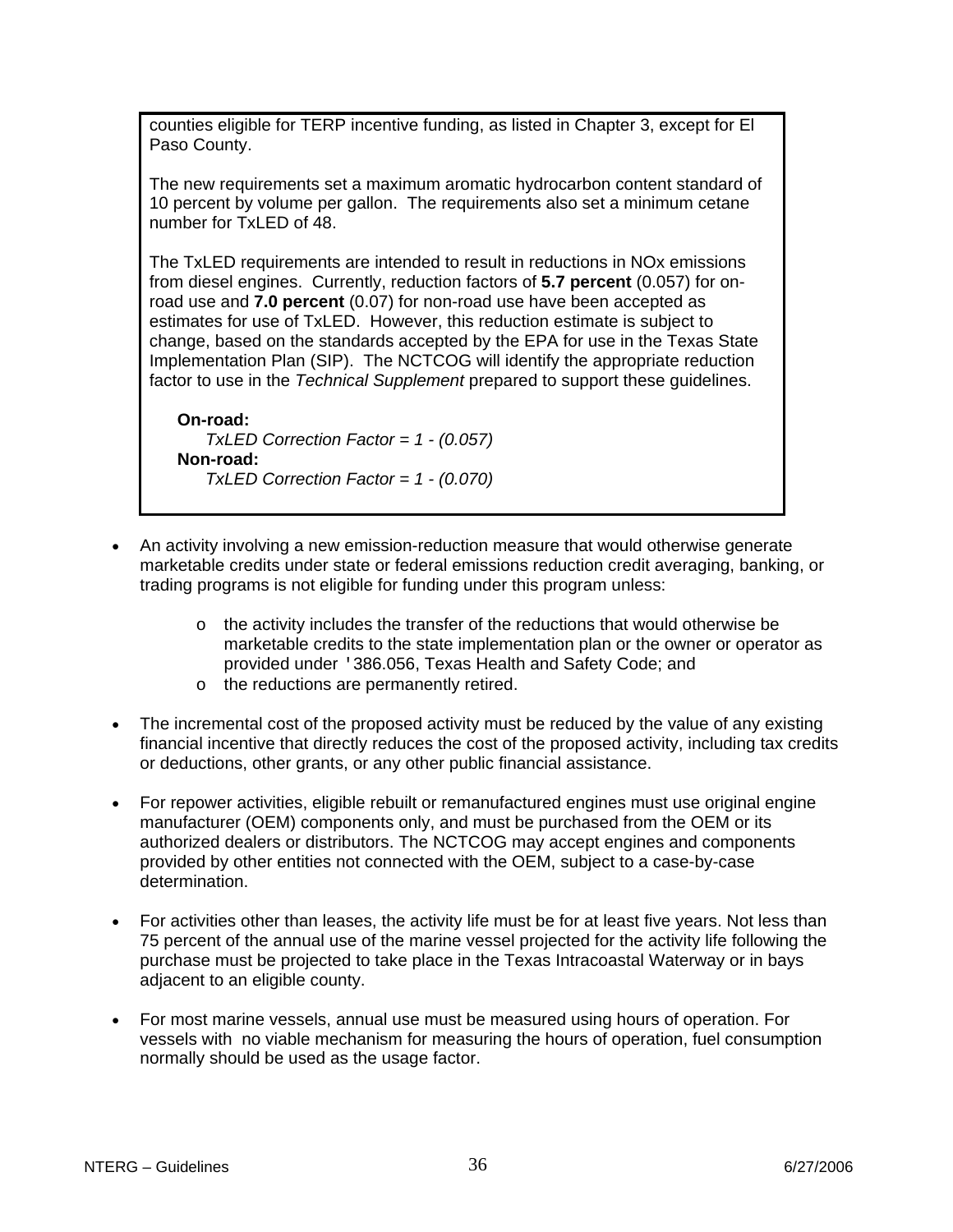counties eligible for TERP incentive funding, as listed in Chapter 3, except for El Paso County.

The new requirements set a maximum aromatic hydrocarbon content standard of 10 percent by volume per gallon. The requirements also set a minimum cetane number for TxLED of 48.

The TxLED requirements are intended to result in reductions in NOx emissions from diesel engines. Currently, reduction factors of **5.7 percent** (0.057) for onroad use and **7.0 percent** (0.07) for non-road use have been accepted as estimates for use of TxLED. However, this reduction estimate is subject to change, based on the standards accepted by the EPA for use in the Texas State Implementation Plan (SIP). The NCTCOG will identify the appropriate reduction factor to use in the *Technical Supplement* prepared to support these guidelines.

**On-road:** *TxLED Correction Factor = 1 - (0.057)* **Non-road:** *TxLED Correction Factor = 1 - (0.070)*

- An activity involving a new emission-reduction measure that would otherwise generate marketable credits under state or federal emissions reduction credit averaging, banking, or trading programs is not eligible for funding under this program unless:
	- $\circ$  the activity includes the transfer of the reductions that would otherwise be marketable credits to the state implementation plan or the owner or operator as provided under '386.056, Texas Health and Safety Code; and
	- o the reductions are permanently retired.
- The incremental cost of the proposed activity must be reduced by the value of any existing financial incentive that directly reduces the cost of the proposed activity, including tax credits or deductions, other grants, or any other public financial assistance.
- For repower activities, eligible rebuilt or remanufactured engines must use original engine manufacturer (OEM) components only, and must be purchased from the OEM or its authorized dealers or distributors. The NCTCOG may accept engines and components provided by other entities not connected with the OEM, subject to a case-by-case determination.
- For activities other than leases, the activity life must be for at least five years. Not less than 75 percent of the annual use of the marine vessel projected for the activity life following the purchase must be projected to take place in the Texas Intracoastal Waterway or in bays adjacent to an eligible county.
- For most marine vessels, annual use must be measured using hours of operation. For vessels with no viable mechanism for measuring the hours of operation, fuel consumption normally should be used as the usage factor.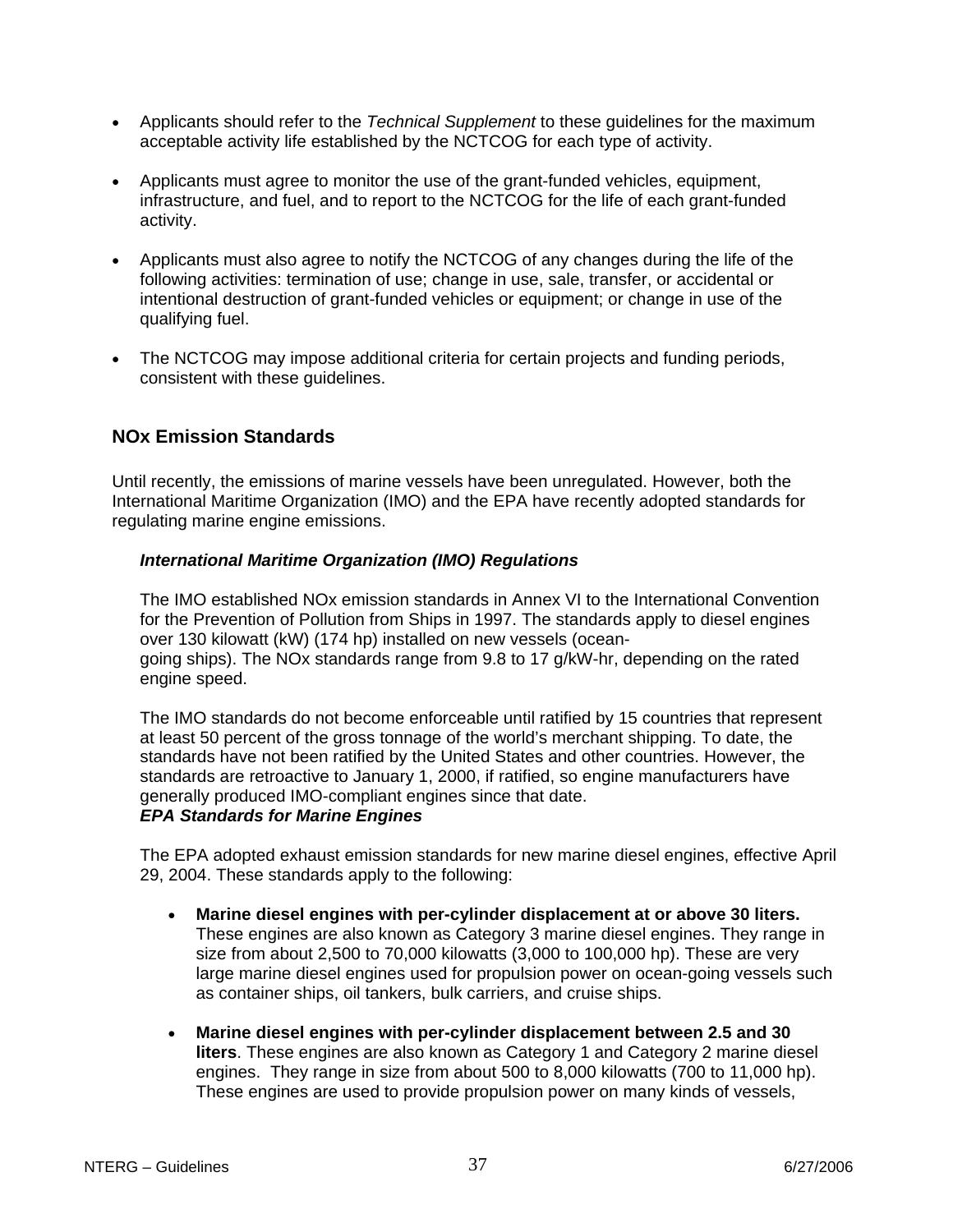- Applicants should refer to the *Technical Supplement* to these guidelines for the maximum acceptable activity life established by the NCTCOG for each type of activity.
- Applicants must agree to monitor the use of the grant-funded vehicles, equipment, infrastructure, and fuel, and to report to the NCTCOG for the life of each grant-funded activity.
- Applicants must also agree to notify the NCTCOG of any changes during the life of the following activities: termination of use; change in use, sale, transfer, or accidental or intentional destruction of grant-funded vehicles or equipment; or change in use of the qualifying fuel.
- The NCTCOG may impose additional criteria for certain projects and funding periods, consistent with these guidelines.

# **NOx Emission Standards**

Until recently, the emissions of marine vessels have been unregulated. However, both the International Maritime Organization (IMO) and the EPA have recently adopted standards for regulating marine engine emissions.

#### *International Maritime Organization (IMO) Regulations*

The IMO established NOx emission standards in Annex VI to the International Convention for the Prevention of Pollution from Ships in 1997. The standards apply to diesel engines over 130 kilowatt (kW) (174 hp) installed on new vessels (oceangoing ships). The NOx standards range from 9.8 to 17 g/kW-hr, depending on the rated engine speed.

The IMO standards do not become enforceable until ratified by 15 countries that represent at least 50 percent of the gross tonnage of the world's merchant shipping. To date, the standards have not been ratified by the United States and other countries. However, the standards are retroactive to January 1, 2000, if ratified, so engine manufacturers have generally produced IMO-compliant engines since that date.

#### *EPA Standards for Marine Engines*

The EPA adopted exhaust emission standards for new marine diesel engines, effective April 29, 2004. These standards apply to the following:

- **Marine diesel engines with per-cylinder displacement at or above 30 liters.** These engines are also known as Category 3 marine diesel engines. They range in size from about 2,500 to 70,000 kilowatts (3,000 to 100,000 hp). These are very large marine diesel engines used for propulsion power on ocean-going vessels such as container ships, oil tankers, bulk carriers, and cruise ships.
- **Marine diesel engines with per-cylinder displacement between 2.5 and 30 liters**. These engines are also known as Category 1 and Category 2 marine diesel engines. They range in size from about 500 to 8,000 kilowatts (700 to 11,000 hp). These engines are used to provide propulsion power on many kinds of vessels,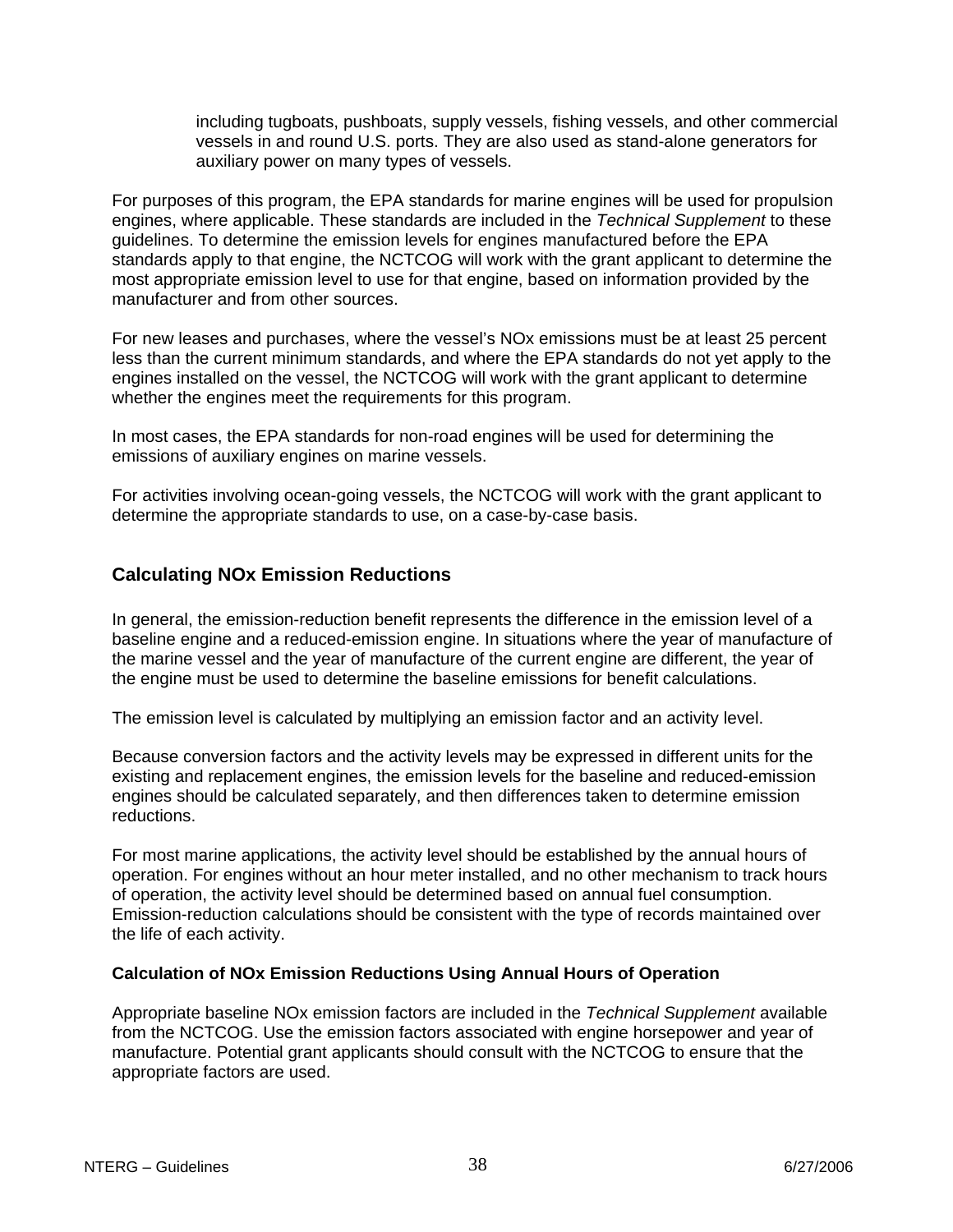including tugboats, pushboats, supply vessels, fishing vessels, and other commercial vessels in and round U.S. ports. They are also used as stand-alone generators for auxiliary power on many types of vessels.

For purposes of this program, the EPA standards for marine engines will be used for propulsion engines, where applicable. These standards are included in the *Technical Supplement* to these guidelines. To determine the emission levels for engines manufactured before the EPA standards apply to that engine, the NCTCOG will work with the grant applicant to determine the most appropriate emission level to use for that engine, based on information provided by the manufacturer and from other sources.

For new leases and purchases, where the vessel's NOx emissions must be at least 25 percent less than the current minimum standards, and where the EPA standards do not yet apply to the engines installed on the vessel, the NCTCOG will work with the grant applicant to determine whether the engines meet the requirements for this program.

In most cases, the EPA standards for non-road engines will be used for determining the emissions of auxiliary engines on marine vessels.

For activities involving ocean-going vessels, the NCTCOG will work with the grant applicant to determine the appropriate standards to use, on a case-by-case basis.

### **Calculating NOx Emission Reductions**

In general, the emission-reduction benefit represents the difference in the emission level of a baseline engine and a reduced-emission engine. In situations where the year of manufacture of the marine vessel and the year of manufacture of the current engine are different, the year of the engine must be used to determine the baseline emissions for benefit calculations.

The emission level is calculated by multiplying an emission factor and an activity level.

Because conversion factors and the activity levels may be expressed in different units for the existing and replacement engines, the emission levels for the baseline and reduced-emission engines should be calculated separately, and then differences taken to determine emission reductions.

For most marine applications, the activity level should be established by the annual hours of operation. For engines without an hour meter installed, and no other mechanism to track hours of operation, the activity level should be determined based on annual fuel consumption. Emission-reduction calculations should be consistent with the type of records maintained over the life of each activity.

#### **Calculation of NOx Emission Reductions Using Annual Hours of Operation**

Appropriate baseline NOx emission factors are included in the *Technical Supplement* available from the NCTCOG. Use the emission factors associated with engine horsepower and year of manufacture. Potential grant applicants should consult with the NCTCOG to ensure that the appropriate factors are used.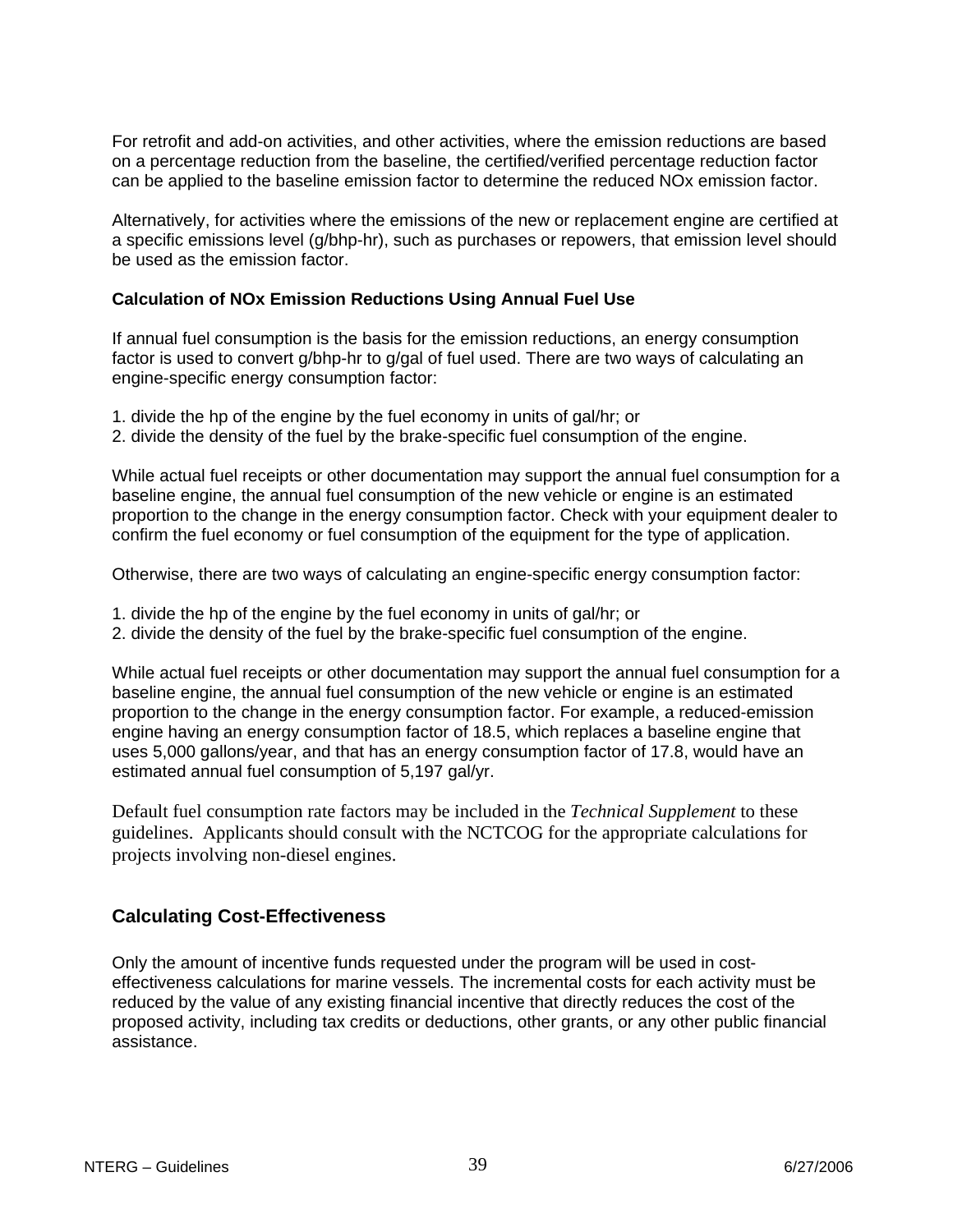For retrofit and add-on activities, and other activities, where the emission reductions are based on a percentage reduction from the baseline, the certified/verified percentage reduction factor can be applied to the baseline emission factor to determine the reduced NOx emission factor.

Alternatively, for activities where the emissions of the new or replacement engine are certified at a specific emissions level (g/bhp-hr), such as purchases or repowers, that emission level should be used as the emission factor.

#### **Calculation of NOx Emission Reductions Using Annual Fuel Use**

If annual fuel consumption is the basis for the emission reductions, an energy consumption factor is used to convert g/bhp-hr to g/gal of fuel used. There are two ways of calculating an engine-specific energy consumption factor:

- 1. divide the hp of the engine by the fuel economy in units of gal/hr; or
- 2. divide the density of the fuel by the brake-specific fuel consumption of the engine.

While actual fuel receipts or other documentation may support the annual fuel consumption for a baseline engine, the annual fuel consumption of the new vehicle or engine is an estimated proportion to the change in the energy consumption factor. Check with your equipment dealer to confirm the fuel economy or fuel consumption of the equipment for the type of application.

Otherwise, there are two ways of calculating an engine-specific energy consumption factor:

- 1. divide the hp of the engine by the fuel economy in units of gal/hr; or
- 2. divide the density of the fuel by the brake-specific fuel consumption of the engine.

While actual fuel receipts or other documentation may support the annual fuel consumption for a baseline engine, the annual fuel consumption of the new vehicle or engine is an estimated proportion to the change in the energy consumption factor. For example, a reduced-emission engine having an energy consumption factor of 18.5, which replaces a baseline engine that uses 5,000 gallons/year, and that has an energy consumption factor of 17.8, would have an estimated annual fuel consumption of 5,197 gal/yr.

Default fuel consumption rate factors may be included in the *Technical Supplement* to these guidelines. Applicants should consult with the NCTCOG for the appropriate calculations for projects involving non-diesel engines.

#### **Calculating Cost-Effectiveness**

Only the amount of incentive funds requested under the program will be used in costeffectiveness calculations for marine vessels. The incremental costs for each activity must be reduced by the value of any existing financial incentive that directly reduces the cost of the proposed activity, including tax credits or deductions, other grants, or any other public financial assistance.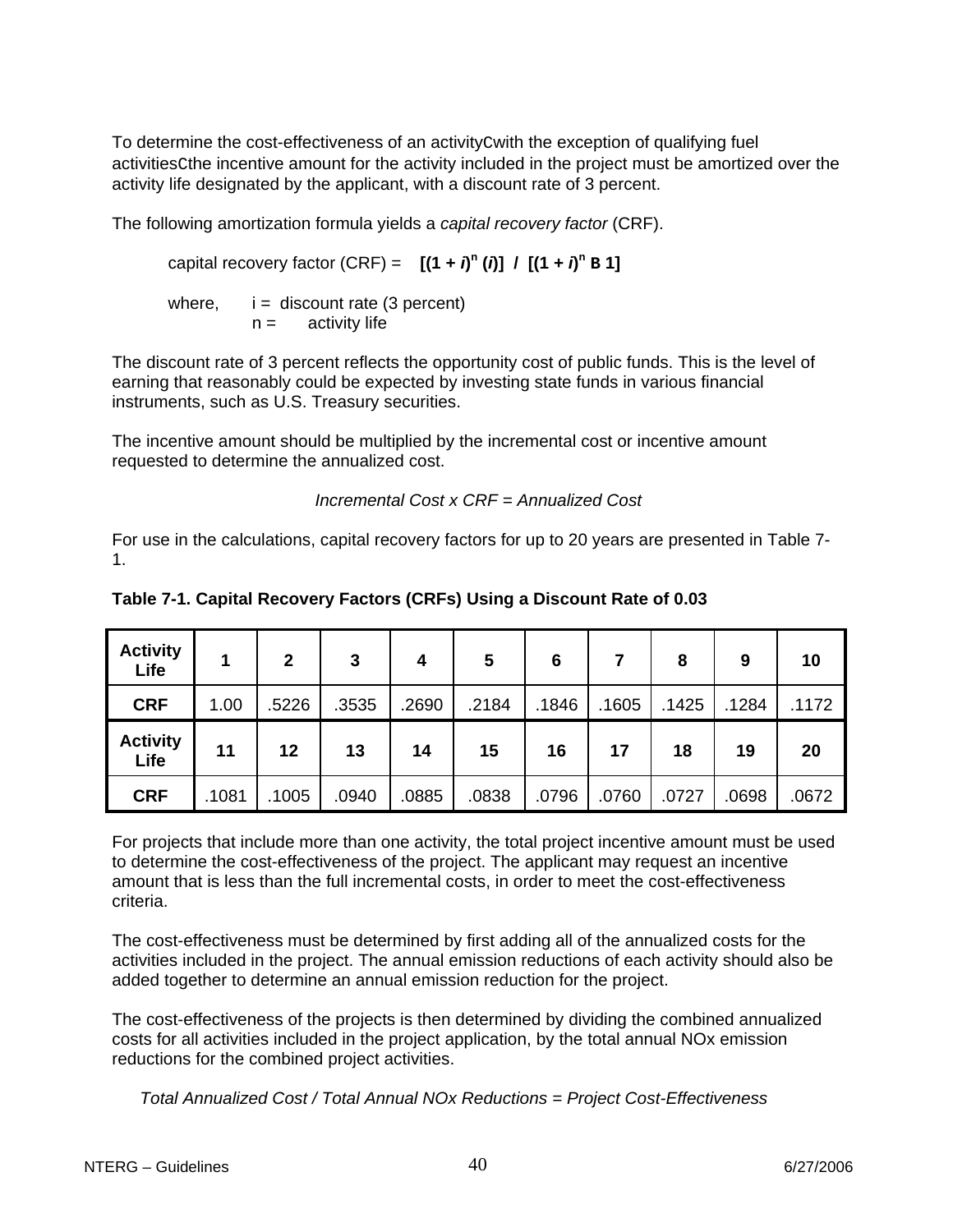To determine the cost-effectiveness of an activityCwith the exception of qualifying fuel activitiesCthe incentive amount for the activity included in the project must be amortized over the activity life designated by the applicant, with a discount rate of 3 percent.

The following amortization formula yields a *capital recovery factor* (CRF).

capital recovery factor (CRF) =  $[(1 + i)^n(i)] / [(1 + i)^n B]$ 

where,  $i =$  discount rate (3 percent)  $n =$  activity life

The discount rate of 3 percent reflects the opportunity cost of public funds. This is the level of earning that reasonably could be expected by investing state funds in various financial instruments, such as U.S. Treasury securities.

The incentive amount should be multiplied by the incremental cost or incentive amount requested to determine the annualized cost.

 *Incremental Cost x CRF = Annualized Cost*

For use in the calculations, capital recovery factors for up to 20 years are presented in Table 7- 1.

| <b>Activity</b><br>Life |      | $\overline{2}$ | 3     | 4     | 5     | 6     |       | 8     | 9     | 10    |
|-------------------------|------|----------------|-------|-------|-------|-------|-------|-------|-------|-------|
| <b>CRF</b>              | 1.00 | 5226           | .3535 | .2690 | .2184 | .1846 | .1605 | .1425 | .1284 | .1172 |
| <b>Activity</b>         | 11   | 12             | 13    | 14    | 15    | 16    | 17    | 18    | 19    | 20    |
| Life                    |      |                |       |       |       |       |       |       |       |       |

**Table 7-1. Capital Recovery Factors (CRFs) Using a Discount Rate of 0.03** 

For projects that include more than one activity, the total project incentive amount must be used to determine the cost-effectiveness of the project. The applicant may request an incentive amount that is less than the full incremental costs, in order to meet the cost-effectiveness criteria.

The cost-effectiveness must be determined by first adding all of the annualized costs for the activities included in the project. The annual emission reductions of each activity should also be added together to determine an annual emission reduction for the project.

The cost-effectiveness of the projects is then determined by dividing the combined annualized costs for all activities included in the project application, by the total annual NOx emission reductions for the combined project activities.

*Total Annualized Cost / Total Annual NOx Reductions = Project Cost-Effectiveness*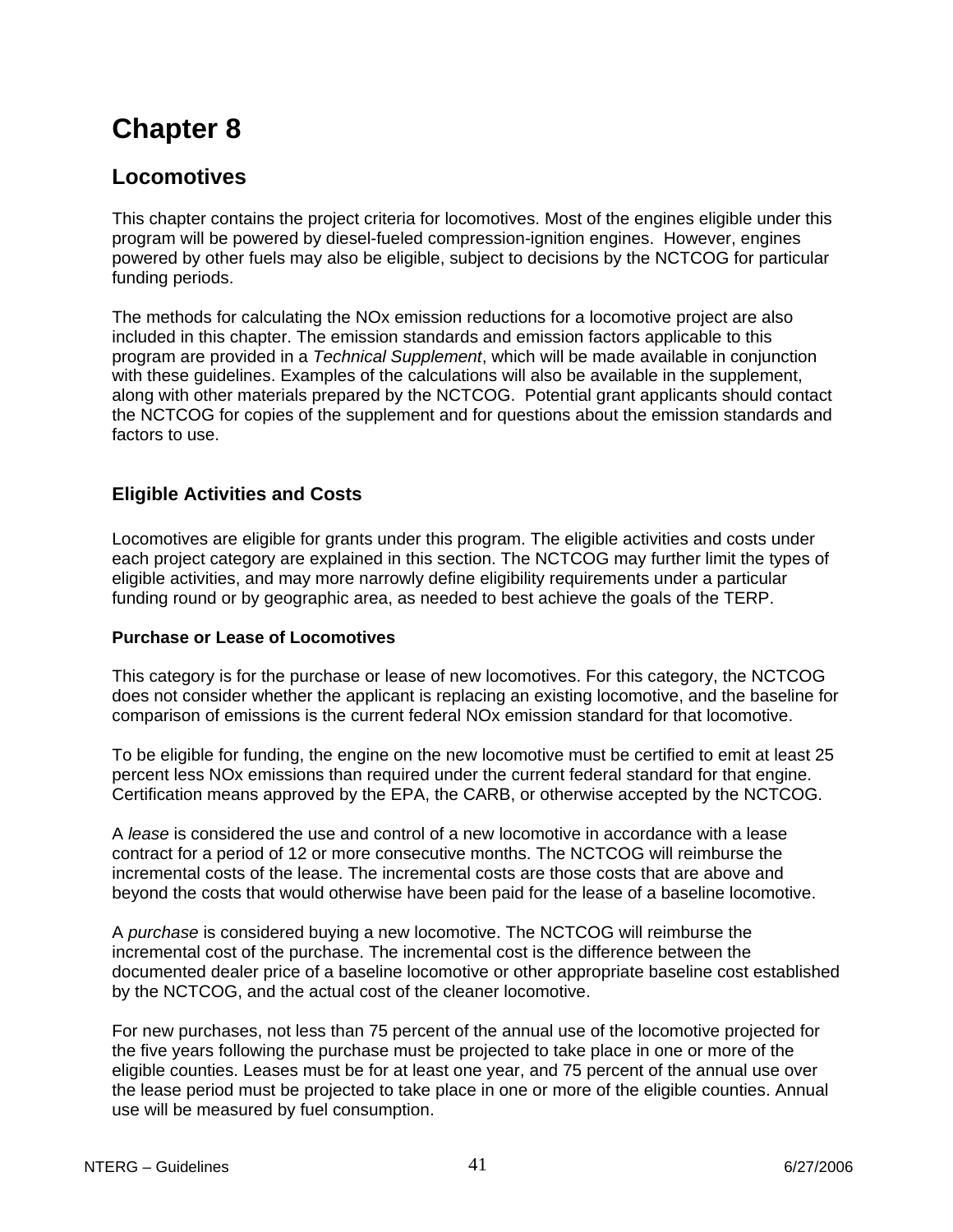# **Chapter 8**

# **Locomotives**

This chapter contains the project criteria for locomotives. Most of the engines eligible under this program will be powered by diesel-fueled compression-ignition engines. However, engines powered by other fuels may also be eligible, subject to decisions by the NCTCOG for particular funding periods.

The methods for calculating the NOx emission reductions for a locomotive project are also included in this chapter. The emission standards and emission factors applicable to this program are provided in a *Technical Supplement*, which will be made available in conjunction with these guidelines. Examples of the calculations will also be available in the supplement, along with other materials prepared by the NCTCOG. Potential grant applicants should contact the NCTCOG for copies of the supplement and for questions about the emission standards and factors to use.

# **Eligible Activities and Costs**

Locomotives are eligible for grants under this program. The eligible activities and costs under each project category are explained in this section. The NCTCOG may further limit the types of eligible activities, and may more narrowly define eligibility requirements under a particular funding round or by geographic area, as needed to best achieve the goals of the TERP.

#### **Purchase or Lease of Locomotives**

This category is for the purchase or lease of new locomotives. For this category, the NCTCOG does not consider whether the applicant is replacing an existing locomotive, and the baseline for comparison of emissions is the current federal NOx emission standard for that locomotive.

To be eligible for funding, the engine on the new locomotive must be certified to emit at least 25 percent less NOx emissions than required under the current federal standard for that engine. Certification means approved by the EPA, the CARB, or otherwise accepted by the NCTCOG.

A *lease* is considered the use and control of a new locomotive in accordance with a lease contract for a period of 12 or more consecutive months. The NCTCOG will reimburse the incremental costs of the lease. The incremental costs are those costs that are above and beyond the costs that would otherwise have been paid for the lease of a baseline locomotive.

A *purchase* is considered buying a new locomotive. The NCTCOG will reimburse the incremental cost of the purchase. The incremental cost is the difference between the documented dealer price of a baseline locomotive or other appropriate baseline cost established by the NCTCOG, and the actual cost of the cleaner locomotive.

For new purchases, not less than 75 percent of the annual use of the locomotive projected for the five years following the purchase must be projected to take place in one or more of the eligible counties. Leases must be for at least one year, and 75 percent of the annual use over the lease period must be projected to take place in one or more of the eligible counties. Annual use will be measured by fuel consumption.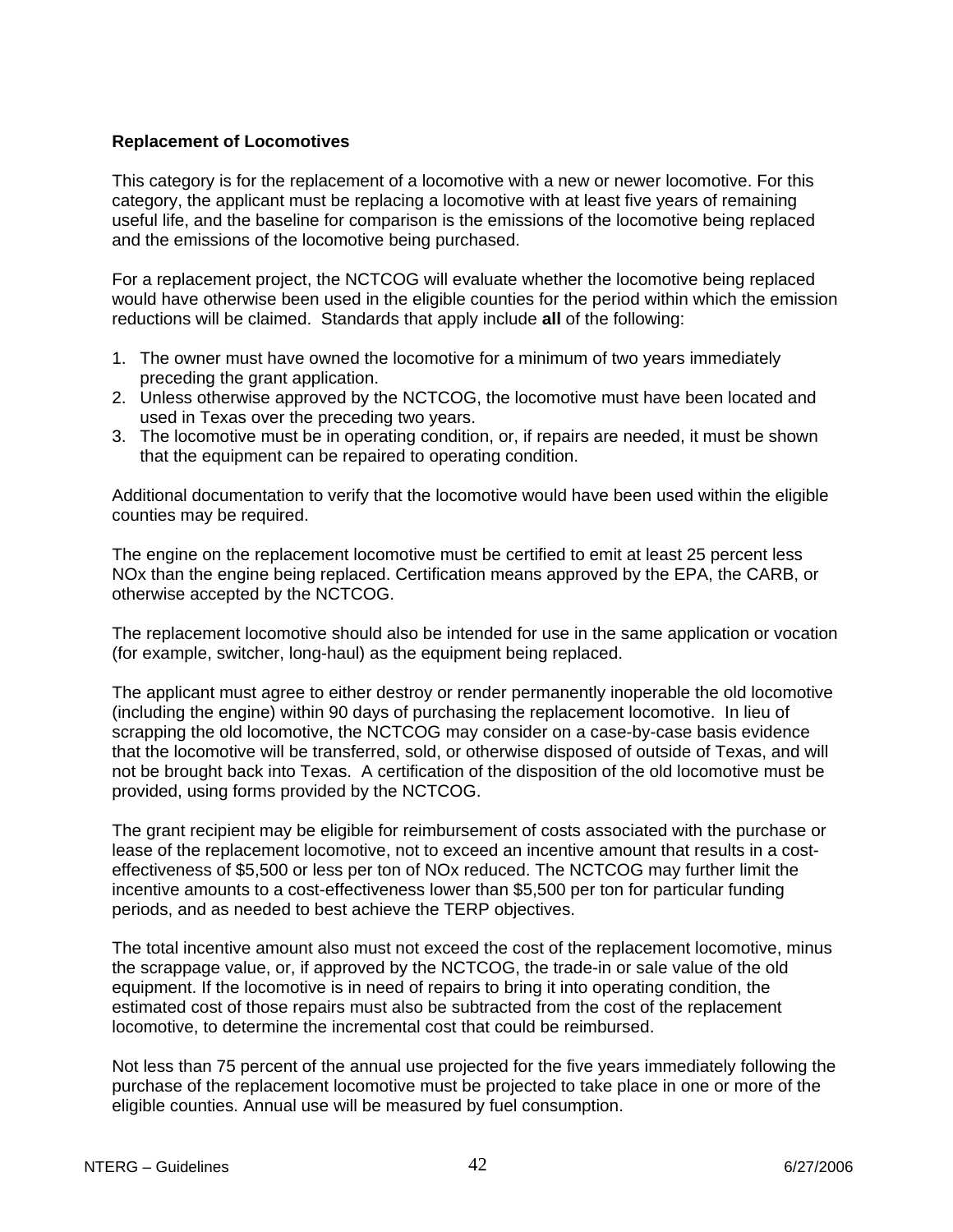#### **Replacement of Locomotives**

This category is for the replacement of a locomotive with a new or newer locomotive. For this category, the applicant must be replacing a locomotive with at least five years of remaining useful life, and the baseline for comparison is the emissions of the locomotive being replaced and the emissions of the locomotive being purchased.

For a replacement project, the NCTCOG will evaluate whether the locomotive being replaced would have otherwise been used in the eligible counties for the period within which the emission reductions will be claimed. Standards that apply include **all** of the following:

- 1. The owner must have owned the locomotive for a minimum of two years immediately preceding the grant application.
- 2. Unless otherwise approved by the NCTCOG, the locomotive must have been located and used in Texas over the preceding two years.
- 3. The locomotive must be in operating condition, or, if repairs are needed, it must be shown that the equipment can be repaired to operating condition.

Additional documentation to verify that the locomotive would have been used within the eligible counties may be required.

The engine on the replacement locomotive must be certified to emit at least 25 percent less NOx than the engine being replaced. Certification means approved by the EPA, the CARB, or otherwise accepted by the NCTCOG.

The replacement locomotive should also be intended for use in the same application or vocation (for example, switcher, long-haul) as the equipment being replaced.

The applicant must agree to either destroy or render permanently inoperable the old locomotive (including the engine) within 90 days of purchasing the replacement locomotive. In lieu of scrapping the old locomotive, the NCTCOG may consider on a case-by-case basis evidence that the locomotive will be transferred, sold, or otherwise disposed of outside of Texas, and will not be brought back into Texas. A certification of the disposition of the old locomotive must be provided, using forms provided by the NCTCOG.

The grant recipient may be eligible for reimbursement of costs associated with the purchase or lease of the replacement locomotive, not to exceed an incentive amount that results in a costeffectiveness of \$5,500 or less per ton of NOx reduced. The NCTCOG may further limit the incentive amounts to a cost-effectiveness lower than \$5,500 per ton for particular funding periods, and as needed to best achieve the TERP objectives.

The total incentive amount also must not exceed the cost of the replacement locomotive, minus the scrappage value, or, if approved by the NCTCOG, the trade-in or sale value of the old equipment. If the locomotive is in need of repairs to bring it into operating condition, the estimated cost of those repairs must also be subtracted from the cost of the replacement locomotive, to determine the incremental cost that could be reimbursed.

Not less than 75 percent of the annual use projected for the five years immediately following the purchase of the replacement locomotive must be projected to take place in one or more of the eligible counties. Annual use will be measured by fuel consumption.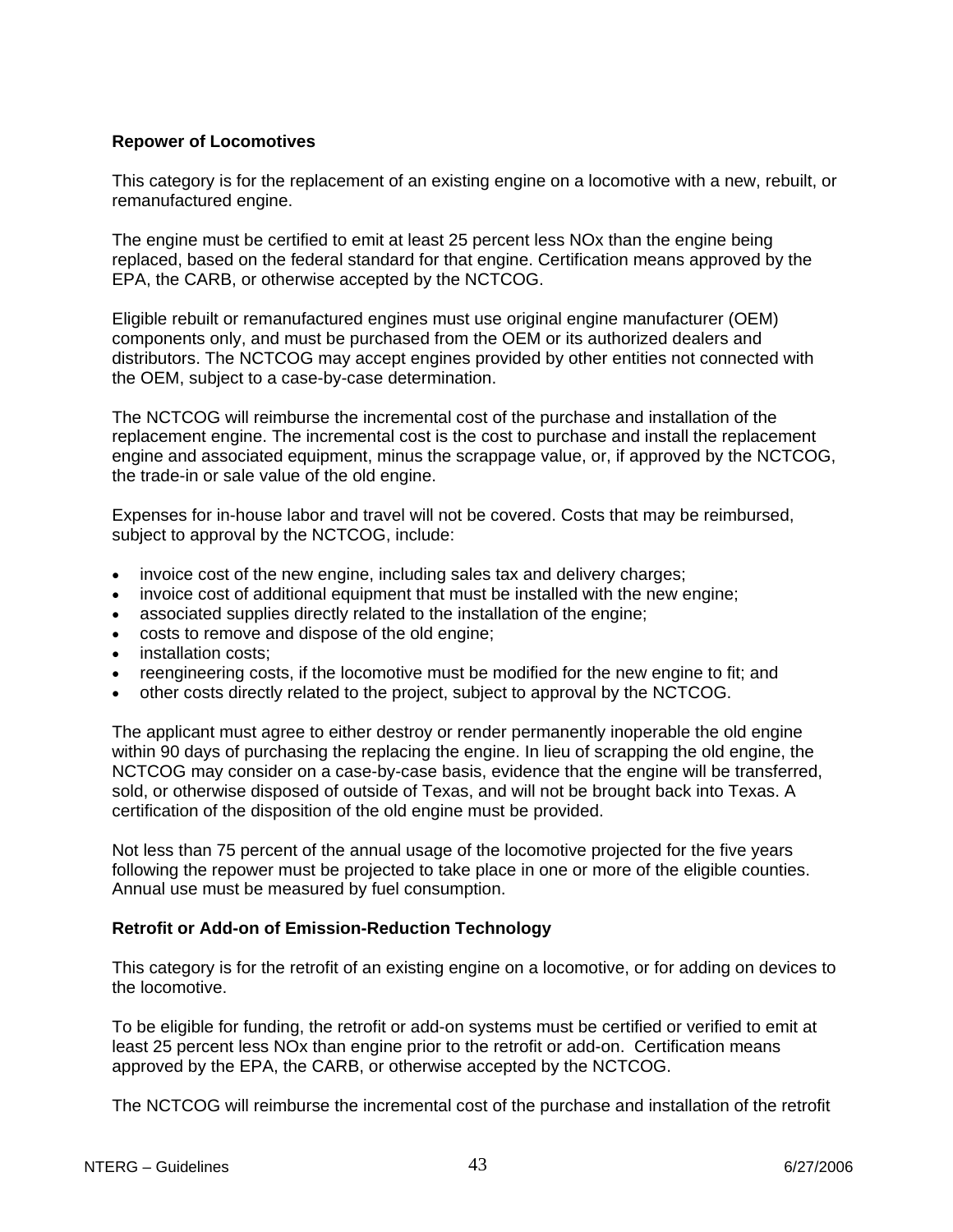#### **Repower of Locomotives**

This category is for the replacement of an existing engine on a locomotive with a new, rebuilt, or remanufactured engine.

The engine must be certified to emit at least 25 percent less NOx than the engine being replaced, based on the federal standard for that engine. Certification means approved by the EPA, the CARB, or otherwise accepted by the NCTCOG.

Eligible rebuilt or remanufactured engines must use original engine manufacturer (OEM) components only, and must be purchased from the OEM or its authorized dealers and distributors. The NCTCOG may accept engines provided by other entities not connected with the OEM, subject to a case-by-case determination.

The NCTCOG will reimburse the incremental cost of the purchase and installation of the replacement engine. The incremental cost is the cost to purchase and install the replacement engine and associated equipment, minus the scrappage value, or, if approved by the NCTCOG, the trade-in or sale value of the old engine.

Expenses for in-house labor and travel will not be covered. Costs that may be reimbursed, subject to approval by the NCTCOG, include:

- invoice cost of the new engine, including sales tax and delivery charges;
- invoice cost of additional equipment that must be installed with the new engine;
- associated supplies directly related to the installation of the engine;
- costs to remove and dispose of the old engine;
- installation costs;
- reengineering costs, if the locomotive must be modified for the new engine to fit; and
- other costs directly related to the project, subject to approval by the NCTCOG.

The applicant must agree to either destroy or render permanently inoperable the old engine within 90 days of purchasing the replacing the engine. In lieu of scrapping the old engine, the NCTCOG may consider on a case-by-case basis, evidence that the engine will be transferred, sold, or otherwise disposed of outside of Texas, and will not be brought back into Texas. A certification of the disposition of the old engine must be provided.

Not less than 75 percent of the annual usage of the locomotive projected for the five years following the repower must be projected to take place in one or more of the eligible counties. Annual use must be measured by fuel consumption.

#### **Retrofit or Add-on of Emission-Reduction Technology**

This category is for the retrofit of an existing engine on a locomotive, or for adding on devices to the locomotive.

To be eligible for funding, the retrofit or add-on systems must be certified or verified to emit at least 25 percent less NOx than engine prior to the retrofit or add-on. Certification means approved by the EPA, the CARB, or otherwise accepted by the NCTCOG.

The NCTCOG will reimburse the incremental cost of the purchase and installation of the retrofit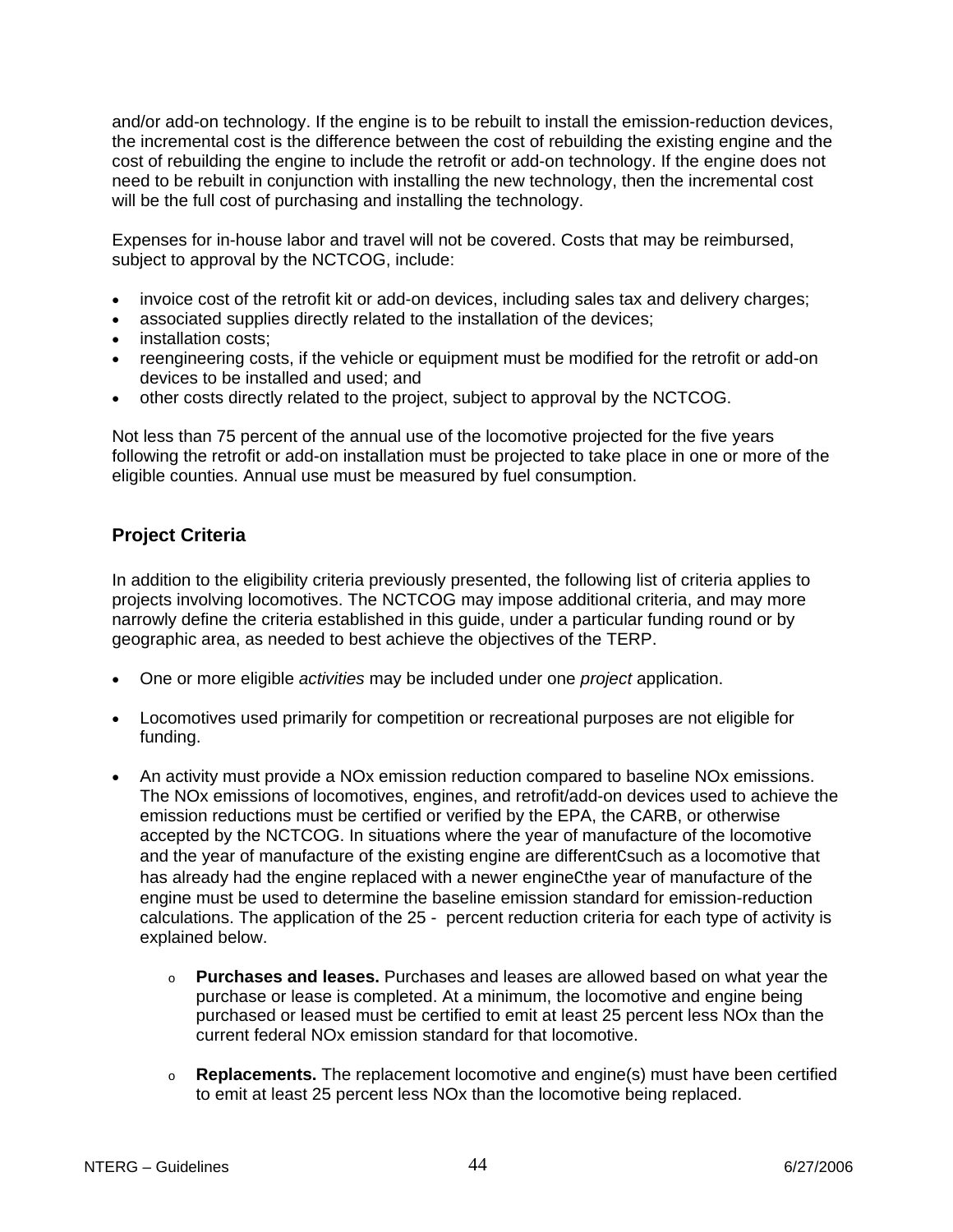and/or add-on technology. If the engine is to be rebuilt to install the emission-reduction devices, the incremental cost is the difference between the cost of rebuilding the existing engine and the cost of rebuilding the engine to include the retrofit or add-on technology. If the engine does not need to be rebuilt in conjunction with installing the new technology, then the incremental cost will be the full cost of purchasing and installing the technology.

Expenses for in-house labor and travel will not be covered. Costs that may be reimbursed, subject to approval by the NCTCOG, include:

- invoice cost of the retrofit kit or add-on devices, including sales tax and delivery charges;
- associated supplies directly related to the installation of the devices;
- installation costs;
- reengineering costs, if the vehicle or equipment must be modified for the retrofit or add-on devices to be installed and used; and
- other costs directly related to the project, subject to approval by the NCTCOG.

Not less than 75 percent of the annual use of the locomotive projected for the five years following the retrofit or add-on installation must be projected to take place in one or more of the eligible counties. Annual use must be measured by fuel consumption.

# **Project Criteria**

In addition to the eligibility criteria previously presented, the following list of criteria applies to projects involving locomotives. The NCTCOG may impose additional criteria, and may more narrowly define the criteria established in this guide, under a particular funding round or by geographic area, as needed to best achieve the objectives of the TERP.

- One or more eligible *activities* may be included under one *project* application.
- Locomotives used primarily for competition or recreational purposes are not eligible for funding.
- An activity must provide a NOx emission reduction compared to baseline NOx emissions. The NOx emissions of locomotives, engines, and retrofit/add-on devices used to achieve the emission reductions must be certified or verified by the EPA, the CARB, or otherwise accepted by the NCTCOG. In situations where the year of manufacture of the locomotive and the year of manufacture of the existing engine are differentCsuch as a locomotive that has already had the engine replaced with a newer engineCthe year of manufacture of the engine must be used to determine the baseline emission standard for emission-reduction calculations. The application of the 25 - percent reduction criteria for each type of activity is explained below.
	- o **Purchases and leases.** Purchases and leases are allowed based on what year the purchase or lease is completed. At a minimum, the locomotive and engine being purchased or leased must be certified to emit at least 25 percent less NOx than the current federal NOx emission standard for that locomotive.
	- o **Replacements.** The replacement locomotive and engine(s) must have been certified to emit at least 25 percent less NOx than the locomotive being replaced.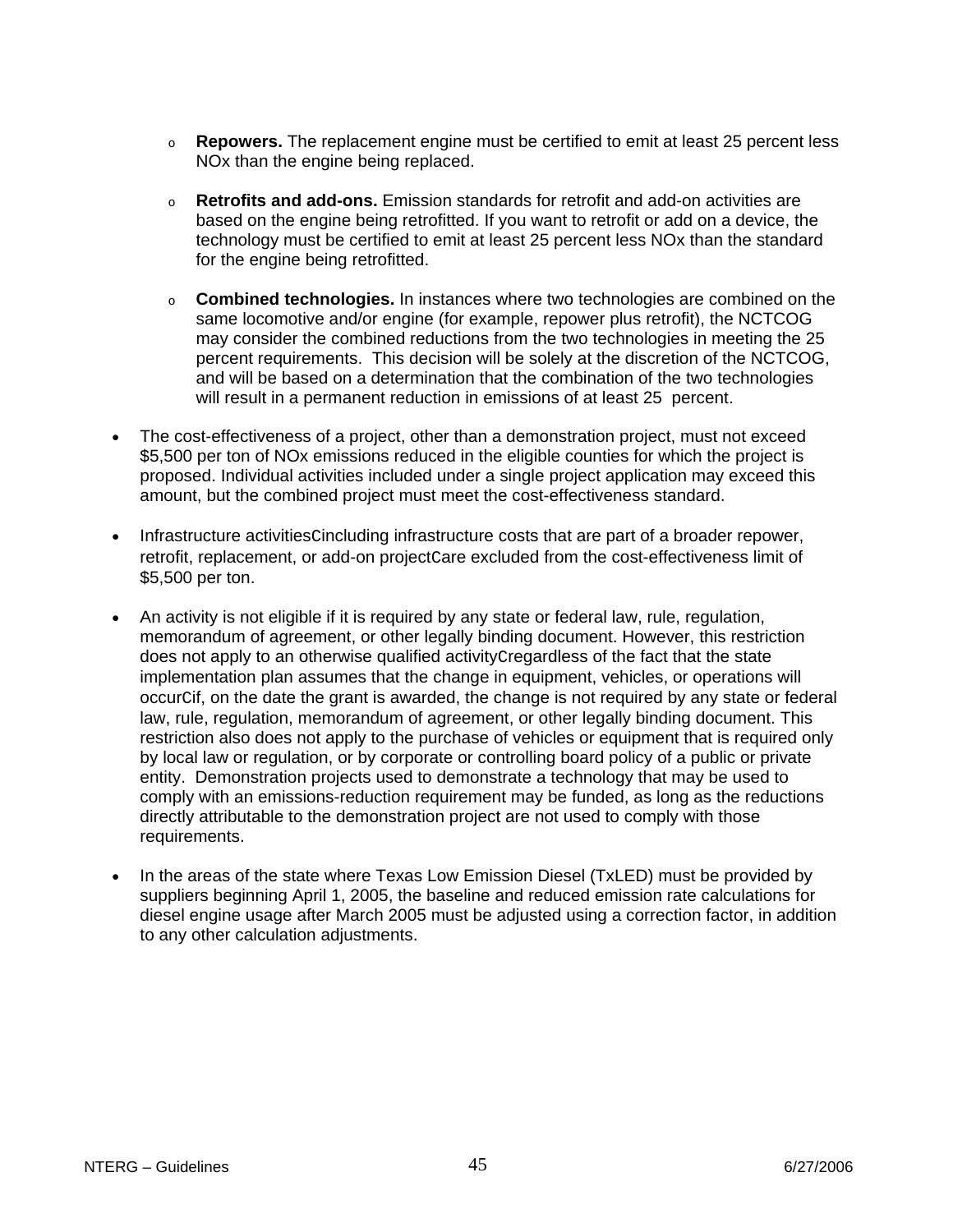- o **Repowers.** The replacement engine must be certified to emit at least 25 percent less NOx than the engine being replaced.
- o **Retrofits and add-ons.** Emission standards for retrofit and add-on activities are based on the engine being retrofitted. If you want to retrofit or add on a device, the technology must be certified to emit at least 25 percent less NOx than the standard for the engine being retrofitted.
- o **Combined technologies.** In instances where two technologies are combined on the same locomotive and/or engine (for example, repower plus retrofit), the NCTCOG may consider the combined reductions from the two technologies in meeting the 25 percent requirements. This decision will be solely at the discretion of the NCTCOG, and will be based on a determination that the combination of the two technologies will result in a permanent reduction in emissions of at least 25 percent.
- The cost-effectiveness of a project, other than a demonstration project, must not exceed \$5,500 per ton of NOx emissions reduced in the eligible counties for which the project is proposed. Individual activities included under a single project application may exceed this amount, but the combined project must meet the cost-effectiveness standard.
- Infrastructure activitiesCincluding infrastructure costs that are part of a broader repower, retrofit, replacement, or add-on project Care excluded from the cost-effectiveness limit of \$5,500 per ton.
- An activity is not eligible if it is required by any state or federal law, rule, regulation, memorandum of agreement, or other legally binding document. However, this restriction does not apply to an otherwise qualified activityCregardless of the fact that the state implementation plan assumes that the change in equipment, vehicles, or operations will occurCif, on the date the grant is awarded, the change is not required by any state or federal law, rule, regulation, memorandum of agreement, or other legally binding document. This restriction also does not apply to the purchase of vehicles or equipment that is required only by local law or regulation, or by corporate or controlling board policy of a public or private entity. Demonstration projects used to demonstrate a technology that may be used to comply with an emissions-reduction requirement may be funded, as long as the reductions directly attributable to the demonstration project are not used to comply with those requirements.
- In the areas of the state where Texas Low Emission Diesel (TxLED) must be provided by suppliers beginning April 1, 2005, the baseline and reduced emission rate calculations for diesel engine usage after March 2005 must be adjusted using a correction factor, in addition to any other calculation adjustments.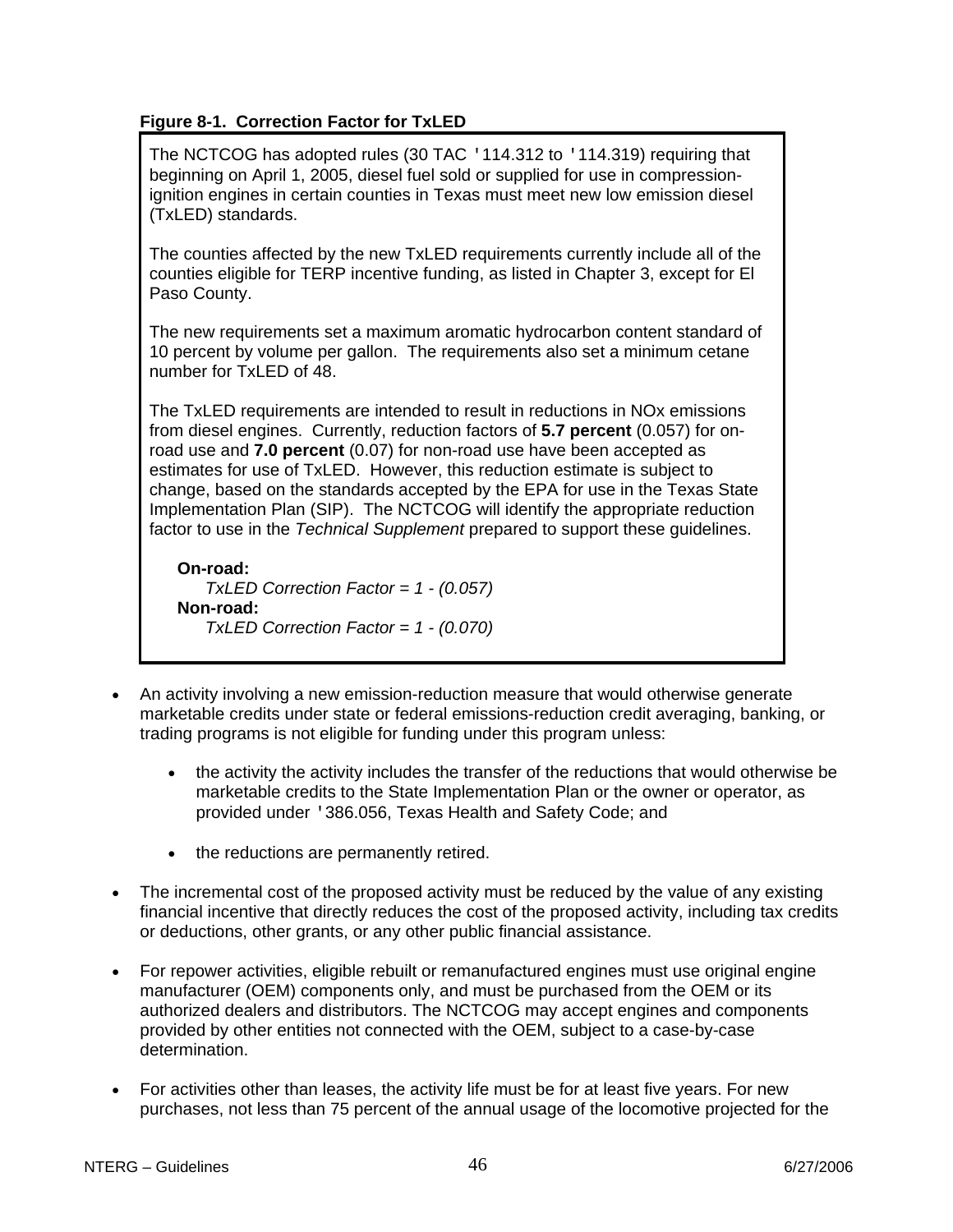### **Figure 8-1. Correction Factor for TxLED**

The NCTCOG has adopted rules (30 TAC '114.312 to '114.319) requiring that beginning on April 1, 2005, diesel fuel sold or supplied for use in compressionignition engines in certain counties in Texas must meet new low emission diesel (TxLED) standards.

The counties affected by the new TxLED requirements currently include all of the counties eligible for TERP incentive funding, as listed in Chapter 3, except for El Paso County.

The new requirements set a maximum aromatic hydrocarbon content standard of 10 percent by volume per gallon. The requirements also set a minimum cetane number for TxLED of 48.

The TxLED requirements are intended to result in reductions in NOx emissions from diesel engines. Currently, reduction factors of **5.7 percent** (0.057) for onroad use and **7.0 percent** (0.07) for non-road use have been accepted as estimates for use of TxLED. However, this reduction estimate is subject to change, based on the standards accepted by the EPA for use in the Texas State Implementation Plan (SIP). The NCTCOG will identify the appropriate reduction factor to use in the *Technical Supplement* prepared to support these guidelines.

**On-road:** *TxLED Correction Factor = 1 - (0.057)* **Non-road:** *TxLED Correction Factor = 1 - (0.070)*

- An activity involving a new emission-reduction measure that would otherwise generate marketable credits under state or federal emissions-reduction credit averaging, banking, or trading programs is not eligible for funding under this program unless:
	- the activity the activity includes the transfer of the reductions that would otherwise be marketable credits to the State Implementation Plan or the owner or operator, as provided under '386.056, Texas Health and Safety Code; and
	- the reductions are permanently retired.
- The incremental cost of the proposed activity must be reduced by the value of any existing financial incentive that directly reduces the cost of the proposed activity, including tax credits or deductions, other grants, or any other public financial assistance.
- For repower activities, eligible rebuilt or remanufactured engines must use original engine manufacturer (OEM) components only, and must be purchased from the OEM or its authorized dealers and distributors. The NCTCOG may accept engines and components provided by other entities not connected with the OEM, subject to a case-by-case determination.
- For activities other than leases, the activity life must be for at least five years. For new purchases, not less than 75 percent of the annual usage of the locomotive projected for the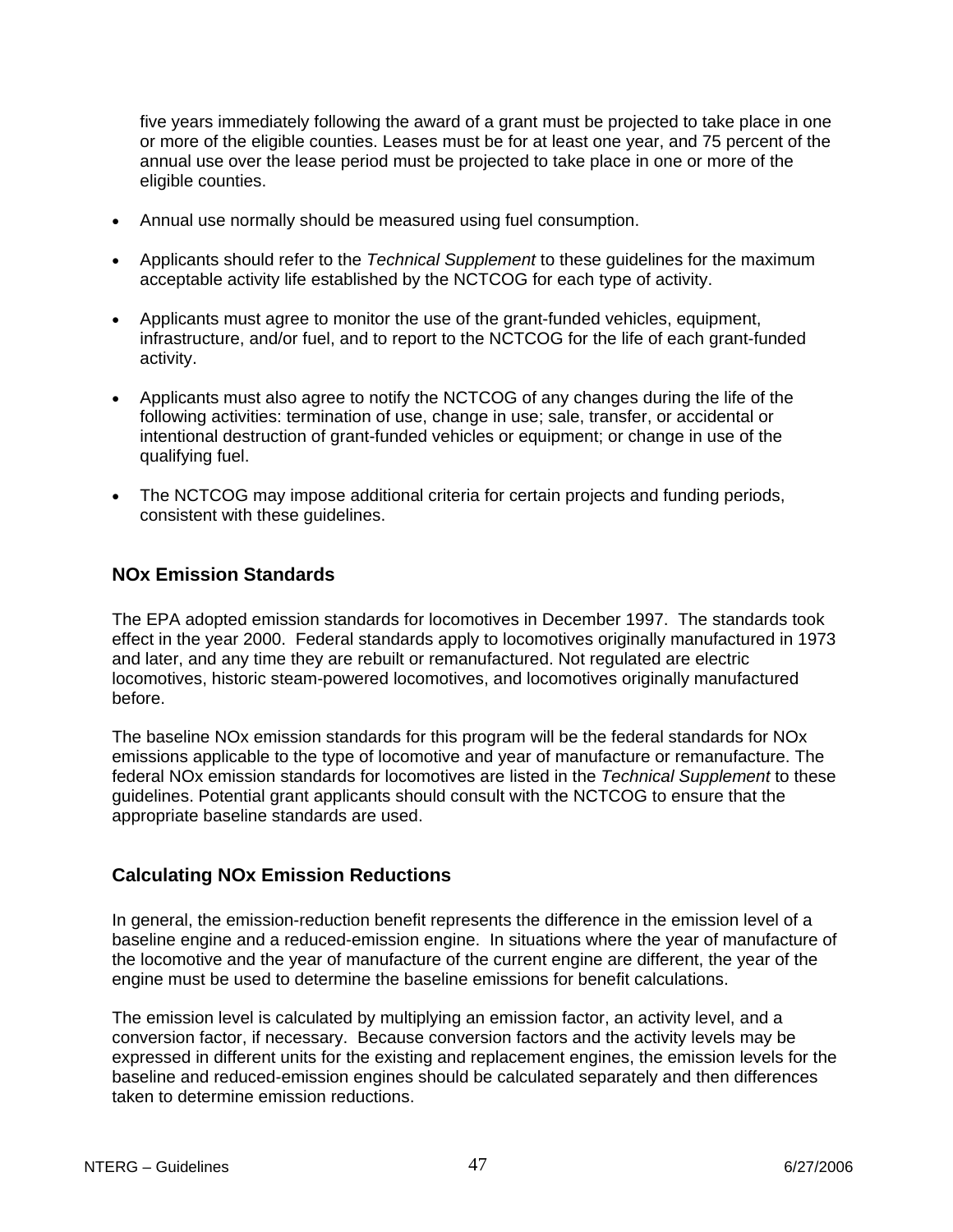five years immediately following the award of a grant must be projected to take place in one or more of the eligible counties. Leases must be for at least one year, and 75 percent of the annual use over the lease period must be projected to take place in one or more of the eligible counties.

- Annual use normally should be measured using fuel consumption.
- Applicants should refer to the *Technical Supplement* to these guidelines for the maximum acceptable activity life established by the NCTCOG for each type of activity.
- Applicants must agree to monitor the use of the grant-funded vehicles, equipment, infrastructure, and/or fuel, and to report to the NCTCOG for the life of each grant-funded activity.
- Applicants must also agree to notify the NCTCOG of any changes during the life of the following activities: termination of use, change in use; sale, transfer, or accidental or intentional destruction of grant-funded vehicles or equipment; or change in use of the qualifying fuel.
- The NCTCOG may impose additional criteria for certain projects and funding periods, consistent with these guidelines.

### **NOx Emission Standards**

The EPA adopted emission standards for locomotives in December 1997. The standards took effect in the year 2000. Federal standards apply to locomotives originally manufactured in 1973 and later, and any time they are rebuilt or remanufactured. Not regulated are electric locomotives, historic steam-powered locomotives, and locomotives originally manufactured before.

The baseline NOx emission standards for this program will be the federal standards for NOx emissions applicable to the type of locomotive and year of manufacture or remanufacture. The federal NOx emission standards for locomotives are listed in the *Technical Supplement* to these guidelines. Potential grant applicants should consult with the NCTCOG to ensure that the appropriate baseline standards are used.

#### **Calculating NOx Emission Reductions**

In general, the emission-reduction benefit represents the difference in the emission level of a baseline engine and a reduced-emission engine. In situations where the year of manufacture of the locomotive and the year of manufacture of the current engine are different, the year of the engine must be used to determine the baseline emissions for benefit calculations.

The emission level is calculated by multiplying an emission factor, an activity level, and a conversion factor, if necessary. Because conversion factors and the activity levels may be expressed in different units for the existing and replacement engines, the emission levels for the baseline and reduced-emission engines should be calculated separately and then differences taken to determine emission reductions.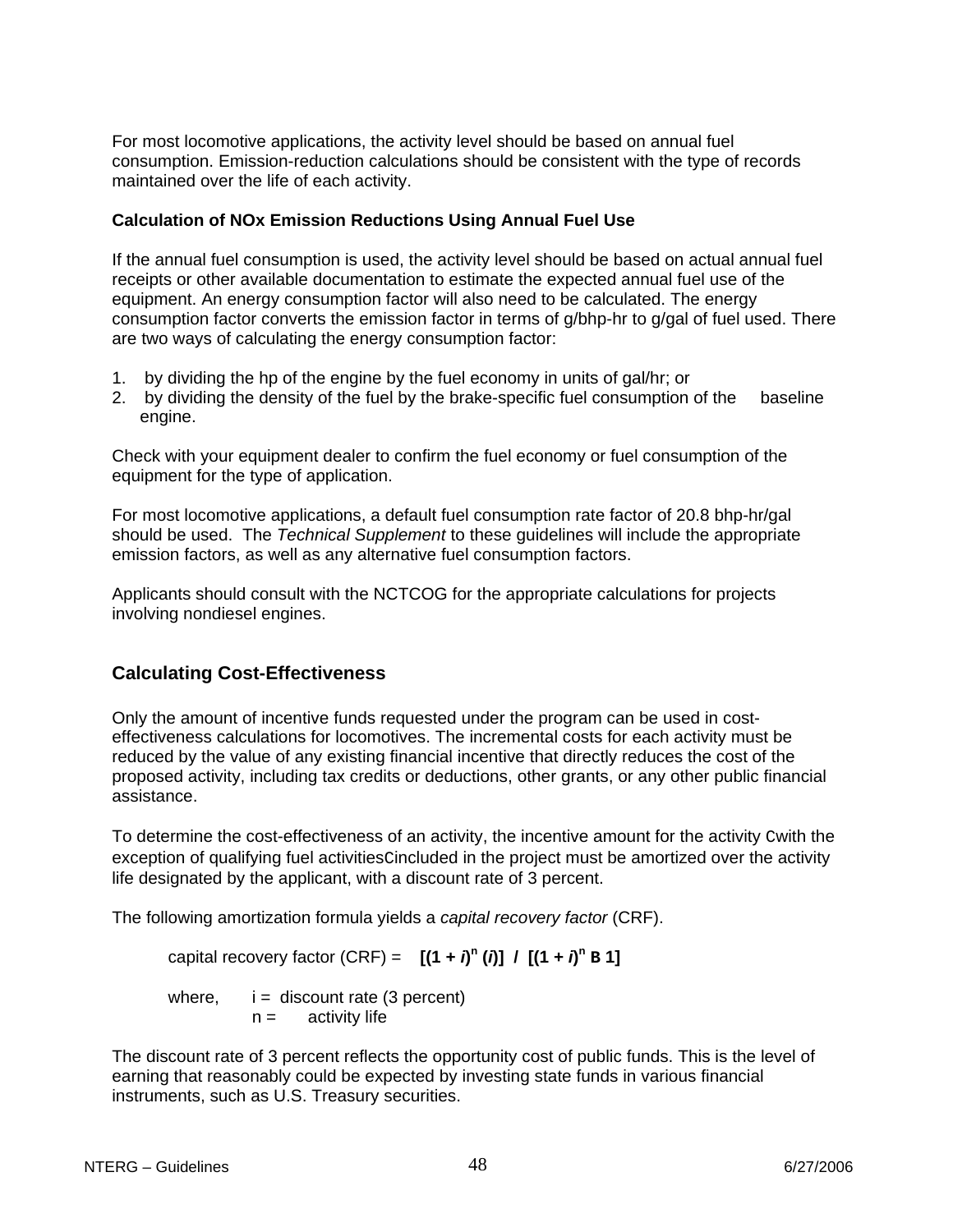For most locomotive applications, the activity level should be based on annual fuel consumption. Emission-reduction calculations should be consistent with the type of records maintained over the life of each activity.

#### **Calculation of NOx Emission Reductions Using Annual Fuel Use**

If the annual fuel consumption is used, the activity level should be based on actual annual fuel receipts or other available documentation to estimate the expected annual fuel use of the equipment. An energy consumption factor will also need to be calculated. The energy consumption factor converts the emission factor in terms of g/bhp-hr to g/gal of fuel used. There are two ways of calculating the energy consumption factor:

- 1. by dividing the hp of the engine by the fuel economy in units of gal/hr; or
- 2. by dividing the density of the fuel by the brake-specific fuel consumption of the baseline engine.

Check with your equipment dealer to confirm the fuel economy or fuel consumption of the equipment for the type of application.

For most locomotive applications, a default fuel consumption rate factor of 20.8 bhp-hr/gal should be used. The *Technical Supplement* to these guidelines will include the appropriate emission factors, as well as any alternative fuel consumption factors.

Applicants should consult with the NCTCOG for the appropriate calculations for projects involving nondiesel engines.

# **Calculating Cost-Effectiveness**

Only the amount of incentive funds requested under the program can be used in costeffectiveness calculations for locomotives. The incremental costs for each activity must be reduced by the value of any existing financial incentive that directly reduces the cost of the proposed activity, including tax credits or deductions, other grants, or any other public financial assistance.

To determine the cost-effectiveness of an activity, the incentive amount for the activity Cwith the exception of qualifying fuel activities cincluded in the project must be amortized over the activity life designated by the applicant, with a discount rate of 3 percent.

The following amortization formula yields a *capital recovery factor* (CRF).

capital recovery factor (CRF) =  $[(1 + i)^n (i)] / [(1 + i)^n B]$ 

where,  $i =$  discount rate (3 percent)  $n =$  activity life

The discount rate of 3 percent reflects the opportunity cost of public funds. This is the level of earning that reasonably could be expected by investing state funds in various financial instruments, such as U.S. Treasury securities.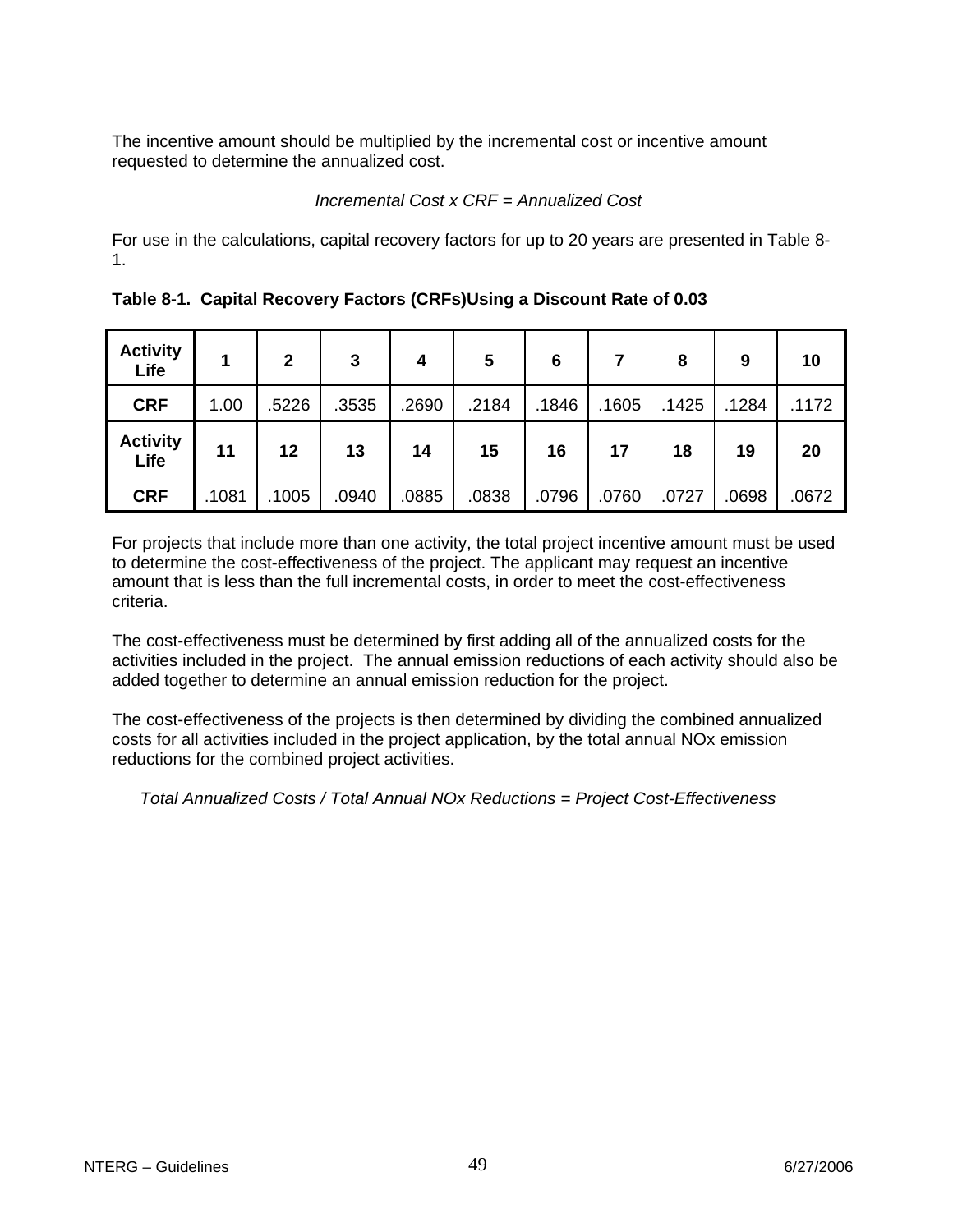The incentive amount should be multiplied by the incremental cost or incentive amount requested to determine the annualized cost.

### *Incremental Cost x CRF = Annualized Cost*

For use in the calculations, capital recovery factors for up to 20 years are presented in Table 8- 1.

| <b>Activity</b><br>Life |       | $\overline{2}$ | 3     | 4     | 5     | 6     |       | 8     | 9     | 10    |
|-------------------------|-------|----------------|-------|-------|-------|-------|-------|-------|-------|-------|
| <b>CRF</b>              | 1.00  | .5226          | .3535 | .2690 | .2184 | .1846 | .1605 | .1425 | .1284 | .1172 |
| <b>Activity</b><br>Life | 11    | 12             | 13    | 14    | 15    | 16    | 17    | 18    | 19    | 20    |
| <b>CRF</b>              | .1081 | .1005          | .0940 | .0885 | .0838 | .0796 | .0760 | .0727 | .0698 | .0672 |

**Table 8-1. Capital Recovery Factors (CRFs)Using a Discount Rate of 0.03** 

For projects that include more than one activity, the total project incentive amount must be used to determine the cost-effectiveness of the project. The applicant may request an incentive amount that is less than the full incremental costs, in order to meet the cost-effectiveness criteria.

The cost-effectiveness must be determined by first adding all of the annualized costs for the activities included in the project. The annual emission reductions of each activity should also be added together to determine an annual emission reduction for the project.

The cost-effectiveness of the projects is then determined by dividing the combined annualized costs for all activities included in the project application, by the total annual NOx emission reductions for the combined project activities.

*Total Annualized Costs / Total Annual NOx Reductions = Project Cost-Effectiveness*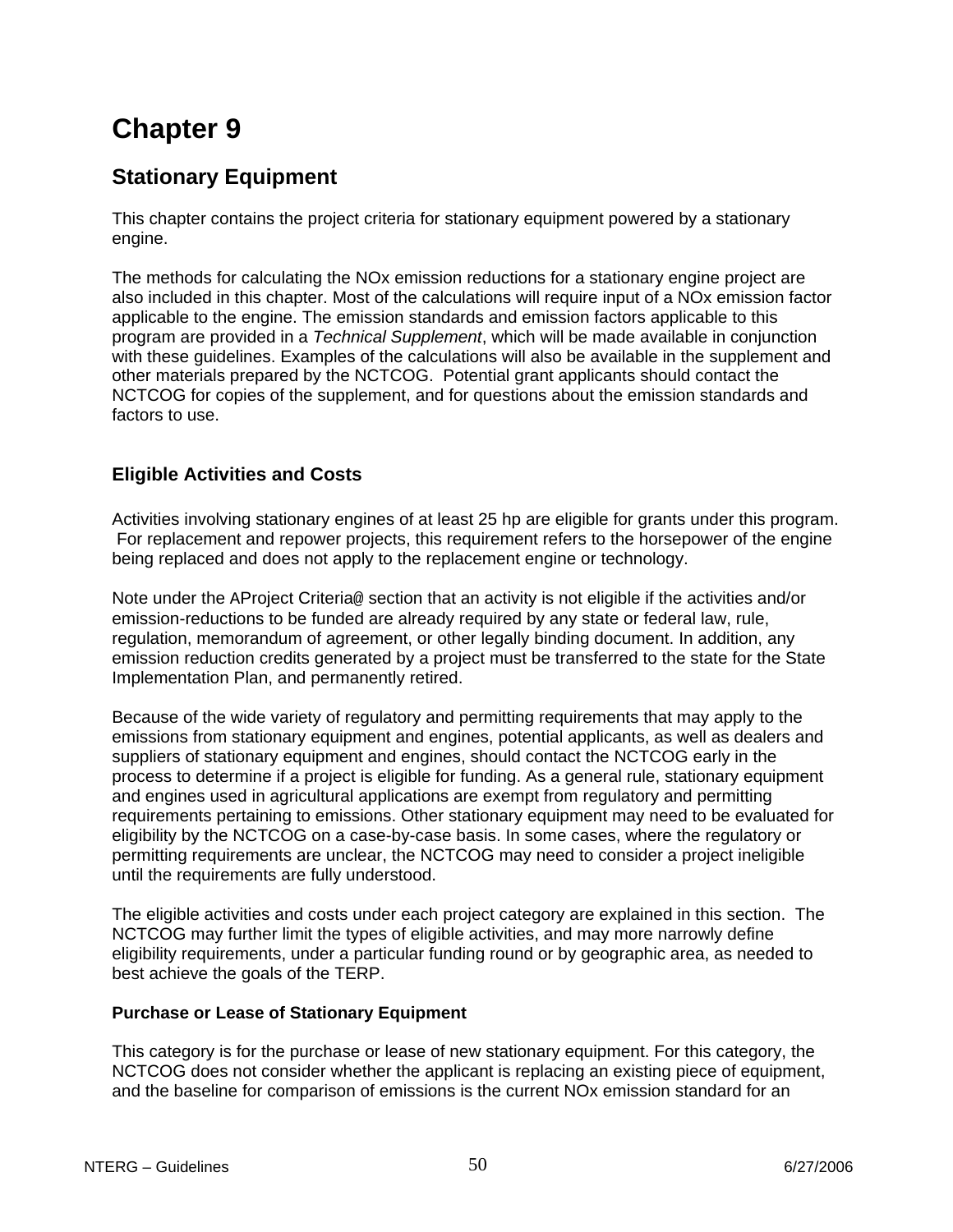# **Chapter 9**

# **Stationary Equipment**

This chapter contains the project criteria for stationary equipment powered by a stationary engine.

The methods for calculating the NOx emission reductions for a stationary engine project are also included in this chapter. Most of the calculations will require input of a NOx emission factor applicable to the engine. The emission standards and emission factors applicable to this program are provided in a *Technical Supplement*, which will be made available in conjunction with these guidelines. Examples of the calculations will also be available in the supplement and other materials prepared by the NCTCOG. Potential grant applicants should contact the NCTCOG for copies of the supplement, and for questions about the emission standards and factors to use.

# **Eligible Activities and Costs**

Activities involving stationary engines of at least 25 hp are eligible for grants under this program. For replacement and repower projects, this requirement refers to the horsepower of the engine being replaced and does not apply to the replacement engine or technology.

Note under the AProject Criteria@ section that an activity is not eligible if the activities and/or emission-reductions to be funded are already required by any state or federal law, rule, regulation, memorandum of agreement, or other legally binding document. In addition, any emission reduction credits generated by a project must be transferred to the state for the State Implementation Plan, and permanently retired.

Because of the wide variety of regulatory and permitting requirements that may apply to the emissions from stationary equipment and engines, potential applicants, as well as dealers and suppliers of stationary equipment and engines, should contact the NCTCOG early in the process to determine if a project is eligible for funding. As a general rule, stationary equipment and engines used in agricultural applications are exempt from regulatory and permitting requirements pertaining to emissions. Other stationary equipment may need to be evaluated for eligibility by the NCTCOG on a case-by-case basis. In some cases, where the regulatory or permitting requirements are unclear, the NCTCOG may need to consider a project ineligible until the requirements are fully understood.

The eligible activities and costs under each project category are explained in this section. The NCTCOG may further limit the types of eligible activities, and may more narrowly define eligibility requirements, under a particular funding round or by geographic area, as needed to best achieve the goals of the TERP.

# **Purchase or Lease of Stationary Equipment**

This category is for the purchase or lease of new stationary equipment. For this category, the NCTCOG does not consider whether the applicant is replacing an existing piece of equipment, and the baseline for comparison of emissions is the current NOx emission standard for an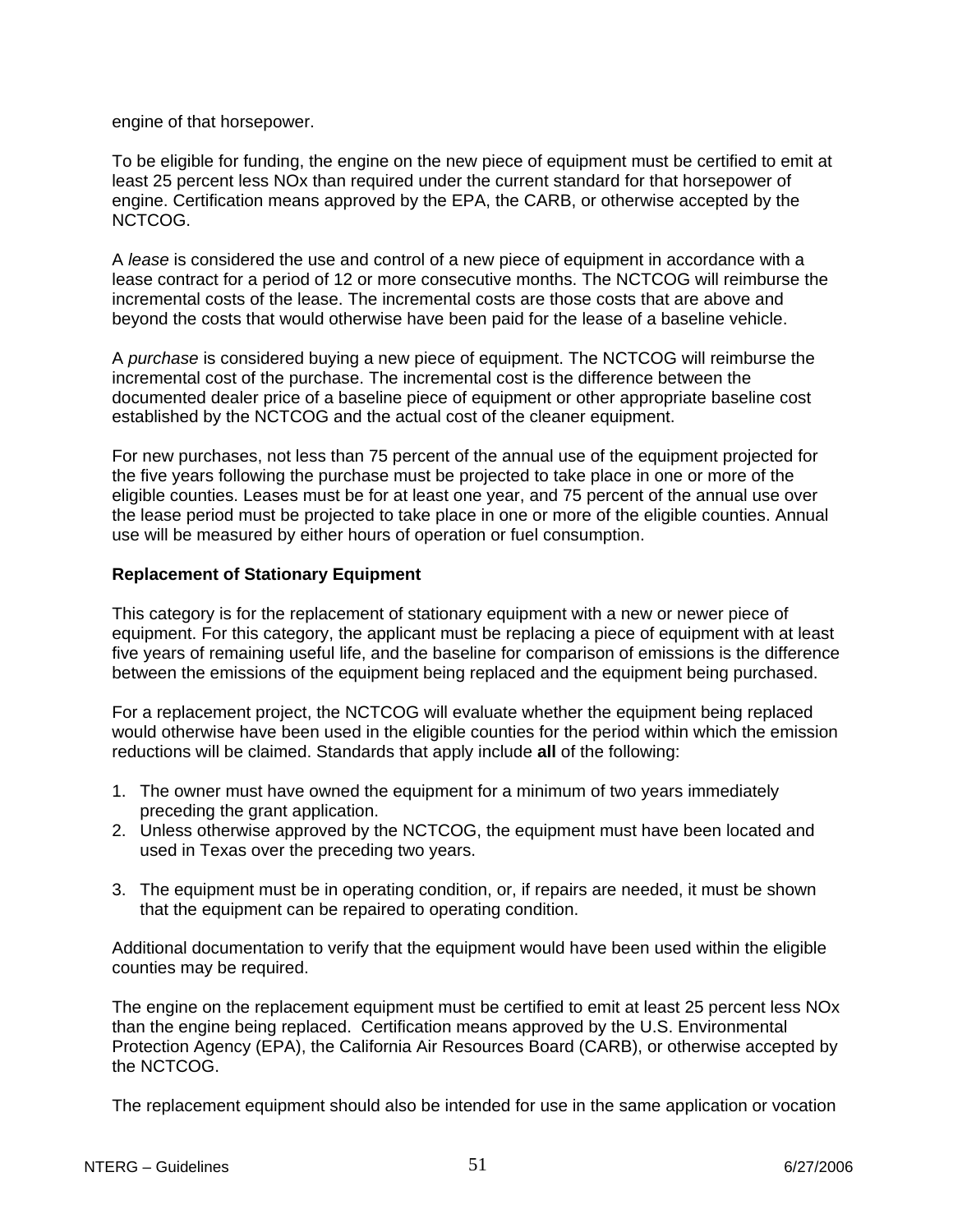engine of that horsepower.

To be eligible for funding, the engine on the new piece of equipment must be certified to emit at least 25 percent less NOx than required under the current standard for that horsepower of engine. Certification means approved by the EPA, the CARB, or otherwise accepted by the NCTCOG.

A *lease* is considered the use and control of a new piece of equipment in accordance with a lease contract for a period of 12 or more consecutive months. The NCTCOG will reimburse the incremental costs of the lease. The incremental costs are those costs that are above and beyond the costs that would otherwise have been paid for the lease of a baseline vehicle.

A *purchase* is considered buying a new piece of equipment. The NCTCOG will reimburse the incremental cost of the purchase. The incremental cost is the difference between the documented dealer price of a baseline piece of equipment or other appropriate baseline cost established by the NCTCOG and the actual cost of the cleaner equipment.

For new purchases, not less than 75 percent of the annual use of the equipment projected for the five years following the purchase must be projected to take place in one or more of the eligible counties. Leases must be for at least one year, and 75 percent of the annual use over the lease period must be projected to take place in one or more of the eligible counties. Annual use will be measured by either hours of operation or fuel consumption.

#### **Replacement of Stationary Equipment**

This category is for the replacement of stationary equipment with a new or newer piece of equipment. For this category, the applicant must be replacing a piece of equipment with at least five years of remaining useful life, and the baseline for comparison of emissions is the difference between the emissions of the equipment being replaced and the equipment being purchased.

For a replacement project, the NCTCOG will evaluate whether the equipment being replaced would otherwise have been used in the eligible counties for the period within which the emission reductions will be claimed. Standards that apply include **all** of the following:

- 1. The owner must have owned the equipment for a minimum of two years immediately preceding the grant application.
- 2. Unless otherwise approved by the NCTCOG, the equipment must have been located and used in Texas over the preceding two years.
- 3. The equipment must be in operating condition, or, if repairs are needed, it must be shown that the equipment can be repaired to operating condition.

Additional documentation to verify that the equipment would have been used within the eligible counties may be required.

The engine on the replacement equipment must be certified to emit at least 25 percent less NOx than the engine being replaced. Certification means approved by the U.S. Environmental Protection Agency (EPA), the California Air Resources Board (CARB), or otherwise accepted by the NCTCOG.

The replacement equipment should also be intended for use in the same application or vocation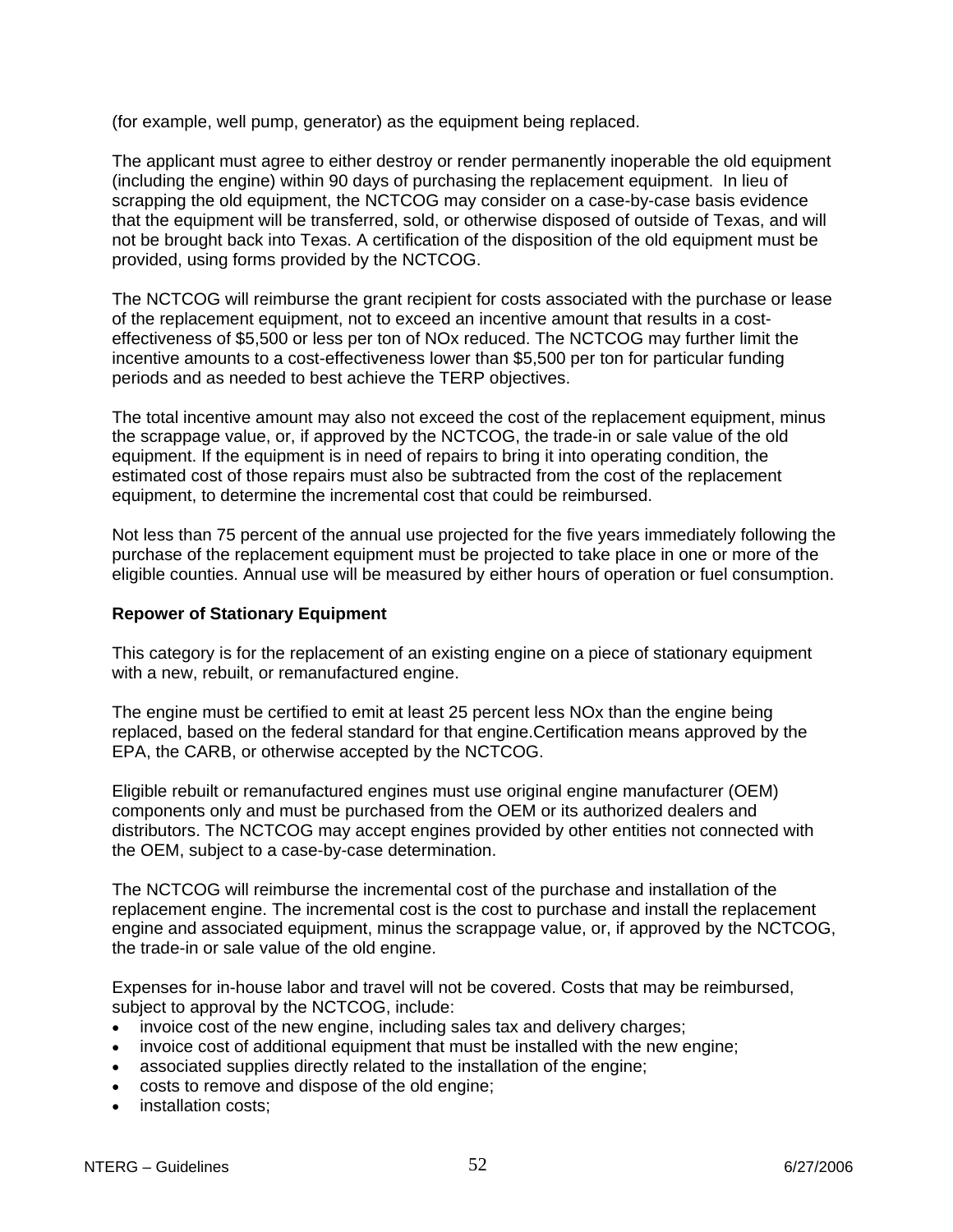(for example, well pump, generator) as the equipment being replaced.

The applicant must agree to either destroy or render permanently inoperable the old equipment (including the engine) within 90 days of purchasing the replacement equipment. In lieu of scrapping the old equipment, the NCTCOG may consider on a case-by-case basis evidence that the equipment will be transferred, sold, or otherwise disposed of outside of Texas, and will not be brought back into Texas. A certification of the disposition of the old equipment must be provided, using forms provided by the NCTCOG.

The NCTCOG will reimburse the grant recipient for costs associated with the purchase or lease of the replacement equipment, not to exceed an incentive amount that results in a costeffectiveness of \$5,500 or less per ton of NOx reduced. The NCTCOG may further limit the incentive amounts to a cost-effectiveness lower than \$5,500 per ton for particular funding periods and as needed to best achieve the TERP objectives.

The total incentive amount may also not exceed the cost of the replacement equipment, minus the scrappage value, or, if approved by the NCTCOG, the trade-in or sale value of the old equipment. If the equipment is in need of repairs to bring it into operating condition, the estimated cost of those repairs must also be subtracted from the cost of the replacement equipment, to determine the incremental cost that could be reimbursed.

Not less than 75 percent of the annual use projected for the five years immediately following the purchase of the replacement equipment must be projected to take place in one or more of the eligible counties. Annual use will be measured by either hours of operation or fuel consumption.

#### **Repower of Stationary Equipment**

This category is for the replacement of an existing engine on a piece of stationary equipment with a new, rebuilt, or remanufactured engine.

The engine must be certified to emit at least 25 percent less NOx than the engine being replaced, based on the federal standard for that engine.Certification means approved by the EPA, the CARB, or otherwise accepted by the NCTCOG.

Eligible rebuilt or remanufactured engines must use original engine manufacturer (OEM) components only and must be purchased from the OEM or its authorized dealers and distributors. The NCTCOG may accept engines provided by other entities not connected with the OEM, subject to a case-by-case determination.

The NCTCOG will reimburse the incremental cost of the purchase and installation of the replacement engine. The incremental cost is the cost to purchase and install the replacement engine and associated equipment, minus the scrappage value, or, if approved by the NCTCOG, the trade-in or sale value of the old engine.

Expenses for in-house labor and travel will not be covered. Costs that may be reimbursed, subject to approval by the NCTCOG, include:

- invoice cost of the new engine, including sales tax and delivery charges;
- invoice cost of additional equipment that must be installed with the new engine;
- associated supplies directly related to the installation of the engine;
- costs to remove and dispose of the old engine;
- installation costs;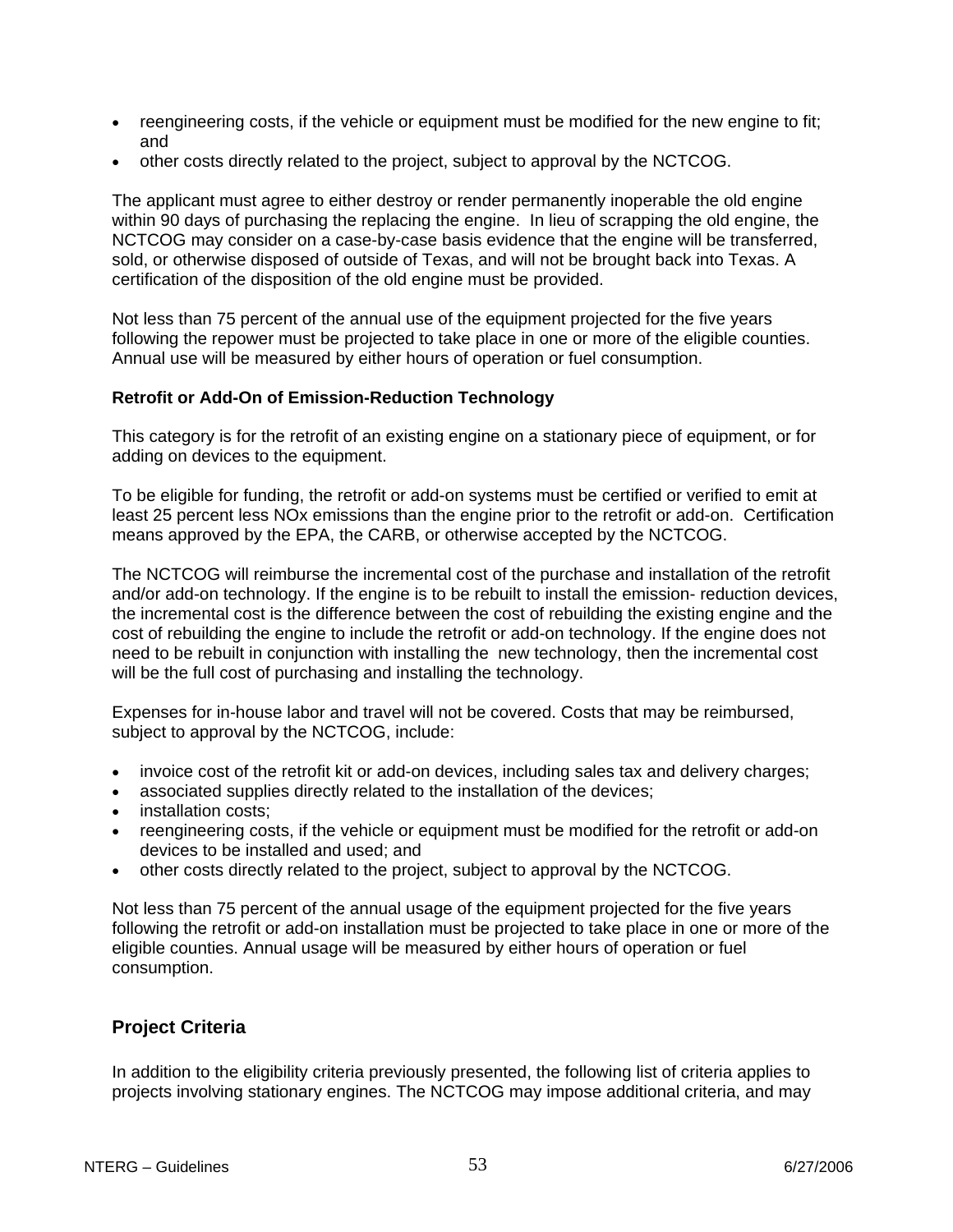- reengineering costs, if the vehicle or equipment must be modified for the new engine to fit; and
- other costs directly related to the project, subject to approval by the NCTCOG.

The applicant must agree to either destroy or render permanently inoperable the old engine within 90 days of purchasing the replacing the engine. In lieu of scrapping the old engine, the NCTCOG may consider on a case-by-case basis evidence that the engine will be transferred, sold, or otherwise disposed of outside of Texas, and will not be brought back into Texas. A certification of the disposition of the old engine must be provided.

Not less than 75 percent of the annual use of the equipment projected for the five years following the repower must be projected to take place in one or more of the eligible counties. Annual use will be measured by either hours of operation or fuel consumption.

#### **Retrofit or Add-On of Emission-Reduction Technology**

This category is for the retrofit of an existing engine on a stationary piece of equipment, or for adding on devices to the equipment.

To be eligible for funding, the retrofit or add-on systems must be certified or verified to emit at least 25 percent less NOx emissions than the engine prior to the retrofit or add-on. Certification means approved by the EPA, the CARB, or otherwise accepted by the NCTCOG.

The NCTCOG will reimburse the incremental cost of the purchase and installation of the retrofit and/or add-on technology. If the engine is to be rebuilt to install the emission- reduction devices, the incremental cost is the difference between the cost of rebuilding the existing engine and the cost of rebuilding the engine to include the retrofit or add-on technology. If the engine does not need to be rebuilt in conjunction with installing the new technology, then the incremental cost will be the full cost of purchasing and installing the technology.

Expenses for in-house labor and travel will not be covered. Costs that may be reimbursed, subject to approval by the NCTCOG, include:

- invoice cost of the retrofit kit or add-on devices, including sales tax and delivery charges;
- associated supplies directly related to the installation of the devices;
- installation costs;
- reengineering costs, if the vehicle or equipment must be modified for the retrofit or add-on devices to be installed and used; and
- other costs directly related to the project, subject to approval by the NCTCOG.

Not less than 75 percent of the annual usage of the equipment projected for the five years following the retrofit or add-on installation must be projected to take place in one or more of the eligible counties. Annual usage will be measured by either hours of operation or fuel consumption.

# **Project Criteria**

In addition to the eligibility criteria previously presented, the following list of criteria applies to projects involving stationary engines. The NCTCOG may impose additional criteria, and may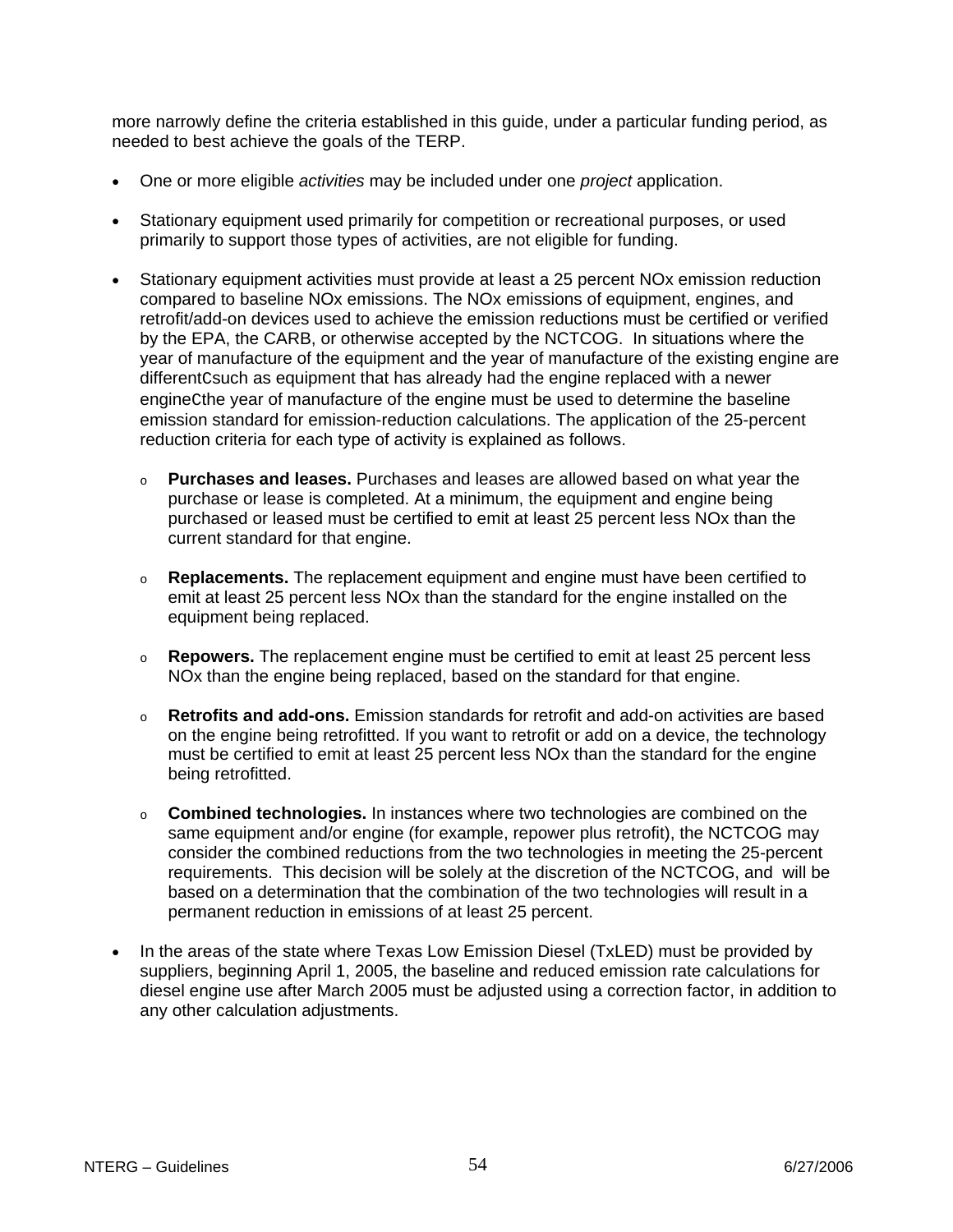more narrowly define the criteria established in this guide, under a particular funding period, as needed to best achieve the goals of the TERP.

- One or more eligible *activities* may be included under one *project* application.
- Stationary equipment used primarily for competition or recreational purposes, or used primarily to support those types of activities, are not eligible for funding.
- Stationary equipment activities must provide at least a 25 percent NOx emission reduction compared to baseline NOx emissions. The NOx emissions of equipment, engines, and retrofit/add-on devices used to achieve the emission reductions must be certified or verified by the EPA, the CARB, or otherwise accepted by the NCTCOG. In situations where the year of manufacture of the equipment and the year of manufacture of the existing engine are differentCsuch as equipment that has already had the engine replaced with a newer engineCthe year of manufacture of the engine must be used to determine the baseline emission standard for emission-reduction calculations. The application of the 25-percent reduction criteria for each type of activity is explained as follows.
	- o **Purchases and leases.** Purchases and leases are allowed based on what year the purchase or lease is completed. At a minimum, the equipment and engine being purchased or leased must be certified to emit at least 25 percent less NOx than the current standard for that engine.
	- o **Replacements.** The replacement equipment and engine must have been certified to emit at least 25 percent less NOx than the standard for the engine installed on the equipment being replaced.
	- o **Repowers.** The replacement engine must be certified to emit at least 25 percent less NOx than the engine being replaced, based on the standard for that engine.
	- o **Retrofits and add-ons.** Emission standards for retrofit and add-on activities are based on the engine being retrofitted. If you want to retrofit or add on a device, the technology must be certified to emit at least 25 percent less NOx than the standard for the engine being retrofitted.
	- o **Combined technologies.** In instances where two technologies are combined on the same equipment and/or engine (for example, repower plus retrofit), the NCTCOG may consider the combined reductions from the two technologies in meeting the 25-percent requirements. This decision will be solely at the discretion of the NCTCOG, and will be based on a determination that the combination of the two technologies will result in a permanent reduction in emissions of at least 25 percent.
- In the areas of the state where Texas Low Emission Diesel (TxLED) must be provided by suppliers, beginning April 1, 2005, the baseline and reduced emission rate calculations for diesel engine use after March 2005 must be adjusted using a correction factor, in addition to any other calculation adjustments.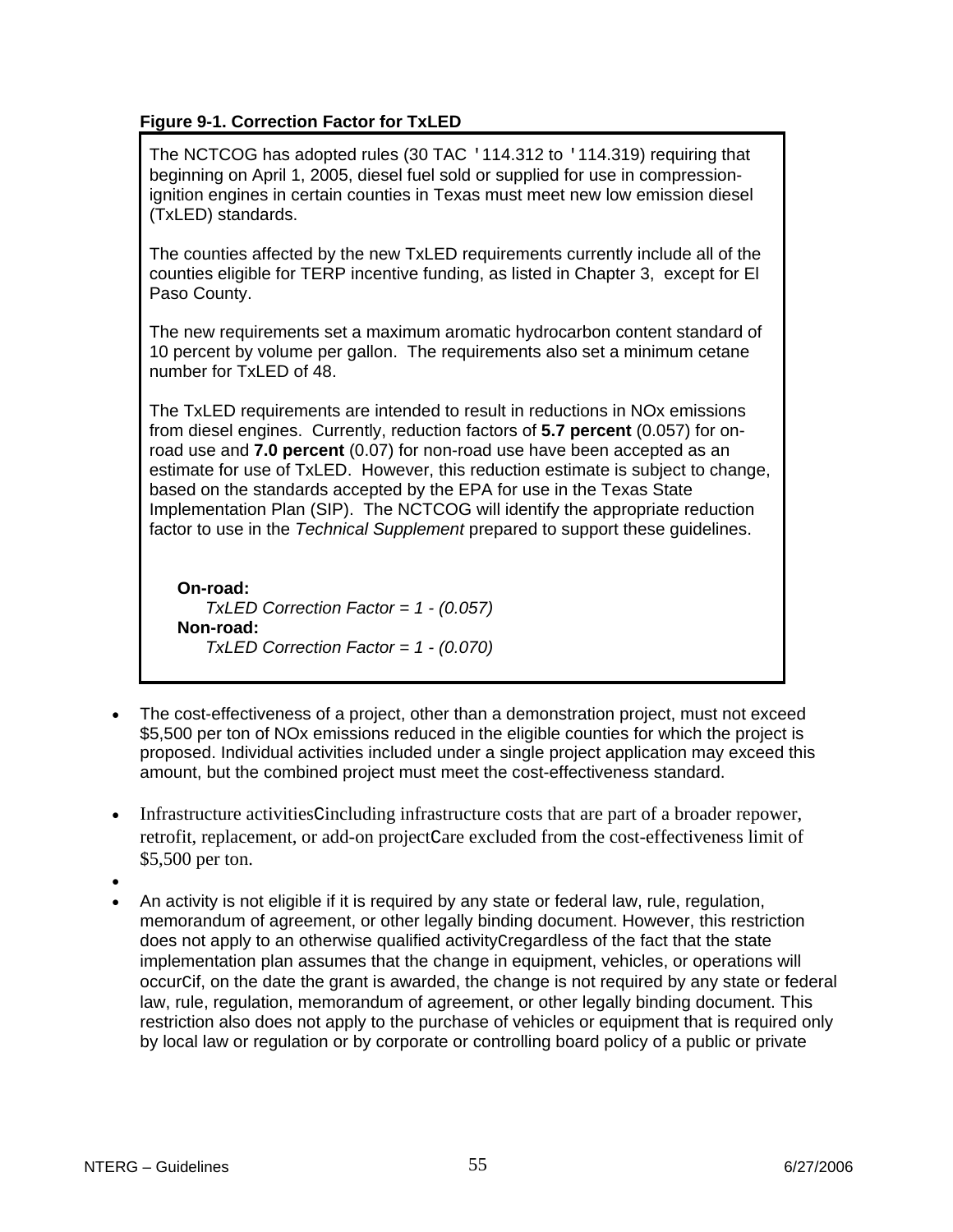# **Figure 9-1. Correction Factor for TxLED**

The NCTCOG has adopted rules (30 TAC '114.312 to '114.319) requiring that beginning on April 1, 2005, diesel fuel sold or supplied for use in compressionignition engines in certain counties in Texas must meet new low emission diesel (TxLED) standards.

The counties affected by the new TxLED requirements currently include all of the counties eligible for TERP incentive funding, as listed in Chapter 3, except for El Paso County.

The new requirements set a maximum aromatic hydrocarbon content standard of 10 percent by volume per gallon. The requirements also set a minimum cetane number for TxLED of 48.

The TxLED requirements are intended to result in reductions in NOx emissions from diesel engines. Currently, reduction factors of **5.7 percent** (0.057) for onroad use and **7.0 percent** (0.07) for non-road use have been accepted as an estimate for use of TxLED. However, this reduction estimate is subject to change, based on the standards accepted by the EPA for use in the Texas State Implementation Plan (SIP). The NCTCOG will identify the appropriate reduction factor to use in the *Technical Supplement* prepared to support these guidelines.

**On-road:** *TxLED Correction Factor = 1 - (0.057)* **Non-road:** *TxLED Correction Factor = 1 - (0.070)*

- The cost-effectiveness of a project, other than a demonstration project, must not exceed \$5,500 per ton of NOx emissions reduced in the eligible counties for which the project is proposed. Individual activities included under a single project application may exceed this amount, but the combined project must meet the cost-effectiveness standard.
- Infrastructure activitiesCincluding infrastructure costs that are part of a broader repower, retrofit, replacement, or add-on projectCare excluded from the cost-effectiveness limit of \$5,500 per ton.
- •
- An activity is not eligible if it is required by any state or federal law, rule, regulation, memorandum of agreement, or other legally binding document. However, this restriction does not apply to an otherwise qualified activityCregardless of the fact that the state implementation plan assumes that the change in equipment, vehicles, or operations will occurCif, on the date the grant is awarded, the change is not required by any state or federal law, rule, regulation, memorandum of agreement, or other legally binding document. This restriction also does not apply to the purchase of vehicles or equipment that is required only by local law or regulation or by corporate or controlling board policy of a public or private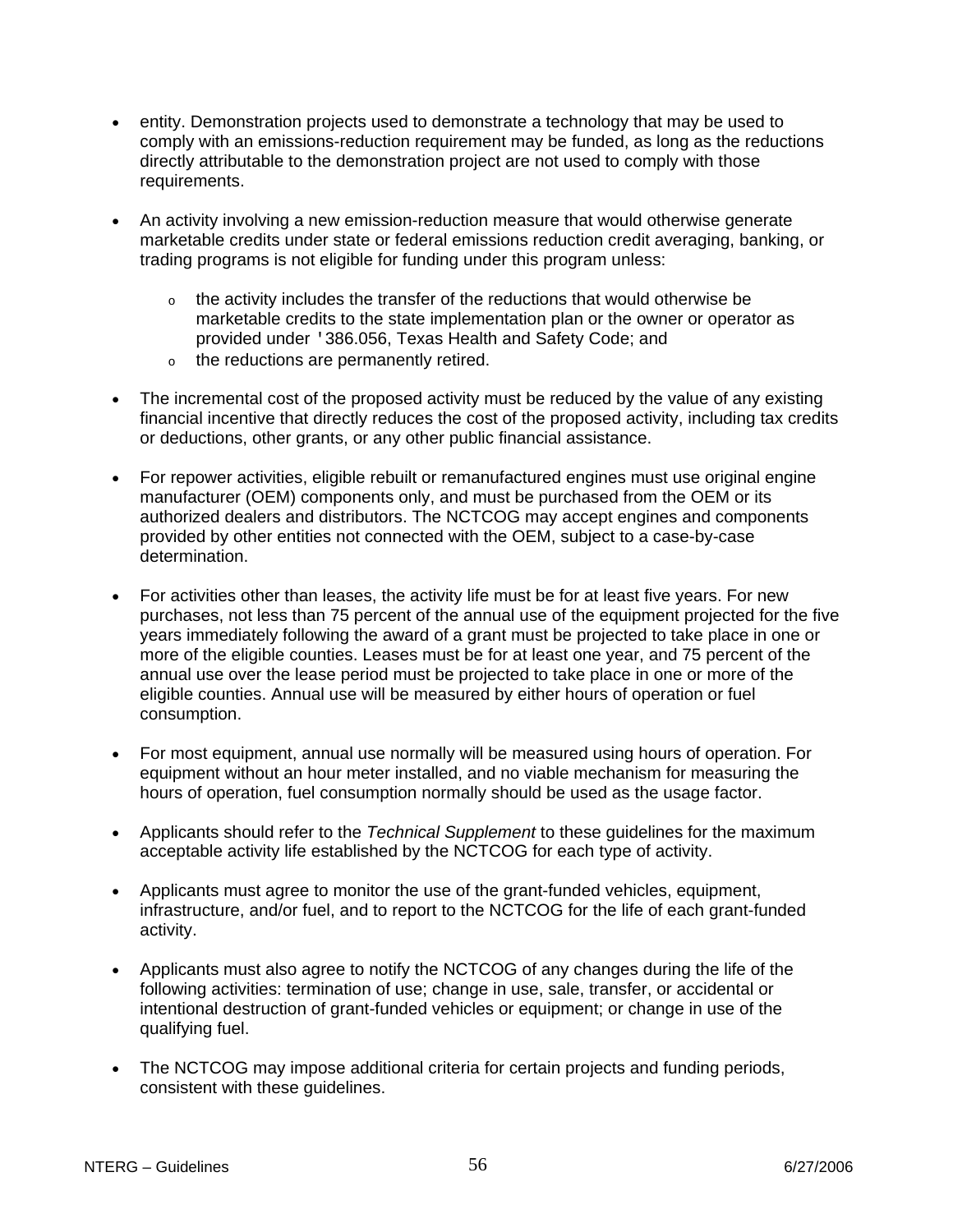- entity. Demonstration projects used to demonstrate a technology that may be used to comply with an emissions-reduction requirement may be funded, as long as the reductions directly attributable to the demonstration project are not used to comply with those requirements.
- An activity involving a new emission-reduction measure that would otherwise generate marketable credits under state or federal emissions reduction credit averaging, banking, or trading programs is not eligible for funding under this program unless:
	- $\circ$  the activity includes the transfer of the reductions that would otherwise be marketable credits to the state implementation plan or the owner or operator as provided under '386.056, Texas Health and Safety Code; and
	- o the reductions are permanently retired.
- The incremental cost of the proposed activity must be reduced by the value of any existing financial incentive that directly reduces the cost of the proposed activity, including tax credits or deductions, other grants, or any other public financial assistance.
- For repower activities, eligible rebuilt or remanufactured engines must use original engine manufacturer (OEM) components only, and must be purchased from the OEM or its authorized dealers and distributors. The NCTCOG may accept engines and components provided by other entities not connected with the OEM, subject to a case-by-case determination.
- For activities other than leases, the activity life must be for at least five years. For new purchases, not less than 75 percent of the annual use of the equipment projected for the five years immediately following the award of a grant must be projected to take place in one or more of the eligible counties. Leases must be for at least one year, and 75 percent of the annual use over the lease period must be projected to take place in one or more of the eligible counties. Annual use will be measured by either hours of operation or fuel consumption.
- For most equipment, annual use normally will be measured using hours of operation. For equipment without an hour meter installed, and no viable mechanism for measuring the hours of operation, fuel consumption normally should be used as the usage factor.
- Applicants should refer to the *Technical Supplement* to these guidelines for the maximum acceptable activity life established by the NCTCOG for each type of activity.
- Applicants must agree to monitor the use of the grant-funded vehicles, equipment, infrastructure, and/or fuel, and to report to the NCTCOG for the life of each grant-funded activity.
- Applicants must also agree to notify the NCTCOG of any changes during the life of the following activities: termination of use; change in use, sale, transfer, or accidental or intentional destruction of grant-funded vehicles or equipment; or change in use of the qualifying fuel.
- The NCTCOG may impose additional criteria for certain projects and funding periods, consistent with these guidelines.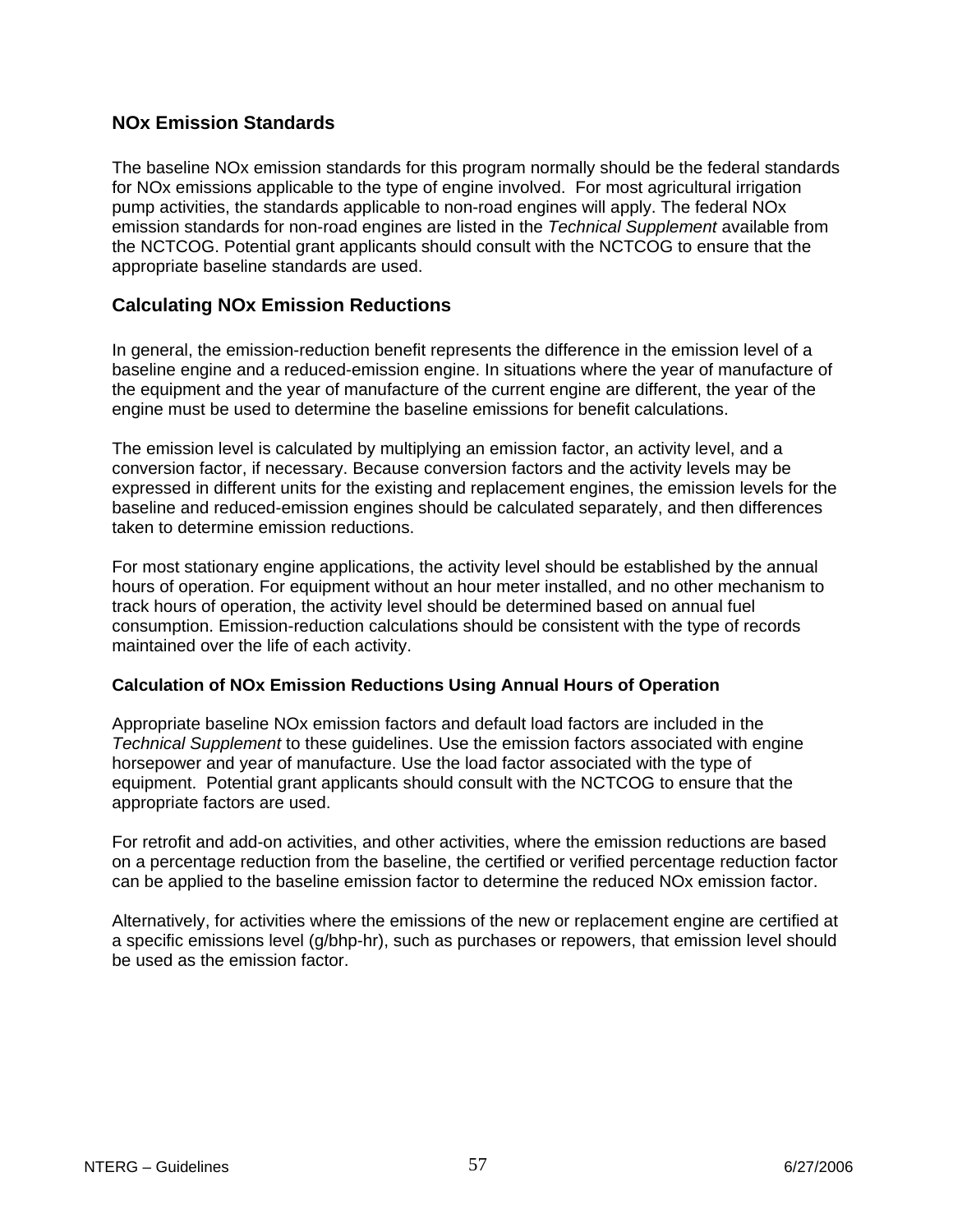# **NOx Emission Standards**

The baseline NOx emission standards for this program normally should be the federal standards for NOx emissions applicable to the type of engine involved. For most agricultural irrigation pump activities, the standards applicable to non-road engines will apply. The federal NOx emission standards for non-road engines are listed in the *Technical Supplement* available from the NCTCOG. Potential grant applicants should consult with the NCTCOG to ensure that the appropriate baseline standards are used.

### **Calculating NOx Emission Reductions**

In general, the emission-reduction benefit represents the difference in the emission level of a baseline engine and a reduced-emission engine. In situations where the year of manufacture of the equipment and the year of manufacture of the current engine are different, the year of the engine must be used to determine the baseline emissions for benefit calculations.

The emission level is calculated by multiplying an emission factor, an activity level, and a conversion factor, if necessary. Because conversion factors and the activity levels may be expressed in different units for the existing and replacement engines, the emission levels for the baseline and reduced-emission engines should be calculated separately, and then differences taken to determine emission reductions.

For most stationary engine applications, the activity level should be established by the annual hours of operation. For equipment without an hour meter installed, and no other mechanism to track hours of operation, the activity level should be determined based on annual fuel consumption. Emission-reduction calculations should be consistent with the type of records maintained over the life of each activity.

#### **Calculation of NOx Emission Reductions Using Annual Hours of Operation**

Appropriate baseline NOx emission factors and default load factors are included in the *Technical Supplement* to these guidelines. Use the emission factors associated with engine horsepower and year of manufacture. Use the load factor associated with the type of equipment. Potential grant applicants should consult with the NCTCOG to ensure that the appropriate factors are used.

For retrofit and add-on activities, and other activities, where the emission reductions are based on a percentage reduction from the baseline, the certified or verified percentage reduction factor can be applied to the baseline emission factor to determine the reduced NOx emission factor.

Alternatively, for activities where the emissions of the new or replacement engine are certified at a specific emissions level (g/bhp-hr), such as purchases or repowers, that emission level should be used as the emission factor.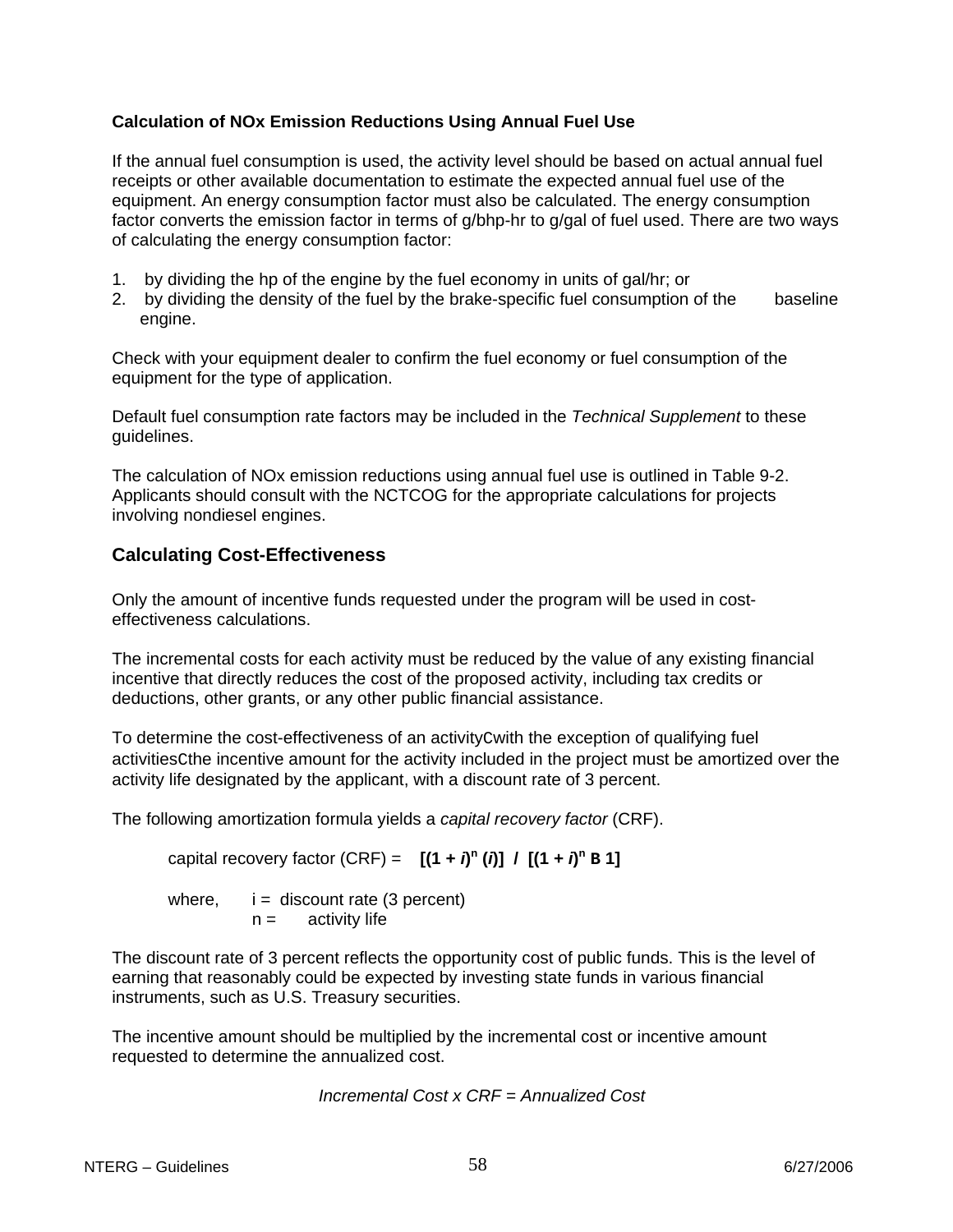#### **Calculation of NOx Emission Reductions Using Annual Fuel Use**

If the annual fuel consumption is used, the activity level should be based on actual annual fuel receipts or other available documentation to estimate the expected annual fuel use of the equipment. An energy consumption factor must also be calculated. The energy consumption factor converts the emission factor in terms of g/bhp-hr to g/gal of fuel used. There are two ways of calculating the energy consumption factor:

- 1. by dividing the hp of the engine by the fuel economy in units of gal/hr; or
- 2. by dividing the density of the fuel by the brake-specific fuel consumption of the baseline engine.

Check with your equipment dealer to confirm the fuel economy or fuel consumption of the equipment for the type of application.

Default fuel consumption rate factors may be included in the *Technical Supplement* to these guidelines.

The calculation of NOx emission reductions using annual fuel use is outlined in Table 9-2. Applicants should consult with the NCTCOG for the appropriate calculations for projects involving nondiesel engines.

# **Calculating Cost-Effectiveness**

Only the amount of incentive funds requested under the program will be used in costeffectiveness calculations.

The incremental costs for each activity must be reduced by the value of any existing financial incentive that directly reduces the cost of the proposed activity, including tax credits or deductions, other grants, or any other public financial assistance.

To determine the cost-effectiveness of an activityCwith the exception of qualifying fuel activitiesCthe incentive amount for the activity included in the project must be amortized over the activity life designated by the applicant, with a discount rate of 3 percent.

The following amortization formula yields a *capital recovery factor* (CRF).

capital recovery factor (CRF) =  $[(1 + i)^n (i)] / [(1 + i)^n B]$ 

where,  $i =$  discount rate (3 percent)  $n =$  activity life

The discount rate of 3 percent reflects the opportunity cost of public funds. This is the level of earning that reasonably could be expected by investing state funds in various financial instruments, such as U.S. Treasury securities.

The incentive amount should be multiplied by the incremental cost or incentive amount requested to determine the annualized cost.

 *Incremental Cost x CRF = Annualized Cost*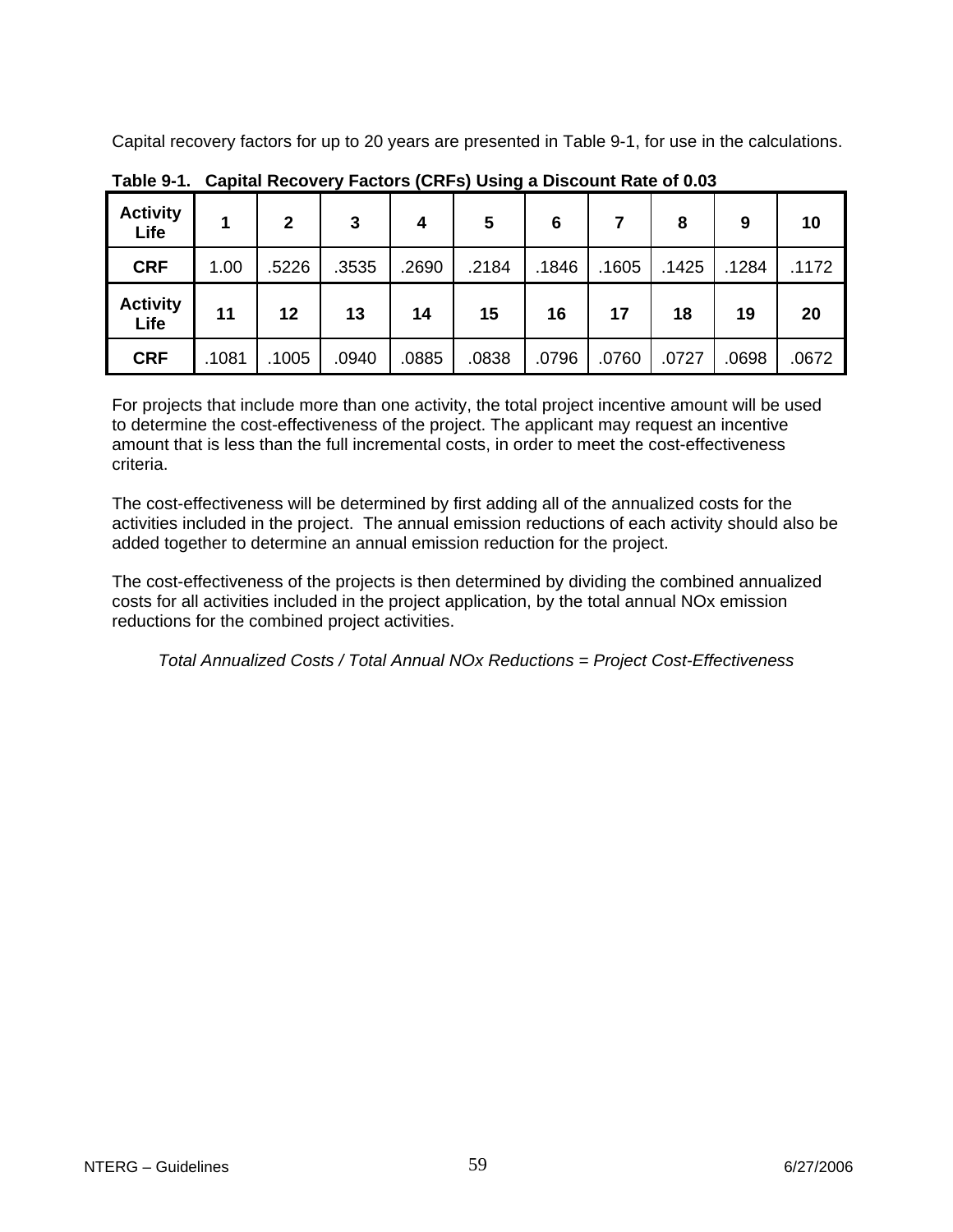Capital recovery factors for up to 20 years are presented in Table 9-1, for use in the calculations.

| <b>Activity</b><br>Life |       | $\overline{2}$ | 3     | 4     | 5     | 6     |       | 8     | 9     | 10    |
|-------------------------|-------|----------------|-------|-------|-------|-------|-------|-------|-------|-------|
| <b>CRF</b>              | 1.00  | .5226          | .3535 | .2690 | .2184 | .1846 | .1605 | .1425 | .1284 | .1172 |
| <b>Activity</b><br>Life | 11    | 12             | 13    | 14    | 15    | 16    | 17    | 18    | 19    | 20    |
| <b>CRF</b>              | .1081 | .1005          | .0940 | .0885 | .0838 | .0796 | .0760 | .0727 | .0698 | .0672 |

**Table 9-1. Capital Recovery Factors (CRFs) Using a Discount Rate of 0.03**

For projects that include more than one activity, the total project incentive amount will be used to determine the cost-effectiveness of the project. The applicant may request an incentive amount that is less than the full incremental costs, in order to meet the cost-effectiveness criteria.

The cost-effectiveness will be determined by first adding all of the annualized costs for the activities included in the project. The annual emission reductions of each activity should also be added together to determine an annual emission reduction for the project.

The cost-effectiveness of the projects is then determined by dividing the combined annualized costs for all activities included in the project application, by the total annual NOx emission reductions for the combined project activities.

*Total Annualized Costs / Total Annual NOx Reductions = Project Cost-Effectiveness*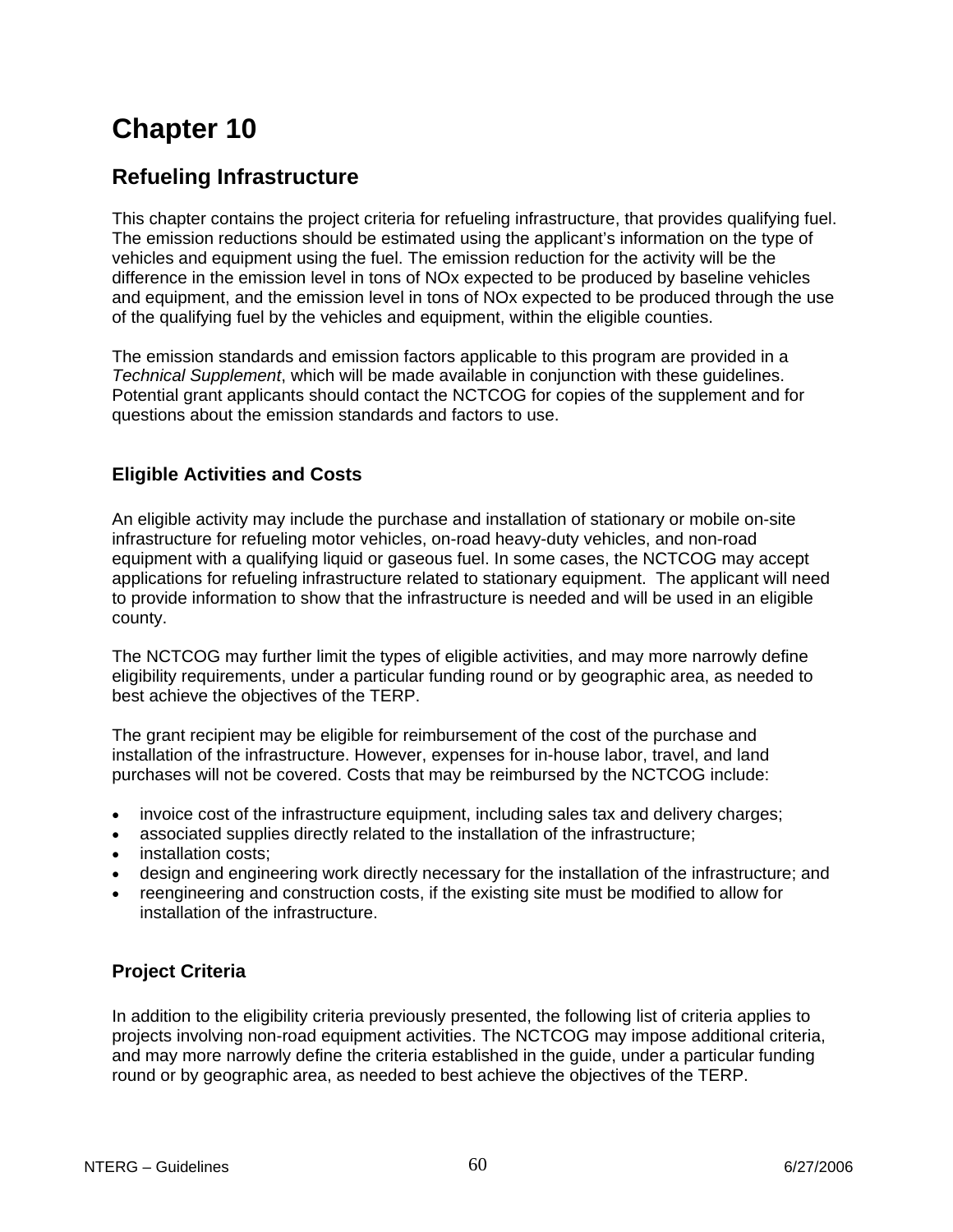# **Chapter 10**

# **Refueling Infrastructure**

This chapter contains the project criteria for refueling infrastructure, that provides qualifying fuel. The emission reductions should be estimated using the applicant's information on the type of vehicles and equipment using the fuel. The emission reduction for the activity will be the difference in the emission level in tons of NOx expected to be produced by baseline vehicles and equipment, and the emission level in tons of NOx expected to be produced through the use of the qualifying fuel by the vehicles and equipment, within the eligible counties.

The emission standards and emission factors applicable to this program are provided in a *Technical Supplement*, which will be made available in conjunction with these guidelines. Potential grant applicants should contact the NCTCOG for copies of the supplement and for questions about the emission standards and factors to use.

# **Eligible Activities and Costs**

An eligible activity may include the purchase and installation of stationary or mobile on-site infrastructure for refueling motor vehicles, on-road heavy-duty vehicles, and non-road equipment with a qualifying liquid or gaseous fuel. In some cases, the NCTCOG may accept applications for refueling infrastructure related to stationary equipment. The applicant will need to provide information to show that the infrastructure is needed and will be used in an eligible county.

The NCTCOG may further limit the types of eligible activities, and may more narrowly define eligibility requirements, under a particular funding round or by geographic area, as needed to best achieve the objectives of the TERP.

The grant recipient may be eligible for reimbursement of the cost of the purchase and installation of the infrastructure. However, expenses for in-house labor, travel, and land purchases will not be covered. Costs that may be reimbursed by the NCTCOG include:

- invoice cost of the infrastructure equipment, including sales tax and delivery charges;
- associated supplies directly related to the installation of the infrastructure;
- installation costs;
- design and engineering work directly necessary for the installation of the infrastructure; and
- reengineering and construction costs, if the existing site must be modified to allow for installation of the infrastructure.

# **Project Criteria**

In addition to the eligibility criteria previously presented, the following list of criteria applies to projects involving non-road equipment activities. The NCTCOG may impose additional criteria, and may more narrowly define the criteria established in the guide, under a particular funding round or by geographic area, as needed to best achieve the objectives of the TERP.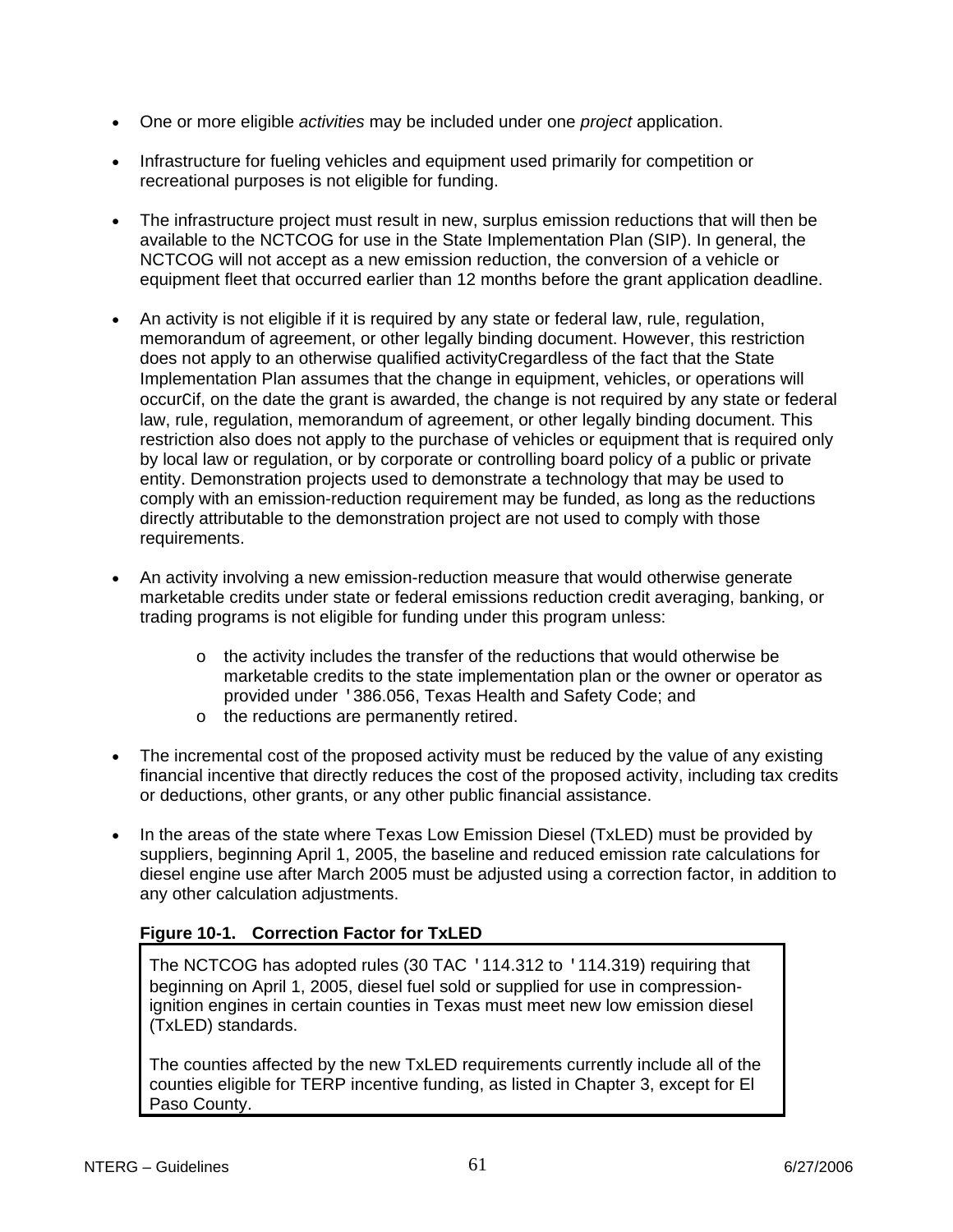- One or more eligible *activities* may be included under one *project* application.
- Infrastructure for fueling vehicles and equipment used primarily for competition or recreational purposes is not eligible for funding.
- The infrastructure project must result in new, surplus emission reductions that will then be available to the NCTCOG for use in the State Implementation Plan (SIP). In general, the NCTCOG will not accept as a new emission reduction, the conversion of a vehicle or equipment fleet that occurred earlier than 12 months before the grant application deadline.
- An activity is not eligible if it is required by any state or federal law, rule, regulation, memorandum of agreement, or other legally binding document. However, this restriction does not apply to an otherwise qualified activityCregardless of the fact that the State Implementation Plan assumes that the change in equipment, vehicles, or operations will occurCif, on the date the grant is awarded, the change is not required by any state or federal law, rule, regulation, memorandum of agreement, or other legally binding document. This restriction also does not apply to the purchase of vehicles or equipment that is required only by local law or regulation, or by corporate or controlling board policy of a public or private entity. Demonstration projects used to demonstrate a technology that may be used to comply with an emission-reduction requirement may be funded, as long as the reductions directly attributable to the demonstration project are not used to comply with those requirements.
- An activity involving a new emission-reduction measure that would otherwise generate marketable credits under state or federal emissions reduction credit averaging, banking, or trading programs is not eligible for funding under this program unless:
	- $\circ$  the activity includes the transfer of the reductions that would otherwise be marketable credits to the state implementation plan or the owner or operator as provided under '386.056, Texas Health and Safety Code; and
	- o the reductions are permanently retired.
- The incremental cost of the proposed activity must be reduced by the value of any existing financial incentive that directly reduces the cost of the proposed activity, including tax credits or deductions, other grants, or any other public financial assistance.
- In the areas of the state where Texas Low Emission Diesel (TxLED) must be provided by suppliers, beginning April 1, 2005, the baseline and reduced emission rate calculations for diesel engine use after March 2005 must be adjusted using a correction factor, in addition to any other calculation adjustments.

# **Figure 10-1. Correction Factor for TxLED**

The NCTCOG has adopted rules (30 TAC '114.312 to '114.319) requiring that beginning on April 1, 2005, diesel fuel sold or supplied for use in compressionignition engines in certain counties in Texas must meet new low emission diesel (TxLED) standards.

The counties affected by the new TxLED requirements currently include all of the counties eligible for TERP incentive funding, as listed in Chapter 3, except for El Paso County.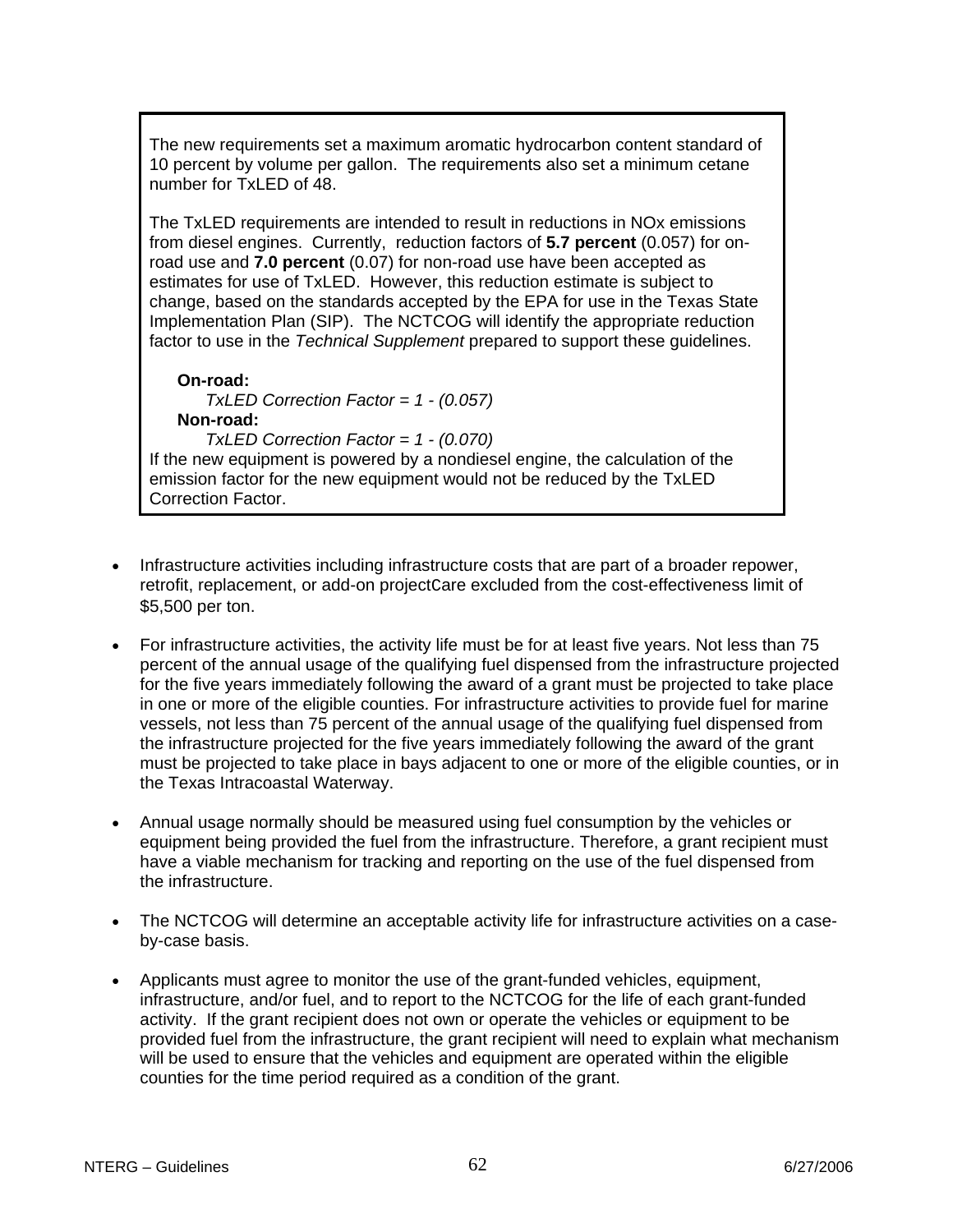The new requirements set a maximum aromatic hydrocarbon content standard of 10 percent by volume per gallon. The requirements also set a minimum cetane number for TxLED of 48.

The TxLED requirements are intended to result in reductions in NOx emissions from diesel engines. Currently, reduction factors of **5.7 percent** (0.057) for onroad use and **7.0 percent** (0.07) for non-road use have been accepted as estimates for use of TxLED. However, this reduction estimate is subject to change, based on the standards accepted by the EPA for use in the Texas State Implementation Plan (SIP). The NCTCOG will identify the appropriate reduction factor to use in the *Technical Supplement* prepared to support these guidelines.

**On-road:** *TxLED Correction Factor = 1 - (0.057)* **Non-road:** *TxLED Correction Factor = 1 - (0.070)*

If the new equipment is powered by a nondiesel engine, the calculation of the emission factor for the new equipment would not be reduced by the TxLED Correction Factor.

- Infrastructure activities including infrastructure costs that are part of a broader repower, retrofit, replacement, or add-on project care excluded from the cost-effectiveness limit of \$5,500 per ton.
- For infrastructure activities, the activity life must be for at least five years. Not less than 75 percent of the annual usage of the qualifying fuel dispensed from the infrastructure projected for the five years immediately following the award of a grant must be projected to take place in one or more of the eligible counties. For infrastructure activities to provide fuel for marine vessels, not less than 75 percent of the annual usage of the qualifying fuel dispensed from the infrastructure projected for the five years immediately following the award of the grant must be projected to take place in bays adjacent to one or more of the eligible counties, or in the Texas Intracoastal Waterway.
- Annual usage normally should be measured using fuel consumption by the vehicles or equipment being provided the fuel from the infrastructure. Therefore, a grant recipient must have a viable mechanism for tracking and reporting on the use of the fuel dispensed from the infrastructure.
- The NCTCOG will determine an acceptable activity life for infrastructure activities on a caseby-case basis.
- Applicants must agree to monitor the use of the grant-funded vehicles, equipment, infrastructure, and/or fuel, and to report to the NCTCOG for the life of each grant-funded activity. If the grant recipient does not own or operate the vehicles or equipment to be provided fuel from the infrastructure, the grant recipient will need to explain what mechanism will be used to ensure that the vehicles and equipment are operated within the eligible counties for the time period required as a condition of the grant.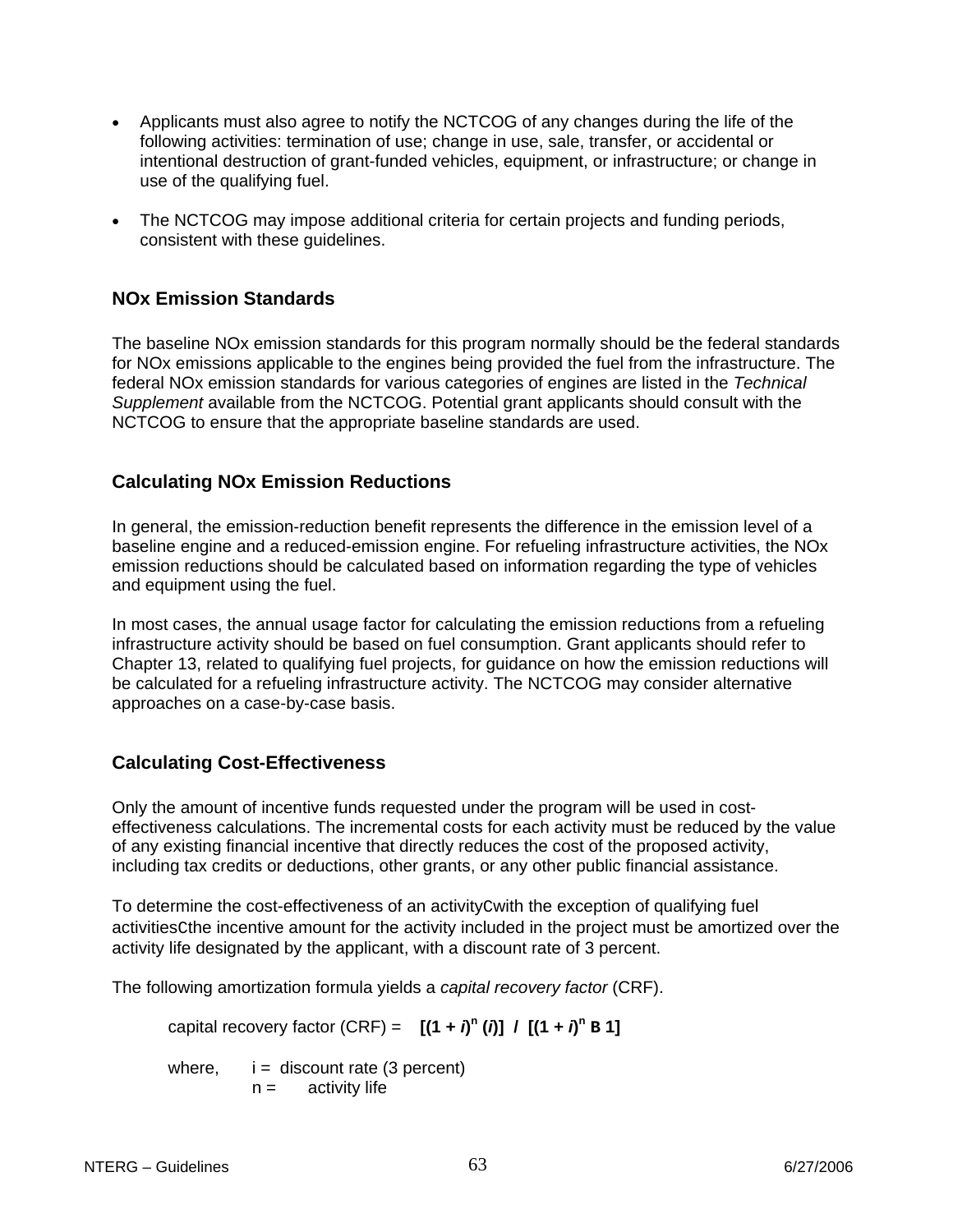- Applicants must also agree to notify the NCTCOG of any changes during the life of the following activities: termination of use; change in use, sale, transfer, or accidental or intentional destruction of grant-funded vehicles, equipment, or infrastructure; or change in use of the qualifying fuel.
- The NCTCOG may impose additional criteria for certain projects and funding periods, consistent with these guidelines.

# **NOx Emission Standards**

The baseline NOx emission standards for this program normally should be the federal standards for NOx emissions applicable to the engines being provided the fuel from the infrastructure. The federal NOx emission standards for various categories of engines are listed in the *Technical Supplement* available from the NCTCOG. Potential grant applicants should consult with the NCTCOG to ensure that the appropriate baseline standards are used.

# **Calculating NOx Emission Reductions**

In general, the emission-reduction benefit represents the difference in the emission level of a baseline engine and a reduced-emission engine. For refueling infrastructure activities, the NOx emission reductions should be calculated based on information regarding the type of vehicles and equipment using the fuel.

In most cases, the annual usage factor for calculating the emission reductions from a refueling infrastructure activity should be based on fuel consumption. Grant applicants should refer to Chapter 13, related to qualifying fuel projects, for guidance on how the emission reductions will be calculated for a refueling infrastructure activity. The NCTCOG may consider alternative approaches on a case-by-case basis.

# **Calculating Cost-Effectiveness**

Only the amount of incentive funds requested under the program will be used in costeffectiveness calculations. The incremental costs for each activity must be reduced by the value of any existing financial incentive that directly reduces the cost of the proposed activity, including tax credits or deductions, other grants, or any other public financial assistance.

To determine the cost-effectiveness of an activityCwith the exception of qualifying fuel activitiesCthe incentive amount for the activity included in the project must be amortized over the activity life designated by the applicant, with a discount rate of 3 percent.

The following amortization formula yields a *capital recovery factor* (CRF).

capital recovery factor (CRF) =  $[(1 + i)^n(i)] / [(1 + i)^n B]$ 

where,  $i =$  discount rate (3 percent)  $n =$  activity life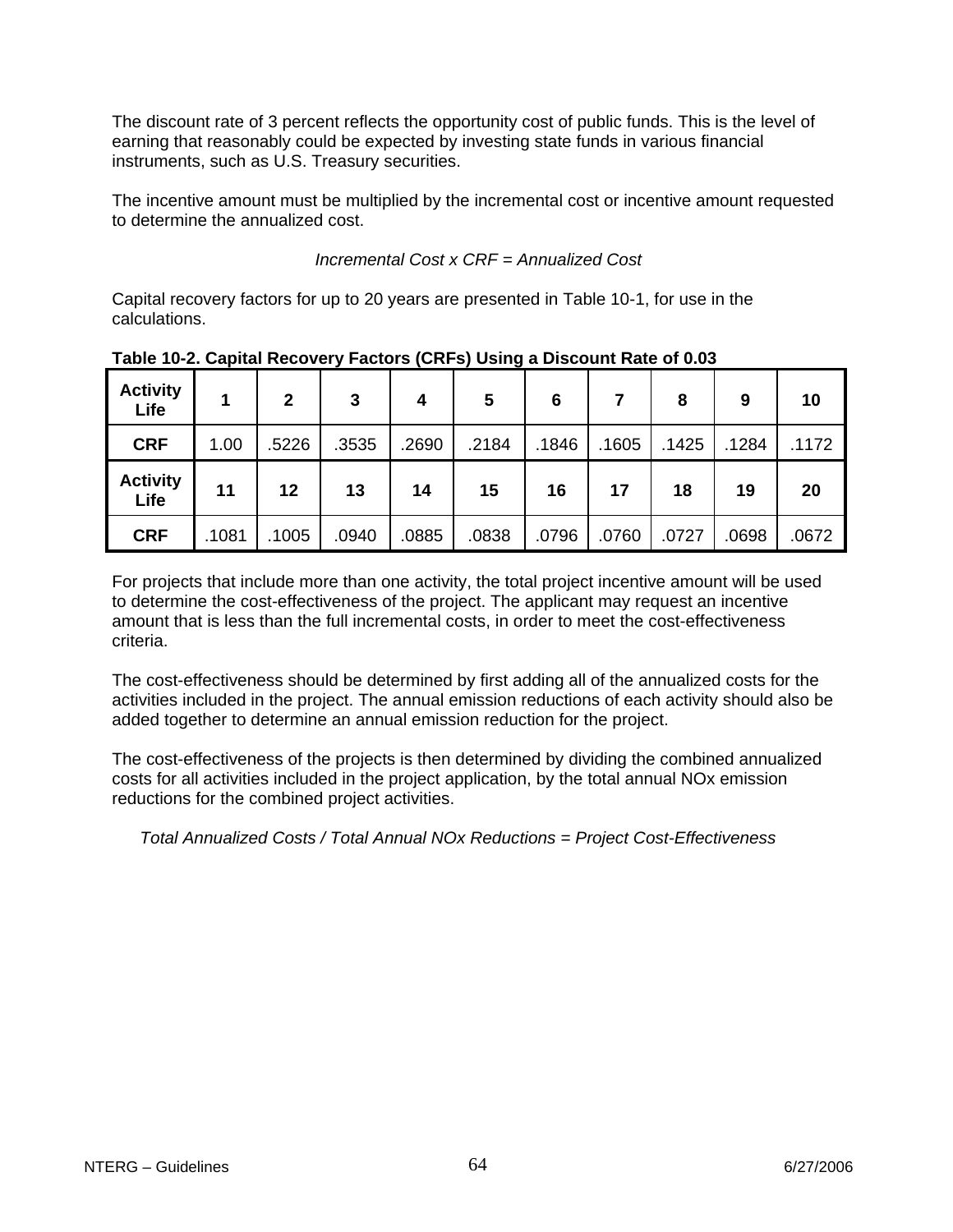The discount rate of 3 percent reflects the opportunity cost of public funds. This is the level of earning that reasonably could be expected by investing state funds in various financial instruments, such as U.S. Treasury securities.

The incentive amount must be multiplied by the incremental cost or incentive amount requested to determine the annualized cost.

 *Incremental Cost x CRF = Annualized Cost*

Capital recovery factors for up to 20 years are presented in Table 10-1, for use in the calculations.

| <b>Activity</b><br>Life | 1     | $\mathbf{2}$ | 3     | 4     | . .<br>5 | 6     |       | 8     | 9     | 10    |
|-------------------------|-------|--------------|-------|-------|----------|-------|-------|-------|-------|-------|
| <b>CRF</b>              | 1.00  | .5226        | .3535 | .2690 | .2184    | .1846 | .1605 | .1425 | .1284 | .1172 |
| <b>Activity</b><br>Life | 11    | 12           | 13    | 14    | 15       | 16    | 17    | 18    | 19    | 20    |
| <b>CRF</b>              | .1081 | .1005        | .0940 | .0885 | .0838    | .0796 | .0760 | .0727 | .0698 | .0672 |

**Table 10-2. Capital Recovery Factors (CRFs) Using a Discount Rate of 0.03** 

For projects that include more than one activity, the total project incentive amount will be used to determine the cost-effectiveness of the project. The applicant may request an incentive amount that is less than the full incremental costs, in order to meet the cost-effectiveness criteria.

The cost-effectiveness should be determined by first adding all of the annualized costs for the activities included in the project. The annual emission reductions of each activity should also be added together to determine an annual emission reduction for the project.

The cost-effectiveness of the projects is then determined by dividing the combined annualized costs for all activities included in the project application, by the total annual NOx emission reductions for the combined project activities.

*Total Annualized Costs / Total Annual NOx Reductions = Project Cost-Effectiveness*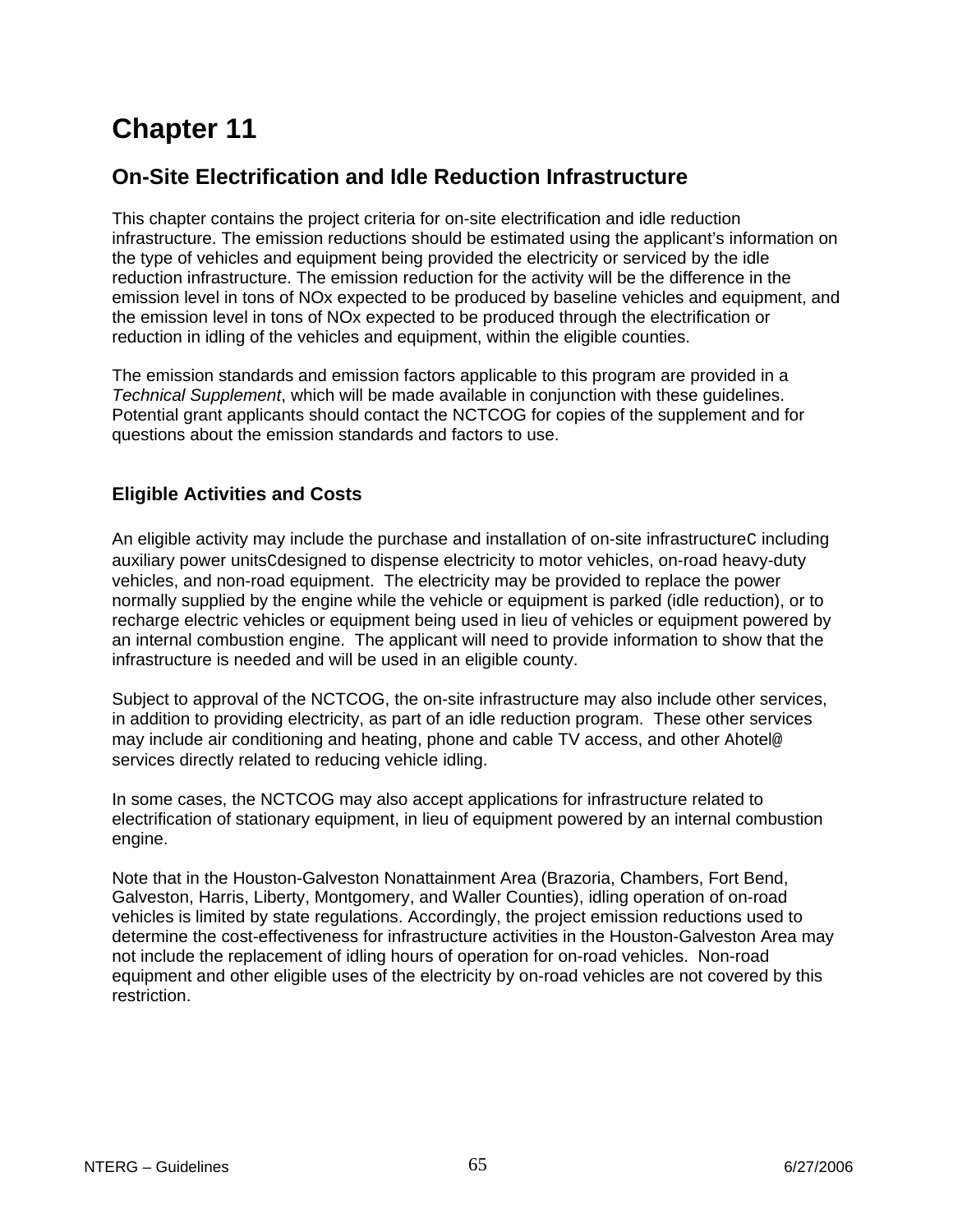# **Chapter 11**

# **On-Site Electrification and Idle Reduction Infrastructure**

This chapter contains the project criteria for on-site electrification and idle reduction infrastructure. The emission reductions should be estimated using the applicant's information on the type of vehicles and equipment being provided the electricity or serviced by the idle reduction infrastructure. The emission reduction for the activity will be the difference in the emission level in tons of NOx expected to be produced by baseline vehicles and equipment, and the emission level in tons of NOx expected to be produced through the electrification or reduction in idling of the vehicles and equipment, within the eligible counties.

The emission standards and emission factors applicable to this program are provided in a *Technical Supplement*, which will be made available in conjunction with these guidelines. Potential grant applicants should contact the NCTCOG for copies of the supplement and for questions about the emission standards and factors to use.

# **Eligible Activities and Costs**

An eligible activity may include the purchase and installation of on-site infrastructure cincluding auxiliary power unitsCdesigned to dispense electricity to motor vehicles, on-road heavy-duty vehicles, and non-road equipment. The electricity may be provided to replace the power normally supplied by the engine while the vehicle or equipment is parked (idle reduction), or to recharge electric vehicles or equipment being used in lieu of vehicles or equipment powered by an internal combustion engine. The applicant will need to provide information to show that the infrastructure is needed and will be used in an eligible county.

Subject to approval of the NCTCOG, the on-site infrastructure may also include other services, in addition to providing electricity, as part of an idle reduction program. These other services may include air conditioning and heating, phone and cable TV access, and other Ahotel@ services directly related to reducing vehicle idling.

In some cases, the NCTCOG may also accept applications for infrastructure related to electrification of stationary equipment, in lieu of equipment powered by an internal combustion engine.

Note that in the Houston-Galveston Nonattainment Area (Brazoria, Chambers, Fort Bend, Galveston, Harris, Liberty, Montgomery, and Waller Counties), idling operation of on-road vehicles is limited by state regulations. Accordingly, the project emission reductions used to determine the cost-effectiveness for infrastructure activities in the Houston-Galveston Area may not include the replacement of idling hours of operation for on-road vehicles. Non-road equipment and other eligible uses of the electricity by on-road vehicles are not covered by this restriction.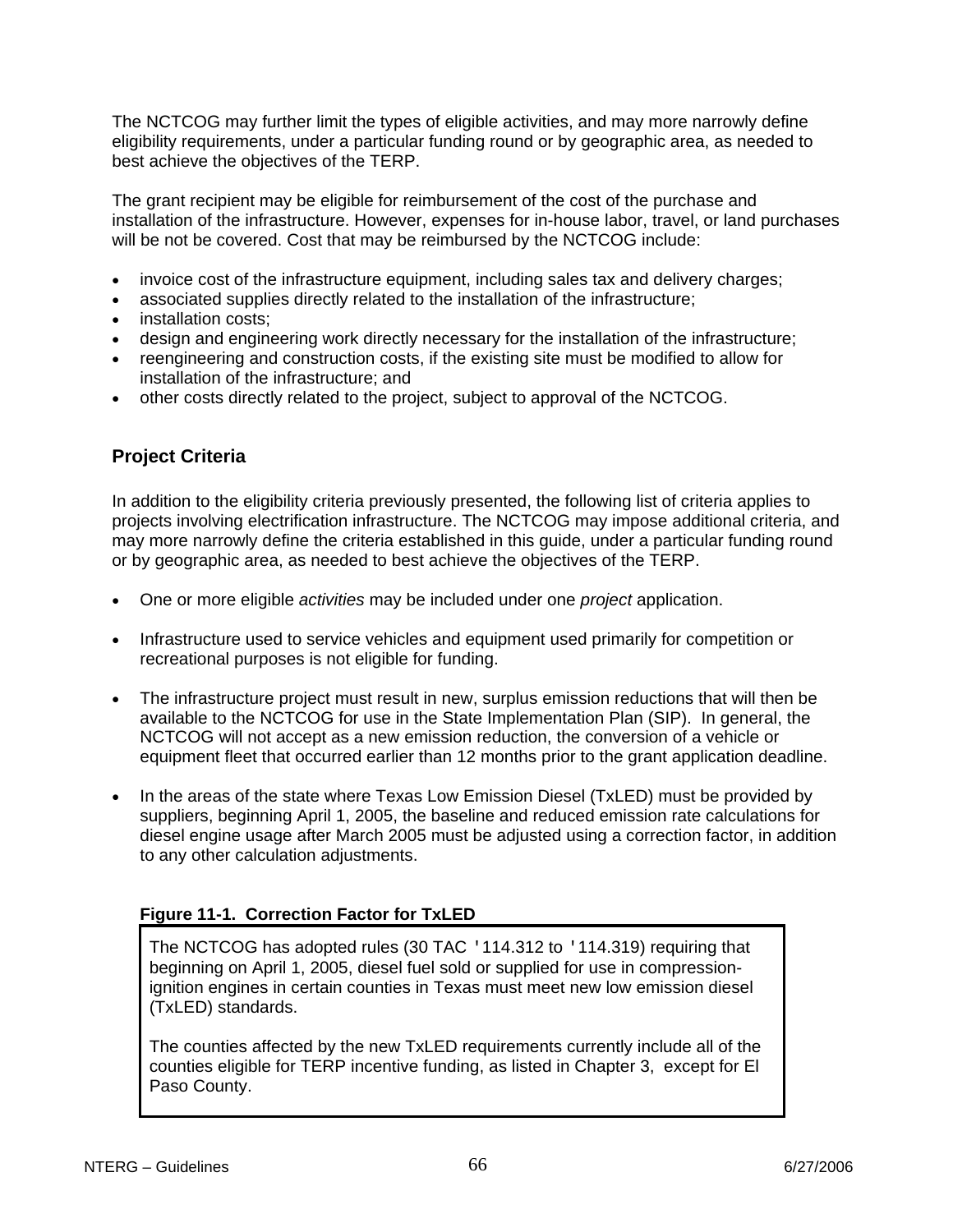The NCTCOG may further limit the types of eligible activities, and may more narrowly define eligibility requirements, under a particular funding round or by geographic area, as needed to best achieve the objectives of the TERP.

The grant recipient may be eligible for reimbursement of the cost of the purchase and installation of the infrastructure. However, expenses for in-house labor, travel, or land purchases will be not be covered. Cost that may be reimbursed by the NCTCOG include:

- invoice cost of the infrastructure equipment, including sales tax and delivery charges;
- associated supplies directly related to the installation of the infrastructure;
- installation costs;
- design and engineering work directly necessary for the installation of the infrastructure;
- reengineering and construction costs, if the existing site must be modified to allow for installation of the infrastructure; and
- other costs directly related to the project, subject to approval of the NCTCOG.

# **Project Criteria**

In addition to the eligibility criteria previously presented, the following list of criteria applies to projects involving electrification infrastructure. The NCTCOG may impose additional criteria, and may more narrowly define the criteria established in this guide, under a particular funding round or by geographic area, as needed to best achieve the objectives of the TERP.

- One or more eligible *activities* may be included under one *project* application.
- Infrastructure used to service vehicles and equipment used primarily for competition or recreational purposes is not eligible for funding.
- The infrastructure project must result in new, surplus emission reductions that will then be available to the NCTCOG for use in the State Implementation Plan (SIP). In general, the NCTCOG will not accept as a new emission reduction, the conversion of a vehicle or equipment fleet that occurred earlier than 12 months prior to the grant application deadline.
- In the areas of the state where Texas Low Emission Diesel (TxLED) must be provided by suppliers, beginning April 1, 2005, the baseline and reduced emission rate calculations for diesel engine usage after March 2005 must be adjusted using a correction factor, in addition to any other calculation adjustments.

# **Figure 11-1. Correction Factor for TxLED**

The NCTCOG has adopted rules (30 TAC '114.312 to '114.319) requiring that beginning on April 1, 2005, diesel fuel sold or supplied for use in compressionignition engines in certain counties in Texas must meet new low emission diesel (TxLED) standards.

The counties affected by the new TxLED requirements currently include all of the counties eligible for TERP incentive funding, as listed in Chapter 3, except for El Paso County.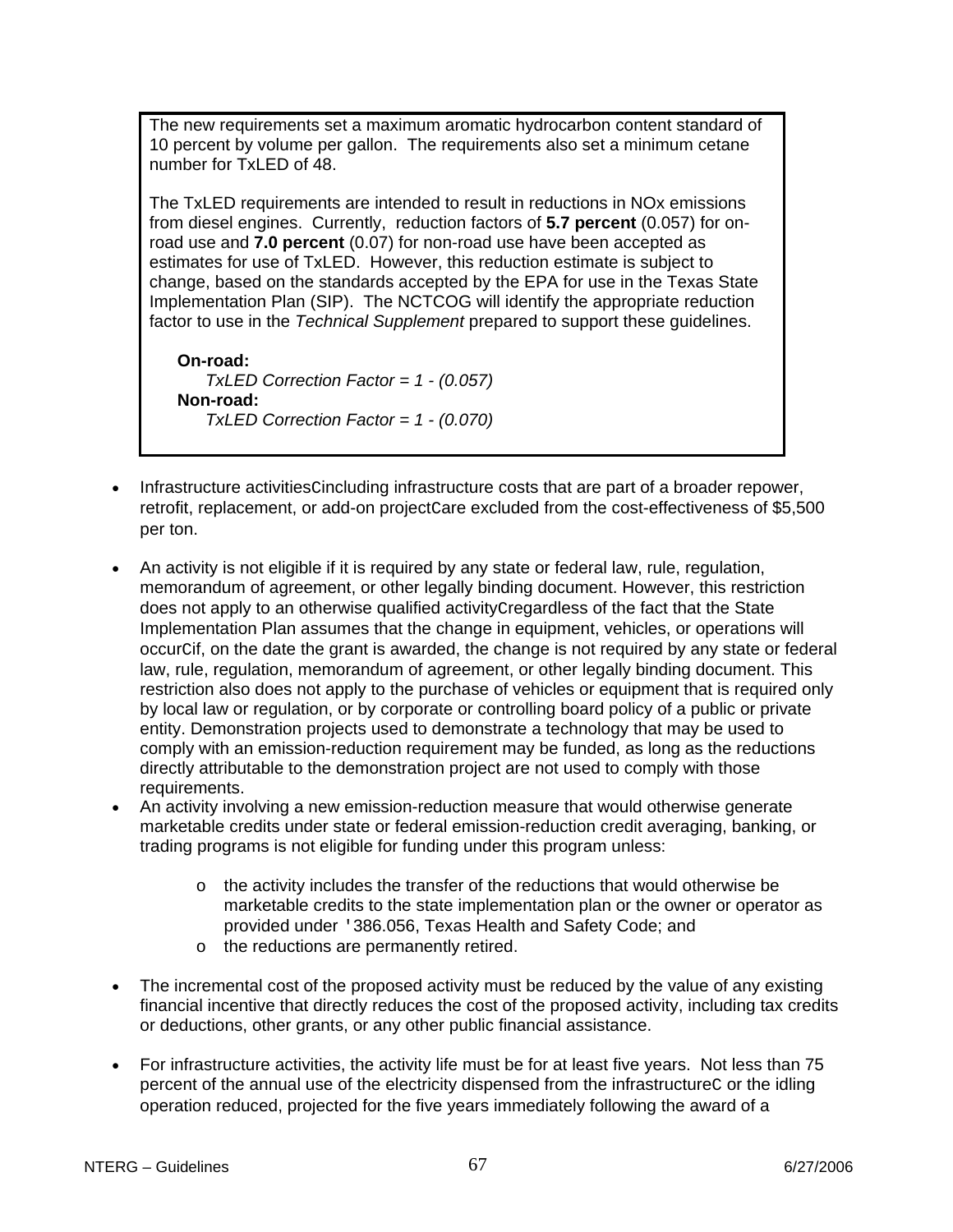The new requirements set a maximum aromatic hydrocarbon content standard of 10 percent by volume per gallon. The requirements also set a minimum cetane number for TxLED of 48.

The TxLED requirements are intended to result in reductions in NOx emissions from diesel engines. Currently, reduction factors of **5.7 percent** (0.057) for onroad use and **7.0 percent** (0.07) for non-road use have been accepted as estimates for use of TxLED. However, this reduction estimate is subject to change, based on the standards accepted by the EPA for use in the Texas State Implementation Plan (SIP). The NCTCOG will identify the appropriate reduction factor to use in the *Technical Supplement* prepared to support these guidelines.

**On-road:** *TxLED Correction Factor = 1 - (0.057)* **Non-road:** *TxLED Correction Factor = 1 - (0.070)*

- Infrastructure activitiesCincluding infrastructure costs that are part of a broader repower, retrofit, replacement, or add-on project care excluded from the cost-effectiveness of \$5,500 per ton.
- An activity is not eligible if it is required by any state or federal law, rule, regulation, memorandum of agreement, or other legally binding document. However, this restriction does not apply to an otherwise qualified activityCregardless of the fact that the State Implementation Plan assumes that the change in equipment, vehicles, or operations will occurCif, on the date the grant is awarded, the change is not required by any state or federal law, rule, regulation, memorandum of agreement, or other legally binding document. This restriction also does not apply to the purchase of vehicles or equipment that is required only by local law or regulation, or by corporate or controlling board policy of a public or private entity. Demonstration projects used to demonstrate a technology that may be used to comply with an emission-reduction requirement may be funded, as long as the reductions directly attributable to the demonstration project are not used to comply with those requirements.
- An activity involving a new emission-reduction measure that would otherwise generate marketable credits under state or federal emission-reduction credit averaging, banking, or trading programs is not eligible for funding under this program unless:
	- $\circ$  the activity includes the transfer of the reductions that would otherwise be marketable credits to the state implementation plan or the owner or operator as provided under '386.056, Texas Health and Safety Code; and
	- o the reductions are permanently retired.
- The incremental cost of the proposed activity must be reduced by the value of any existing financial incentive that directly reduces the cost of the proposed activity, including tax credits or deductions, other grants, or any other public financial assistance.
- For infrastructure activities, the activity life must be for at least five years. Not less than 75 percent of the annual use of the electricity dispensed from the infrastructurec or the idling operation reduced, projected for the five years immediately following the award of a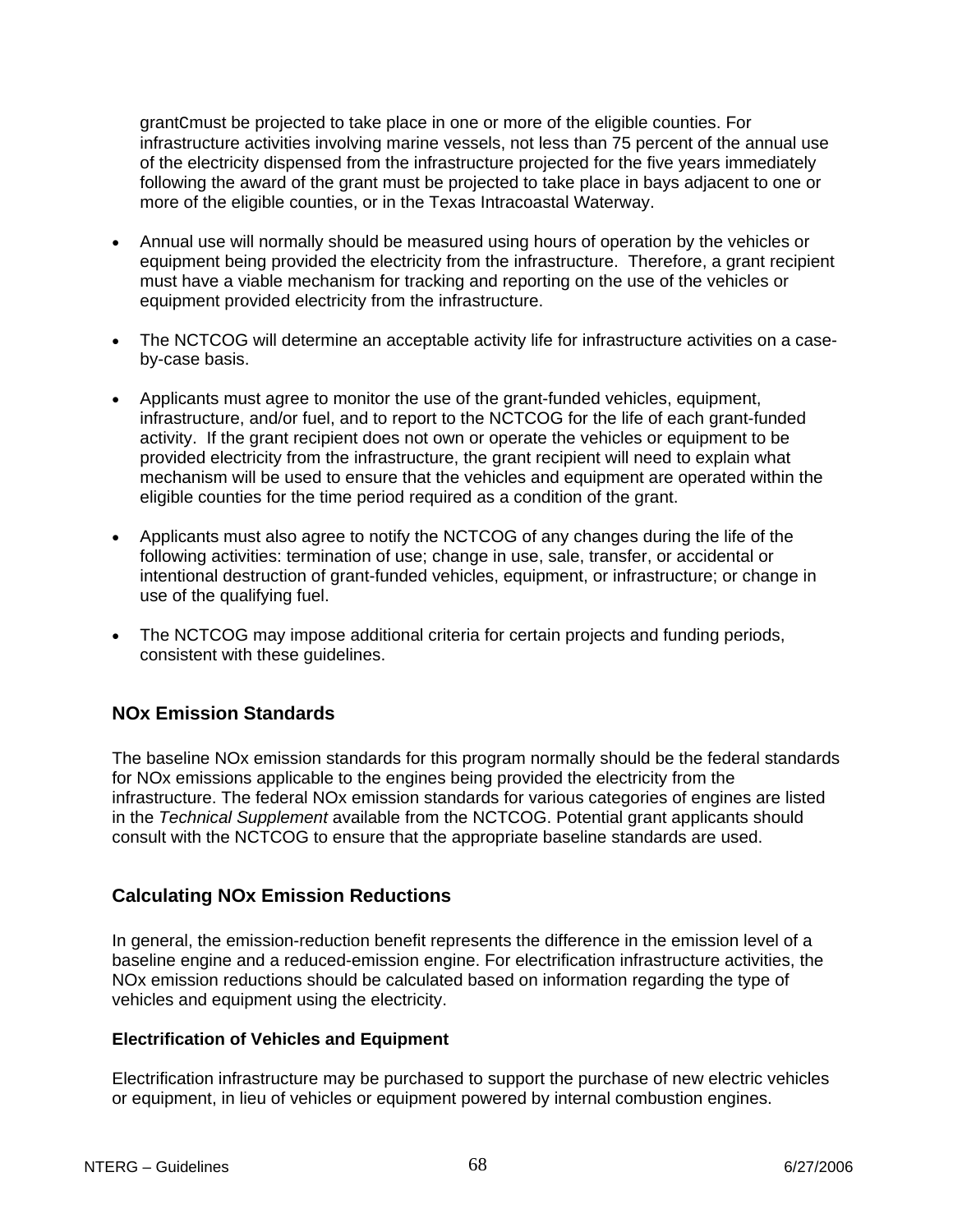grantCmust be projected to take place in one or more of the eligible counties. For infrastructure activities involving marine vessels, not less than 75 percent of the annual use of the electricity dispensed from the infrastructure projected for the five years immediately following the award of the grant must be projected to take place in bays adjacent to one or more of the eligible counties, or in the Texas Intracoastal Waterway.

- Annual use will normally should be measured using hours of operation by the vehicles or equipment being provided the electricity from the infrastructure. Therefore, a grant recipient must have a viable mechanism for tracking and reporting on the use of the vehicles or equipment provided electricity from the infrastructure.
- The NCTCOG will determine an acceptable activity life for infrastructure activities on a caseby-case basis.
- Applicants must agree to monitor the use of the grant-funded vehicles, equipment, infrastructure, and/or fuel, and to report to the NCTCOG for the life of each grant-funded activity. If the grant recipient does not own or operate the vehicles or equipment to be provided electricity from the infrastructure, the grant recipient will need to explain what mechanism will be used to ensure that the vehicles and equipment are operated within the eligible counties for the time period required as a condition of the grant.
- Applicants must also agree to notify the NCTCOG of any changes during the life of the following activities: termination of use; change in use, sale, transfer, or accidental or intentional destruction of grant-funded vehicles, equipment, or infrastructure; or change in use of the qualifying fuel.
- The NCTCOG may impose additional criteria for certain projects and funding periods, consistent with these guidelines.

# **NOx Emission Standards**

The baseline NOx emission standards for this program normally should be the federal standards for NOx emissions applicable to the engines being provided the electricity from the infrastructure. The federal NOx emission standards for various categories of engines are listed in the *Technical Supplement* available from the NCTCOG. Potential grant applicants should consult with the NCTCOG to ensure that the appropriate baseline standards are used.

#### **Calculating NOx Emission Reductions**

In general, the emission-reduction benefit represents the difference in the emission level of a baseline engine and a reduced-emission engine. For electrification infrastructure activities, the NOx emission reductions should be calculated based on information regarding the type of vehicles and equipment using the electricity.

#### **Electrification of Vehicles and Equipment**

Electrification infrastructure may be purchased to support the purchase of new electric vehicles or equipment, in lieu of vehicles or equipment powered by internal combustion engines.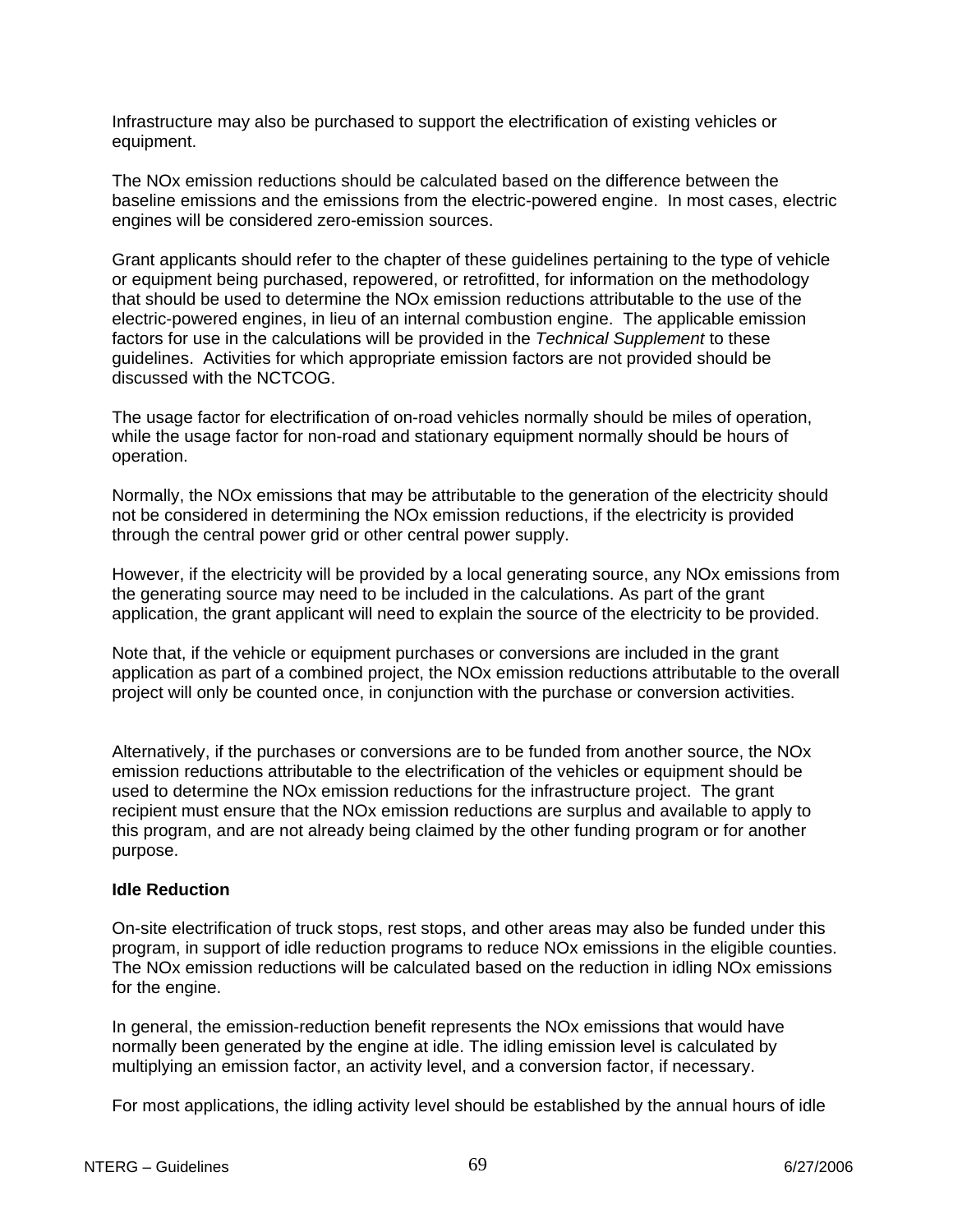Infrastructure may also be purchased to support the electrification of existing vehicles or equipment.

The NOx emission reductions should be calculated based on the difference between the baseline emissions and the emissions from the electric-powered engine. In most cases, electric engines will be considered zero-emission sources.

Grant applicants should refer to the chapter of these guidelines pertaining to the type of vehicle or equipment being purchased, repowered, or retrofitted, for information on the methodology that should be used to determine the NOx emission reductions attributable to the use of the electric-powered engines, in lieu of an internal combustion engine. The applicable emission factors for use in the calculations will be provided in the *Technical Supplement* to these guidelines. Activities for which appropriate emission factors are not provided should be discussed with the NCTCOG.

The usage factor for electrification of on-road vehicles normally should be miles of operation, while the usage factor for non-road and stationary equipment normally should be hours of operation.

Normally, the NOx emissions that may be attributable to the generation of the electricity should not be considered in determining the NOx emission reductions, if the electricity is provided through the central power grid or other central power supply.

However, if the electricity will be provided by a local generating source, any NOx emissions from the generating source may need to be included in the calculations. As part of the grant application, the grant applicant will need to explain the source of the electricity to be provided.

Note that, if the vehicle or equipment purchases or conversions are included in the grant application as part of a combined project, the NOx emission reductions attributable to the overall project will only be counted once, in conjunction with the purchase or conversion activities.

Alternatively, if the purchases or conversions are to be funded from another source, the NOx emission reductions attributable to the electrification of the vehicles or equipment should be used to determine the NOx emission reductions for the infrastructure project. The grant recipient must ensure that the NOx emission reductions are surplus and available to apply to this program, and are not already being claimed by the other funding program or for another purpose.

#### **Idle Reduction**

On-site electrification of truck stops, rest stops, and other areas may also be funded under this program, in support of idle reduction programs to reduce NOx emissions in the eligible counties. The NOx emission reductions will be calculated based on the reduction in idling NOx emissions for the engine.

In general, the emission-reduction benefit represents the NOx emissions that would have normally been generated by the engine at idle. The idling emission level is calculated by multiplying an emission factor, an activity level, and a conversion factor, if necessary.

For most applications, the idling activity level should be established by the annual hours of idle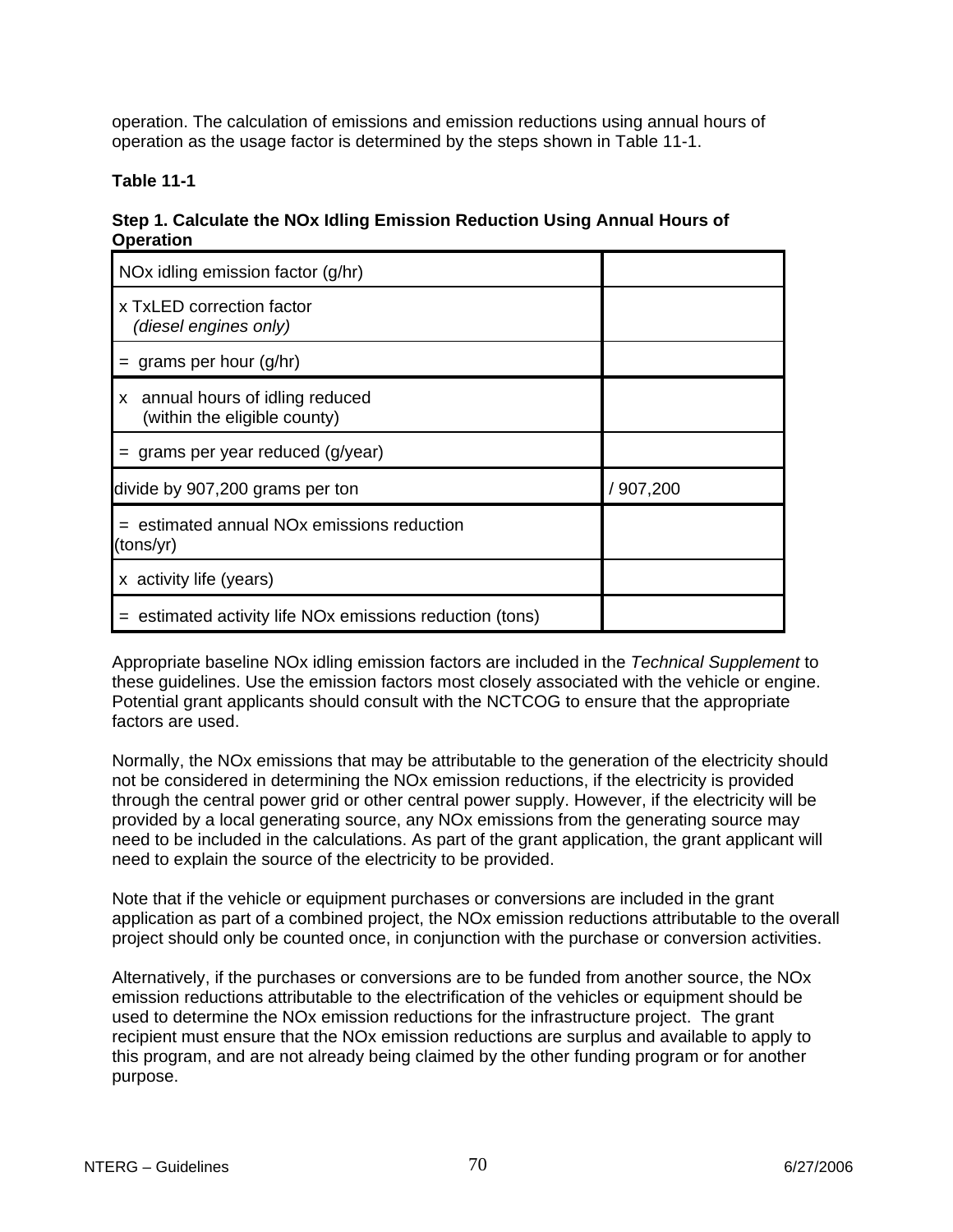operation. The calculation of emissions and emission reductions using annual hours of operation as the usage factor is determined by the steps shown in Table 11-1.

#### **Table 11-1**

| Step 1. Calculate the NOx Idling Emission Reduction Using Annual Hours of |  |
|---------------------------------------------------------------------------|--|
| <b>Operation</b>                                                          |  |

| NOx idling emission factor (g/hr)                                     |          |
|-----------------------------------------------------------------------|----------|
| x TxLED correction factor<br>(diesel engines only)                    |          |
| $=$ grams per hour (g/hr)                                             |          |
| x annual hours of idling reduced<br>(within the eligible county)      |          |
| $=$ grams per year reduced (g/year)                                   |          |
| divide by 907,200 grams per ton                                       | /907,200 |
| $=$ estimated annual NO <sub>x</sub> emissions reduction<br>(tons/yr) |          |
| x activity life (years)                                               |          |
| estimated activity life NO <sub>x</sub> emissions reduction (tons)    |          |

Appropriate baseline NOx idling emission factors are included in the *Technical Supplement* to these guidelines. Use the emission factors most closely associated with the vehicle or engine. Potential grant applicants should consult with the NCTCOG to ensure that the appropriate factors are used.

Normally, the NOx emissions that may be attributable to the generation of the electricity should not be considered in determining the NOx emission reductions, if the electricity is provided through the central power grid or other central power supply. However, if the electricity will be provided by a local generating source, any NOx emissions from the generating source may need to be included in the calculations. As part of the grant application, the grant applicant will need to explain the source of the electricity to be provided.

Note that if the vehicle or equipment purchases or conversions are included in the grant application as part of a combined project, the NOx emission reductions attributable to the overall project should only be counted once, in conjunction with the purchase or conversion activities.

Alternatively, if the purchases or conversions are to be funded from another source, the NOx emission reductions attributable to the electrification of the vehicles or equipment should be used to determine the NOx emission reductions for the infrastructure project. The grant recipient must ensure that the NOx emission reductions are surplus and available to apply to this program, and are not already being claimed by the other funding program or for another purpose.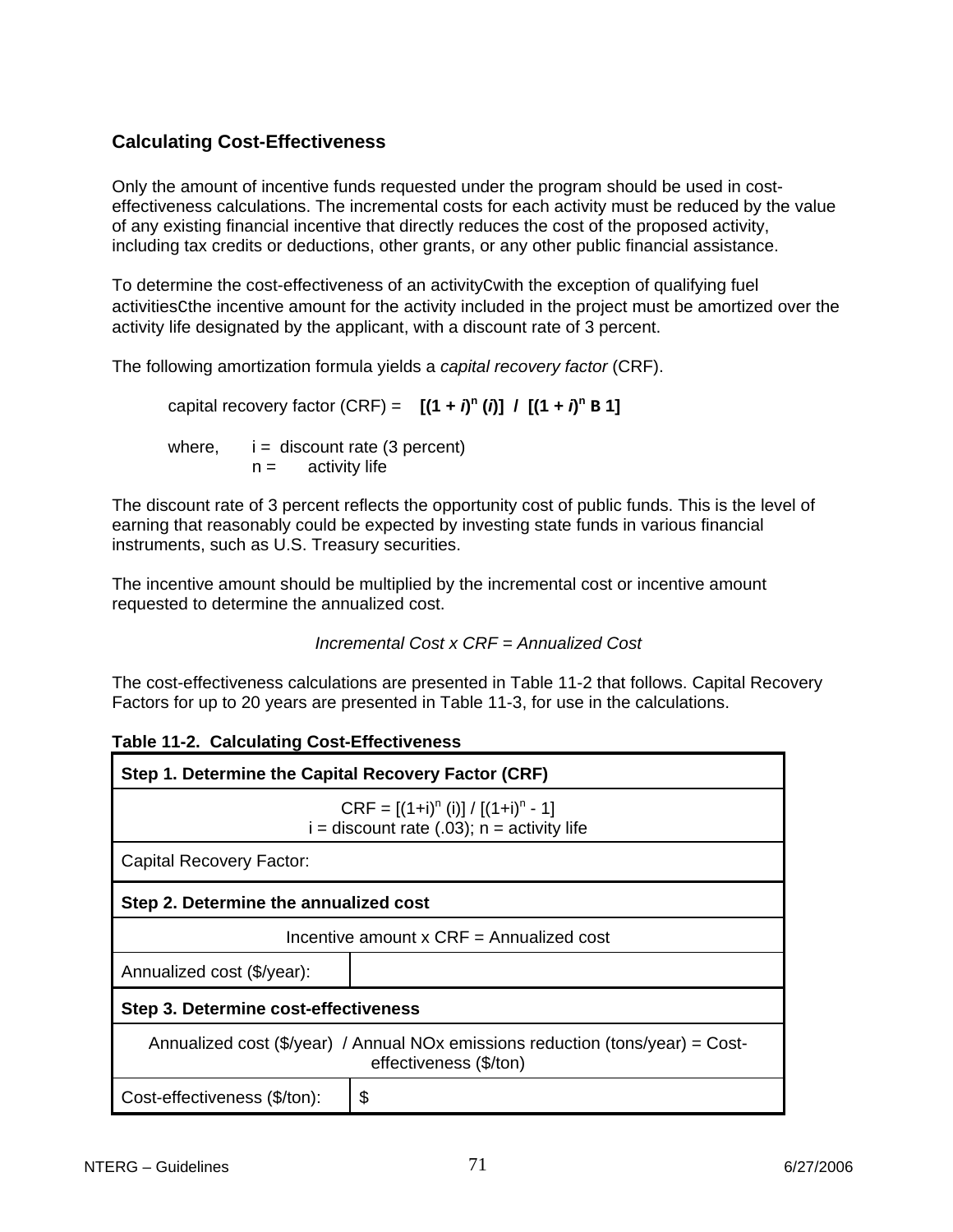# **Calculating Cost-Effectiveness**

Only the amount of incentive funds requested under the program should be used in costeffectiveness calculations. The incremental costs for each activity must be reduced by the value of any existing financial incentive that directly reduces the cost of the proposed activity, including tax credits or deductions, other grants, or any other public financial assistance.

To determine the cost-effectiveness of an activityCwith the exception of qualifying fuel activitiesCthe incentive amount for the activity included in the project must be amortized over the activity life designated by the applicant, with a discount rate of 3 percent.

The following amortization formula yields a *capital recovery factor* (CRF).

capital recovery factor (CRF) =  $[(1 + i)^n (i)] / [(1 + i)^n B]$ 

where,  $i =$  discount rate (3 percent)  $n =$  activity life

The discount rate of 3 percent reflects the opportunity cost of public funds. This is the level of earning that reasonably could be expected by investing state funds in various financial instruments, such as U.S. Treasury securities.

The incentive amount should be multiplied by the incremental cost or incentive amount requested to determine the annualized cost.

```
 Incremental Cost x CRF = Annualized Cost
```
The cost-effectiveness calculations are presented in Table 11-2 that follows. Capital Recovery Factors for up to 20 years are presented in Table 11-3, for use in the calculations.

| Step 1. Determine the Capital Recovery Factor (CRF)                                                      |                                            |  |  |  |  |  |
|----------------------------------------------------------------------------------------------------------|--------------------------------------------|--|--|--|--|--|
| $CRF = [(1+i)^n (i)] / [(1+i)^n - 1]$<br>$i =$ discount rate (.03); $n =$ activity life                  |                                            |  |  |  |  |  |
| Capital Recovery Factor:                                                                                 |                                            |  |  |  |  |  |
|                                                                                                          | Step 2. Determine the annualized cost      |  |  |  |  |  |
|                                                                                                          | Incentive amount $x$ CRF = Annualized cost |  |  |  |  |  |
| Annualized cost (\$/year):                                                                               |                                            |  |  |  |  |  |
| Step 3. Determine cost-effectiveness                                                                     |                                            |  |  |  |  |  |
| Annualized cost (\$/year) / Annual NOx emissions reduction (tons/year) = Cost-<br>effectiveness (\$/ton) |                                            |  |  |  |  |  |
| Cost-effectiveness (\$/ton):                                                                             | \$                                         |  |  |  |  |  |

|  |  | <b>Table 11-2. Calculating Cost-Effectiveness</b> |
|--|--|---------------------------------------------------|
|--|--|---------------------------------------------------|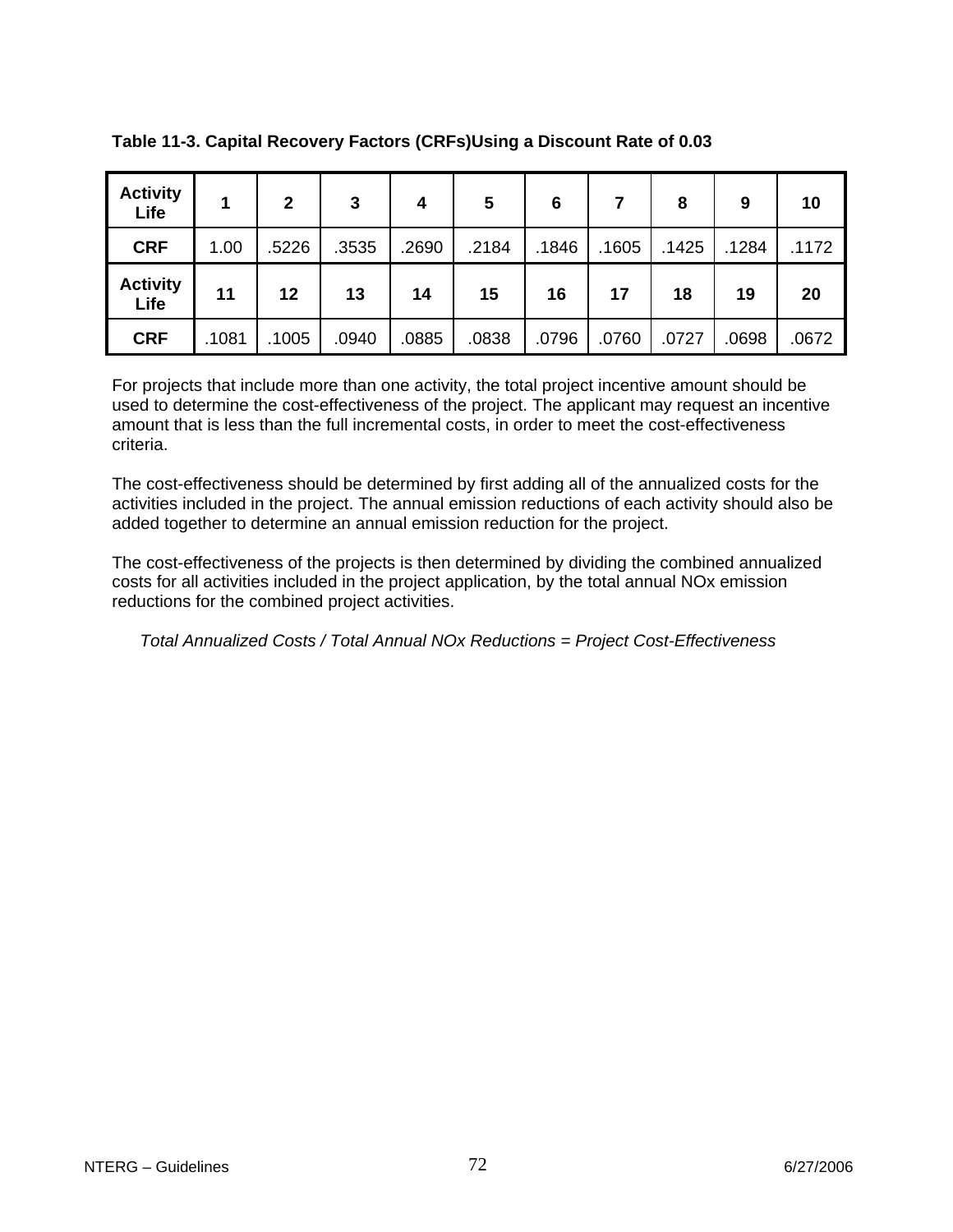| <b>Activity</b><br>Life |       | $\overline{2}$ | 3     | 4     | 5     | 6     |       | 8     | 9     | 10    |
|-------------------------|-------|----------------|-------|-------|-------|-------|-------|-------|-------|-------|
| <b>CRF</b>              | 1.00  | .5226          | .3535 | .2690 | .2184 | .1846 | .1605 | .1425 | .1284 | .1172 |
| <b>Activity</b><br>Life | 11    | 12             | 13    | 14    | 15    | 16    | 17    | 18    | 19    | 20    |
| <b>CRF</b>              | .1081 | .1005          | .0940 | .0885 | .0838 | .0796 | .0760 | .0727 | .0698 | .0672 |

**Table 11-3. Capital Recovery Factors (CRFs)Using a Discount Rate of 0.03** 

For projects that include more than one activity, the total project incentive amount should be used to determine the cost-effectiveness of the project. The applicant may request an incentive amount that is less than the full incremental costs, in order to meet the cost-effectiveness criteria.

The cost-effectiveness should be determined by first adding all of the annualized costs for the activities included in the project. The annual emission reductions of each activity should also be added together to determine an annual emission reduction for the project.

The cost-effectiveness of the projects is then determined by dividing the combined annualized costs for all activities included in the project application, by the total annual NOx emission reductions for the combined project activities.

*Total Annualized Costs / Total Annual NOx Reductions = Project Cost-Effectiveness*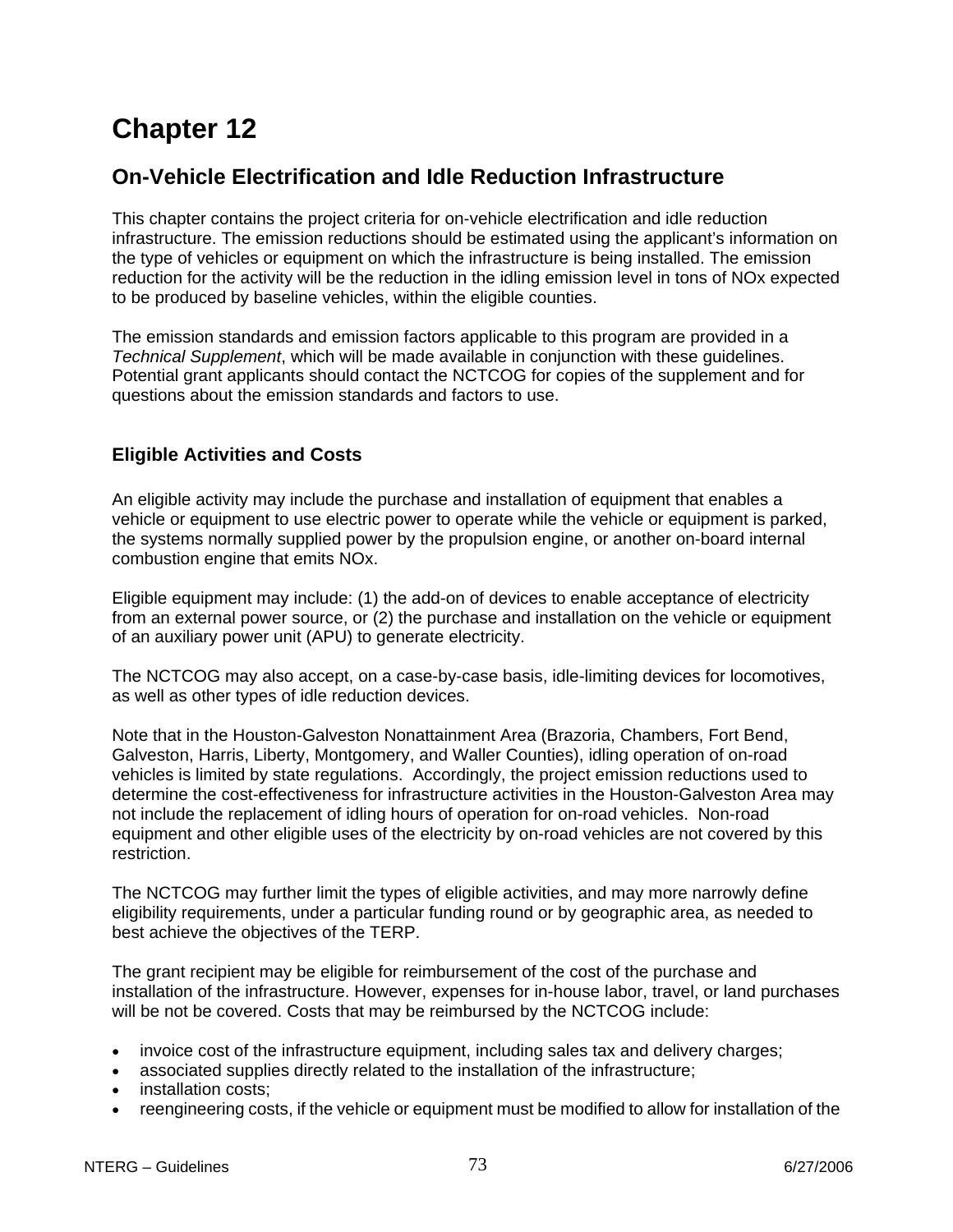## **On-Vehicle Electrification and Idle Reduction Infrastructure**

This chapter contains the project criteria for on-vehicle electrification and idle reduction infrastructure. The emission reductions should be estimated using the applicant's information on the type of vehicles or equipment on which the infrastructure is being installed. The emission reduction for the activity will be the reduction in the idling emission level in tons of NOx expected to be produced by baseline vehicles, within the eligible counties.

The emission standards and emission factors applicable to this program are provided in a *Technical Supplement*, which will be made available in conjunction with these guidelines. Potential grant applicants should contact the NCTCOG for copies of the supplement and for questions about the emission standards and factors to use.

## **Eligible Activities and Costs**

An eligible activity may include the purchase and installation of equipment that enables a vehicle or equipment to use electric power to operate while the vehicle or equipment is parked, the systems normally supplied power by the propulsion engine, or another on-board internal combustion engine that emits NOx.

Eligible equipment may include: (1) the add-on of devices to enable acceptance of electricity from an external power source, or (2) the purchase and installation on the vehicle or equipment of an auxiliary power unit (APU) to generate electricity.

The NCTCOG may also accept, on a case-by-case basis, idle-limiting devices for locomotives, as well as other types of idle reduction devices.

Note that in the Houston-Galveston Nonattainment Area (Brazoria, Chambers, Fort Bend, Galveston, Harris, Liberty, Montgomery, and Waller Counties), idling operation of on-road vehicles is limited by state regulations. Accordingly, the project emission reductions used to determine the cost-effectiveness for infrastructure activities in the Houston-Galveston Area may not include the replacement of idling hours of operation for on-road vehicles. Non-road equipment and other eligible uses of the electricity by on-road vehicles are not covered by this restriction.

The NCTCOG may further limit the types of eligible activities, and may more narrowly define eligibility requirements, under a particular funding round or by geographic area, as needed to best achieve the objectives of the TERP.

The grant recipient may be eligible for reimbursement of the cost of the purchase and installation of the infrastructure. However, expenses for in-house labor, travel, or land purchases will be not be covered. Costs that may be reimbursed by the NCTCOG include:

- invoice cost of the infrastructure equipment, including sales tax and delivery charges;
- associated supplies directly related to the installation of the infrastructure;
- installation costs;
- reengineering costs, if the vehicle or equipment must be modified to allow for installation of the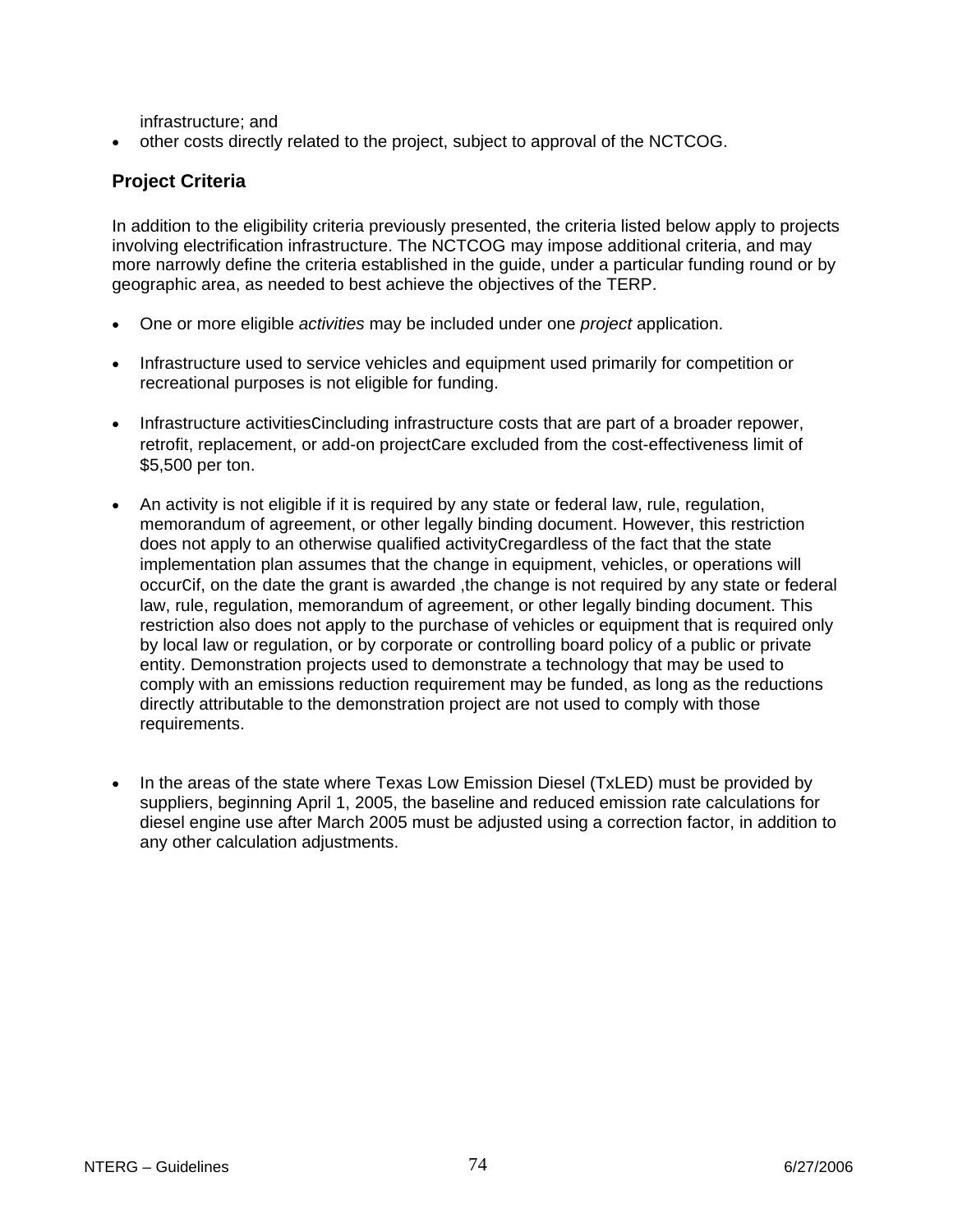infrastructure; and

• other costs directly related to the project, subject to approval of the NCTCOG.

## **Project Criteria**

In addition to the eligibility criteria previously presented, the criteria listed below apply to projects involving electrification infrastructure. The NCTCOG may impose additional criteria, and may more narrowly define the criteria established in the guide, under a particular funding round or by geographic area, as needed to best achieve the objectives of the TERP.

- One or more eligible *activities* may be included under one *project* application.
- Infrastructure used to service vehicles and equipment used primarily for competition or recreational purposes is not eligible for funding.
- Infrastructure activitiesCincluding infrastructure costs that are part of a broader repower, retrofit, replacement, or add-on project care excluded from the cost-effectiveness limit of \$5,500 per ton.
- An activity is not eligible if it is required by any state or federal law, rule, regulation, memorandum of agreement, or other legally binding document. However, this restriction does not apply to an otherwise qualified activityCregardless of the fact that the state implementation plan assumes that the change in equipment, vehicles, or operations will occurCif, on the date the grant is awarded ,the change is not required by any state or federal law, rule, regulation, memorandum of agreement, or other legally binding document. This restriction also does not apply to the purchase of vehicles or equipment that is required only by local law or regulation, or by corporate or controlling board policy of a public or private entity. Demonstration projects used to demonstrate a technology that may be used to comply with an emissions reduction requirement may be funded, as long as the reductions directly attributable to the demonstration project are not used to comply with those requirements.
- In the areas of the state where Texas Low Emission Diesel (TxLED) must be provided by suppliers, beginning April 1, 2005, the baseline and reduced emission rate calculations for diesel engine use after March 2005 must be adjusted using a correction factor, in addition to any other calculation adjustments.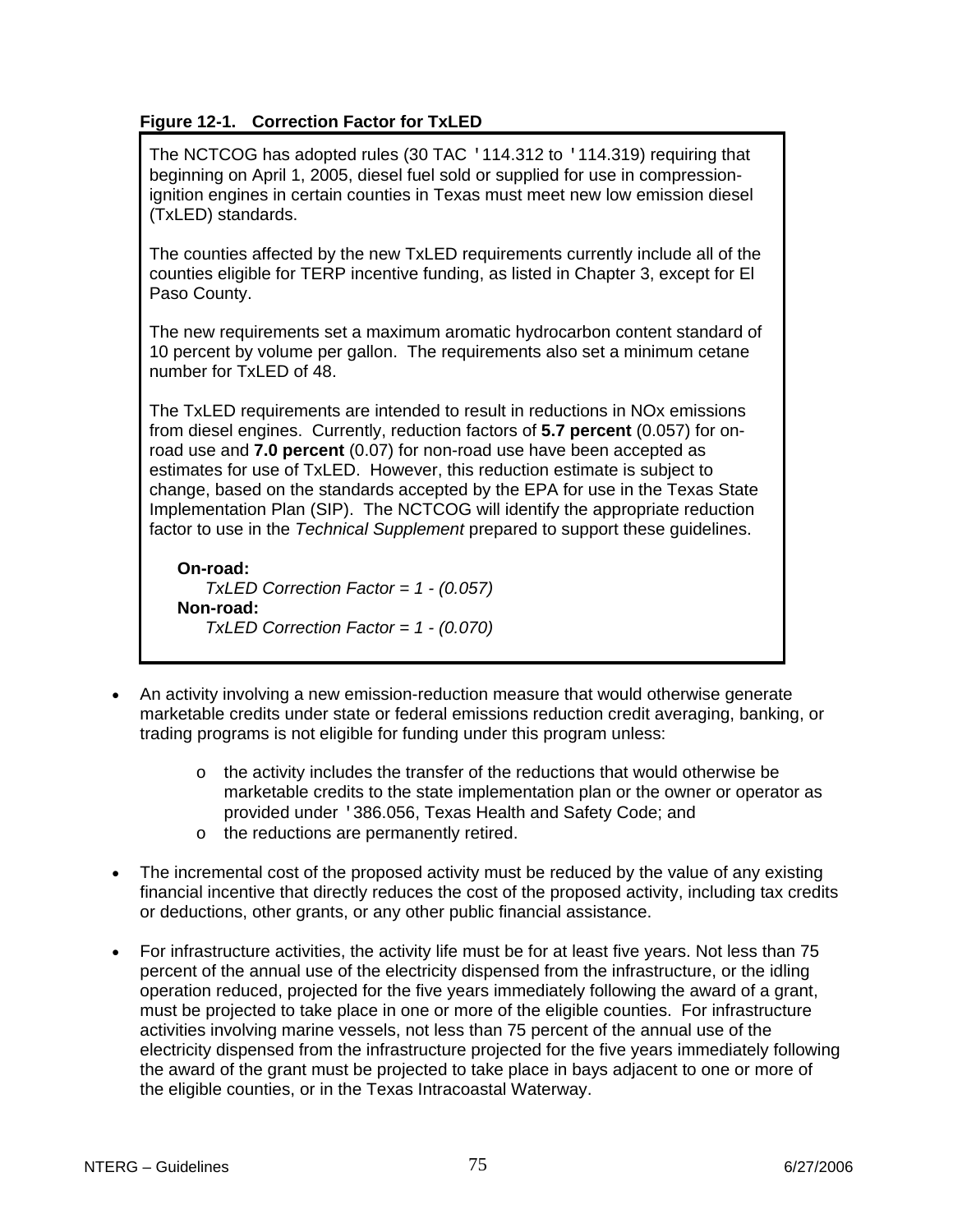## **Figure 12-1. Correction Factor for TxLED**

The NCTCOG has adopted rules (30 TAC '114.312 to '114.319) requiring that beginning on April 1, 2005, diesel fuel sold or supplied for use in compressionignition engines in certain counties in Texas must meet new low emission diesel (TxLED) standards.

The counties affected by the new TxLED requirements currently include all of the counties eligible for TERP incentive funding, as listed in Chapter 3, except for El Paso County.

The new requirements set a maximum aromatic hydrocarbon content standard of 10 percent by volume per gallon. The requirements also set a minimum cetane number for TxLED of 48.

The TxLED requirements are intended to result in reductions in NOx emissions from diesel engines. Currently, reduction factors of **5.7 percent** (0.057) for onroad use and **7.0 percent** (0.07) for non-road use have been accepted as estimates for use of TxLED. However, this reduction estimate is subject to change, based on the standards accepted by the EPA for use in the Texas State Implementation Plan (SIP). The NCTCOG will identify the appropriate reduction factor to use in the *Technical Supplement* prepared to support these guidelines.

**On-road:** *TxLED Correction Factor = 1 - (0.057)* **Non-road:** *TxLED Correction Factor = 1 - (0.070)*

- An activity involving a new emission-reduction measure that would otherwise generate marketable credits under state or federal emissions reduction credit averaging, banking, or trading programs is not eligible for funding under this program unless:
	- o the activity includes the transfer of the reductions that would otherwise be marketable credits to the state implementation plan or the owner or operator as provided under '386.056, Texas Health and Safety Code; and
	- o the reductions are permanently retired.
- The incremental cost of the proposed activity must be reduced by the value of any existing financial incentive that directly reduces the cost of the proposed activity, including tax credits or deductions, other grants, or any other public financial assistance.
- For infrastructure activities, the activity life must be for at least five years. Not less than 75 percent of the annual use of the electricity dispensed from the infrastructure, or the idling operation reduced, projected for the five years immediately following the award of a grant, must be projected to take place in one or more of the eligible counties. For infrastructure activities involving marine vessels, not less than 75 percent of the annual use of the electricity dispensed from the infrastructure projected for the five years immediately following the award of the grant must be projected to take place in bays adjacent to one or more of the eligible counties, or in the Texas Intracoastal Waterway.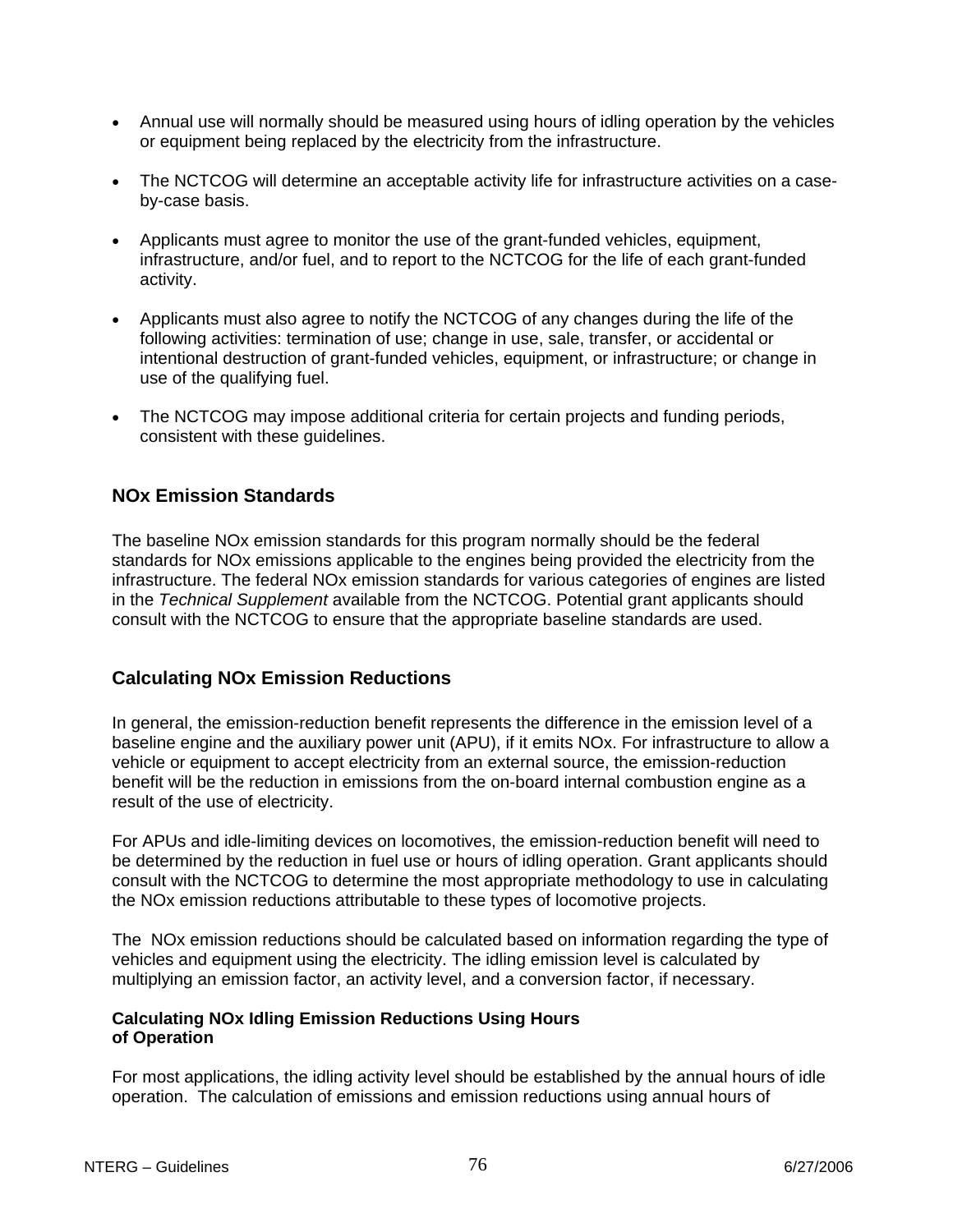- Annual use will normally should be measured using hours of idling operation by the vehicles or equipment being replaced by the electricity from the infrastructure.
- The NCTCOG will determine an acceptable activity life for infrastructure activities on a caseby-case basis.
- Applicants must agree to monitor the use of the grant-funded vehicles, equipment, infrastructure, and/or fuel, and to report to the NCTCOG for the life of each grant-funded activity.
- Applicants must also agree to notify the NCTCOG of any changes during the life of the following activities: termination of use; change in use, sale, transfer, or accidental or intentional destruction of grant-funded vehicles, equipment, or infrastructure; or change in use of the qualifying fuel.
- The NCTCOG may impose additional criteria for certain projects and funding periods, consistent with these guidelines.

## **NOx Emission Standards**

The baseline NOx emission standards for this program normally should be the federal standards for NOx emissions applicable to the engines being provided the electricity from the infrastructure. The federal NOx emission standards for various categories of engines are listed in the *Technical Supplement* available from the NCTCOG. Potential grant applicants should consult with the NCTCOG to ensure that the appropriate baseline standards are used.

## **Calculating NOx Emission Reductions**

In general, the emission-reduction benefit represents the difference in the emission level of a baseline engine and the auxiliary power unit (APU), if it emits NOx. For infrastructure to allow a vehicle or equipment to accept electricity from an external source, the emission-reduction benefit will be the reduction in emissions from the on-board internal combustion engine as a result of the use of electricity.

For APUs and idle-limiting devices on locomotives, the emission-reduction benefit will need to be determined by the reduction in fuel use or hours of idling operation. Grant applicants should consult with the NCTCOG to determine the most appropriate methodology to use in calculating the NOx emission reductions attributable to these types of locomotive projects.

The NOx emission reductions should be calculated based on information regarding the type of vehicles and equipment using the electricity. The idling emission level is calculated by multiplying an emission factor, an activity level, and a conversion factor, if necessary.

#### **Calculating NOx Idling Emission Reductions Using Hours of Operation**

For most applications, the idling activity level should be established by the annual hours of idle operation. The calculation of emissions and emission reductions using annual hours of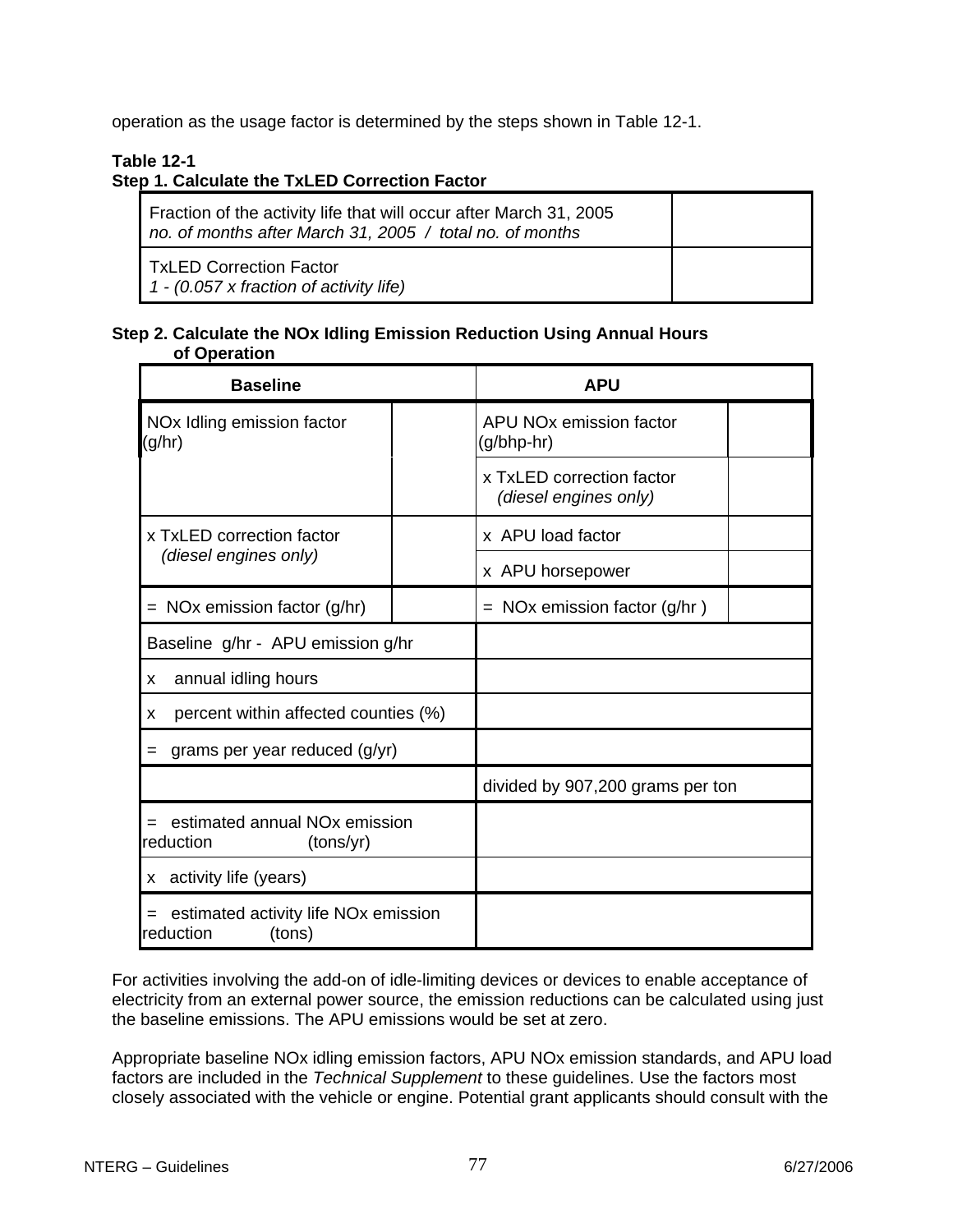operation as the usage factor is determined by the steps shown in Table 12-1.

## **Table 12-1**

## **Step 1. Calculate the TxLED Correction Factor**

| Fraction of the activity life that will occur after March 31, 2005<br>no. of months after March 31, 2005 / total no. of months |  |
|--------------------------------------------------------------------------------------------------------------------------------|--|
| TxLED Correction Factor<br>$1 - (0.057 \times$ fraction of activity life)                                                      |  |

#### **Step 2. Calculate the NOx Idling Emission Reduction Using Annual Hours of Operation**

| <b>Baseline</b>                                                         |  | <b>APU</b>                                         |  |  |
|-------------------------------------------------------------------------|--|----------------------------------------------------|--|--|
| NO <sub>x</sub> Idling emission factor<br>(g/hr)                        |  | APU NO <sub>x</sub> emission factor<br>(g/bhp-hr)  |  |  |
|                                                                         |  | x TxLED correction factor<br>(diesel engines only) |  |  |
| x TxLED correction factor                                               |  | x APU load factor                                  |  |  |
| (diesel engines only)                                                   |  | x APU horsepower                                   |  |  |
| $=$ NOx emission factor (g/hr)                                          |  | $=$ NOx emission factor (g/hr)                     |  |  |
| Baseline g/hr - APU emission g/hr                                       |  |                                                    |  |  |
| annual idling hours<br>X                                                |  |                                                    |  |  |
| percent within affected counties (%)<br>x                               |  |                                                    |  |  |
| grams per year reduced (g/yr)<br>$=$                                    |  |                                                    |  |  |
|                                                                         |  | divided by 907,200 grams per ton                   |  |  |
| $=$ estimated annual NO <sub>x</sub> emission<br>reduction<br>(tons/yr) |  |                                                    |  |  |
| x activity life (years)                                                 |  |                                                    |  |  |
| = estimated activity life NOx emission<br>reduction<br>(tons)           |  |                                                    |  |  |

For activities involving the add-on of idle-limiting devices or devices to enable acceptance of electricity from an external power source, the emission reductions can be calculated using just the baseline emissions. The APU emissions would be set at zero.

Appropriate baseline NOx idling emission factors, APU NOx emission standards, and APU load factors are included in the *Technical Supplement* to these guidelines. Use the factors most closely associated with the vehicle or engine. Potential grant applicants should consult with the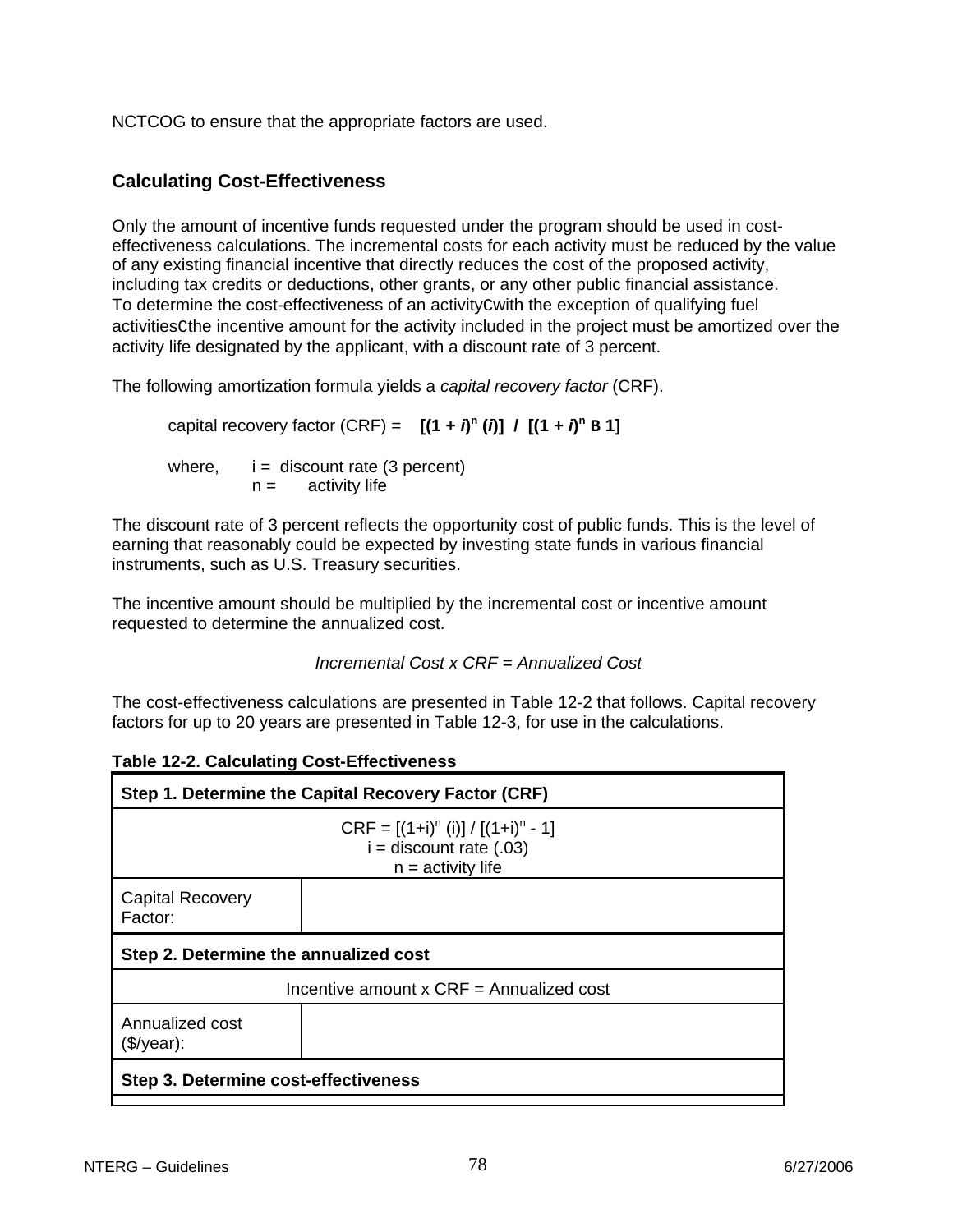NCTCOG to ensure that the appropriate factors are used.

## **Calculating Cost-Effectiveness**

Only the amount of incentive funds requested under the program should be used in costeffectiveness calculations. The incremental costs for each activity must be reduced by the value of any existing financial incentive that directly reduces the cost of the proposed activity, including tax credits or deductions, other grants, or any other public financial assistance. To determine the cost-effectiveness of an activityCwith the exception of qualifying fuel activitiesCthe incentive amount for the activity included in the project must be amortized over the activity life designated by the applicant, with a discount rate of 3 percent.

The following amortization formula yields a *capital recovery factor* (CRF).

capital recovery factor (CRF) =  $[(1 + i)^n (i)] / [(1 + i)^n B]$ where,  $i =$  discount rate (3 percent)  $n =$  activity life

The discount rate of 3 percent reflects the opportunity cost of public funds. This is the level of earning that reasonably could be expected by investing state funds in various financial instruments, such as U.S. Treasury securities.

The incentive amount should be multiplied by the incremental cost or incentive amount requested to determine the annualized cost.

 *Incremental Cost x CRF = Annualized Cost*

The cost-effectiveness calculations are presented in Table 12-2 that follows. Capital recovery factors for up to 20 years are presented in Table 12-3, for use in the calculations.

| Step 1. Determine the Capital Recovery Factor (CRF)                                         |  |  |  |
|---------------------------------------------------------------------------------------------|--|--|--|
| $CRF = [(1+i)^n (i)] / [(1+i)^n - 1]$<br>$i =$ discount rate $(.03)$<br>$n =$ activity life |  |  |  |
| <b>Capital Recovery</b><br>Factor:                                                          |  |  |  |
| Step 2. Determine the annualized cost                                                       |  |  |  |
| Incentive amount $x$ CRF = Annualized cost                                                  |  |  |  |
| Annualized cost<br>$($\prime$ year):                                                        |  |  |  |
| Step 3. Determine cost-effectiveness                                                        |  |  |  |

|  |  | <b>Table 12-2. Calculating Cost-Effectiveness</b> |
|--|--|---------------------------------------------------|
|--|--|---------------------------------------------------|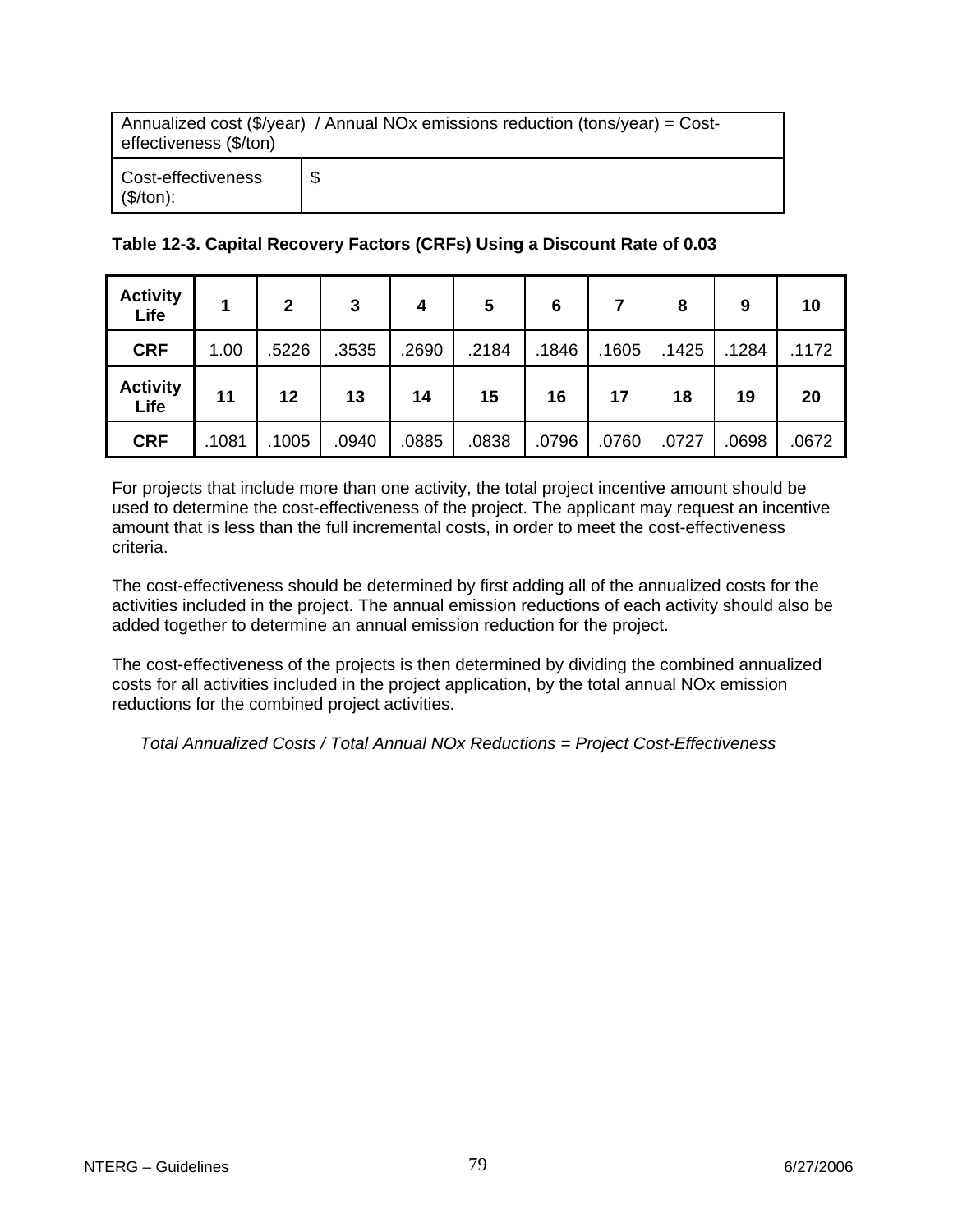| Annualized cost (\$/year) / Annual NOx emissions reduction (tons/year) = Cost-<br>effectiveness (\$/ton) |   |  |  |
|----------------------------------------------------------------------------------------------------------|---|--|--|
| Cost-effectiveness<br>(\$/ton):                                                                          | S |  |  |

## **Table 12-3. Capital Recovery Factors (CRFs) Using a Discount Rate of 0.03**

| <b>Activity</b><br>Life | 1     | $\mathbf{2}$ | 3     | 4     | 5     | 6     |       | 8     | 9     | 10    |
|-------------------------|-------|--------------|-------|-------|-------|-------|-------|-------|-------|-------|
| <b>CRF</b>              | 1.00  | .5226        | .3535 | .2690 | .2184 | .1846 | .1605 | .1425 | .1284 | .1172 |
| <b>Activity</b><br>Life | 11    | 12           | 13    | 14    | 15    | 16    | 17    | 18    | 19    | 20    |
| <b>CRF</b>              | .1081 | .1005        | .0940 | .0885 | .0838 | .0796 | .0760 | .0727 | .0698 | .0672 |

For projects that include more than one activity, the total project incentive amount should be used to determine the cost-effectiveness of the project. The applicant may request an incentive amount that is less than the full incremental costs, in order to meet the cost-effectiveness criteria.

The cost-effectiveness should be determined by first adding all of the annualized costs for the activities included in the project. The annual emission reductions of each activity should also be added together to determine an annual emission reduction for the project.

The cost-effectiveness of the projects is then determined by dividing the combined annualized costs for all activities included in the project application, by the total annual NOx emission reductions for the combined project activities.

*Total Annualized Costs / Total Annual NOx Reductions = Project Cost-Effectiveness*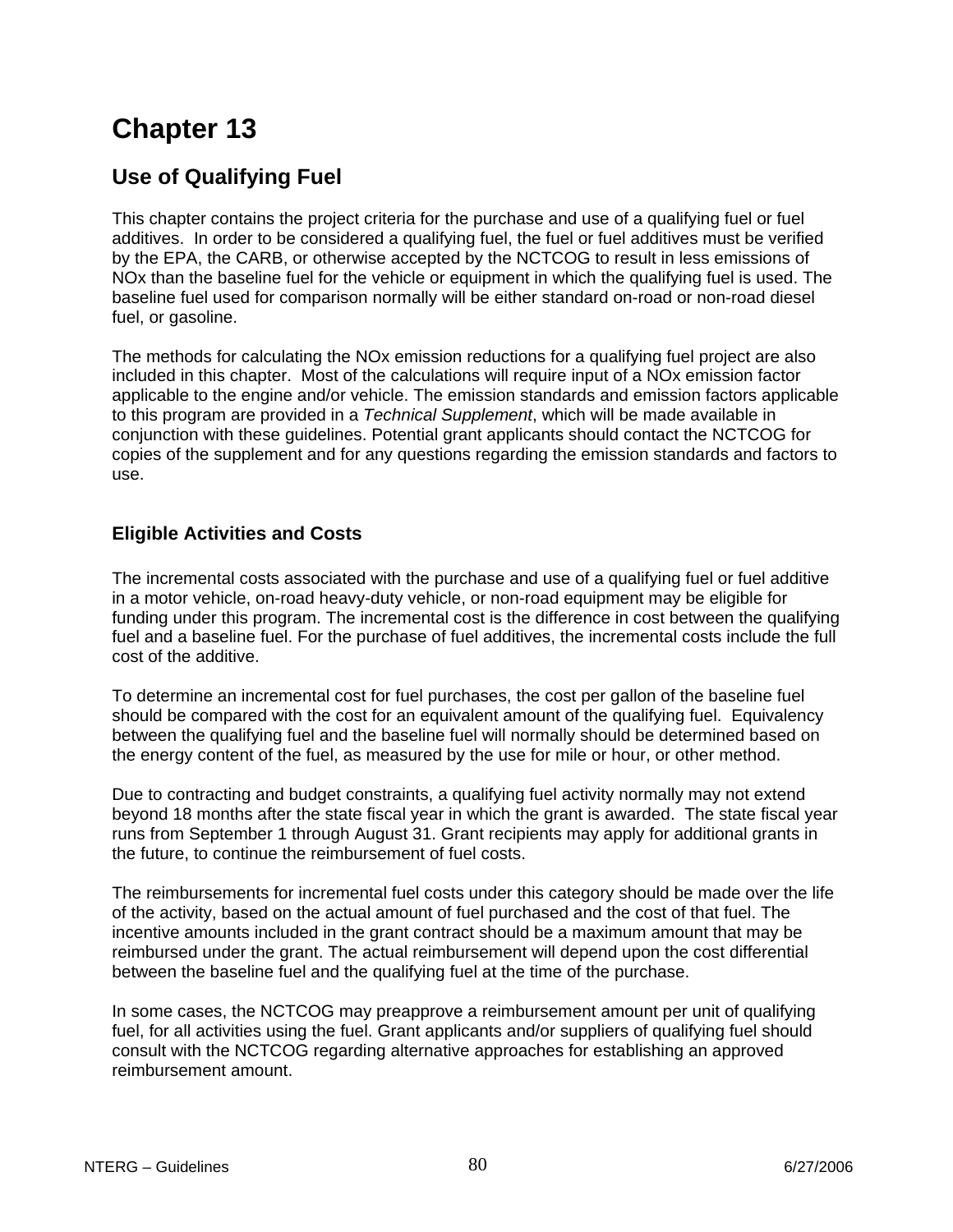## **Use of Qualifying Fuel**

This chapter contains the project criteria for the purchase and use of a qualifying fuel or fuel additives. In order to be considered a qualifying fuel, the fuel or fuel additives must be verified by the EPA, the CARB, or otherwise accepted by the NCTCOG to result in less emissions of NOx than the baseline fuel for the vehicle or equipment in which the qualifying fuel is used. The baseline fuel used for comparison normally will be either standard on-road or non-road diesel fuel, or gasoline.

The methods for calculating the NOx emission reductions for a qualifying fuel project are also included in this chapter. Most of the calculations will require input of a NOx emission factor applicable to the engine and/or vehicle. The emission standards and emission factors applicable to this program are provided in a *Technical Supplement*, which will be made available in conjunction with these guidelines. Potential grant applicants should contact the NCTCOG for copies of the supplement and for any questions regarding the emission standards and factors to use.

## **Eligible Activities and Costs**

The incremental costs associated with the purchase and use of a qualifying fuel or fuel additive in a motor vehicle, on-road heavy-duty vehicle, or non-road equipment may be eligible for funding under this program. The incremental cost is the difference in cost between the qualifying fuel and a baseline fuel. For the purchase of fuel additives, the incremental costs include the full cost of the additive.

To determine an incremental cost for fuel purchases, the cost per gallon of the baseline fuel should be compared with the cost for an equivalent amount of the qualifying fuel. Equivalency between the qualifying fuel and the baseline fuel will normally should be determined based on the energy content of the fuel, as measured by the use for mile or hour, or other method.

Due to contracting and budget constraints, a qualifying fuel activity normally may not extend beyond 18 months after the state fiscal year in which the grant is awarded. The state fiscal year runs from September 1 through August 31. Grant recipients may apply for additional grants in the future, to continue the reimbursement of fuel costs.

The reimbursements for incremental fuel costs under this category should be made over the life of the activity, based on the actual amount of fuel purchased and the cost of that fuel. The incentive amounts included in the grant contract should be a maximum amount that may be reimbursed under the grant. The actual reimbursement will depend upon the cost differential between the baseline fuel and the qualifying fuel at the time of the purchase.

In some cases, the NCTCOG may preapprove a reimbursement amount per unit of qualifying fuel, for all activities using the fuel. Grant applicants and/or suppliers of qualifying fuel should consult with the NCTCOG regarding alternative approaches for establishing an approved reimbursement amount.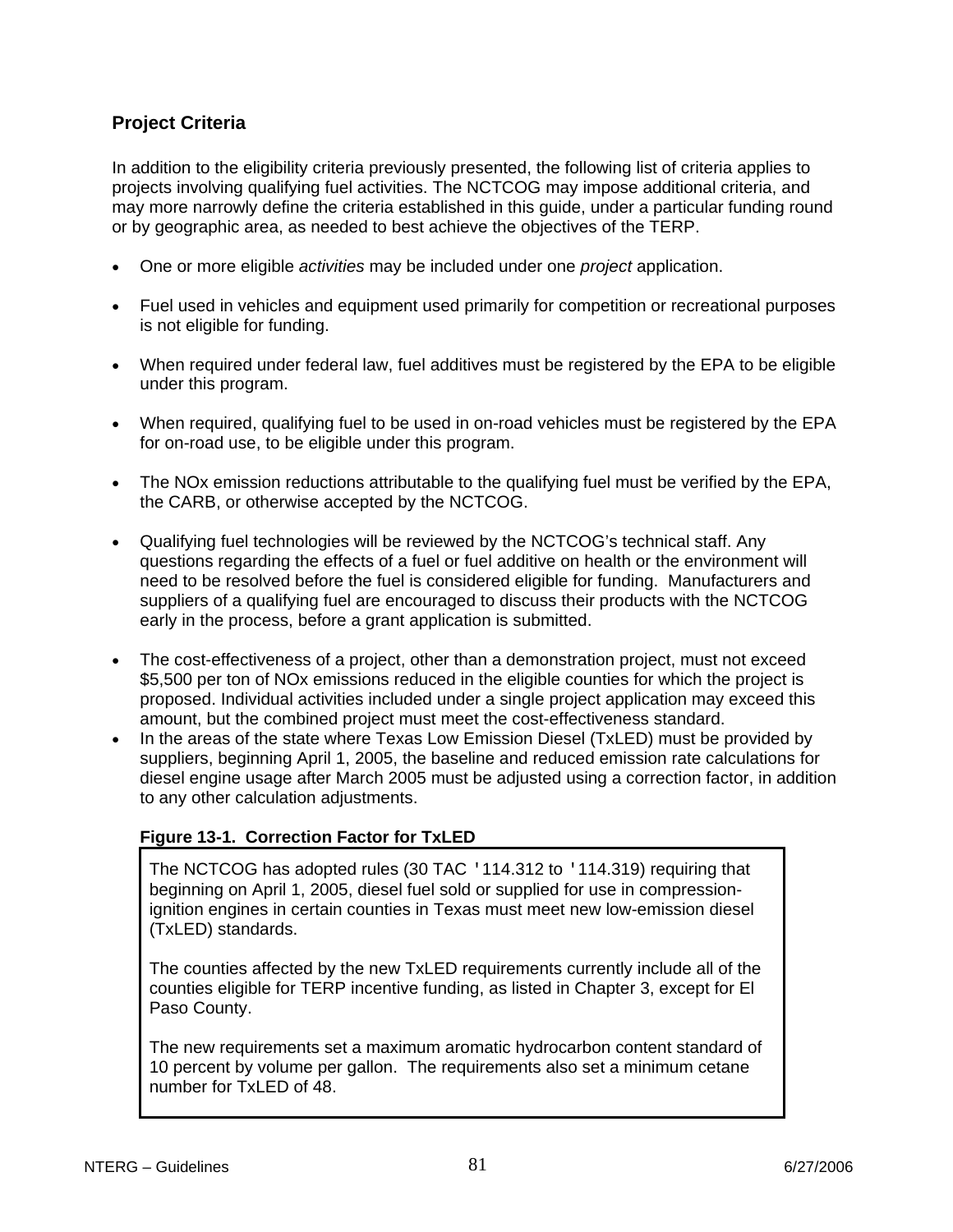## **Project Criteria**

In addition to the eligibility criteria previously presented, the following list of criteria applies to projects involving qualifying fuel activities. The NCTCOG may impose additional criteria, and may more narrowly define the criteria established in this guide, under a particular funding round or by geographic area, as needed to best achieve the objectives of the TERP.

- One or more eligible *activities* may be included under one *project* application.
- Fuel used in vehicles and equipment used primarily for competition or recreational purposes is not eligible for funding.
- When required under federal law, fuel additives must be registered by the EPA to be eligible under this program.
- When required, qualifying fuel to be used in on-road vehicles must be registered by the EPA for on-road use, to be eligible under this program.
- The NOx emission reductions attributable to the qualifying fuel must be verified by the EPA, the CARB, or otherwise accepted by the NCTCOG.
- Qualifying fuel technologies will be reviewed by the NCTCOG's technical staff. Any questions regarding the effects of a fuel or fuel additive on health or the environment will need to be resolved before the fuel is considered eligible for funding. Manufacturers and suppliers of a qualifying fuel are encouraged to discuss their products with the NCTCOG early in the process, before a grant application is submitted.
- The cost-effectiveness of a project, other than a demonstration project, must not exceed \$5,500 per ton of NOx emissions reduced in the eligible counties for which the project is proposed. Individual activities included under a single project application may exceed this amount, but the combined project must meet the cost-effectiveness standard.
- In the areas of the state where Texas Low Emission Diesel (TxLED) must be provided by suppliers, beginning April 1, 2005, the baseline and reduced emission rate calculations for diesel engine usage after March 2005 must be adjusted using a correction factor, in addition to any other calculation adjustments.

## **Figure 13-1. Correction Factor for TxLED**

The NCTCOG has adopted rules (30 TAC '114.312 to '114.319) requiring that beginning on April 1, 2005, diesel fuel sold or supplied for use in compressionignition engines in certain counties in Texas must meet new low-emission diesel (TxLED) standards.

The counties affected by the new TxLED requirements currently include all of the counties eligible for TERP incentive funding, as listed in Chapter 3, except for El Paso County.

The new requirements set a maximum aromatic hydrocarbon content standard of 10 percent by volume per gallon. The requirements also set a minimum cetane number for TxLED of 48.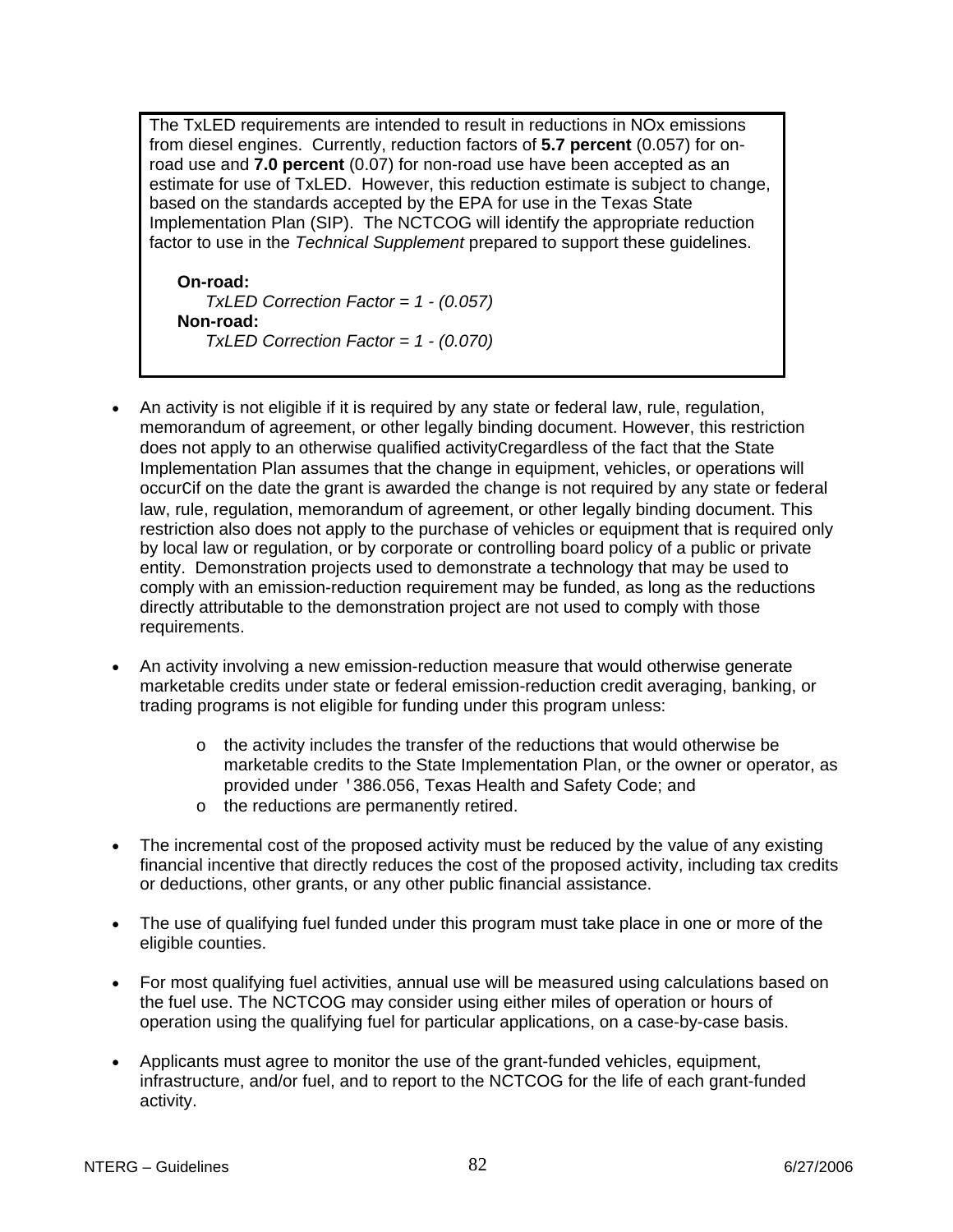The TxLED requirements are intended to result in reductions in NOx emissions from diesel engines. Currently, reduction factors of **5.7 percent** (0.057) for onroad use and **7.0 percent** (0.07) for non-road use have been accepted as an estimate for use of TxLED. However, this reduction estimate is subject to change, based on the standards accepted by the EPA for use in the Texas State Implementation Plan (SIP). The NCTCOG will identify the appropriate reduction factor to use in the *Technical Supplement* prepared to support these guidelines.

**On-road:** *TxLED Correction Factor = 1 - (0.057)* **Non-road:** *TxLED Correction Factor = 1 - (0.070)*

- An activity is not eligible if it is required by any state or federal law, rule, regulation, memorandum of agreement, or other legally binding document. However, this restriction does not apply to an otherwise qualified activityCregardless of the fact that the State Implementation Plan assumes that the change in equipment, vehicles, or operations will occurCif on the date the grant is awarded the change is not required by any state or federal law, rule, regulation, memorandum of agreement, or other legally binding document. This restriction also does not apply to the purchase of vehicles or equipment that is required only by local law or regulation, or by corporate or controlling board policy of a public or private entity. Demonstration projects used to demonstrate a technology that may be used to comply with an emission-reduction requirement may be funded, as long as the reductions directly attributable to the demonstration project are not used to comply with those requirements.
- An activity involving a new emission-reduction measure that would otherwise generate marketable credits under state or federal emission-reduction credit averaging, banking, or trading programs is not eligible for funding under this program unless:
	- $\circ$  the activity includes the transfer of the reductions that would otherwise be marketable credits to the State Implementation Plan, or the owner or operator, as provided under '386.056, Texas Health and Safety Code; and
	- o the reductions are permanently retired.
- The incremental cost of the proposed activity must be reduced by the value of any existing financial incentive that directly reduces the cost of the proposed activity, including tax credits or deductions, other grants, or any other public financial assistance.
- The use of qualifying fuel funded under this program must take place in one or more of the eligible counties.
- For most qualifying fuel activities, annual use will be measured using calculations based on the fuel use. The NCTCOG may consider using either miles of operation or hours of operation using the qualifying fuel for particular applications, on a case-by-case basis.
- Applicants must agree to monitor the use of the grant-funded vehicles, equipment, infrastructure, and/or fuel, and to report to the NCTCOG for the life of each grant-funded activity.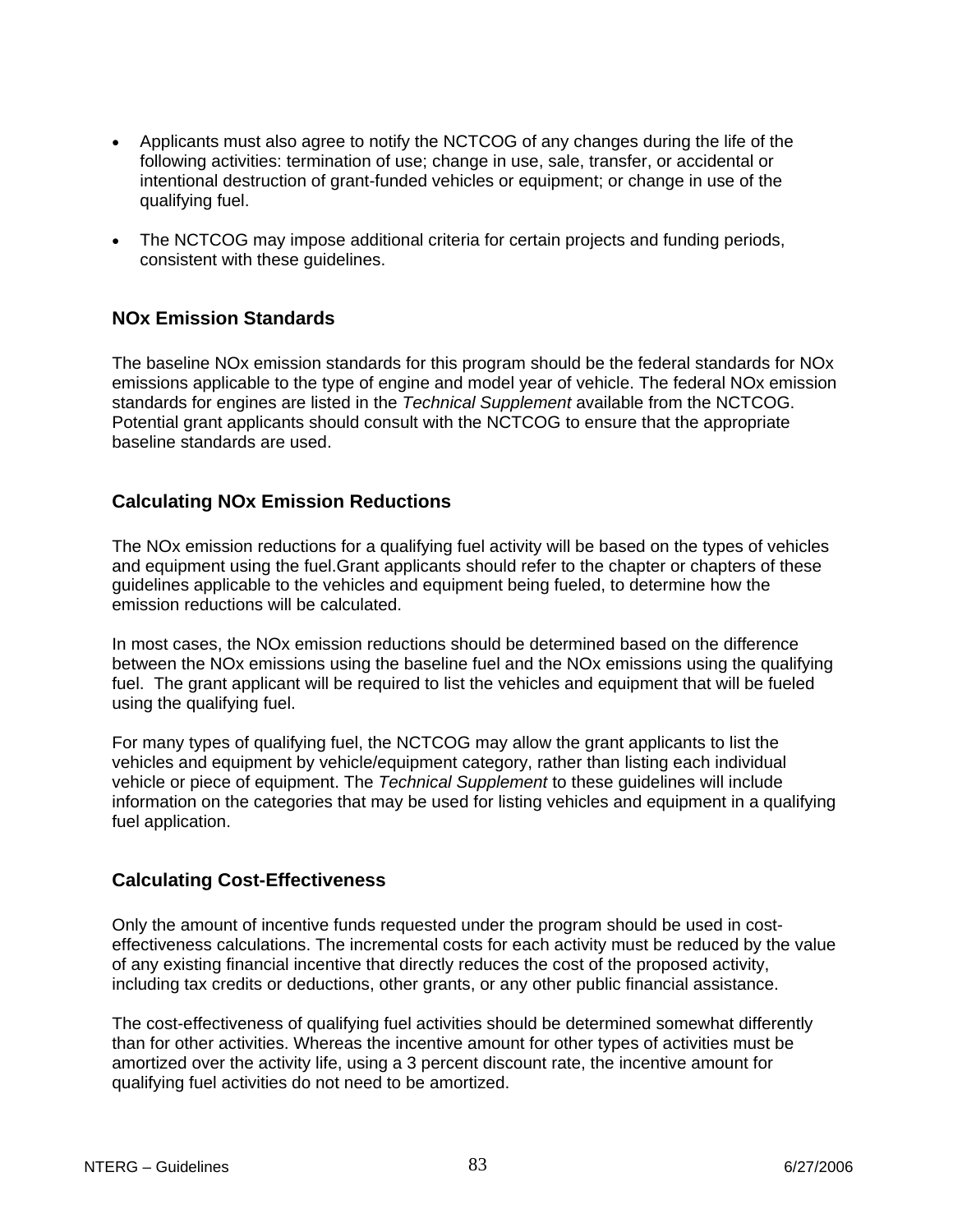- Applicants must also agree to notify the NCTCOG of any changes during the life of the following activities: termination of use; change in use, sale, transfer, or accidental or intentional destruction of grant-funded vehicles or equipment; or change in use of the qualifying fuel.
- The NCTCOG may impose additional criteria for certain projects and funding periods, consistent with these guidelines.

## **NOx Emission Standards**

The baseline NOx emission standards for this program should be the federal standards for NOx emissions applicable to the type of engine and model year of vehicle. The federal NOx emission standards for engines are listed in the *Technical Supplement* available from the NCTCOG. Potential grant applicants should consult with the NCTCOG to ensure that the appropriate baseline standards are used.

## **Calculating NOx Emission Reductions**

The NOx emission reductions for a qualifying fuel activity will be based on the types of vehicles and equipment using the fuel.Grant applicants should refer to the chapter or chapters of these guidelines applicable to the vehicles and equipment being fueled, to determine how the emission reductions will be calculated.

In most cases, the NOx emission reductions should be determined based on the difference between the NOx emissions using the baseline fuel and the NOx emissions using the qualifying fuel. The grant applicant will be required to list the vehicles and equipment that will be fueled using the qualifying fuel.

For many types of qualifying fuel, the NCTCOG may allow the grant applicants to list the vehicles and equipment by vehicle/equipment category, rather than listing each individual vehicle or piece of equipment. The *Technical Supplement* to these guidelines will include information on the categories that may be used for listing vehicles and equipment in a qualifying fuel application.

## **Calculating Cost-Effectiveness**

Only the amount of incentive funds requested under the program should be used in costeffectiveness calculations. The incremental costs for each activity must be reduced by the value of any existing financial incentive that directly reduces the cost of the proposed activity, including tax credits or deductions, other grants, or any other public financial assistance.

The cost-effectiveness of qualifying fuel activities should be determined somewhat differently than for other activities. Whereas the incentive amount for other types of activities must be amortized over the activity life, using a 3 percent discount rate, the incentive amount for qualifying fuel activities do not need to be amortized.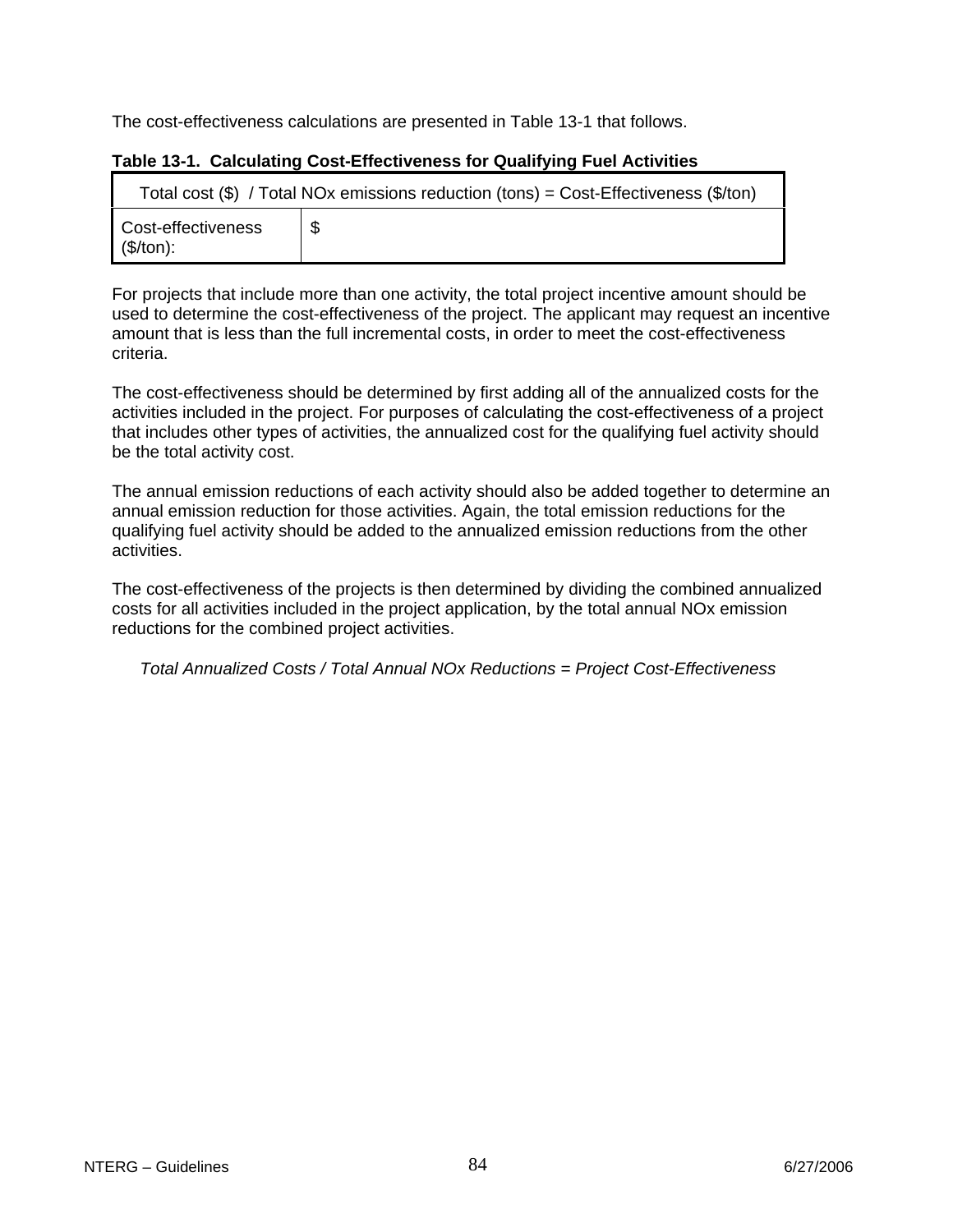The cost-effectiveness calculations are presented in Table 13-1 that follows.

| Total cost $(\$)$ / Total NOx emissions reduction (tons) = Cost-Effectiveness $(\$/ton)$ |     |  |  |  |
|------------------------------------------------------------------------------------------|-----|--|--|--|
| Cost-effectiveness<br>(\$/ton):                                                          | -\$ |  |  |  |

## **Table 13-1. Calculating Cost-Effectiveness for Qualifying Fuel Activities**

For projects that include more than one activity, the total project incentive amount should be used to determine the cost-effectiveness of the project. The applicant may request an incentive amount that is less than the full incremental costs, in order to meet the cost-effectiveness criteria.

The cost-effectiveness should be determined by first adding all of the annualized costs for the activities included in the project. For purposes of calculating the cost-effectiveness of a project that includes other types of activities, the annualized cost for the qualifying fuel activity should be the total activity cost.

The annual emission reductions of each activity should also be added together to determine an annual emission reduction for those activities. Again, the total emission reductions for the qualifying fuel activity should be added to the annualized emission reductions from the other activities.

The cost-effectiveness of the projects is then determined by dividing the combined annualized costs for all activities included in the project application, by the total annual NOx emission reductions for the combined project activities.

*Total Annualized Costs / Total Annual NOx Reductions = Project Cost-Effectiveness*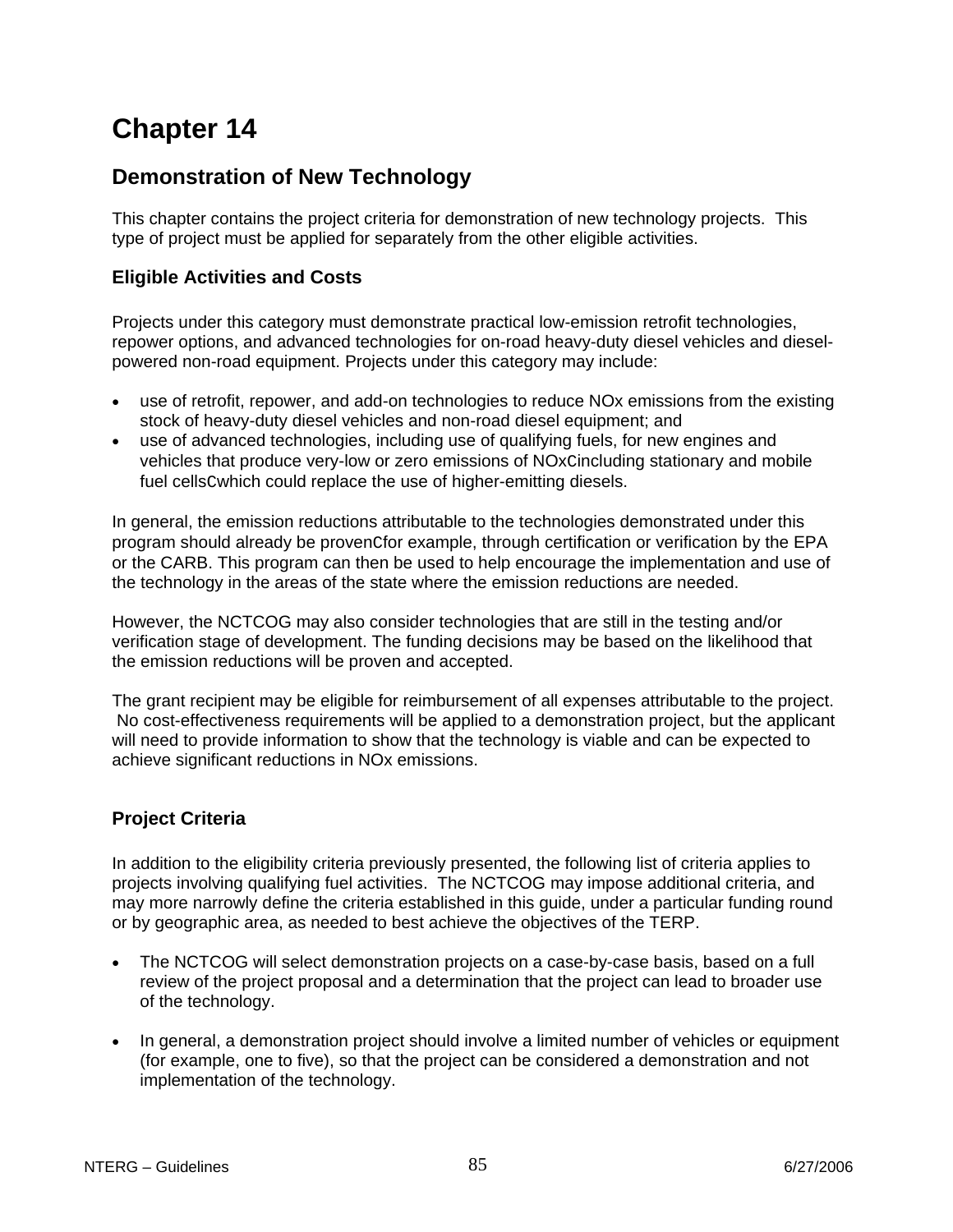## **Demonstration of New Technology**

This chapter contains the project criteria for demonstration of new technology projects. This type of project must be applied for separately from the other eligible activities.

## **Eligible Activities and Costs**

Projects under this category must demonstrate practical low-emission retrofit technologies, repower options, and advanced technologies for on-road heavy-duty diesel vehicles and dieselpowered non-road equipment. Projects under this category may include:

- use of retrofit, repower, and add-on technologies to reduce NOx emissions from the existing stock of heavy-duty diesel vehicles and non-road diesel equipment; and
- use of advanced technologies, including use of qualifying fuels, for new engines and vehicles that produce very-low or zero emissions of NOxCincluding stationary and mobile fuel cellsCwhich could replace the use of higher-emitting diesels.

In general, the emission reductions attributable to the technologies demonstrated under this program should already be provenCfor example, through certification or verification by the EPA or the CARB. This program can then be used to help encourage the implementation and use of the technology in the areas of the state where the emission reductions are needed.

However, the NCTCOG may also consider technologies that are still in the testing and/or verification stage of development. The funding decisions may be based on the likelihood that the emission reductions will be proven and accepted.

The grant recipient may be eligible for reimbursement of all expenses attributable to the project. No cost-effectiveness requirements will be applied to a demonstration project, but the applicant will need to provide information to show that the technology is viable and can be expected to achieve significant reductions in NOx emissions.

## **Project Criteria**

In addition to the eligibility criteria previously presented, the following list of criteria applies to projects involving qualifying fuel activities. The NCTCOG may impose additional criteria, and may more narrowly define the criteria established in this guide, under a particular funding round or by geographic area, as needed to best achieve the objectives of the TERP.

- The NCTCOG will select demonstration projects on a case-by-case basis, based on a full review of the project proposal and a determination that the project can lead to broader use of the technology.
- In general, a demonstration project should involve a limited number of vehicles or equipment (for example, one to five), so that the project can be considered a demonstration and not implementation of the technology.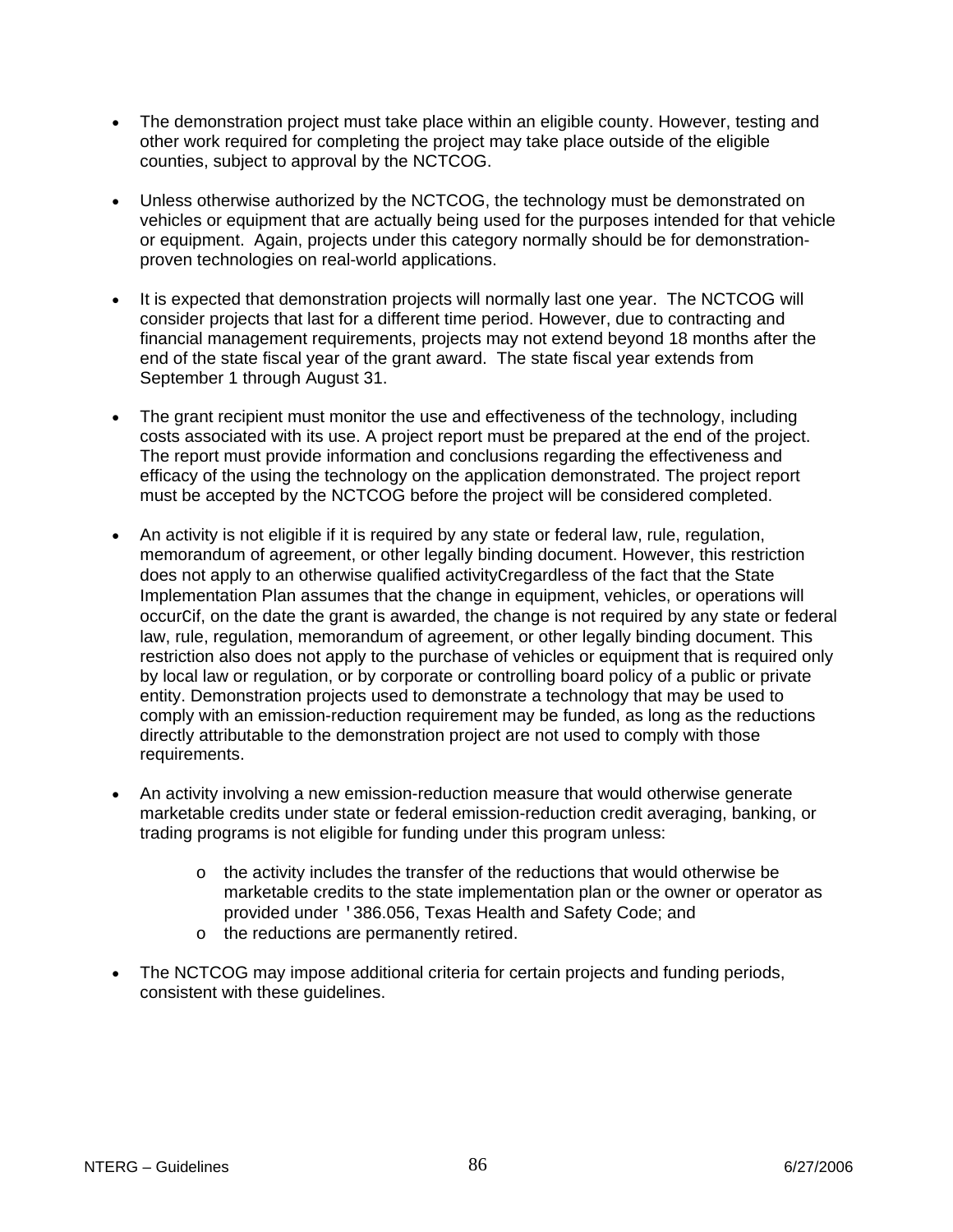- The demonstration project must take place within an eligible county. However, testing and other work required for completing the project may take place outside of the eligible counties, subject to approval by the NCTCOG.
- Unless otherwise authorized by the NCTCOG, the technology must be demonstrated on vehicles or equipment that are actually being used for the purposes intended for that vehicle or equipment. Again, projects under this category normally should be for demonstrationproven technologies on real-world applications.
- It is expected that demonstration projects will normally last one year. The NCTCOG will consider projects that last for a different time period. However, due to contracting and financial management requirements, projects may not extend beyond 18 months after the end of the state fiscal year of the grant award. The state fiscal year extends from September 1 through August 31.
- The grant recipient must monitor the use and effectiveness of the technology, including costs associated with its use. A project report must be prepared at the end of the project. The report must provide information and conclusions regarding the effectiveness and efficacy of the using the technology on the application demonstrated. The project report must be accepted by the NCTCOG before the project will be considered completed.
- An activity is not eligible if it is required by any state or federal law, rule, regulation, memorandum of agreement, or other legally binding document. However, this restriction does not apply to an otherwise qualified activityCregardless of the fact that the State Implementation Plan assumes that the change in equipment, vehicles, or operations will occurCif, on the date the grant is awarded, the change is not required by any state or federal law, rule, regulation, memorandum of agreement, or other legally binding document. This restriction also does not apply to the purchase of vehicles or equipment that is required only by local law or regulation, or by corporate or controlling board policy of a public or private entity. Demonstration projects used to demonstrate a technology that may be used to comply with an emission-reduction requirement may be funded, as long as the reductions directly attributable to the demonstration project are not used to comply with those requirements.
- An activity involving a new emission-reduction measure that would otherwise generate marketable credits under state or federal emission-reduction credit averaging, banking, or trading programs is not eligible for funding under this program unless:
	- $\circ$  the activity includes the transfer of the reductions that would otherwise be marketable credits to the state implementation plan or the owner or operator as provided under '386.056, Texas Health and Safety Code; and
	- o the reductions are permanently retired.
- The NCTCOG may impose additional criteria for certain projects and funding periods, consistent with these guidelines.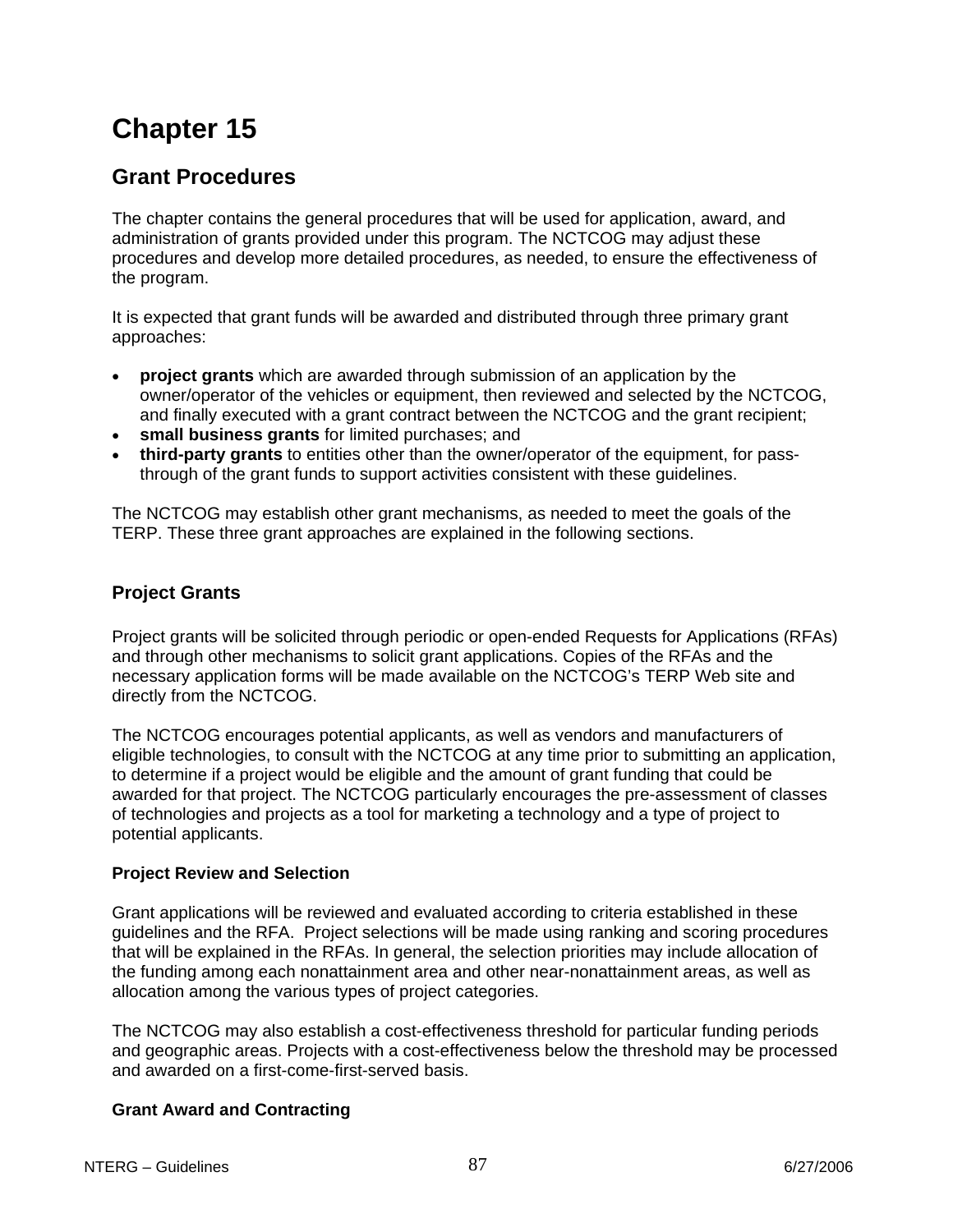## **Grant Procedures**

The chapter contains the general procedures that will be used for application, award, and administration of grants provided under this program. The NCTCOG may adjust these procedures and develop more detailed procedures, as needed, to ensure the effectiveness of the program.

It is expected that grant funds will be awarded and distributed through three primary grant approaches:

- **project grants** which are awarded through submission of an application by the owner/operator of the vehicles or equipment, then reviewed and selected by the NCTCOG, and finally executed with a grant contract between the NCTCOG and the grant recipient;
- **small business grants** for limited purchases; and
- **third-party grants** to entities other than the owner/operator of the equipment, for passthrough of the grant funds to support activities consistent with these guidelines.

The NCTCOG may establish other grant mechanisms, as needed to meet the goals of the TERP. These three grant approaches are explained in the following sections.

## **Project Grants**

Project grants will be solicited through periodic or open-ended Requests for Applications (RFAs) and through other mechanisms to solicit grant applications. Copies of the RFAs and the necessary application forms will be made available on the NCTCOG's TERP Web site and directly from the NCTCOG.

The NCTCOG encourages potential applicants, as well as vendors and manufacturers of eligible technologies, to consult with the NCTCOG at any time prior to submitting an application, to determine if a project would be eligible and the amount of grant funding that could be awarded for that project. The NCTCOG particularly encourages the pre-assessment of classes of technologies and projects as a tool for marketing a technology and a type of project to potential applicants.

## **Project Review and Selection**

Grant applications will be reviewed and evaluated according to criteria established in these guidelines and the RFA. Project selections will be made using ranking and scoring procedures that will be explained in the RFAs. In general, the selection priorities may include allocation of the funding among each nonattainment area and other near-nonattainment areas, as well as allocation among the various types of project categories.

The NCTCOG may also establish a cost-effectiveness threshold for particular funding periods and geographic areas. Projects with a cost-effectiveness below the threshold may be processed and awarded on a first-come-first-served basis.

## **Grant Award and Contracting**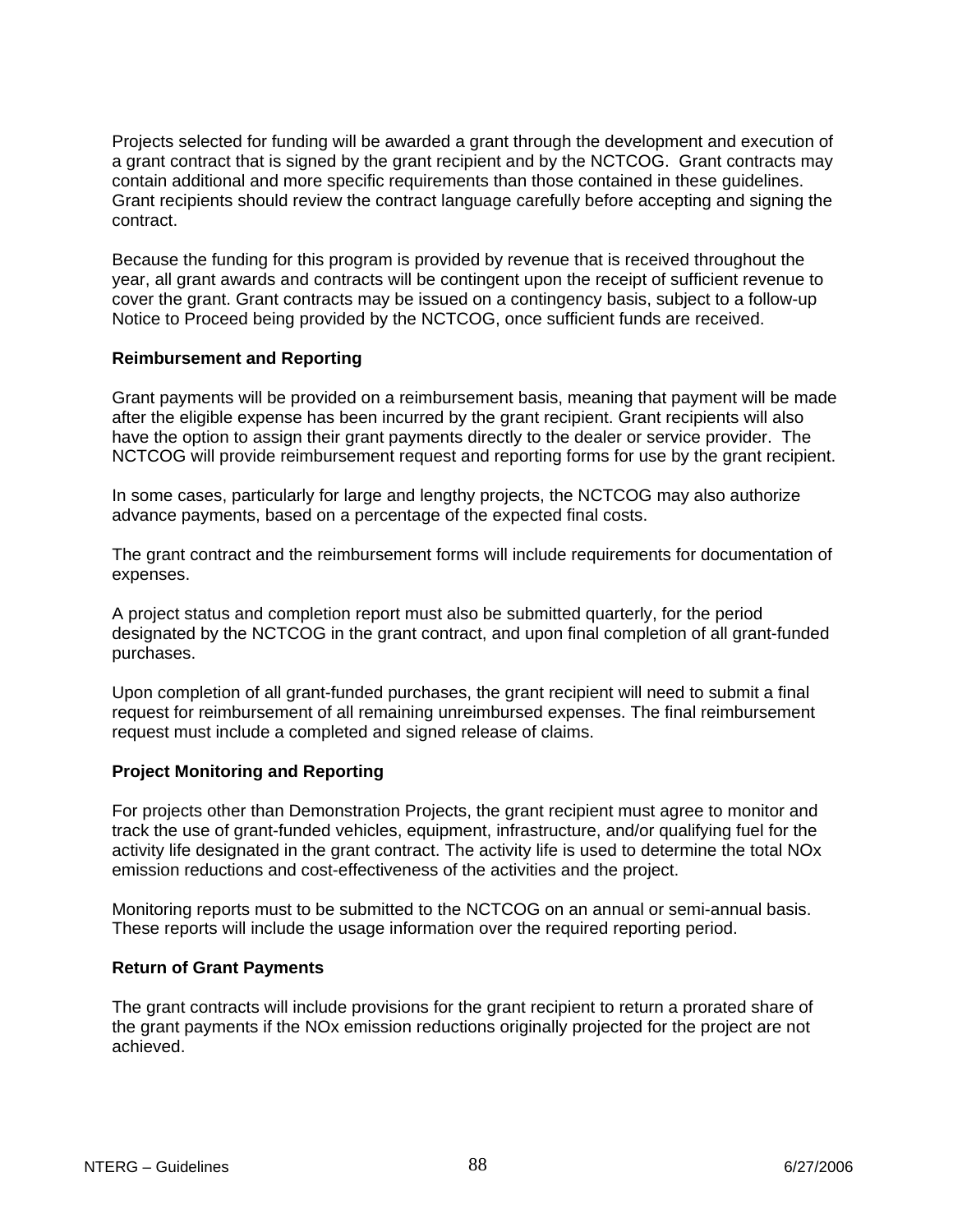Projects selected for funding will be awarded a grant through the development and execution of a grant contract that is signed by the grant recipient and by the NCTCOG. Grant contracts may contain additional and more specific requirements than those contained in these guidelines. Grant recipients should review the contract language carefully before accepting and signing the contract.

Because the funding for this program is provided by revenue that is received throughout the year, all grant awards and contracts will be contingent upon the receipt of sufficient revenue to cover the grant. Grant contracts may be issued on a contingency basis, subject to a follow-up Notice to Proceed being provided by the NCTCOG, once sufficient funds are received.

#### **Reimbursement and Reporting**

Grant payments will be provided on a reimbursement basis, meaning that payment will be made after the eligible expense has been incurred by the grant recipient. Grant recipients will also have the option to assign their grant payments directly to the dealer or service provider. The NCTCOG will provide reimbursement request and reporting forms for use by the grant recipient.

In some cases, particularly for large and lengthy projects, the NCTCOG may also authorize advance payments, based on a percentage of the expected final costs.

The grant contract and the reimbursement forms will include requirements for documentation of expenses.

A project status and completion report must also be submitted quarterly, for the period designated by the NCTCOG in the grant contract, and upon final completion of all grant-funded purchases.

Upon completion of all grant-funded purchases, the grant recipient will need to submit a final request for reimbursement of all remaining unreimbursed expenses. The final reimbursement request must include a completed and signed release of claims.

## **Project Monitoring and Reporting**

For projects other than Demonstration Projects, the grant recipient must agree to monitor and track the use of grant-funded vehicles, equipment, infrastructure, and/or qualifying fuel for the activity life designated in the grant contract. The activity life is used to determine the total NOx emission reductions and cost-effectiveness of the activities and the project.

Monitoring reports must to be submitted to the NCTCOG on an annual or semi-annual basis. These reports will include the usage information over the required reporting period.

#### **Return of Grant Payments**

The grant contracts will include provisions for the grant recipient to return a prorated share of the grant payments if the NOx emission reductions originally projected for the project are not achieved.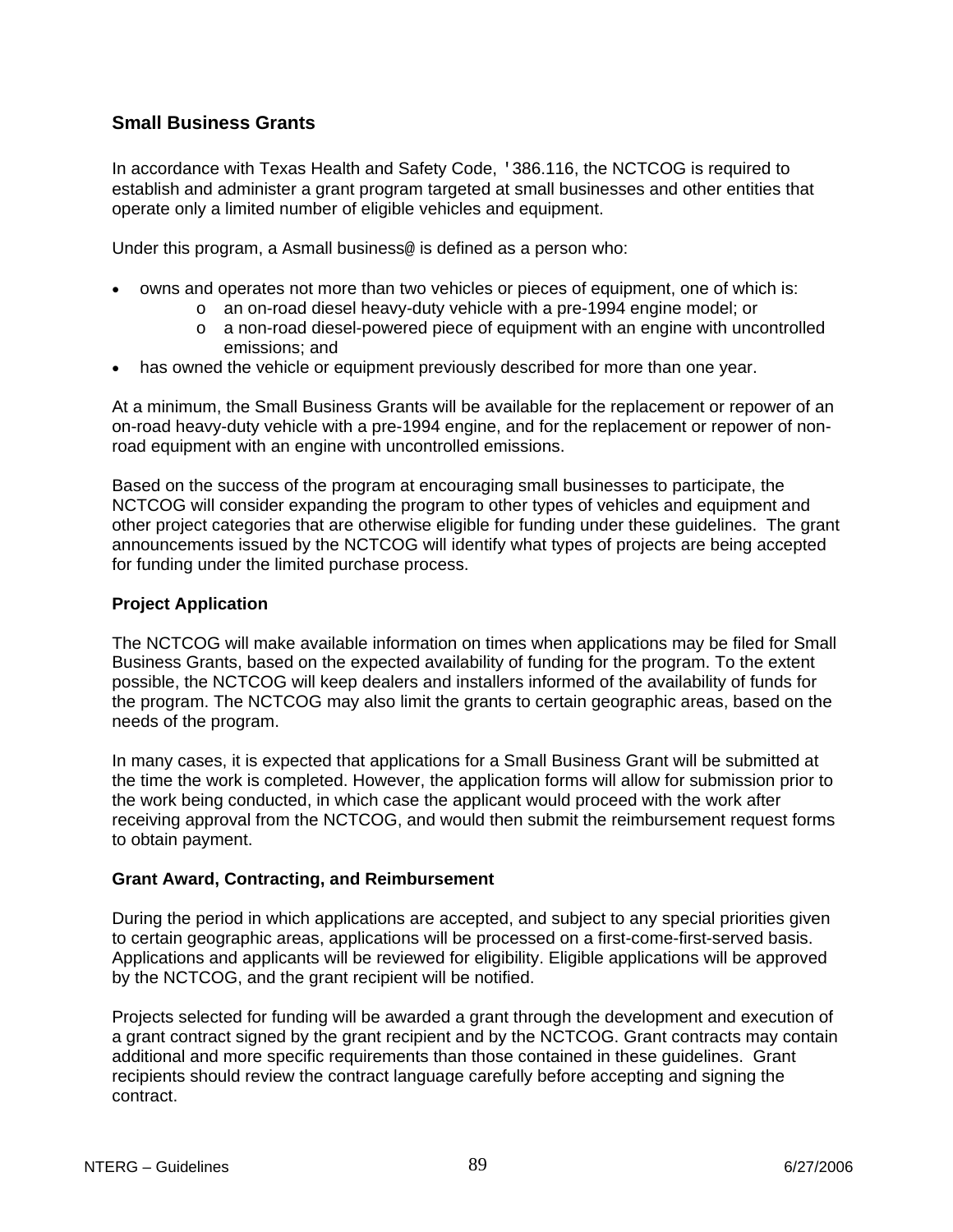## **Small Business Grants**

In accordance with Texas Health and Safety Code, '386.116, the NCTCOG is required to establish and administer a grant program targeted at small businesses and other entities that operate only a limited number of eligible vehicles and equipment.

Under this program, a Asmall business@ is defined as a person who:

- owns and operates not more than two vehicles or pieces of equipment, one of which is:
	- o an on-road diesel heavy-duty vehicle with a pre-1994 engine model; or
	- o a non-road diesel-powered piece of equipment with an engine with uncontrolled emissions; and
- has owned the vehicle or equipment previously described for more than one year.

At a minimum, the Small Business Grants will be available for the replacement or repower of an on-road heavy-duty vehicle with a pre-1994 engine, and for the replacement or repower of nonroad equipment with an engine with uncontrolled emissions.

Based on the success of the program at encouraging small businesses to participate, the NCTCOG will consider expanding the program to other types of vehicles and equipment and other project categories that are otherwise eligible for funding under these guidelines. The grant announcements issued by the NCTCOG will identify what types of projects are being accepted for funding under the limited purchase process.

## **Project Application**

The NCTCOG will make available information on times when applications may be filed for Small Business Grants, based on the expected availability of funding for the program. To the extent possible, the NCTCOG will keep dealers and installers informed of the availability of funds for the program. The NCTCOG may also limit the grants to certain geographic areas, based on the needs of the program.

In many cases, it is expected that applications for a Small Business Grant will be submitted at the time the work is completed. However, the application forms will allow for submission prior to the work being conducted, in which case the applicant would proceed with the work after receiving approval from the NCTCOG, and would then submit the reimbursement request forms to obtain payment.

## **Grant Award, Contracting, and Reimbursement**

During the period in which applications are accepted, and subject to any special priorities given to certain geographic areas, applications will be processed on a first-come-first-served basis. Applications and applicants will be reviewed for eligibility. Eligible applications will be approved by the NCTCOG, and the grant recipient will be notified.

Projects selected for funding will be awarded a grant through the development and execution of a grant contract signed by the grant recipient and by the NCTCOG. Grant contracts may contain additional and more specific requirements than those contained in these guidelines. Grant recipients should review the contract language carefully before accepting and signing the contract.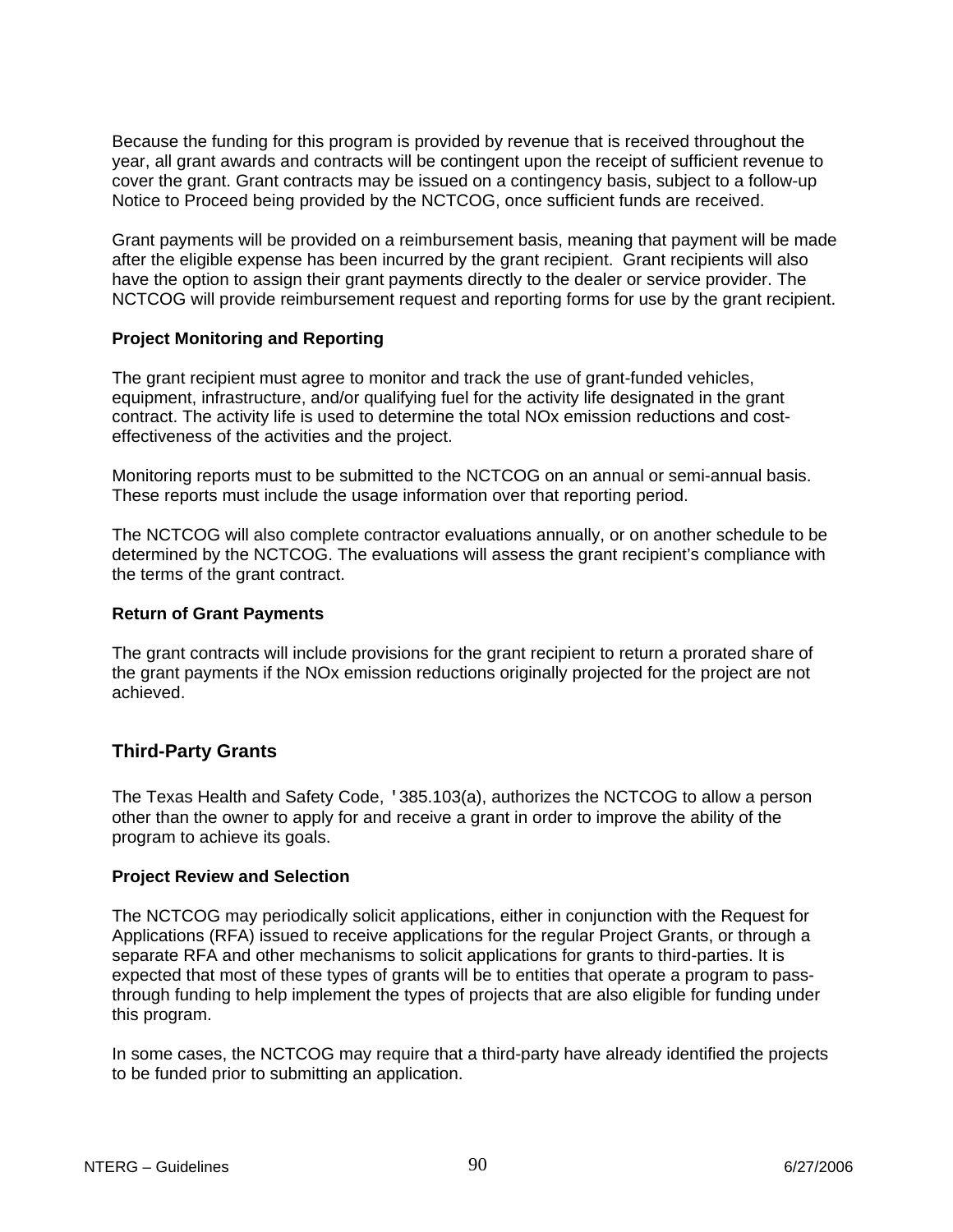Because the funding for this program is provided by revenue that is received throughout the year, all grant awards and contracts will be contingent upon the receipt of sufficient revenue to cover the grant. Grant contracts may be issued on a contingency basis, subject to a follow-up Notice to Proceed being provided by the NCTCOG, once sufficient funds are received.

Grant payments will be provided on a reimbursement basis, meaning that payment will be made after the eligible expense has been incurred by the grant recipient. Grant recipients will also have the option to assign their grant payments directly to the dealer or service provider. The NCTCOG will provide reimbursement request and reporting forms for use by the grant recipient.

## **Project Monitoring and Reporting**

The grant recipient must agree to monitor and track the use of grant-funded vehicles, equipment, infrastructure, and/or qualifying fuel for the activity life designated in the grant contract. The activity life is used to determine the total NOx emission reductions and costeffectiveness of the activities and the project.

Monitoring reports must to be submitted to the NCTCOG on an annual or semi-annual basis. These reports must include the usage information over that reporting period.

The NCTCOG will also complete contractor evaluations annually, or on another schedule to be determined by the NCTCOG. The evaluations will assess the grant recipient's compliance with the terms of the grant contract.

#### **Return of Grant Payments**

The grant contracts will include provisions for the grant recipient to return a prorated share of the grant payments if the NOx emission reductions originally projected for the project are not achieved.

## **Third-Party Grants**

The Texas Health and Safety Code, '385.103(a), authorizes the NCTCOG to allow a person other than the owner to apply for and receive a grant in order to improve the ability of the program to achieve its goals.

#### **Project Review and Selection**

The NCTCOG may periodically solicit applications, either in conjunction with the Request for Applications (RFA) issued to receive applications for the regular Project Grants, or through a separate RFA and other mechanisms to solicit applications for grants to third-parties. It is expected that most of these types of grants will be to entities that operate a program to passthrough funding to help implement the types of projects that are also eligible for funding under this program.

In some cases, the NCTCOG may require that a third-party have already identified the projects to be funded prior to submitting an application.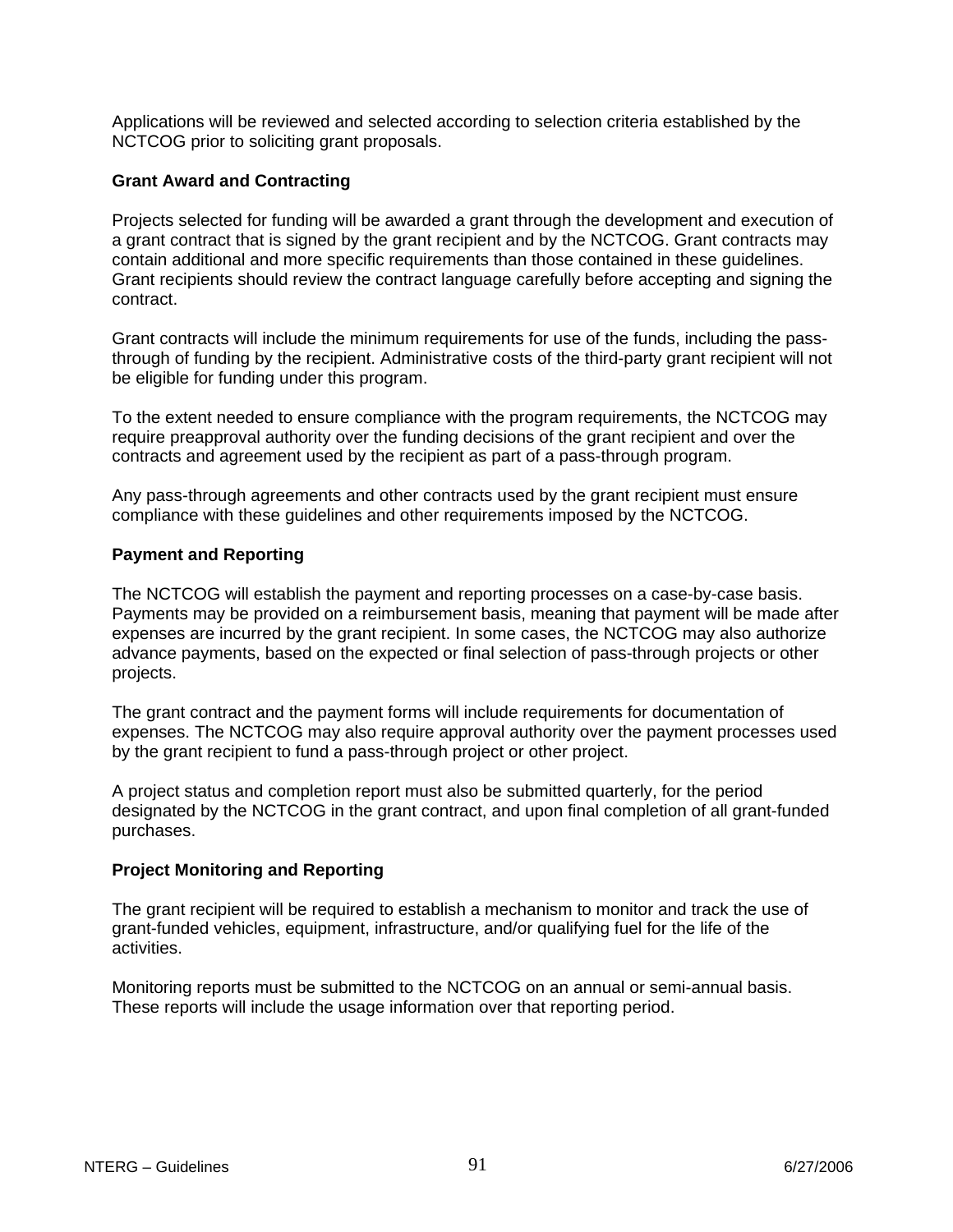Applications will be reviewed and selected according to selection criteria established by the NCTCOG prior to soliciting grant proposals.

#### **Grant Award and Contracting**

Projects selected for funding will be awarded a grant through the development and execution of a grant contract that is signed by the grant recipient and by the NCTCOG. Grant contracts may contain additional and more specific requirements than those contained in these guidelines. Grant recipients should review the contract language carefully before accepting and signing the contract.

Grant contracts will include the minimum requirements for use of the funds, including the passthrough of funding by the recipient. Administrative costs of the third-party grant recipient will not be eligible for funding under this program.

To the extent needed to ensure compliance with the program requirements, the NCTCOG may require preapproval authority over the funding decisions of the grant recipient and over the contracts and agreement used by the recipient as part of a pass-through program.

Any pass-through agreements and other contracts used by the grant recipient must ensure compliance with these guidelines and other requirements imposed by the NCTCOG.

#### **Payment and Reporting**

The NCTCOG will establish the payment and reporting processes on a case-by-case basis. Payments may be provided on a reimbursement basis, meaning that payment will be made after expenses are incurred by the grant recipient. In some cases, the NCTCOG may also authorize advance payments, based on the expected or final selection of pass-through projects or other projects.

The grant contract and the payment forms will include requirements for documentation of expenses. The NCTCOG may also require approval authority over the payment processes used by the grant recipient to fund a pass-through project or other project.

A project status and completion report must also be submitted quarterly, for the period designated by the NCTCOG in the grant contract, and upon final completion of all grant-funded purchases.

#### **Project Monitoring and Reporting**

The grant recipient will be required to establish a mechanism to monitor and track the use of grant-funded vehicles, equipment, infrastructure, and/or qualifying fuel for the life of the activities.

Monitoring reports must be submitted to the NCTCOG on an annual or semi-annual basis. These reports will include the usage information over that reporting period.